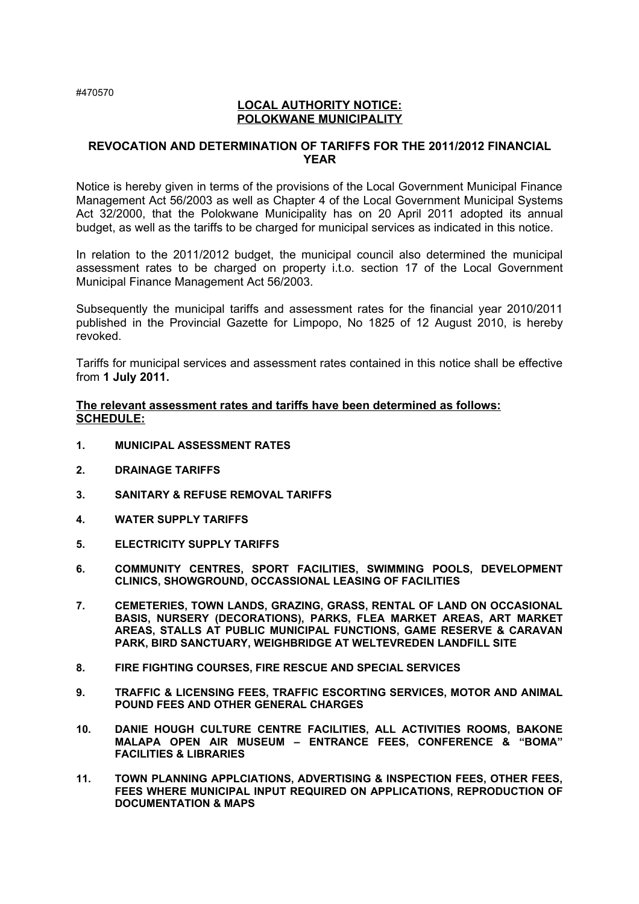## **LOCAL AUTHORITY NOTICE: POLOKWANE MUNICIPALITY**

#### **REVOCATION AND DETERMINATION OF TARIFFS FOR THE 2011/2012 FINANCIAL YEAR**

Notice is hereby given in terms of the provisions of the Local Government Municipal Finance Management Act 56/2003 as well as Chapter 4 of the Local Government Municipal Systems Act 32/2000, that the Polokwane Municipality has on 20 April 2011 adopted its annual budget, as well as the tariffs to be charged for municipal services as indicated in this notice.

In relation to the 2011/2012 budget, the municipal council also determined the municipal assessment rates to be charged on property i.t.o. section 17 of the Local Government Municipal Finance Management Act 56/2003.

Subsequently the municipal tariffs and assessment rates for the financial year 2010/2011 published in the Provincial Gazette for Limpopo, No 1825 of 12 August 2010, is hereby revoked.

Tariffs for municipal services and assessment rates contained in this notice shall be effective from **1 July 2011.**

#### **The relevant assessment rates and tariffs have been determined as follows: SCHEDULE:**

- **1. MUNICIPAL ASSESSMENT RATES**
- **2. DRAINAGE TARIFFS**
- **3. SANITARY & REFUSE REMOVAL TARIFFS**
- **4. WATER SUPPLY TARIFFS**
- **5. ELECTRICITY SUPPLY TARIFFS**
- **6. COMMUNITY CENTRES, SPORT FACILITIES, SWIMMING POOLS, DEVELOPMENT CLINICS, SHOWGROUND, OCCASSIONAL LEASING OF FACILITIES**
- **7. CEMETERIES, TOWN LANDS, GRAZING, GRASS, RENTAL OF LAND ON OCCASIONAL BASIS, NURSERY (DECORATIONS), PARKS, FLEA MARKET AREAS, ART MARKET AREAS, STALLS AT PUBLIC MUNICIPAL FUNCTIONS, GAME RESERVE & CARAVAN PARK, BIRD SANCTUARY, WEIGHBRIDGE AT WELTEVREDEN LANDFILL SITE**
- **8. FIRE FIGHTING COURSES, FIRE RESCUE AND SPECIAL SERVICES**
- **9. TRAFFIC & LICENSING FEES, TRAFFIC ESCORTING SERVICES, MOTOR AND ANIMAL POUND FEES AND OTHER GENERAL CHARGES**
- **10. DANIE HOUGH CULTURE CENTRE FACILITIES, ALL ACTIVITIES ROOMS, BAKONE MALAPA OPEN AIR MUSEUM – ENTRANCE FEES, CONFERENCE & "BOMA" FACILITIES & LIBRARIES**
- **11. TOWN PLANNING APPLCIATIONS, ADVERTISING & INSPECTION FEES, OTHER FEES, FEES WHERE MUNICIPAL INPUT REQUIRED ON APPLICATIONS, REPRODUCTION OF DOCUMENTATION & MAPS**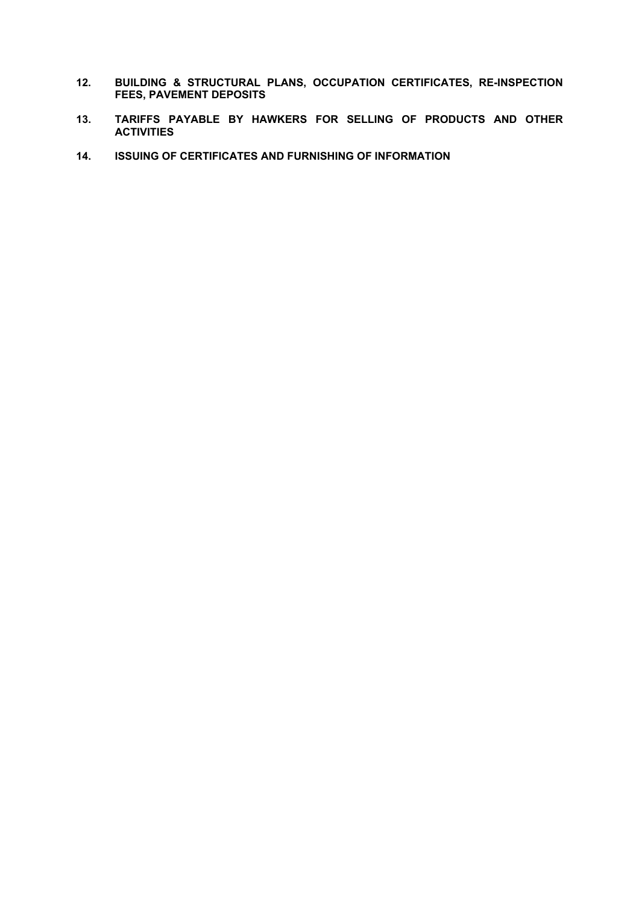- **12. BUILDING & STRUCTURAL PLANS, OCCUPATION CERTIFICATES, RE-INSPECTION FEES, PAVEMENT DEPOSITS**
- **13. TARIFFS PAYABLE BY HAWKERS FOR SELLING OF PRODUCTS AND OTHER ACTIVITIES**
- **14. ISSUING OF CERTIFICATES AND FURNISHING OF INFORMATION**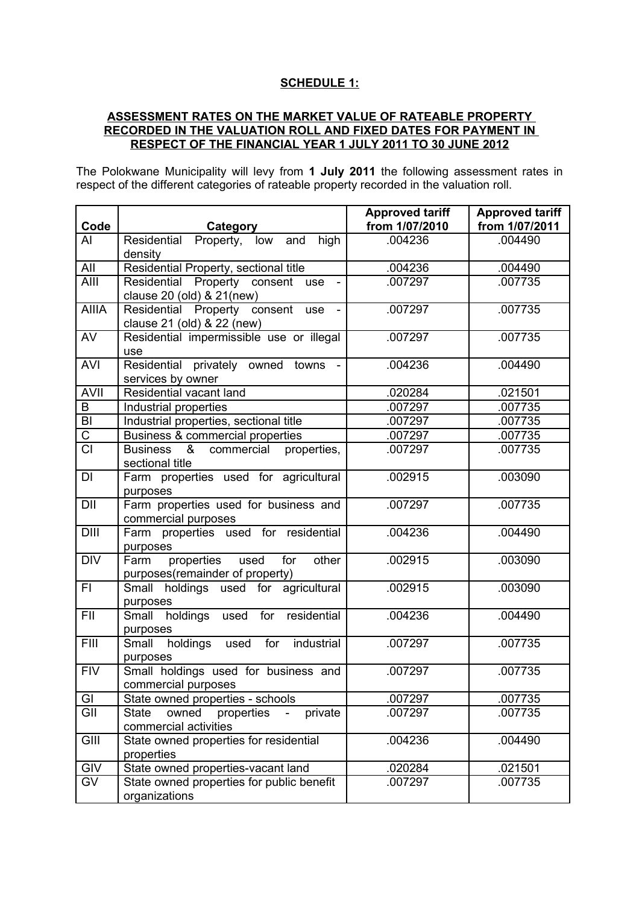# **SCHEDULE 1:**

## **ASSESSMENT RATES ON THE MARKET VALUE OF RATEABLE PROPERTY RECORDED IN THE VALUATION ROLL AND FIXED DATES FOR PAYMENT IN RESPECT OF THE FINANCIAL YEAR 1 JULY 2011 TO 30 JUNE 2012**

The Polokwane Municipality will levy from **1 July 2011** the following assessment rates in respect of the different categories of rateable property recorded in the valuation roll.

| Code                  | Category                                                                            | <b>Approved tariff</b><br>from 1/07/2010 | <b>Approved tariff</b><br>from 1/07/2011 |
|-----------------------|-------------------------------------------------------------------------------------|------------------------------------------|------------------------------------------|
| AI                    | Residential Property, low and<br>high<br>density                                    | .004236                                  | .004490                                  |
| All                   | Residential Property, sectional title                                               | .004236                                  | .004490                                  |
| AIII                  | Residential Property consent use<br>clause 20 (old) & 21(new)                       | .007297                                  | .007735                                  |
| <b>AIIIA</b>          | Residential Property consent<br>use<br>$\blacksquare$<br>clause 21 (old) & 22 (new) | .007297                                  | .007735                                  |
| AV                    | Residential impermissible use or illegal<br>use                                     | .007297                                  | .007735                                  |
| <b>AVI</b>            | Residential privately owned towns -<br>services by owner                            | .004236                                  | .004490                                  |
| <b>AVII</b>           | Residential vacant land                                                             | .020284                                  | .021501                                  |
| B                     | Industrial properties                                                               | .007297                                  | .007735                                  |
| $\overline{BI}$       | Industrial properties, sectional title                                              | .007297                                  | .007735                                  |
| $\overline{\text{C}}$ | Business & commercial properties                                                    | .007297                                  | .007735                                  |
| $\overline{CI}$       | Business & commercial<br>properties,<br>sectional title                             | .007297                                  | .007735                                  |
| DI                    | Farm properties used for agricultural<br>purposes                                   | .002915                                  | .003090                                  |
| DII                   | Farm properties used for business and<br>commercial purposes                        | .007297                                  | .007735                                  |
| <b>DIII</b>           | Farm properties used for residential<br>purposes                                    | .004236                                  | .004490                                  |
| $\overline{DIV}$      | Farm<br>properties<br>used<br>for<br>other<br>purposes(remainder of property)       | .002915                                  | .003090                                  |
| FI.                   | Small holdings used for agricultural<br>purposes                                    | .002915                                  | .003090                                  |
| FII                   | Small holdings used for<br>residential<br>purposes                                  | .004236                                  | .004490                                  |
| FIII                  | Small holdings used<br>for<br>industrial<br>purposes                                | .007297                                  | .007735                                  |
| <b>FIV</b>            | Small holdings used for business and<br>commercial purposes                         | .007297                                  | .007735                                  |
| GI                    | State owned properties - schools                                                    | .007297                                  | .007735                                  |
| GII                   | private<br>owned<br>properties<br><b>State</b><br>commercial activities             | .007297                                  | .007735                                  |
| GIII                  | State owned properties for residential<br>properties                                | .004236                                  | .004490                                  |
| GIV                   | State owned properties-vacant land                                                  | .020284                                  | .021501                                  |
| <b>GV</b>             | State owned properties for public benefit<br>organizations                          | .007297                                  | .007735                                  |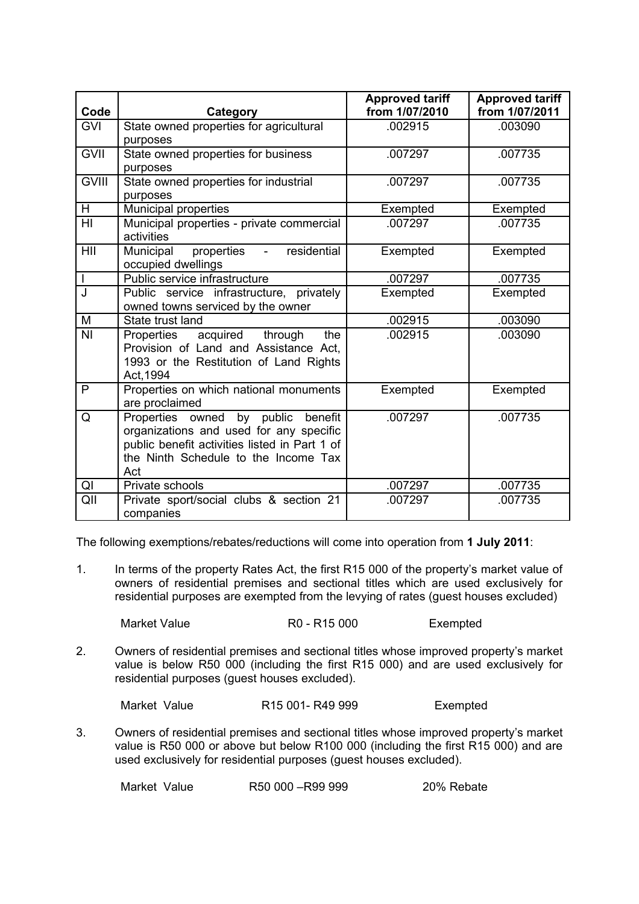| Code           | Category                                                                                                                                                                      | <b>Approved tariff</b><br>from 1/07/2010 | <b>Approved tariff</b><br>from 1/07/2011 |
|----------------|-------------------------------------------------------------------------------------------------------------------------------------------------------------------------------|------------------------------------------|------------------------------------------|
| <b>GVI</b>     | State owned properties for agricultural<br>purposes                                                                                                                           | .002915                                  | .003090                                  |
| <b>GVII</b>    | State owned properties for business<br>purposes                                                                                                                               | .007297                                  | .007735                                  |
| <b>GVIII</b>   | State owned properties for industrial<br>purposes                                                                                                                             | .007297                                  | .007735                                  |
| H              | Municipal properties                                                                                                                                                          | Exempted                                 | Exempted                                 |
| HI             | Municipal properties - private commercial<br>activities                                                                                                                       | .007297                                  | .007735                                  |
| HII            | properties<br>residential<br>Municipal<br>$\omega_{\rm{max}}$<br>occupied dwellings                                                                                           | Exempted                                 | Exempted                                 |
| $\overline{1}$ | Public service infrastructure                                                                                                                                                 | .007297                                  | .007735                                  |
| J              | Public service infrastructure, privately<br>owned towns serviced by the owner                                                                                                 | Exempted                                 | Exempted                                 |
| M              | State trust land                                                                                                                                                              | .002915                                  | .003090                                  |
| <b>NI</b>      | acquired through<br>Properties<br>the<br>Provision of Land and Assistance Act,<br>1993 or the Restitution of Land Rights<br>Act, 1994                                         | .002915                                  | .003090                                  |
| $\mathsf{P}$   | Properties on which national monuments<br>are proclaimed                                                                                                                      | Exempted                                 | Exempted                                 |
| Q              | Properties owned by public benefit<br>organizations and used for any specific<br>public benefit activities listed in Part 1 of<br>the Ninth Schedule to the Income Tax<br>Act | .007297                                  | .007735                                  |
| QI             | Private schools                                                                                                                                                               | .007297                                  | .007735                                  |
| QII            | Private sport/social clubs & section 21<br>companies                                                                                                                          | .007297                                  | .007735                                  |

The following exemptions/rebates/reductions will come into operation from **1 July 2011**:

1. In terms of the property Rates Act, the first R15 000 of the property's market value of owners of residential premises and sectional titles which are used exclusively for residential purposes are exempted from the levying of rates (guest houses excluded)

Market Value **R0** - R15 000 Exempted

2. Owners of residential premises and sectional titles whose improved property's market value is below R50 000 (including the first R15 000) and are used exclusively for residential purposes (guest houses excluded).

Market Value R15 001- R49 999

3. Owners of residential premises and sectional titles whose improved property's market value is R50 000 or above but below R100 000 (including the first R15 000) and are used exclusively for residential purposes (guest houses excluded).

Market Value R50 000 –R99 999 20% Rebate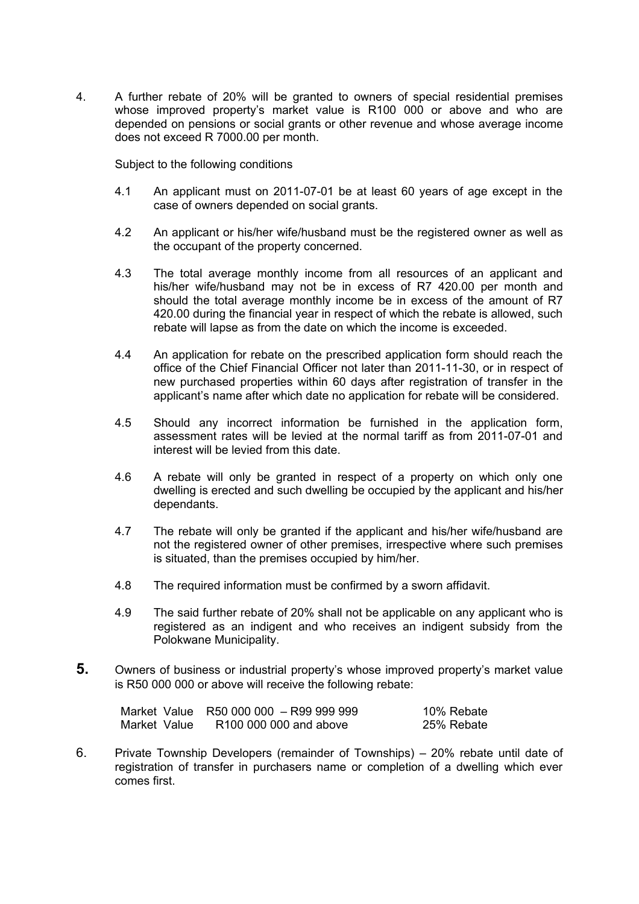4. A further rebate of 20% will be granted to owners of special residential premises whose improved property's market value is R100 000 or above and who are depended on pensions or social grants or other revenue and whose average income does not exceed R 7000.00 per month.

Subject to the following conditions

- 4.1 An applicant must on 2011-07-01 be at least 60 years of age except in the case of owners depended on social grants.
- 4.2 An applicant or his/her wife/husband must be the registered owner as well as the occupant of the property concerned.
- 4.3 The total average monthly income from all resources of an applicant and his/her wife/husband may not be in excess of R7 420.00 per month and should the total average monthly income be in excess of the amount of R7 420.00 during the financial year in respect of which the rebate is allowed, such rebate will lapse as from the date on which the income is exceeded.
- 4.4 An application for rebate on the prescribed application form should reach the office of the Chief Financial Officer not later than 2011-11-30, or in respect of new purchased properties within 60 days after registration of transfer in the applicant's name after which date no application for rebate will be considered.
- 4.5 Should any incorrect information be furnished in the application form, assessment rates will be levied at the normal tariff as from 2011-07-01 and interest will be levied from this date.
- 4.6 A rebate will only be granted in respect of a property on which only one dwelling is erected and such dwelling be occupied by the applicant and his/her dependants.
- 4.7 The rebate will only be granted if the applicant and his/her wife/husband are not the registered owner of other premises, irrespective where such premises is situated, than the premises occupied by him/her.
- 4.8 The required information must be confirmed by a sworn affidavit.
- 4.9 The said further rebate of 20% shall not be applicable on any applicant who is registered as an indigent and who receives an indigent subsidy from the Polokwane Municipality.
- **5.** Owners of business or industrial property's whose improved property's market value is R50 000 000 or above will receive the following rebate:

|              | Market Value   R50 000 000 – R99 999 999 | 10% Rebate |
|--------------|------------------------------------------|------------|
| Market Value | R100 000 000 and above                   | 25% Rebate |

6. Private Township Developers (remainder of Townships) – 20% rebate until date of registration of transfer in purchasers name or completion of a dwelling which ever comes first.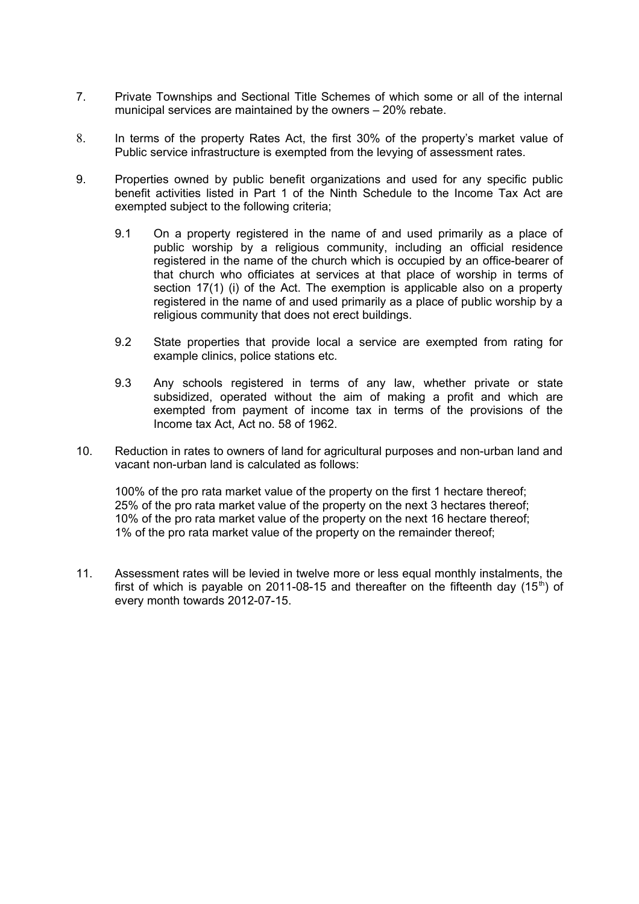- 7. Private Townships and Sectional Title Schemes of which some or all of the internal municipal services are maintained by the owners – 20% rebate.
- 8. In terms of the property Rates Act, the first 30% of the property's market value of Public service infrastructure is exempted from the levying of assessment rates.
- 9. Properties owned by public benefit organizations and used for any specific public benefit activities listed in Part 1 of the Ninth Schedule to the Income Tax Act are exempted subject to the following criteria;
	- 9.1 On a property registered in the name of and used primarily as a place of public worship by a religious community, including an official residence registered in the name of the church which is occupied by an office-bearer of that church who officiates at services at that place of worship in terms of section 17(1) (i) of the Act. The exemption is applicable also on a property registered in the name of and used primarily as a place of public worship by a religious community that does not erect buildings.
	- 9.2 State properties that provide local a service are exempted from rating for example clinics, police stations etc.
	- 9.3 Any schools registered in terms of any law, whether private or state subsidized, operated without the aim of making a profit and which are exempted from payment of income tax in terms of the provisions of the Income tax Act, Act no. 58 of 1962.
- 10. Reduction in rates to owners of land for agricultural purposes and non-urban land and vacant non-urban land is calculated as follows:

100% of the pro rata market value of the property on the first 1 hectare thereof; 25% of the pro rata market value of the property on the next 3 hectares thereof; 10% of the pro rata market value of the property on the next 16 hectare thereof; 1% of the pro rata market value of the property on the remainder thereof;

11. Assessment rates will be levied in twelve more or less equal monthly instalments, the first of which is payable on 2011-08-15 and thereafter on the fifteenth day  $(15<sup>th</sup>)$  of every month towards 2012-07-15.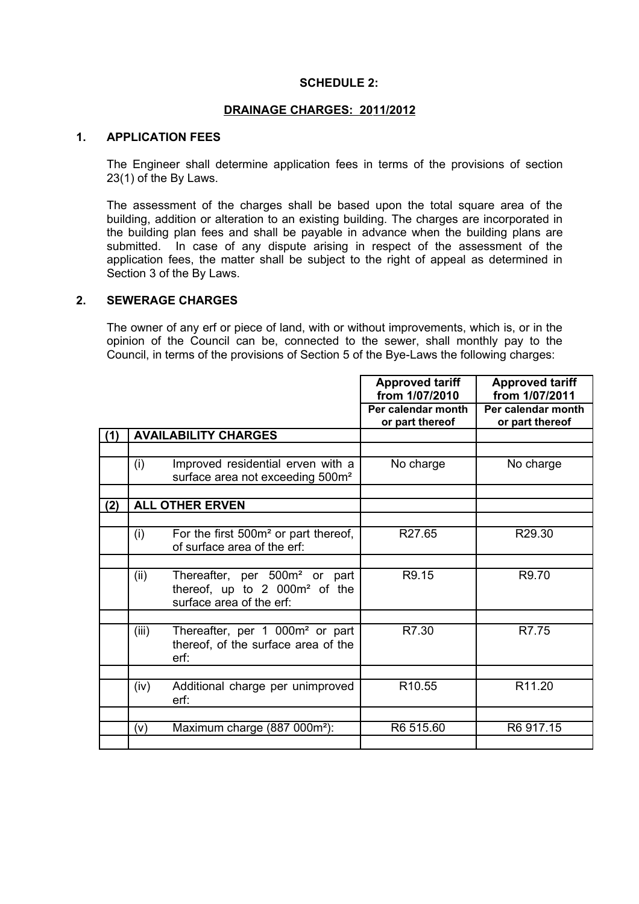#### **SCHEDULE 2:**

#### **DRAINAGE CHARGES: 20 11/2012**

#### **1. APPLICATION FEES**

The Engineer shall determine application fees in terms of the provisions of section 23(1) of the By Laws.

The assessment of the charges shall be based upon the total square area of the building, addition or alteration to an existing building. The charges are incorporated in the building plan fees and shall be payable in advance when the building plans are submitted. In case of any dispute arising in respect of the assessment of the application fees, the matter shall be subject to the right of appeal as determined in Section 3 of the By Laws.

## **2. SEWERAGE CHARGES**

The owner of any erf or piece of land, with or without improvements, which is, or in the opinion of the Council can be, connected to the sewer, shall monthly pay to the Council, in terms of the provisions of Section 5 of the Bye-Laws the following charges:

|     |       |                                                                                                                    | <b>Approved tariff</b><br>from 1/07/2010 | <b>Approved tariff</b><br>from 1/07/2011 |
|-----|-------|--------------------------------------------------------------------------------------------------------------------|------------------------------------------|------------------------------------------|
|     |       |                                                                                                                    | Per calendar month<br>or part thereof    | Per calendar month<br>or part thereof    |
| (1) |       | <b>AVAILABILITY CHARGES</b>                                                                                        |                                          |                                          |
|     |       |                                                                                                                    |                                          |                                          |
|     | (i)   | Improved residential erven with a<br>surface area not exceeding 500m <sup>2</sup>                                  | No charge                                | No charge                                |
|     |       |                                                                                                                    |                                          |                                          |
| (2) |       | <b>ALL OTHER ERVEN</b>                                                                                             |                                          |                                          |
|     |       |                                                                                                                    |                                          |                                          |
|     | (i)   | For the first 500m <sup>2</sup> or part thereof,<br>of surface area of the erf:                                    | R27.65                                   | R29.30                                   |
|     |       |                                                                                                                    |                                          |                                          |
|     | (ii)  | Thereafter, per 500m <sup>2</sup> or part<br>thereof, up to 2 000m <sup>2</sup> of the<br>surface area of the erf: | R9.15                                    | R9.70                                    |
|     |       |                                                                                                                    |                                          |                                          |
|     | (iii) | Thereafter, per 1 000m <sup>2</sup> or part<br>thereof, of the surface area of the<br>erf:                         | R7.30                                    | R7.75                                    |
|     |       |                                                                                                                    |                                          |                                          |
|     | (iv)  | Additional charge per unimproved<br>erf:                                                                           | R <sub>10.55</sub>                       | R11.20                                   |
|     |       |                                                                                                                    |                                          |                                          |
|     | (v)   | Maximum charge (887 000m <sup>2</sup> ):                                                                           | R6 515.60                                | R6 917.15                                |
|     |       |                                                                                                                    |                                          |                                          |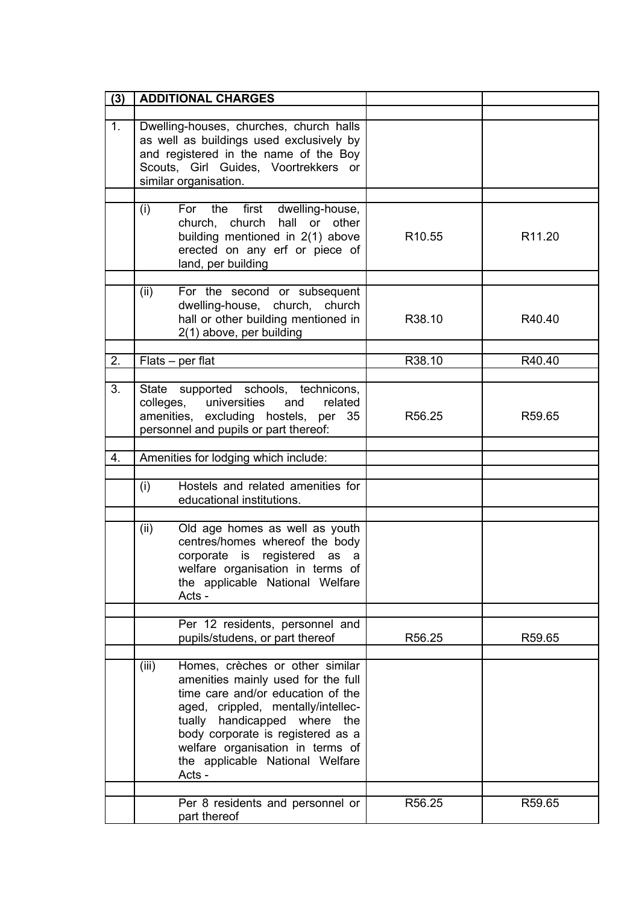| (3)            | <b>ADDITIONAL CHARGES</b>                                                                                                                                                                                                                                                                                          |                    |        |
|----------------|--------------------------------------------------------------------------------------------------------------------------------------------------------------------------------------------------------------------------------------------------------------------------------------------------------------------|--------------------|--------|
|                |                                                                                                                                                                                                                                                                                                                    |                    |        |
| 1 <sub>1</sub> | Dwelling-houses, churches, church halls<br>as well as buildings used exclusively by<br>and registered in the name of the Boy<br>Scouts, Girl Guides, Voortrekkers or<br>similar organisation.                                                                                                                      |                    |        |
|                |                                                                                                                                                                                                                                                                                                                    |                    |        |
|                | (i)<br>For the<br>first dwelling-house,<br>church, church hall or other<br>building mentioned in 2(1) above<br>erected on any erf or piece of<br>land, per building                                                                                                                                                | R <sub>10.55</sub> | R11.20 |
|                | For the second or subsequent<br>(ii)<br>dwelling-house, church, church<br>hall or other building mentioned in<br>2(1) above, per building                                                                                                                                                                          | R38.10             | R40.40 |
| 2.             | Flats – per flat                                                                                                                                                                                                                                                                                                   | R38.10             | R40.40 |
|                |                                                                                                                                                                                                                                                                                                                    |                    |        |
| 3.             | State supported schools, technicons,<br>colleges, universities<br>and<br>related<br>amenities, excluding hostels, per 35<br>personnel and pupils or part thereof:                                                                                                                                                  | R56.25             | R59.65 |
| 4.             | Amenities for lodging which include:                                                                                                                                                                                                                                                                               |                    |        |
|                |                                                                                                                                                                                                                                                                                                                    |                    |        |
|                | Hostels and related amenities for<br>(i)<br>educational institutions.                                                                                                                                                                                                                                              |                    |        |
|                | (ii)<br>Old age homes as well as youth<br>centres/homes whereof the body<br>corporate is registered as a<br>welfare organisation in terms of<br>the applicable National Welfare<br>Acts -                                                                                                                          |                    |        |
|                | Per 12 residents, personnel and                                                                                                                                                                                                                                                                                    |                    |        |
|                | pupils/studens, or part thereof                                                                                                                                                                                                                                                                                    | R56.25             | R59.65 |
|                |                                                                                                                                                                                                                                                                                                                    |                    |        |
|                | (iii)<br>Homes, crèches or other similar<br>amenities mainly used for the full<br>time care and/or education of the<br>aged, crippled, mentally/intellec-<br>tually handicapped where<br>the<br>body corporate is registered as a<br>welfare organisation in terms of<br>the applicable National Welfare<br>Acts - |                    |        |
|                | Per 8 residents and personnel or<br>part thereof                                                                                                                                                                                                                                                                   | R56.25             | R59.65 |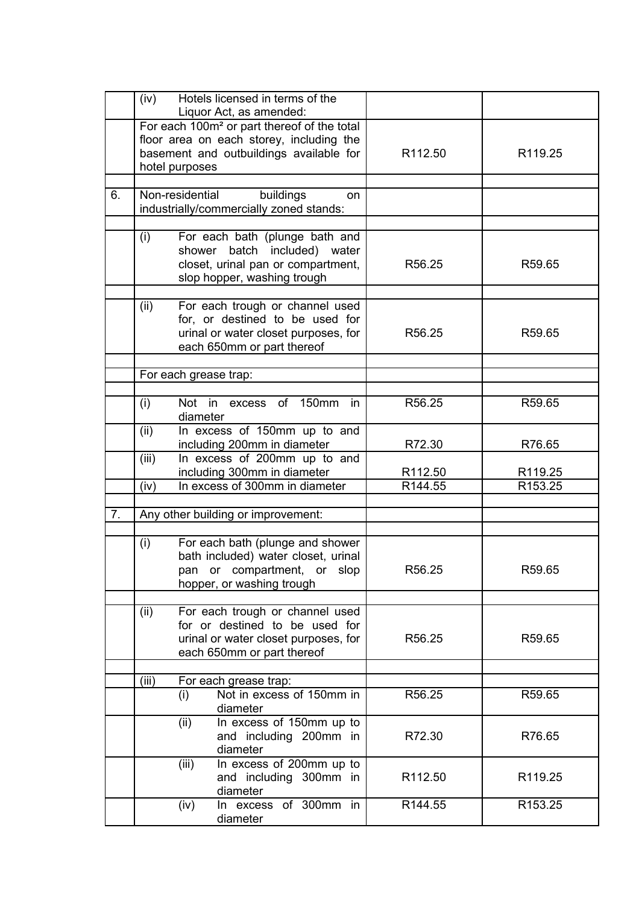|    | (iv)                                                                | Hotels licensed in terms of the<br>Liquor Act, as amended:                                                                                                       |                     |                     |
|----|---------------------------------------------------------------------|------------------------------------------------------------------------------------------------------------------------------------------------------------------|---------------------|---------------------|
|    |                                                                     | For each 100m <sup>2</sup> or part thereof of the total<br>floor area on each storey, including the<br>basement and outbuildings available for<br>hotel purposes | R112.50             | R119.25             |
| 6. |                                                                     | Non-residential<br>buildings<br>on<br>industrially/commercially zoned stands:                                                                                    |                     |                     |
|    | (i)                                                                 | For each bath (plunge bath and<br>shower batch included) water<br>closet, urinal pan or compartment,<br>slop hopper, washing trough                              | R56.25              | R59.65              |
|    | (ii)                                                                | For each trough or channel used<br>for, or destined to be used for<br>urinal or water closet purposes, for<br>each 650mm or part thereof                         | R56.25              | R59.65              |
|    |                                                                     | For each grease trap:                                                                                                                                            |                     |                     |
|    | (i)                                                                 | Not in excess of 150mm<br><i>in</i><br>diameter                                                                                                                  | R56.25              | R59.65              |
|    | In excess of 150mm up to and<br>(ii)<br>including 200mm in diameter |                                                                                                                                                                  | R72.30              | R76.65              |
|    | (iii)                                                               | In excess of 200mm up to and<br>including 300mm in diameter                                                                                                      | R <sub>112.50</sub> | R119.25             |
|    | (iv)                                                                | In excess of 300mm in diameter                                                                                                                                   | R144.55             | R153.25             |
| 7. |                                                                     | Any other building or improvement:                                                                                                                               |                     |                     |
|    |                                                                     |                                                                                                                                                                  |                     |                     |
|    | (i)                                                                 | For each bath (plunge and shower<br>bath included) water closet, urinal<br>pan or compartment, or slop<br>hopper, or washing trough                              | R56.25              | R59.65              |
|    | (ii)                                                                | For each trough or channel used<br>for or destined to be used for<br>urinal or water closet purposes, for<br>each 650mm or part thereof                          | R56.25              | R59.65              |
|    | (iii)                                                               | For each grease trap:                                                                                                                                            |                     |                     |
|    |                                                                     | Not in excess of 150mm in<br>(i)<br>diameter                                                                                                                     | R56.25              | R59.65              |
|    |                                                                     | In excess of 150mm up to<br>(ii)<br>and including 200mm in<br>diameter                                                                                           | R72.30              | R76.65              |
|    |                                                                     | In excess of 200mm up to<br>(iii)<br>and including 300mm in<br>diameter                                                                                          | R <sub>112.50</sub> | R119.25             |
|    |                                                                     | In excess of 300mm in<br>(iv)<br>diameter                                                                                                                        | R144.55             | R <sub>153.25</sub> |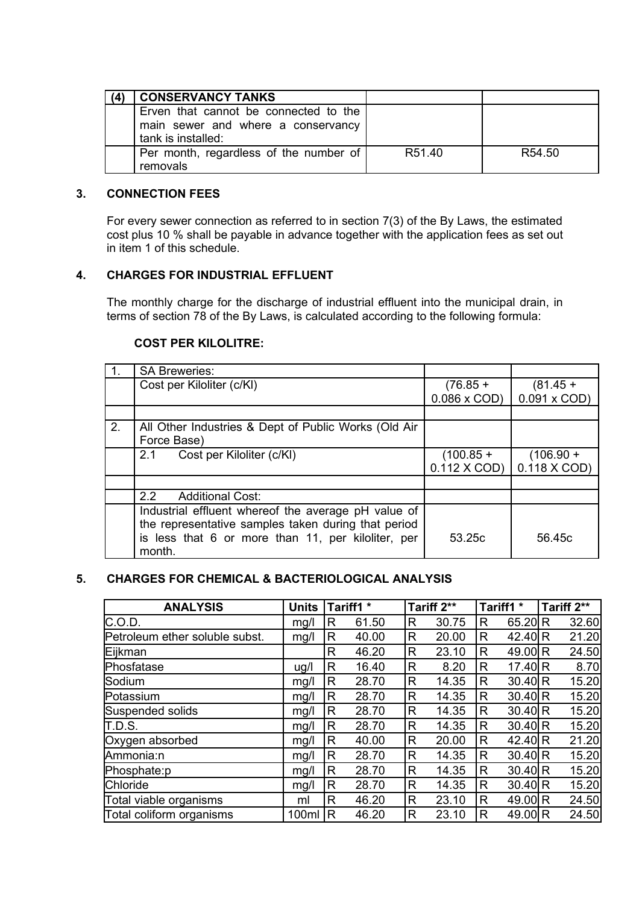| <b>CONSERVANCY TANKS</b>               |                    |                    |
|----------------------------------------|--------------------|--------------------|
| Erven that cannot be connected to the  |                    |                    |
| main sewer and where a conservancy     |                    |                    |
| tank is installed:                     |                    |                    |
| Per month, regardless of the number of | R <sub>51.40</sub> | R <sub>54.50</sub> |
| removals                               |                    |                    |

#### **3. CONNECTION FEES**

For every sewer connection as referred to in section 7(3) of the By Laws, the estimated cost plus 10 % shall be payable in advance together with the application fees as set out in item 1 of this schedule.

# **4. CHARGES FOR INDUSTRIAL EFFLUENT**

The monthly charge for the discharge of industrial effluent into the municipal drain, in terms of section 78 of the By Laws, is calculated according to the following formula:

#### **COST PER KILOLITRE:**

|    | <b>SA Breweries:</b>                                 |                    |                    |
|----|------------------------------------------------------|--------------------|--------------------|
|    | Cost per Kiloliter (c/KI)                            | $(76.85 +$         | $(81.45 +$         |
|    |                                                      | $0.086 \times COD$ | $0.091 \times COD$ |
|    |                                                      |                    |                    |
| 2. | All Other Industries & Dept of Public Works (Old Air |                    |                    |
|    | Force Base)                                          |                    |                    |
|    | Cost per Kiloliter (c/KI)<br>2.1                     | $(100.85 +$        | $(106.90 +$        |
|    |                                                      | 0.112 X COD)       | 0.118 X COD)       |
|    |                                                      |                    |                    |
|    | $2.2^{\circ}$<br><b>Additional Cost:</b>             |                    |                    |
|    | Industrial effluent whereof the average pH value of  |                    |                    |
|    | the representative samples taken during that period  |                    |                    |
|    | is less that 6 or more than 11, per kiloliter, per   | 53.25c             | 56.45c             |
|    | month.                                               |                    |                    |

# **5. CHARGES FOR CHEMICAL & BACTERIOLOGICAL ANALYSIS**

| <b>ANALYSIS</b>                | <b>Units</b> |   | Tariff1 * | Tariff 2** |       | Tariff1 *      |           | Tariff 2** |       |
|--------------------------------|--------------|---|-----------|------------|-------|----------------|-----------|------------|-------|
| IC.O.D.                        | mg/l         | R | 61.50     | R          | 30.75 | R              | 65.20 R   |            | 32.60 |
| Petroleum ether soluble subst. | mg/l         | R | 40.00     | R          | 20.00 | R              | 42.40 R   |            | 21.20 |
| Eijkman                        |              | R | 46.20     | R          | 23.10 | R              | 49.00 R   |            | 24.50 |
| Phosfatase                     | ug/l         | R | 16.40     | R          | 8.20  | R              | 17.40(R)  |            | 8.70  |
| Sodium                         | mg/l         | R | 28.70     | R          | 14.35 | R              | $30.40$ R |            | 15.20 |
| Potassium                      | mg/l         | R | 28.70     | R          | 14.35 | R              | 30.40(R)  |            | 15.20 |
| Suspended solids               | mg/l         | R | 28.70     | R          | 14.35 | R              | $30.40$ R |            | 15.20 |
| <b>T.D.S.</b>                  | mg/l         | R | 28.70     | R          | 14.35 | R              | 30.40(R)  |            | 15.20 |
| Oxygen absorbed                | mg/l         | R | 40.00     | R          | 20.00 | R              | 42.40 $R$ |            | 21.20 |
| Ammonia:n                      | mg/l         | R | 28.70     | R          | 14.35 | R              | 30.40(R)  |            | 15.20 |
| Phosphate:p                    | mg/l         | R | 28.70     | R          | 14.35 | R              | 30.40(R)  |            | 15.20 |
| Chloride                       | mg/l         | R | 28.70     | R          | 14.35 | R              | 30.40(R)  |            | 15.20 |
| Total viable organisms         | ml           | R | 46.20     | R          | 23.10 | $\overline{R}$ | 49.00 R   |            | 24.50 |
| Total coliform organisms       | 100ml        | R | 46.20     | R          | 23.10 | R              | 49.00 R   |            | 24.50 |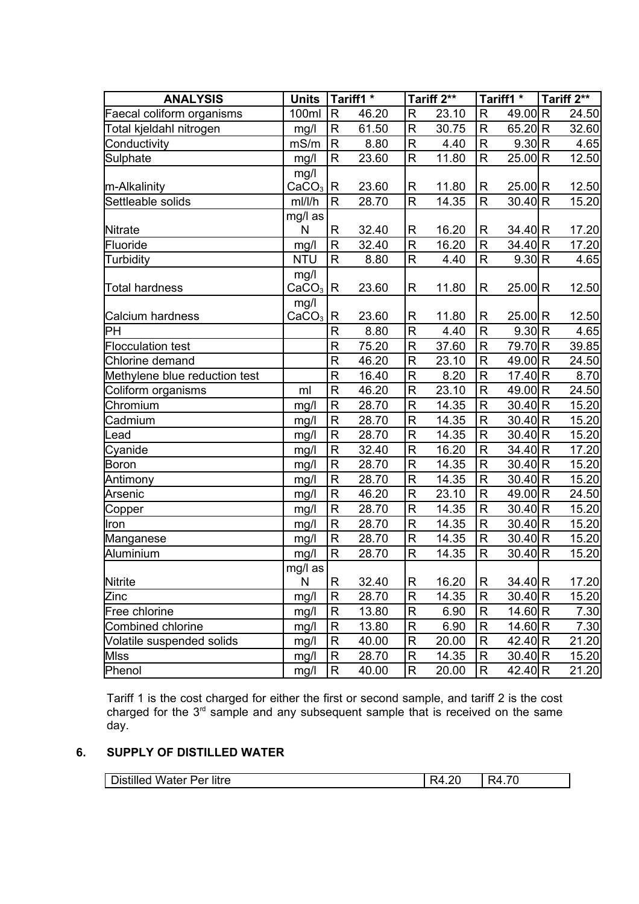| <b>ANALYSIS</b>               | <b>Units</b>      |                         | Tariff1 <sup>*</sup> |                    | Tariff 2** |                         | Tariff1 *    | Tariff 2** |
|-------------------------------|-------------------|-------------------------|----------------------|--------------------|------------|-------------------------|--------------|------------|
| Faecal coliform organisms     | 100ml             | $\mathsf{R}$            | 46.20                | R                  | 23.10      | R                       | 49.00 R      | 24.50      |
| Total kjeldahl nitrogen       | mg/l              | $\mathsf{R}$            | 61.50                | $\mathsf{R}$       | 30.75      | $\overline{\mathsf{R}}$ | 65.20 R      | 32.60      |
| Conductivity                  | mS/m              | $\mathsf{R}$            | 8.80                 | R                  | 4.40       | R                       | 9.30 R       | 4.65       |
| Sulphate                      | mg/l              | ${\sf R}$               | 23.60                | $\mathsf R$        | 11.80      | R                       | 25.00 R      | 12.50      |
|                               | mg/l              |                         |                      |                    |            |                         |              |            |
| m-Alkalinity                  | $CaCO3$ R         |                         | 23.60                | R                  | 11.80      | R                       | 25.00(R)     | 12.50      |
| Settleable solids             | ml/l/h            | $\mathsf{R}$            | 28.70                | R                  | 14.35      | R                       | $30.40$ R    | 15.20      |
|                               | mg/l as           |                         |                      |                    |            |                         |              |            |
| Nitrate                       | N                 | $\mathsf{R}$            | 32.40                | R                  | 16.20      | R                       | $34.40 \, R$ | 17.20      |
| Fluoride                      | mg/l              | $\overline{R}$          | 32.40                | $\mathsf{R}$       | 16.20      | R                       | 34.40 R      | 17.20      |
| Turbidity                     | <b>NTU</b>        | $\mathsf{R}$            | 8.80                 | $\mathsf{R}$       | 4.40       | R                       | 9.30 R       | 4.65       |
|                               | mg/l              |                         |                      |                    |            |                         |              |            |
| Total hardness                | CaCO <sub>3</sub> | R                       | 23.60                | R                  | 11.80      | R                       | 25.00 R      | 12.50      |
|                               | mg/l              |                         |                      |                    |            |                         |              |            |
| Calcium hardness              | CaCO <sub>3</sub> | R                       | 23.60                | R                  | 11.80      | R                       | 25.00(R)     | 12.50      |
| PН                            |                   | $\mathsf{R}$            | 8.80                 | $\mathsf R$        | 4.40       | $\mathsf{R}$            | 9.30 R       | 4.65       |
| <b>Flocculation test</b>      |                   | $\mathsf{R}$            | 75.20                | R                  | 37.60      | R                       | 79.70 R      | 39.85      |
| Chlorine demand               |                   | $\overline{\mathsf{R}}$ | 46.20                | $\mathsf{R}$       | 23.10      | R                       | 49.00 R      | 24.50      |
| Methylene blue reduction test |                   | $\mathsf{R}$            | 16.40                | $\mathsf{R}$       | 8.20       | R                       | 17.40 $R$    | 8.70       |
| Coliform organisms            | ml                | $\mathsf{R}$            | 46.20                | $\mathsf R$        | 23.10      | R                       | 49.00 R      | 24.50      |
| Chromium                      | mg/l              | ${\sf R}$               | 28.70                | $\mathsf R$        | 14.35      | R                       | $30.40$ R    | 15.20      |
| Cadmium                       | mg/l              | $\mathsf R$             | 28.70                | $\mathsf{R}$       | 14.35      | R                       | $30.40$ R    | 15.20      |
| Lead                          | mg/l              | $\mathsf{R}$            | 28.70                | $\mathsf{R}$       | 14.35      | R                       | $30.40$ R    | 15.20      |
| Cyanide                       | mg/               | $\mathsf{R}$            | 32.40                | $\mathsf{R}% _{T}$ | 16.20      | R                       | 34.40 R      | 17.20      |
| Boron                         | mg/l              | $\mathsf{R}$            | 28.70                | R                  | 14.35      | R                       | $30.40$ R    | 15.20      |
| Antimony                      | mg/l              | $\mathsf{R}$            | 28.70                | $\mathsf R$        | 14.35      | R                       | $30.40$ R    | 15.20      |
| Arsenic                       | mg/l              | $\mathsf{R}$            | 46.20                | $\mathsf{R}% _{T}$ | 23.10      | R                       | 49.00 R      | 24.50      |
| Copper                        | mg/l              | $\mathsf{R}$            | 28.70                | $\mathsf{R}$       | 14.35      | R                       | $30.40$ R    | 15.20      |
| Iron                          | mg/l              | $\mathsf{R}$            | 28.70                | $\mathsf R$        | 14.35      | R                       | $30.40$ R    | 15.20      |
| Manganese                     | mg/l              | $\mathsf{R}$            | 28.70                | $\mathsf{R}$       | 14.35      | R                       | $30.40$ R    | 15.20      |
| Aluminium                     | mg/l              | $\mathsf{R}$            | 28.70                | $\mathsf{R}$       | 14.35      | R                       | 30.40 R      | 15.20      |
|                               | mg/l as           |                         |                      |                    |            |                         |              |            |
| Nitrite                       | N                 | R                       | 32.40                | R                  | 16.20      | R                       | 34.40 R      | 17.20      |
| Zinc                          | mg/l              | $\mathsf{R}$            | 28.70                | R                  | 14.35      | R                       | $30.40$ R    | 15.20      |
| Free chlorine                 | mg/l              | $\mathsf{R}$            | 13.80                | R                  | 6.90       | R                       | 14.60 $R$    | 7.30       |
| Combined chlorine             | mg/l              | R                       | 13.80                | R                  | 6.90       | R                       | 14.60 $R$    | 7.30       |
| Volatile suspended solids     | mg/l              | $\mathsf{R}$            | 40.00                | R                  | 20.00      | R                       | 42.40 R      | 21.20      |
| MIss                          | mg/l              | $\mathsf{R}$            | 28.70                | R                  | 14.35      | R                       | $30.40$ R    | 15.20      |
| Phenol                        | mg/l              | R                       | 40.00                | R                  | 20.00      | R                       | 42.40 R      | 21.20      |

Tariff 1 is the cost charged for either the first or second sample, and tariff 2 is the cost charged for the  $3<sup>rd</sup>$  sample and any subsequent sample that is received on the same day.

# **6. SUPPLY OF DISTILLED WATER**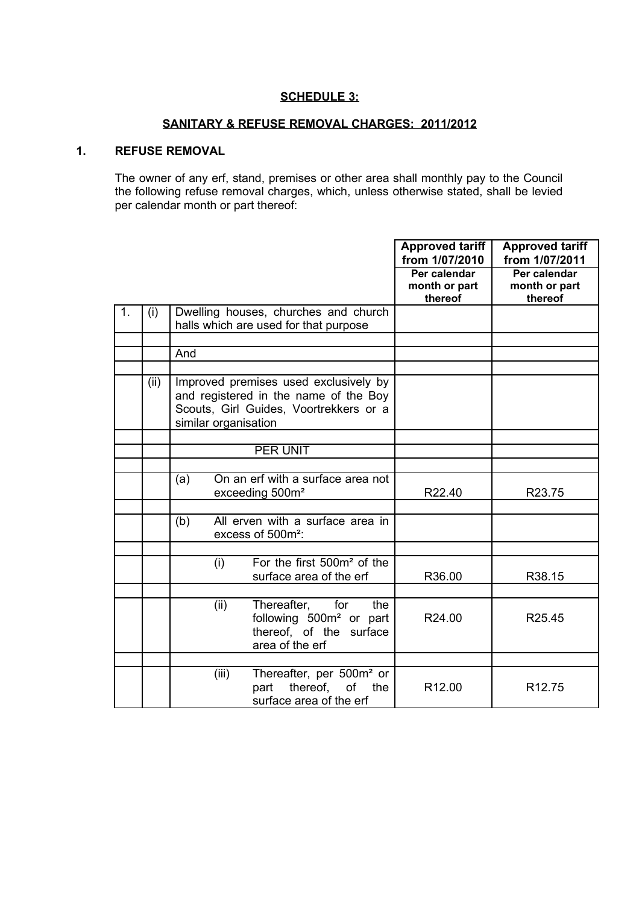## **SCHEDULE 3:**

# **SANITARY & REFUSE REMOVAL CHARGES: 2011/2012**

# **1. REFUSE REMOVAL**

The owner of any erf, stand, premises or other area shall monthly pay to the Council the following refuse removal charges, which, unless otherwise stated, shall be levied per calendar month or part thereof:

|    |      |                                                                                                                                                  | <b>Approved tariff</b><br>from 1/07/2010 | <b>Approved tariff</b><br>from 1/07/2011 |
|----|------|--------------------------------------------------------------------------------------------------------------------------------------------------|------------------------------------------|------------------------------------------|
|    |      |                                                                                                                                                  | Per calendar<br>month or part<br>thereof | Per calendar<br>month or part<br>thereof |
| 1. | (i)  | Dwelling houses, churches and church<br>halls which are used for that purpose                                                                    |                                          |                                          |
|    |      | And                                                                                                                                              |                                          |                                          |
|    | (ii) | Improved premises used exclusively by<br>and registered in the name of the Boy<br>Scouts, Girl Guides, Voortrekkers or a<br>similar organisation |                                          |                                          |
|    |      | PER UNIT                                                                                                                                         |                                          |                                          |
|    |      |                                                                                                                                                  |                                          |                                          |
|    |      | On an erf with a surface area not<br>(a)<br>exceeding 500m <sup>2</sup>                                                                          | R22.40                                   | R23.75                                   |
|    |      | All erven with a surface area in<br>(b)<br>excess of 500m <sup>2</sup> :                                                                         |                                          |                                          |
|    |      | For the first 500m <sup>2</sup> of the<br>(i)<br>surface area of the erf                                                                         | R36.00                                   | R38.15                                   |
|    |      | Thereafter,<br>for<br>(ii)<br>the<br>following 500m <sup>2</sup> or part<br>thereof, of the surface<br>area of the erf                           | R <sub>24.00</sub>                       | R25.45                                   |
|    |      | Thereafter, per 500m <sup>2</sup> or<br>(iii)<br>thereof,<br>part<br>of<br>the<br>surface area of the erf                                        | R12.00                                   | R <sub>12.75</sub>                       |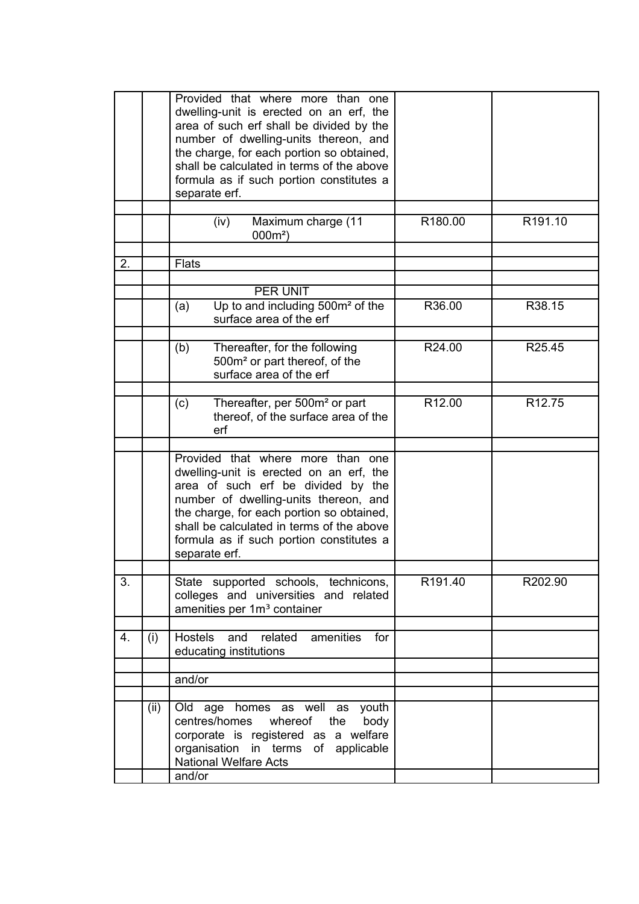|    |      | Provided that where more than one<br>dwelling-unit is erected on an erf, the<br>area of such erf shall be divided by the<br>number of dwelling-units thereon, and<br>the charge, for each portion so obtained,<br>shall be calculated in terms of the above<br>formula as if such portion constitutes a<br>separate erf. |         |         |
|----|------|--------------------------------------------------------------------------------------------------------------------------------------------------------------------------------------------------------------------------------------------------------------------------------------------------------------------------|---------|---------|
|    |      | (iv)<br>Maximum charge (11<br>$000m^2$ )                                                                                                                                                                                                                                                                                 | R180.00 | R191.10 |
| 2. |      | <b>Flats</b>                                                                                                                                                                                                                                                                                                             |         |         |
|    |      |                                                                                                                                                                                                                                                                                                                          |         |         |
|    |      | PER UNIT                                                                                                                                                                                                                                                                                                                 |         |         |
|    |      | Up to and including 500m <sup>2</sup> of the<br>(a)<br>surface area of the erf                                                                                                                                                                                                                                           | R36.00  | R38.15  |
|    |      | Thereafter, for the following<br>(b)<br>500m <sup>2</sup> or part thereof, of the<br>surface area of the erf                                                                                                                                                                                                             | R24.00  | R25.45  |
|    |      |                                                                                                                                                                                                                                                                                                                          |         |         |
|    |      | Thereafter, per 500m <sup>2</sup> or part<br>(c)<br>thereof, of the surface area of the<br>erf                                                                                                                                                                                                                           | R12.00  | R12.75  |
|    |      | Provided that where more than one<br>dwelling-unit is erected on an erf, the<br>area of such erf be divided by the<br>number of dwelling-units thereon, and<br>the charge, for each portion so obtained.<br>shall be calculated in terms of the above<br>formula as if such portion constitutes a<br>separate erf.       |         |         |
| 3. |      | State supported schools, technicons,<br>colleges and universities and related<br>amenities per 1m <sup>3</sup> container                                                                                                                                                                                                 | R191.40 | R202.90 |
|    |      |                                                                                                                                                                                                                                                                                                                          |         |         |
| 4. | (i)  | Hostels<br>and<br>related<br>amenities<br>for<br>educating institutions                                                                                                                                                                                                                                                  |         |         |
|    |      |                                                                                                                                                                                                                                                                                                                          |         |         |
|    |      | and/or                                                                                                                                                                                                                                                                                                                   |         |         |
|    | (ii) | Old age homes as well as youth<br>centres/homes<br>whereof the<br>body<br>corporate is registered as a welfare<br>organisation in terms of applicable<br><b>National Welfare Acts</b><br>and/or                                                                                                                          |         |         |
|    |      |                                                                                                                                                                                                                                                                                                                          |         |         |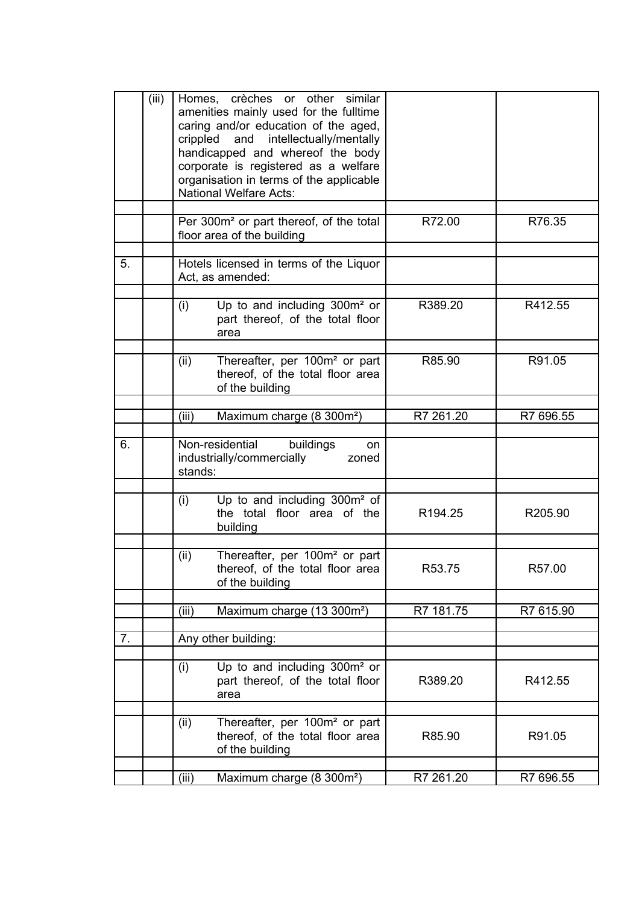|    | (iii) |         | Homes, crèches or other similar<br>amenities mainly used for the fulltime<br>caring and/or education of the aged,<br>crippled and intellectually/mentally<br>handicapped and whereof the body<br>corporate is registered as a welfare<br>organisation in terms of the applicable<br><b>National Welfare Acts:</b> |                     |           |
|----|-------|---------|-------------------------------------------------------------------------------------------------------------------------------------------------------------------------------------------------------------------------------------------------------------------------------------------------------------------|---------------------|-----------|
|    |       |         | Per 300m <sup>2</sup> or part thereof, of the total<br>floor area of the building                                                                                                                                                                                                                                 | R72.00              | R76.35    |
| 5. |       |         | Hotels licensed in terms of the Liquor<br>Act, as amended:                                                                                                                                                                                                                                                        |                     |           |
|    |       | (i)     | Up to and including 300m <sup>2</sup> or<br>part thereof, of the total floor<br>area                                                                                                                                                                                                                              | R389.20             | R412.55   |
|    |       | (ii)    | Thereafter, per 100m <sup>2</sup> or part<br>thereof, of the total floor area<br>of the building                                                                                                                                                                                                                  | R85.90              | R91.05    |
|    |       | (iii)   | Maximum charge (8 300m <sup>2</sup> )                                                                                                                                                                                                                                                                             | R7 261.20           | R7 696.55 |
| 6. |       | stands: | Non-residential buildings<br>on<br>industrially/commercially<br>zoned                                                                                                                                                                                                                                             |                     |           |
|    |       | (i)     | Up to and including 300m <sup>2</sup> of<br>the total floor area of the<br>building                                                                                                                                                                                                                               | R <sub>194.25</sub> | R205.90   |
|    |       | (ii)    | Thereafter, per 100m <sup>2</sup> or part<br>thereof, of the total floor area<br>of the building                                                                                                                                                                                                                  | R53.75              | R57.00    |
|    |       | (iii)   | Maximum charge (13 300m <sup>2</sup> )                                                                                                                                                                                                                                                                            | R7 181.75           | R7 615.90 |
| 7. |       |         | Any other building:                                                                                                                                                                                                                                                                                               |                     |           |
|    |       | (i)     | Up to and including 300m <sup>2</sup> or<br>part thereof, of the total floor<br>area                                                                                                                                                                                                                              | R389.20             | R412.55   |
|    |       | (ii)    | Thereafter, per 100m <sup>2</sup> or part<br>thereof, of the total floor area<br>of the building                                                                                                                                                                                                                  | R85.90              | R91.05    |
|    |       | (iii)   | Maximum charge (8 300m <sup>2</sup> )                                                                                                                                                                                                                                                                             | R7 261.20           | R7 696.55 |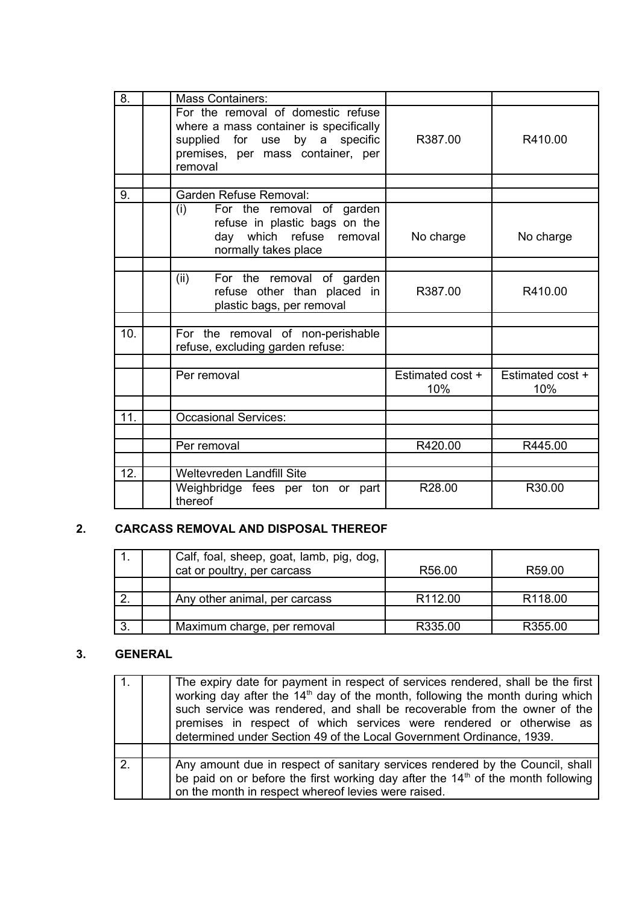| 8.  | <b>Mass Containers:</b>                                                                                                                                        |                         |                         |
|-----|----------------------------------------------------------------------------------------------------------------------------------------------------------------|-------------------------|-------------------------|
|     | For the removal of domestic refuse<br>where a mass container is specifically<br>supplied for use by a specific<br>premises, per mass container, per<br>removal | R387.00                 | R410.00                 |
|     |                                                                                                                                                                |                         |                         |
| 9.  | Garden Refuse Removal:                                                                                                                                         |                         |                         |
|     | For the removal of garden<br>(i)<br>refuse in plastic bags on the<br>day which refuse removal<br>normally takes place                                          | No charge               | No charge               |
|     |                                                                                                                                                                |                         |                         |
|     | (ii)<br>For the removal of garden<br>refuse other than placed in<br>plastic bags, per removal                                                                  | R387.00                 | R410.00                 |
|     |                                                                                                                                                                |                         |                         |
| 10. | For the removal of non-perishable<br>refuse, excluding garden refuse:                                                                                          |                         |                         |
|     |                                                                                                                                                                |                         |                         |
|     | Per removal                                                                                                                                                    | Estimated cost +<br>10% | Estimated cost +<br>10% |
|     |                                                                                                                                                                |                         |                         |
| 11. | <b>Occasional Services:</b>                                                                                                                                    |                         |                         |
|     |                                                                                                                                                                |                         |                         |
|     | Per removal                                                                                                                                                    | R420.00                 | R445.00                 |
|     |                                                                                                                                                                |                         |                         |
| 12. | Weltevreden Landfill Site                                                                                                                                      |                         |                         |
|     | Weighbridge fees per ton or part<br>thereof                                                                                                                    | R28.00                  | R30.00                  |

# **2. CARCASS REMOVAL AND DISPOSAL THEREOF**

|    | Calf, foal, sheep, goat, lamb, pig, dog,<br>cat or poultry, per carcass | R56.00              | R59.00              |
|----|-------------------------------------------------------------------------|---------------------|---------------------|
|    |                                                                         |                     |                     |
|    | Any other animal, per carcass                                           | R <sub>112.00</sub> | R <sub>118.00</sub> |
|    |                                                                         |                     |                     |
| 3. | Maximum charge, per removal                                             | R335.00             | R355.00             |

# **3. GENERAL**

|                | The expiry date for payment in respect of services rendered, shall be the first<br>working day after the 14 <sup>th</sup> day of the month, following the month during which<br>such service was rendered, and shall be recoverable from the owner of the<br>premises in respect of which services were rendered or otherwise as<br>determined under Section 49 of the Local Government Ordinance, 1939. |
|----------------|----------------------------------------------------------------------------------------------------------------------------------------------------------------------------------------------------------------------------------------------------------------------------------------------------------------------------------------------------------------------------------------------------------|
|                |                                                                                                                                                                                                                                                                                                                                                                                                          |
| 2 <sub>1</sub> | Any amount due in respect of sanitary services rendered by the Council, shall<br>be paid on or before the first working day after the $14th$ of the month following<br>on the month in respect whereof levies were raised.                                                                                                                                                                               |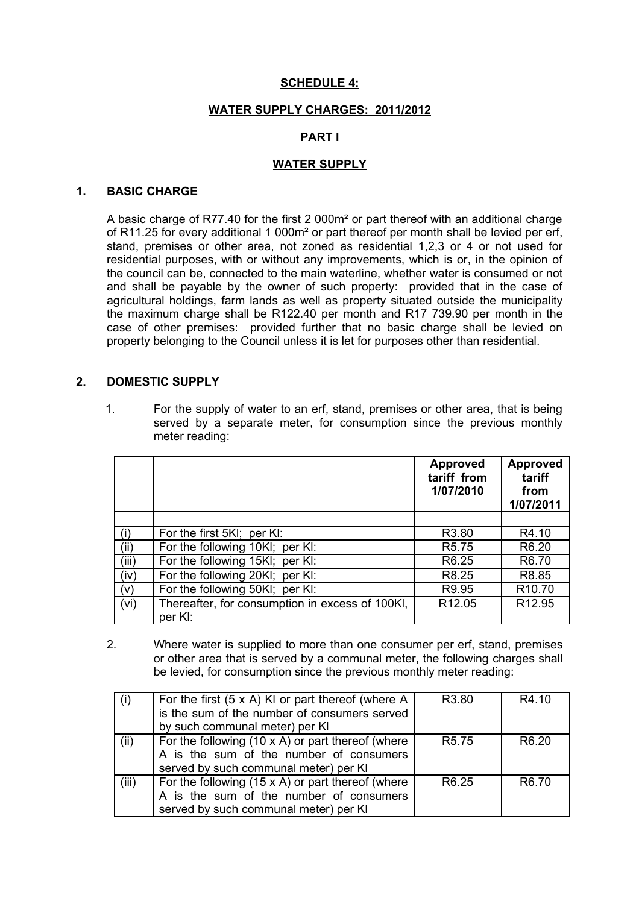## **SCHEDULE 4:**

#### **WATER SUPPLY CHARGES: 2011/2012**

#### **PART I**

#### **WATER SUPPLY**

#### **1. BASIC CHARGE**

A basic charge of R77.40 for the first 2 000m² or part thereof with an additional charge of R11.25 for every additional 1 000m² or part thereof per month shall be levied per erf, stand, premises or other area, not zoned as residential 1,2,3 or 4 or not used for residential purposes, with or without any improvements, which is or, in the opinion of the council can be, connected to the main waterline, whether water is consumed or not and shall be payable by the owner of such property: provided that in the case of agricultural holdings, farm lands as well as property situated outside the municipality the maximum charge shall be R122.40 per month and R17 739.90 per month in the case of other premises: provided further that no basic charge shall be levied on property belonging to the Council unless it is let for purposes other than residential.

#### **2. DOMESTIC SUPPLY**

1. For the supply of water to an erf, stand, premises or other area, that is being served by a separate meter, for consumption since the previous monthly meter reading:

|       |                                                            | <b>Approved</b><br>tariff from<br>1/07/2010 | <b>Approved</b><br>tariff<br>from<br>1/07/2011 |
|-------|------------------------------------------------------------|---------------------------------------------|------------------------------------------------|
|       |                                                            |                                             |                                                |
| (i)   | For the first 5KI; per KI:                                 | R <sub>3.80</sub>                           | R4.10                                          |
| (ii)  | For the following 10KI; per KI:                            | R <sub>5.75</sub>                           | R <sub>6.20</sub>                              |
| (iii) | For the following 15KI; per KI:                            | R <sub>6.25</sub>                           | R6.70                                          |
| (iv)  | For the following 20KI; per KI:                            | R8.25                                       | R8.85                                          |
| (V)   | For the following 50KI; per KI:                            | R9.95                                       | R <sub>10.70</sub>                             |
| (vi)  | Thereafter, for consumption in excess of 100KI,<br>per KI: | R <sub>12.05</sub>                          | R <sub>12.95</sub>                             |

2. Where water is supplied to more than one consumer per erf, stand, premises or other area that is served by a communal meter, the following charges shall be levied, for consumption since the previous monthly meter reading:

| (i)   | For the first $(5 \times A)$ KI or part thereof (where A<br>is the sum of the number of consumers served                                     | R <sub>3.80</sub> | R4.10             |
|-------|----------------------------------------------------------------------------------------------------------------------------------------------|-------------------|-------------------|
|       | by such communal meter) per KI                                                                                                               |                   |                   |
| (ii)  | For the following $(10 \times A)$ or part thereof (where<br>A is the sum of the number of consumers<br>served by such communal meter) per KI | R <sub>5.75</sub> | R <sub>6.20</sub> |
| (iii) | For the following $(15 \times A)$ or part thereof (where<br>A is the sum of the number of consumers<br>served by such communal meter) per KI | R <sub>6.25</sub> | R <sub>6.70</sub> |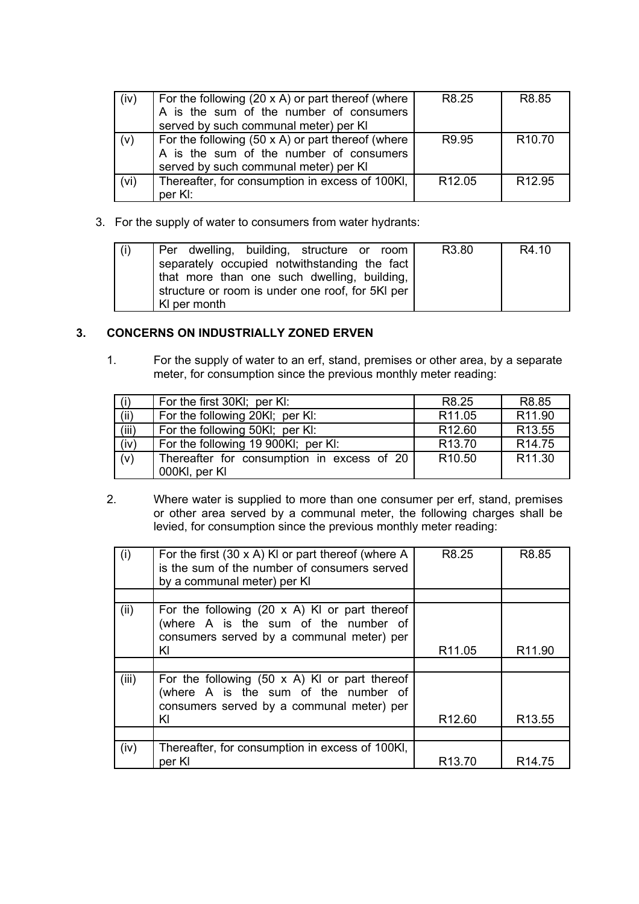| (iv) | For the following $(20 \times A)$ or part thereof (where | R8.25              | R <sub>8.85</sub>  |
|------|----------------------------------------------------------|--------------------|--------------------|
|      | A is the sum of the number of consumers                  |                    |                    |
|      | served by such communal meter) per KI                    |                    |                    |
| (v)  | For the following $(50 \times A)$ or part thereof (where | R9.95              | R <sub>10.70</sub> |
|      | A is the sum of the number of consumers                  |                    |                    |
|      | served by such communal meter) per KI                    |                    |                    |
| (vi) | Thereafter, for consumption in excess of 100KI,          | R <sub>12.05</sub> | R <sub>12.95</sub> |
|      | per KI:                                                  |                    |                    |

3. For the supply of water to consumers from water hydrants:

| $\mid$ (i) | Per dwelling, building, structure or room                                                   | R3.80 | R4.10 |
|------------|---------------------------------------------------------------------------------------------|-------|-------|
|            | separately occupied notwithstanding the fact<br>that more than one such dwelling, building, |       |       |
|            | structure or room is under one roof, for 5KI per<br>KI per month                            |       |       |

# **3. CONCERNS ON INDUSTRIALLY ZONED ERVEN**

1. For the supply of water to an erf, stand, premises or other area, by a separate meter, for consumption since the previous monthly meter reading:

| (i)   | For the first 30KI; per KI:                | R8.25              | R8.85              |
|-------|--------------------------------------------|--------------------|--------------------|
| (ii)  | For the following 20KI; per KI:            | R <sub>11.05</sub> | R11.90             |
| (iii) | For the following 50KI; per KI:            | R <sub>12.60</sub> | R <sub>13.55</sub> |
| (iv)  | For the following 19 900KI; per KI:        | R <sub>13.70</sub> | R <sub>14.75</sub> |
| (v)   | Thereafter for consumption in excess of 20 | R <sub>10.50</sub> | R11.30             |
|       | 000KI, per KI                              |                    |                    |

2. Where water is supplied to more than one consumer per erf, stand, premises or other area served by a communal meter, the following charges shall be levied, for consumption since the previous monthly meter reading:

| (i)   | For the first $(30 \times A)$ KI or part thereof (where A<br>is the sum of the number of consumers served<br>by a communal meter) per KI        | R8.25              | R8.85              |
|-------|-------------------------------------------------------------------------------------------------------------------------------------------------|--------------------|--------------------|
|       |                                                                                                                                                 |                    |                    |
| (ii)  | For the following $(20 \times A)$ KI or part thereof<br>(where A is the sum of the number of<br>consumers served by a communal meter) per       |                    |                    |
|       | KI                                                                                                                                              | R <sub>11.05</sub> | R <sub>11.90</sub> |
|       |                                                                                                                                                 |                    |                    |
| (iii) | For the following $(50 \times A)$ KI or part thereof<br>(where A is the sum of the number of<br>consumers served by a communal meter) per<br>KI | R <sub>12.60</sub> | R <sub>13.55</sub> |
|       |                                                                                                                                                 |                    |                    |
| (iv)  | Thereafter, for consumption in excess of 100KI,<br>per KI                                                                                       | R <sub>13.70</sub> | R <sub>14.75</sub> |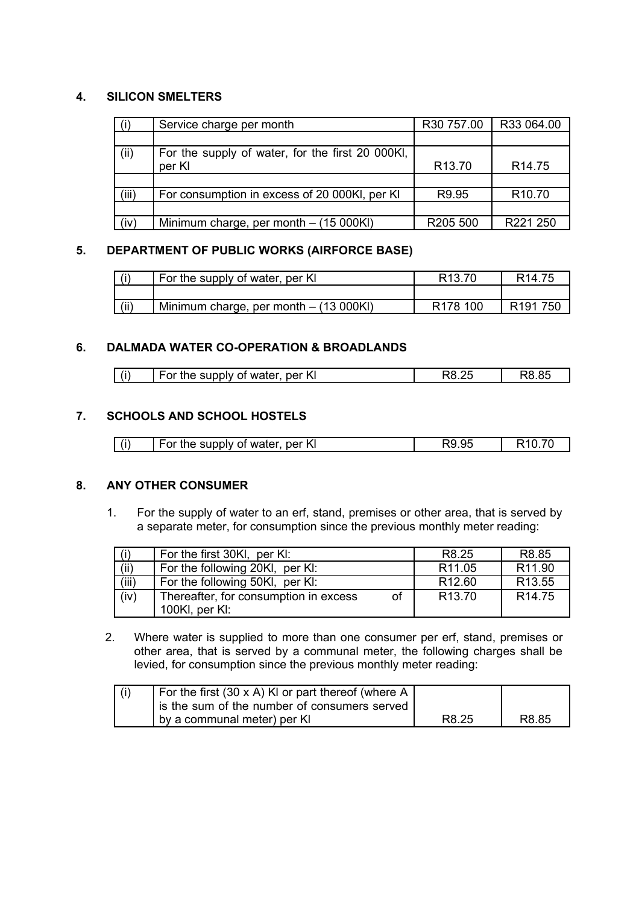# **4. SILICON SMELTERS**

|       | Service charge per month                         | R30 757.00         | R33 064.00         |
|-------|--------------------------------------------------|--------------------|--------------------|
|       |                                                  |                    |                    |
| (ii)  | For the supply of water, for the first 20 000KI, |                    |                    |
|       | per KI                                           | R <sub>13.70</sub> | R <sub>14.75</sub> |
|       |                                                  |                    |                    |
| (iii) | For consumption in excess of 20 000KI, per KI    | R <sub>9.95</sub>  | R <sub>10.70</sub> |
|       |                                                  |                    |                    |
| (iv)  | Minimum charge, per month $-$ (15 000KI)         | R205 500           | R221 250           |

# **5. DEPARTMENT OF PUBLIC WORKS (AIRFORCE BASE)**

| (i)  | For the supply of water, per KI          | R <sub>13.70</sub>   | R <sub>14.75</sub>   |
|------|------------------------------------------|----------------------|----------------------|
|      |                                          |                      |                      |
| (ii) | Minimum charge, per month $-$ (13 000KI) | R <sub>178</sub> 100 | R <sub>191</sub> 750 |

# **6. DALMADA WATER CO-OPERATION & BROADLANDS**

| (i)<br><b>A</b><br>the supply of water.<br>-per Kl |  |
|----------------------------------------------------|--|
|----------------------------------------------------|--|

# **7. SCHOOLS AND SCHOOL HOSTELS**

| For the supply of water, per KI | $\mathbf{u}$ |  |
|---------------------------------|--------------|--|

## **8. ANY OTHER CONSUMER**

1. For the supply of water to an erf, stand, premises or other area, that is served by a separate meter, for consumption since the previous monthly meter reading:

| (i)   | For the first 30KI, per KI:           |    | R8.25              | R <sub>8.85</sub>  |
|-------|---------------------------------------|----|--------------------|--------------------|
| (ii)  | For the following 20KI, per KI:       |    | R <sub>11.05</sub> | R <sub>11.90</sub> |
| (iii) | For the following 50KI, per KI:       |    | R <sub>12.60</sub> | R <sub>13.55</sub> |
| (iv)  | Thereafter, for consumption in excess | of | R <sub>13.70</sub> | R <sub>14.75</sub> |
|       | 100Kl, per Kl:                        |    |                    |                    |

2. Where water is supplied to more than one consumer per erf, stand, premises or other area, that is served by a communal meter, the following charges shall be levied, for consumption since the previous monthly meter reading:

| For the first (30 x A) KI or part thereof (where A |       |       |
|----------------------------------------------------|-------|-------|
| is the sum of the number of consumers served       |       |       |
| by a communal meter) per KI                        | R8.25 | R8.85 |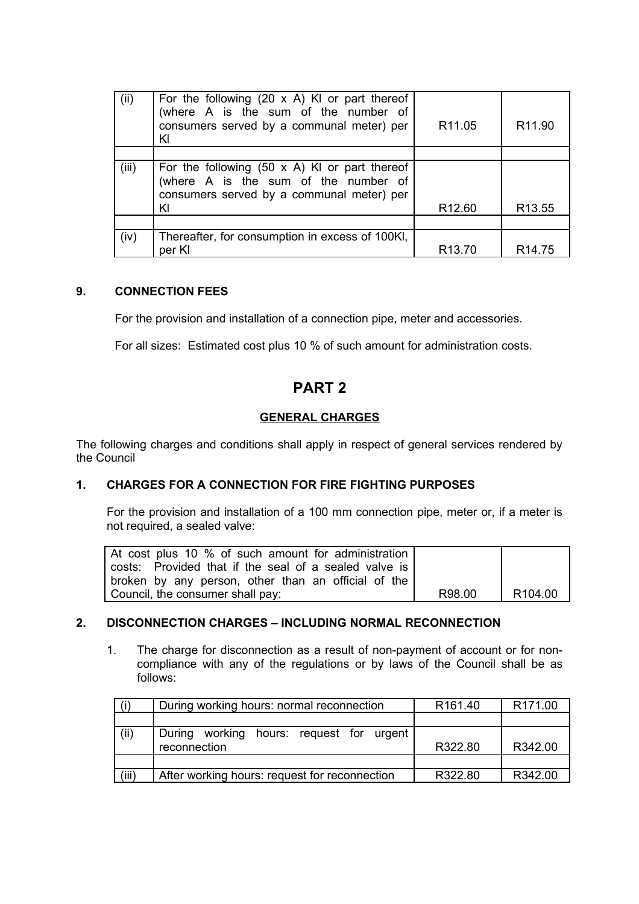| (ii)  | For the following $(20 \times A)$ KI or part thereof<br>(where A is the sum of the number of<br>consumers served by a communal meter) per<br>KI | R <sub>11.05</sub> | R <sub>11.90</sub> |
|-------|-------------------------------------------------------------------------------------------------------------------------------------------------|--------------------|--------------------|
|       |                                                                                                                                                 |                    |                    |
| (iii) | For the following $(50 \times A)$ KI or part thereof<br>(where A is the sum of the number of<br>consumers served by a communal meter) per<br>KI | R <sub>12.60</sub> | R <sub>13.55</sub> |
|       |                                                                                                                                                 |                    |                    |
| (iv)  | Thereafter, for consumption in excess of 100KI,<br>per Kl                                                                                       | R <sub>13.70</sub> | R <sub>14.75</sub> |

## **9. CONNECTION FEES**

For the provision and installation of a connection pipe, meter and accessories.

For all sizes: Estimated cost plus 10 % of such amount for administration costs.

# **PART 2**

# **GENERAL CHARGES**

The following charges and conditions shall apply in respect of general services rendered by the Council

## **1. CHARGES FOR A CONNECTION FOR FIRE FIGHTING PURPOSES**

For the provision and installation of a 100 mm connection pipe, meter or, if a meter is not required, a sealed valve:

| At cost plus 10 % of such amount for administration   |        |                     |
|-------------------------------------------------------|--------|---------------------|
| costs: Provided that if the seal of a sealed valve is |        |                     |
| broken by any person, other than an official of the   |        |                     |
| Council, the consumer shall pay:                      | R98.00 | R <sub>104.00</sub> |

## **2. DISCONNECTION CHARGES – INCLUDING NORMAL RECONNECTION**

1. The charge for disconnection as a result of non-payment of account or for noncompliance with any of the regulations or by laws of the Council shall be as follows:

|       | During working hours: normal reconnection     | R <sub>161.40</sub> | R <sub>171.00</sub> |
|-------|-----------------------------------------------|---------------------|---------------------|
|       |                                               |                     |                     |
| (ii)  | During working hours: request for urgent      |                     |                     |
|       | reconnection                                  | R322.80             | R342.00             |
|       |                                               |                     |                     |
| (iii) | After working hours: request for reconnection | R322.80             | R342.00             |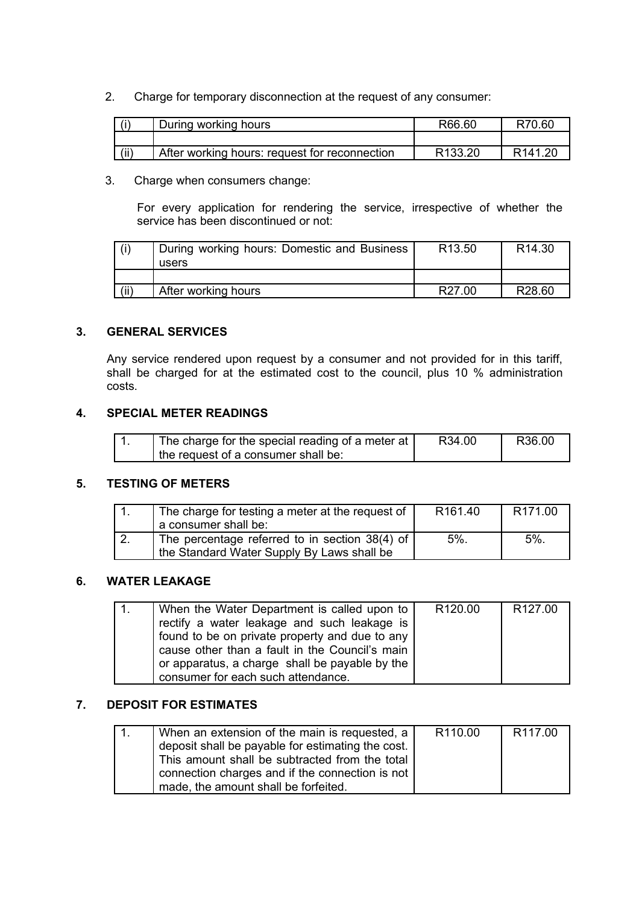2. Charge for temporary disconnection at the request of any consumer:

| ٬i   | During working hours                          | R66.60  | R70.60              |
|------|-----------------------------------------------|---------|---------------------|
|      |                                               |         |                     |
| (ii) | After working hours: request for reconnection | R133.20 | R <sub>141</sub> 20 |

3. Charge when consumers change:

For every application for rendering the service, irrespective of whether the service has been discontinued or not:

|      | During working hours: Domestic and Business | R <sub>13.50</sub> | R <sub>14.30</sub> |
|------|---------------------------------------------|--------------------|--------------------|
|      | users                                       |                    |                    |
|      |                                             |                    |                    |
| (ii) | After working hours                         | R <sub>27.00</sub> | R <sub>28.60</sub> |

# **3. GENERAL SERVICES**

Any service rendered upon request by a consumer and not provided for in this tariff, shall be charged for at the estimated cost to the council, plus 10 % administration costs.

## **4. SPECIAL METER READINGS**

| The charge for the special reading of a meter at | R34.00 | R36.00 |
|--------------------------------------------------|--------|--------|
| I the request of a consumer shall be:            |        |        |

## **5. TESTING OF METERS**

| The charge for testing a meter at the request of | R <sub>161.40</sub> | R <sub>171.00</sub> |
|--------------------------------------------------|---------------------|---------------------|
| a consumer shall be:                             |                     |                     |
| The percentage referred to in section 38(4) of   | 5%                  | 5%                  |
| the Standard Water Supply By Laws shall be       |                     |                     |

## **6. WATER LEAKAGE**

| 1. | When the Water Department is called upon to  <br>rectify a water leakage and such leakage is<br>found to be on private property and due to any | R <sub>120.00</sub> | R <sub>127.00</sub> |
|----|------------------------------------------------------------------------------------------------------------------------------------------------|---------------------|---------------------|
|    | cause other than a fault in the Council's main<br>or apparatus, a charge shall be payable by the<br>consumer for each such attendance.         |                     |                     |

# **7. DEPOSIT FOR ESTIMATES**

| When an extension of the main is requested, a     | R <sub>110.00</sub> | R <sub>117.00</sub> |
|---------------------------------------------------|---------------------|---------------------|
| deposit shall be payable for estimating the cost. |                     |                     |
| This amount shall be subtracted from the total    |                     |                     |
| connection charges and if the connection is not   |                     |                     |
| made, the amount shall be forfeited.              |                     |                     |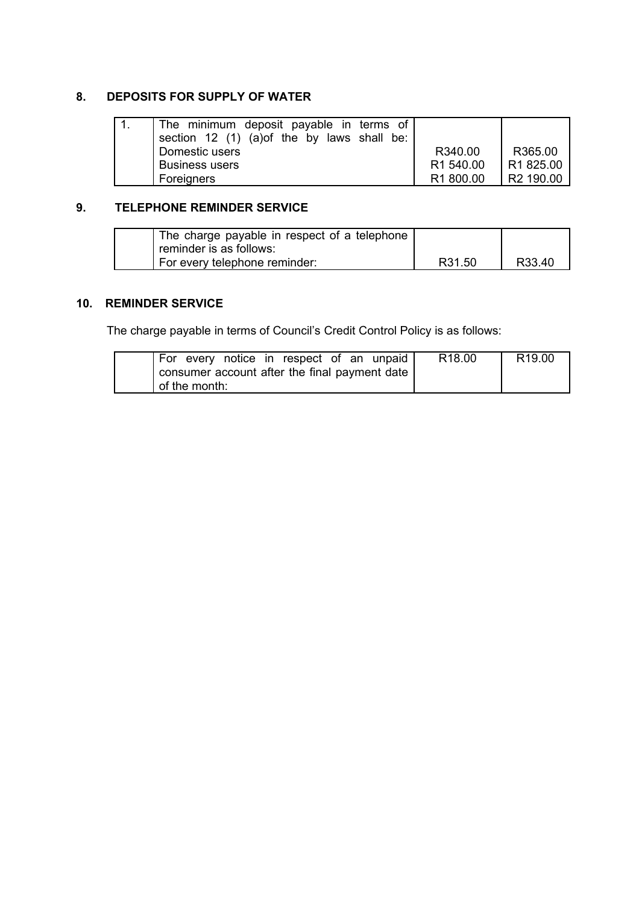# **8. DEPOSITS FOR SUPPLY OF WATER**

| The minimum deposit payable in terms of<br>section 12 (1) (a) of the by laws shall be: |                       |                       |
|----------------------------------------------------------------------------------------|-----------------------|-----------------------|
| Domestic users                                                                         | R340.00               | R365.00               |
| <b>Business users</b>                                                                  | R <sub>1</sub> 540.00 | R1 825.00             |
| Foreigners                                                                             | R <sub>1</sub> 800.00 | R <sub>2</sub> 190.00 |

# **9. TELEPHONE REMINDER SERVICE**

| The charge payable in respect of a telephone |        |        |
|----------------------------------------------|--------|--------|
| reminder is as follows:                      |        |        |
| For every telephone reminder:                | R31.50 | R33.40 |

# **10. REMINDER SERVICE**

The charge payable in terms of Council's Credit Control Policy is as follows:

| For every notice in respect of an unpaid      | R <sub>18.00</sub> | R <sub>19.00</sub> |
|-----------------------------------------------|--------------------|--------------------|
| consumer account after the final payment date |                    |                    |
| of the month:                                 |                    |                    |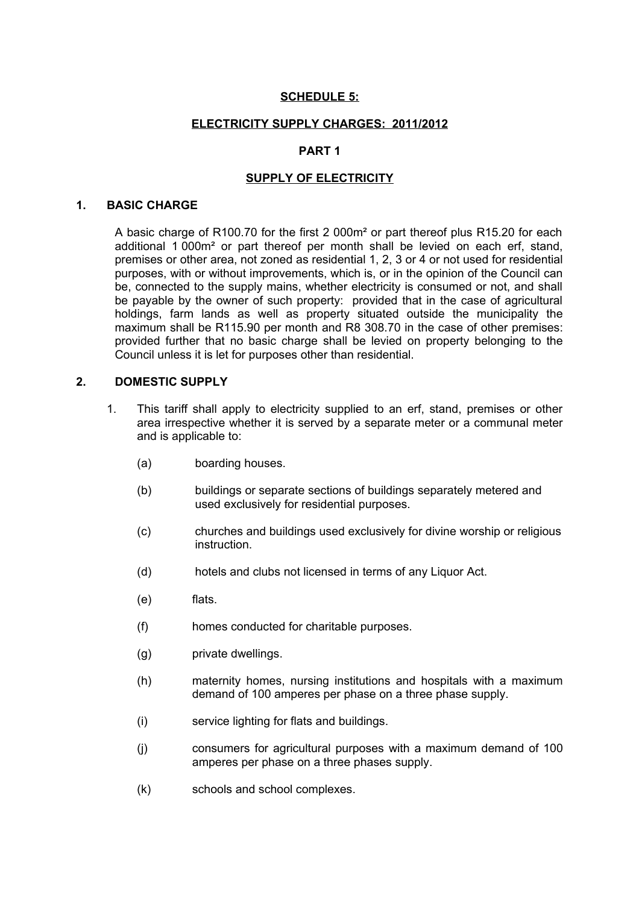## **SCHEDULE 5:**

#### **ELECTRICITY SUPPLY CHARGES: 2011/2012**

# **PART 1**

## **SUPPLY OF ELECTRICITY**

#### **1. BASIC CHARGE**

A basic charge of R100.70 for the first 2 000m² or part thereof plus R15.20 for each additional 1 000m² or part thereof per month shall be levied on each erf, stand, premises or other area, not zoned as residential 1, 2, 3 or 4 or not used for residential purposes, with or without improvements, which is, or in the opinion of the Council can be, connected to the supply mains, whether electricity is consumed or not, and shall be payable by the owner of such property: provided that in the case of agricultural holdings, farm lands as well as property situated outside the municipality the maximum shall be R115.90 per month and R8 308.70 in the case of other premises: provided further that no basic charge shall be levied on property belonging to the Council unless it is let for purposes other than residential.

#### **2. DOMESTIC SUPPLY**

- 1. This tariff shall apply to electricity supplied to an erf, stand, premises or other area irrespective whether it is served by a separate meter or a communal meter and is applicable to:
	- (a) boarding houses.
	- (b) buildings or separate sections of buildings separately metered and used exclusively for residential purposes.
	- (c) churches and buildings used exclusively for divine worship or religious instruction.
	- (d) hotels and clubs not licensed in terms of any Liquor Act.
	- (e) flats.
	- (f) homes conducted for charitable purposes.
	- (g) private dwellings.
	- (h) maternity homes, nursing institutions and hospitals with a maximum demand of 100 amperes per phase on a three phase supply.
	- (i) service lighting for flats and buildings.
	- (j) consumers for agricultural purposes with a maximum demand of 100 amperes per phase on a three phases supply.
	- (k) schools and school complexes.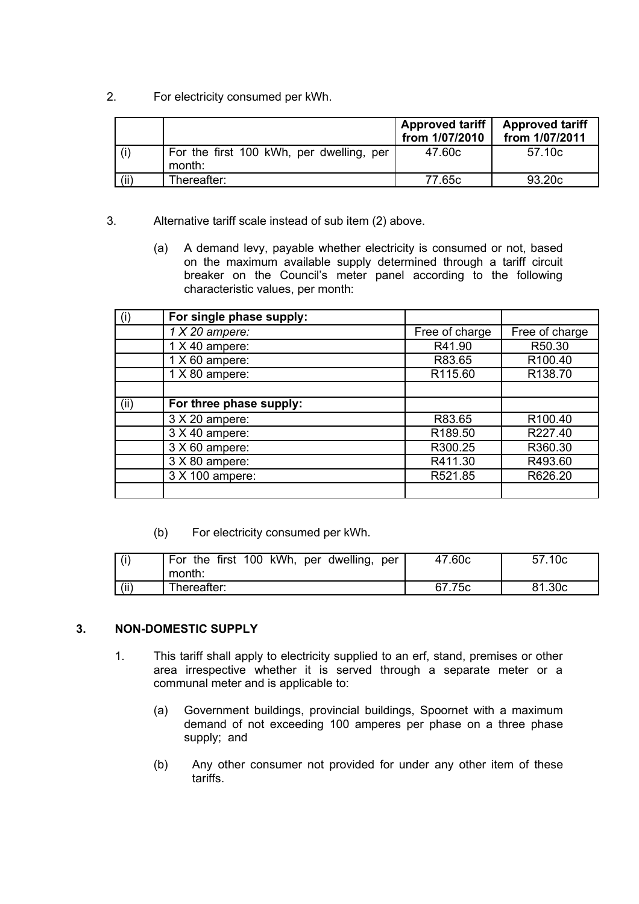2. For electricity consumed per kWh.

|      |                                                    | Approved tariff<br>from 1/07/2010 | <b>Approved tariff</b><br>from 1/07/2011 |
|------|----------------------------------------------------|-----------------------------------|------------------------------------------|
| (i)  | For the first 100 kWh, per dwelling, per<br>month: | 47.60c                            | 57.10c                                   |
| (ii) | Thereafter:                                        | 77.65c                            | 93.20 <sub>c</sub>                       |

- 3. Alternative tariff scale instead of sub item (2) above.
	- (a) A demand levy, payable whether electricity is consumed or not, based on the maximum available supply determined through a tariff circuit breaker on the Council's meter panel according to the following characteristic values, per month:

| (i)  | For single phase supply: |                |                     |
|------|--------------------------|----------------|---------------------|
|      | $1 X 20$ ampere:         | Free of charge | Free of charge      |
|      | $1 X 40$ ampere:         | R41.90         | R50.30              |
|      | $1 X 60$ ampere:         | R83.65         | R <sub>100.40</sub> |
|      | 1 X 80 ampere:           | R115.60        | R138.70             |
|      |                          |                |                     |
| (ii) | For three phase supply:  |                |                     |
|      | 3 X 20 ampere:           | R83.65         | R100.40             |
|      | 3 X 40 ampere:           | R189.50        | R227.40             |
|      | 3 X 60 ampere:           | R300.25        | R360.30             |
|      | 3 X 80 ampere:           | R411.30        | R493.60             |
|      | 3 X 100 ampere:          | R521.85        | R626.20             |
|      |                          |                |                     |

(b) For electricity consumed per kWh.

| $\mid$ (i) | For the first 100 kWh, per dwelling, per<br>month: | 47.60c | 57.10c |
|------------|----------------------------------------------------|--------|--------|
| (ii)       | Thereafter:                                        | 67.75c | 81.30c |

# **3. NON-DOMESTIC SUPPLY**

- 1. This tariff shall apply to electricity supplied to an erf, stand, premises or other area irrespective whether it is served through a separate meter or a communal meter and is applicable to:
	- (a) Government buildings, provincial buildings, Spoornet with a maximum demand of not exceeding 100 amperes per phase on a three phase supply; and
	- (b) Any other consumer not provided for under any other item of these tariffs.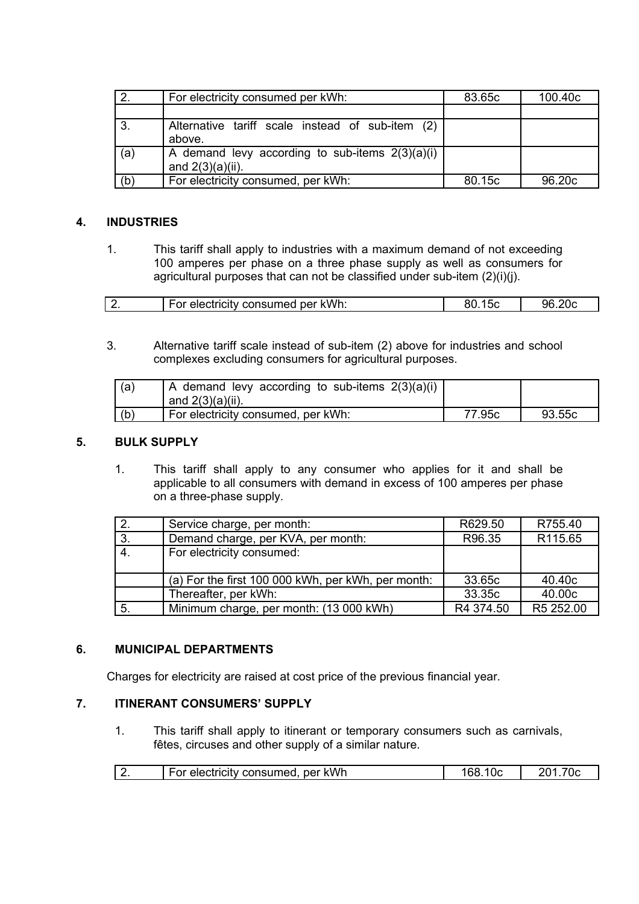|     | For electricity consumed per kWh:                                        | 83.65c | 100.40 <sub>c</sub> |
|-----|--------------------------------------------------------------------------|--------|---------------------|
|     |                                                                          |        |                     |
| 3.  | Alternative tariff scale instead of sub-item (2)<br>above.               |        |                     |
| (a) | A demand levy according to sub-items $2(3)(a)(i)$<br>and $2(3)(a)(ii)$ . |        |                     |
| (b) | For electricity consumed, per kWh:                                       | 80.15c | 96.20c              |

# **4. INDUSTRIES**

1. This tariff shall apply to industries with a maximum demand of not exceeding 100 amperes per phase on a three phase supply as well as consumers for agricultural purposes that can not be classified under sub-item (2)(i)(j).

| kWh.<br>consumed per<br>$\sim$<br>ectricity<br>⊢ОГ | ור | -ari |
|----------------------------------------------------|----|------|
|----------------------------------------------------|----|------|

3. Alternative tariff scale instead of sub-item (2) above for industries and school complexes excluding consumers for agricultural purposes.

| (a) | A demand levy according to sub-items $2(3)(a)(i)$<br>$'$ and $2(3)(a)(ii)$ . |        |        |
|-----|------------------------------------------------------------------------------|--------|--------|
| (b) | For electricity consumed, per kWh:                                           | 77.95c | 93.55c |

# **5. BULK SUPPLY**

1. This tariff shall apply to any consumer who applies for it and shall be applicable to all consumers with demand in excess of 100 amperes per phase on a three-phase supply.

|    | Service charge, per month:                         | R629.50   | R755.40   |
|----|----------------------------------------------------|-----------|-----------|
| 3. | Demand charge, per KVA, per month:                 | R96.35    | R115.65   |
| 4. | For electricity consumed:                          |           |           |
|    | (a) For the first 100 000 kWh, per kWh, per month: | 33.65c    | 40.40c    |
|    | Thereafter, per kWh:                               | 33.35c    | 40.00c    |
| 5. | Minimum charge, per month: (13 000 kWh)            | R4 374.50 | R5 252.00 |

## **6. MUNICIPAL DEPARTMENTS**

Charges for electricity are raised at cost price of the previous financial year.

# **7. ITINERANT CONSUMERS' SUPPLY**

1. This tariff shall apply to itinerant or temporary consumers such as carnivals, fêtes, circuses and other supply of a similar nature.

| $\vert 2.$ | ner kWh<br>For electricity consumed. |  |
|------------|--------------------------------------|--|
|            |                                      |  |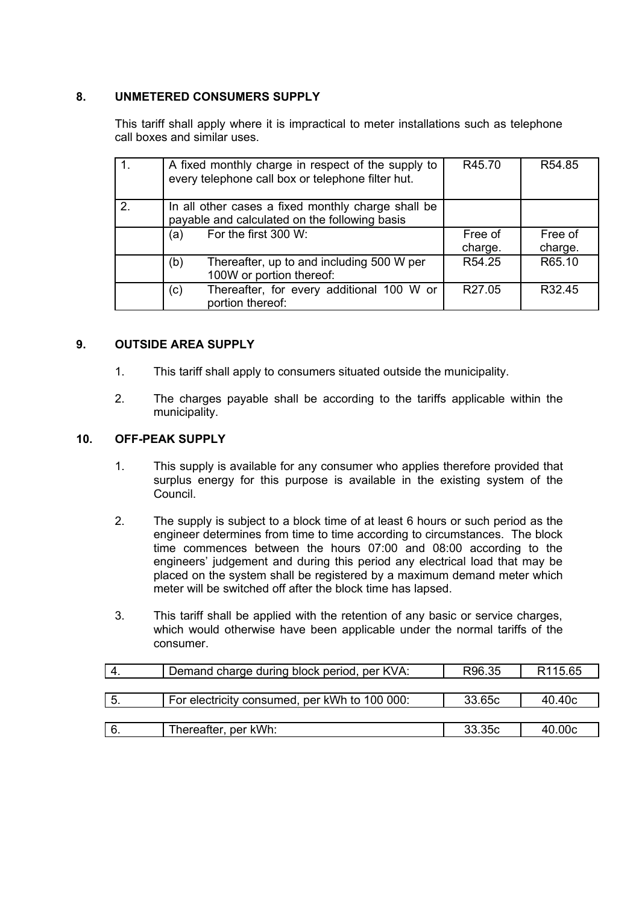# **8. UNMETERED CONSUMERS SUPPLY**

This tariff shall apply where it is impractical to meter installations such as telephone call boxes and similar uses.

|               | A fixed monthly charge in respect of the supply to<br>every telephone call box or telephone filter hut. | R45.70             | R54.85             |
|---------------|---------------------------------------------------------------------------------------------------------|--------------------|--------------------|
| $\mathcal{P}$ | In all other cases a fixed monthly charge shall be<br>payable and calculated on the following basis     |                    |                    |
|               | For the first 300 W:<br>(a)                                                                             | Free of<br>charge. | Free of<br>charge. |
|               | Thereafter, up to and including 500 W per<br>(b)<br>100W or portion thereof:                            | R54.25             | R65.10             |
|               | Thereafter, for every additional 100 W or<br>(c)<br>portion thereof:                                    | R <sub>27.05</sub> | R <sub>32.45</sub> |

## **9. OUTSIDE AREA SUPPLY**

- 1. This tariff shall apply to consumers situated outside the municipality.
- 2. The charges payable shall be according to the tariffs applicable within the municipality.

## **10. OFF-PEAK SUPPLY**

- 1. This supply is available for any consumer who applies therefore provided that surplus energy for this purpose is available in the existing system of the Council.
- 2. The supply is subject to a block time of at least 6 hours or such period as the engineer determines from time to time according to circumstances. The block time commences between the hours 07:00 and 08:00 according to the engineers' judgement and during this period any electrical load that may be placed on the system shall be registered by a maximum demand meter which meter will be switched off after the block time has lapsed.
- 3. This tariff shall be applied with the retention of any basic or service charges, which would otherwise have been applicable under the normal tariffs of the consumer.

| Ϊ4.  | Demand charge during block period, per KVA:   | R96.35 | R <sub>115.65</sub> |
|------|-----------------------------------------------|--------|---------------------|
|      |                                               |        |                     |
| 5.   | For electricity consumed, per kWh to 100 000: | 33.65c | 40.40c              |
|      |                                               |        |                     |
| ' 6. | Thereafter, per kWh:                          | 33.35c | 40.00c              |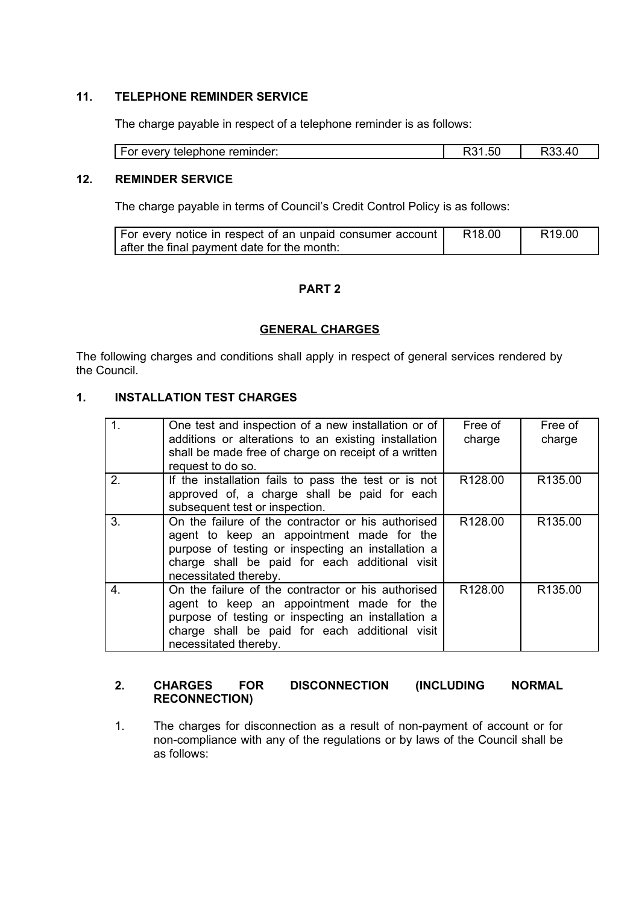# **11. TELEPHONE REMINDER SERVICE**

The charge payable in respect of a telephone reminder is as follows:

#### **12. REMINDER SERVICE**

The charge payable in terms of Council's Credit Control Policy is as follows:

| For every notice in respect of an unpaid consumer account | R18.00 | R19.00 |
|-----------------------------------------------------------|--------|--------|
| after the final payment date for the month:               |        |        |

## **PART 2**

#### **GENERAL CHARGES**

The following charges and conditions shall apply in respect of general services rendered by the Council.

# **1. INSTALLATION TEST CHARGES**

| 1 <sub>1</sub> | One test and inspection of a new installation or of<br>additions or alterations to an existing installation<br>shall be made free of charge on receipt of a written<br>request to do so.                                         | Free of<br>charge   | Free of<br>charge   |
|----------------|----------------------------------------------------------------------------------------------------------------------------------------------------------------------------------------------------------------------------------|---------------------|---------------------|
| 2.             | If the installation fails to pass the test or is not<br>approved of, a charge shall be paid for each<br>subsequent test or inspection.                                                                                           | R <sub>128.00</sub> | R135.00             |
| 3.             | On the failure of the contractor or his authorised<br>agent to keep an appointment made for the<br>purpose of testing or inspecting an installation a<br>charge shall be paid for each additional visit<br>necessitated thereby. | R128.00             | R <sub>135.00</sub> |
| 4.             | On the failure of the contractor or his authorised<br>agent to keep an appointment made for the<br>purpose of testing or inspecting an installation a<br>charge shall be paid for each additional visit<br>necessitated thereby. | R128.00             | R135.00             |

#### **2. CHARGES FOR DISCONNECTION (INCLUDING NORMAL RECONNECTION)**

1. The charges for disconnection as a result of non-payment of account or for non-compliance with any of the regulations or by laws of the Council shall be as follows: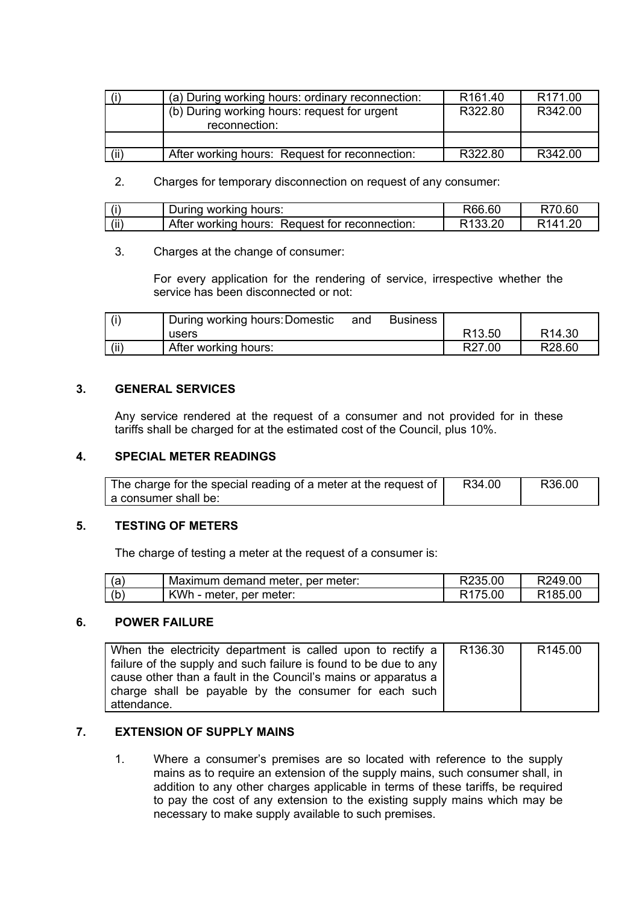|      | (a) During working hours: ordinary reconnection:              | R <sub>161.40</sub> | R <sub>171.00</sub> |
|------|---------------------------------------------------------------|---------------------|---------------------|
|      | (b) During working hours: request for urgent<br>reconnection: | R322.80             | R342.00             |
|      |                                                               |                     |                     |
| (ii) | After working hours: Request for reconnection:                | R322.80             | R342.00             |

2. Charges for temporary disconnection on request of any consumer:

| $\cdots$     | hours:<br>working<br>` urinoس                                  | R66.6L | .60<br>. . |
|--------------|----------------------------------------------------------------|--------|------------|
| $\prime$ : : | After<br>∶ for reconnection:<br>Request<br>working<br>. hours: |        | ″ ∆ .      |

3. Charges at the change of consumer:

For every application for the rendering of service, irrespective whether the service has been disconnected or not:

| (i)  | During working hours: Domestic | and | <b>Business</b> |                    |                    |
|------|--------------------------------|-----|-----------------|--------------------|--------------------|
|      | users                          |     |                 | R <sub>13.50</sub> | R <sub>14.30</sub> |
| (ii) | After working hours:           |     |                 | R27.00             | R <sub>28.60</sub> |

# **3. GENERAL SERVICES**

Any service rendered at the request of a consumer and not provided for in these tariffs shall be charged for at the estimated cost of the Council, plus 10%.

## **4. SPECIAL METER READINGS**

| The charge for the special reading of a meter at the request of | R34.00 | R36.00 |
|-----------------------------------------------------------------|--------|--------|
| a consumer shall be:                                            |        |        |

## **5. TESTING OF METERS**

The charge of testing a meter at the request of a consumer is:

| (a  | Maximum demand meter, per meter: | R235.00             | R249.00             |
|-----|----------------------------------|---------------------|---------------------|
| (b) | KWh - meter, per meter:          | R <sub>175.00</sub> | R <sub>185.00</sub> |

## **6. POWER FAILURE**

| When the electricity department is called upon to rectify a      | R136.30 | R <sub>145.00</sub> |
|------------------------------------------------------------------|---------|---------------------|
| failure of the supply and such failure is found to be due to any |         |                     |
| cause other than a fault in the Council's mains or apparatus a   |         |                     |
| charge shall be payable by the consumer for each such            |         |                     |
| attendance.                                                      |         |                     |

# **7. EXTENSION OF SUPPLY MAINS**

1. Where a consumer's premises are so located with reference to the supply mains as to require an extension of the supply mains, such consumer shall, in addition to any other charges applicable in terms of these tariffs, be required to pay the cost of any extension to the existing supply mains which may be necessary to make supply available to such premises.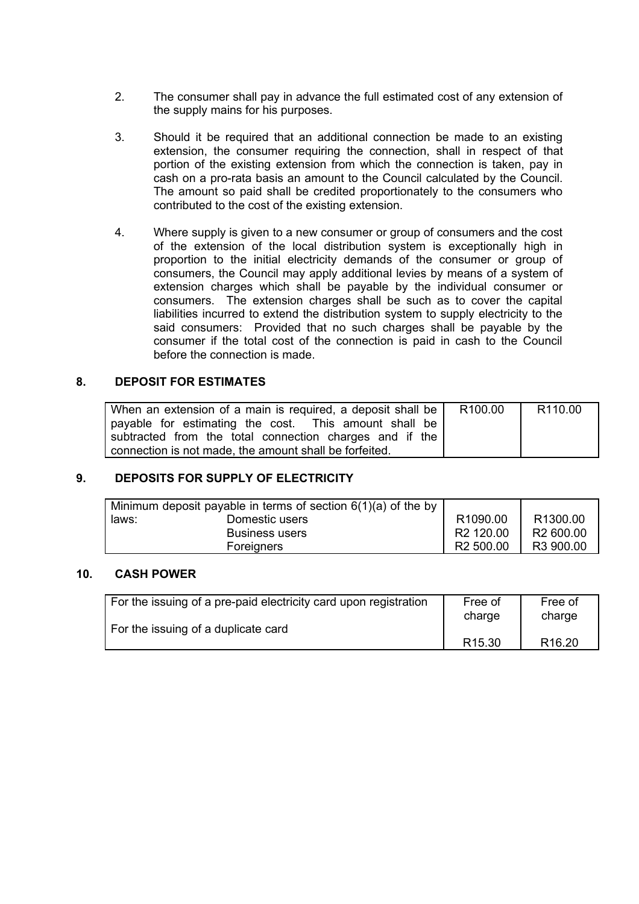- 2. The consumer shall pay in advance the full estimated cost of any extension of the supply mains for his purposes.
- 3. Should it be required that an additional connection be made to an existing extension, the consumer requiring the connection, shall in respect of that portion of the existing extension from which the connection is taken, pay in cash on a pro-rata basis an amount to the Council calculated by the Council. The amount so paid shall be credited proportionately to the consumers who contributed to the cost of the existing extension.
- 4. Where supply is given to a new consumer or group of consumers and the cost of the extension of the local distribution system is exceptionally high in proportion to the initial electricity demands of the consumer or group of consumers, the Council may apply additional levies by means of a system of extension charges which shall be payable by the individual consumer or consumers. The extension charges shall be such as to cover the capital liabilities incurred to extend the distribution system to supply electricity to the said consumers: Provided that no such charges shall be payable by the consumer if the total cost of the connection is paid in cash to the Council before the connection is made.

## **8. DEPOSIT FOR ESTIMATES**

| When an extension of a main is required, a deposit shall be | R100.00 | R <sub>110.00</sub> |
|-------------------------------------------------------------|---------|---------------------|
| payable for estimating the cost. This amount shall be       |         |                     |
| subtracted from the total connection charges and if the     |         |                     |
| connection is not made, the amount shall be forfeited.      |         |                     |

## **9. DEPOSITS FOR SUPPLY OF ELECTRICITY**

|       | Minimum deposit payable in terms of section $6(1)(a)$ of the by |                       |                       |
|-------|-----------------------------------------------------------------|-----------------------|-----------------------|
| laws: | Domestic users                                                  | R1090.00              | R <sub>1300.00</sub>  |
|       | <b>Business users</b>                                           | R <sub>2</sub> 120.00 | R <sub>2</sub> 600.00 |
|       | Foreigners                                                      | R <sub>2</sub> 500.00 | R <sub>3</sub> 900.00 |

## **10. CASH POWER**

| For the issuing of a pre-paid electricity card upon registration | Free of            | Free of            |
|------------------------------------------------------------------|--------------------|--------------------|
| For the issuing of a duplicate card                              | charge             | charge             |
|                                                                  | R <sub>15.30</sub> | R <sub>16.20</sub> |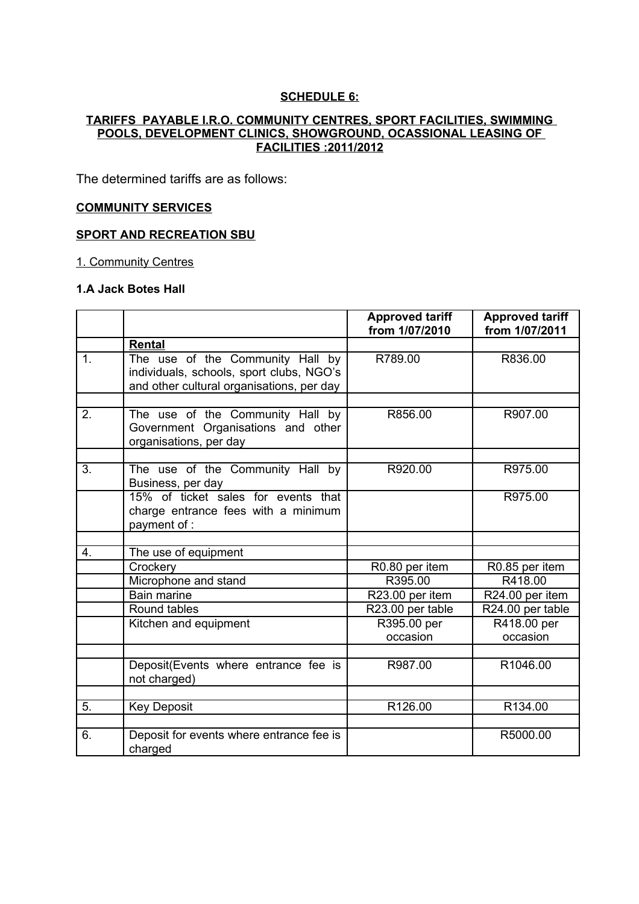#### **SCHEDULE 6:**

## **TARIFFS PAYABLE I.R.O. COMMUNITY CENTRES, SPORT FACILITIES, SWIMMING POOLS, DEVELOPMENT CLINICS, SHOWGROUND, OCASSIONAL LEASING OF FACILITIES :2011/2012**

The determined tariffs are as follows:

## **COMMUNITY SERVICES**

## **SPORT AND RECREATION SBU**

1. Community Centres

## **1.A Jack Botes Hall**

|    |                                                                                                                           | <b>Approved tariff</b><br>from 1/07/2010 | <b>Approved tariff</b><br>from 1/07/2011 |
|----|---------------------------------------------------------------------------------------------------------------------------|------------------------------------------|------------------------------------------|
|    | Rental                                                                                                                    |                                          |                                          |
| 1. | The use of the Community Hall by<br>individuals, schools, sport clubs, NGO's<br>and other cultural organisations, per day | R789.00                                  | R836.00                                  |
| 2. | The use of the Community Hall by                                                                                          | R856.00                                  | R907.00                                  |
|    | Government Organisations and other<br>organisations, per day                                                              |                                          |                                          |
|    |                                                                                                                           |                                          |                                          |
| 3. | The use of the Community Hall by<br>Business, per day                                                                     | R920.00                                  | R975.00                                  |
|    | 15% of ticket sales for events that<br>charge entrance fees with a minimum<br>payment of :                                |                                          | R975.00                                  |
|    |                                                                                                                           |                                          |                                          |
| 4. | The use of equipment                                                                                                      |                                          |                                          |
|    | Crockery                                                                                                                  | R0.80 per item                           | R0.85 per item                           |
|    | Microphone and stand                                                                                                      | R395.00                                  | R418.00                                  |
|    | <b>Bain marine</b>                                                                                                        | R23.00 per item                          | R24.00 per item                          |
|    | Round tables                                                                                                              | R23.00 per table                         | R24.00 per table                         |
|    | Kitchen and equipment                                                                                                     | R395.00 per                              | R418.00 per                              |
|    |                                                                                                                           | occasion                                 | occasion                                 |
|    |                                                                                                                           |                                          |                                          |
|    | Deposit(Events where entrance fee is<br>not charged)                                                                      | R987.00                                  | R1046.00                                 |
|    |                                                                                                                           |                                          |                                          |
| 5. | <b>Key Deposit</b>                                                                                                        | R126.00                                  | R134.00                                  |
|    |                                                                                                                           |                                          |                                          |
| 6. | Deposit for events where entrance fee is<br>charged                                                                       |                                          | R5000.00                                 |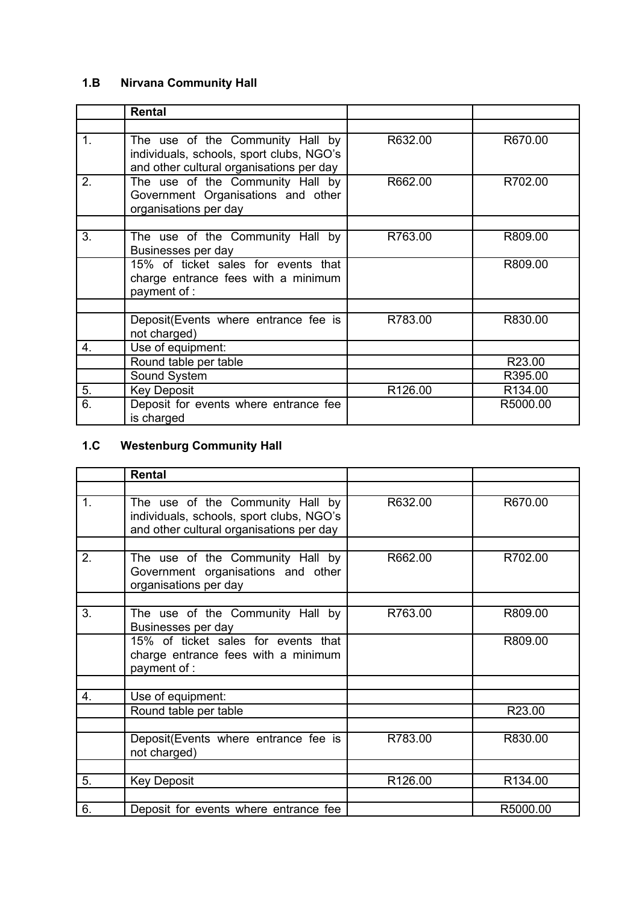# **1.B Nirvana Community Hall**

|               | <b>Rental</b>                                                                                                            |         |          |
|---------------|--------------------------------------------------------------------------------------------------------------------------|---------|----------|
|               |                                                                                                                          |         |          |
| $\mathbf 1$ . | The use of the Community Hall by<br>individuals, schools, sport clubs, NGO's<br>and other cultural organisations per day | R632.00 | R670.00  |
| 2.            | The use of the Community Hall by<br>Government Organisations and other<br>organisations per day                          | R662.00 | R702.00  |
|               |                                                                                                                          |         |          |
| 3.            | The use of the Community Hall by<br>Businesses per day                                                                   | R763.00 | R809.00  |
|               | 15% of ticket sales for events that<br>charge entrance fees with a minimum<br>payment of :                               |         | R809.00  |
|               |                                                                                                                          |         |          |
|               | Deposit (Events where entrance fee is<br>not charged)                                                                    | R783.00 | R830.00  |
| 4.            | Use of equipment:                                                                                                        |         |          |
|               | Round table per table                                                                                                    |         | R23.00   |
|               | Sound System                                                                                                             |         | R395.00  |
| 5.            | <b>Key Deposit</b>                                                                                                       | R126.00 | R134.00  |
| 6.            | Deposit for events where entrance fee<br>is charged                                                                      |         | R5000.00 |

# **1.C Westenburg Community Hall**

|                  | <b>Rental</b>                                                                                                            |         |          |
|------------------|--------------------------------------------------------------------------------------------------------------------------|---------|----------|
|                  |                                                                                                                          |         |          |
| $\mathbf 1$ .    | The use of the Community Hall by<br>individuals, schools, sport clubs, NGO's<br>and other cultural organisations per day | R632.00 | R670.00  |
|                  |                                                                                                                          |         |          |
| 2.               | The use of the Community Hall by<br>Government organisations and other<br>organisations per day                          | R662.00 | R702.00  |
|                  |                                                                                                                          |         |          |
| 3.               | The use of the Community Hall by<br>Businesses per day                                                                   | R763.00 | R809.00  |
|                  | 15% of ticket sales for events that<br>charge entrance fees with a minimum<br>payment of :                               |         | R809.00  |
|                  |                                                                                                                          |         |          |
| $\overline{4}$ . | Use of equipment:                                                                                                        |         |          |
|                  | Round table per table                                                                                                    |         | R23.00   |
|                  | Deposit (Events where entrance fee is<br>not charged)                                                                    | R783.00 | R830.00  |
| 5.               | <b>Key Deposit</b>                                                                                                       | R126.00 | R134.00  |
|                  |                                                                                                                          |         |          |
| 6.               | Deposit for events where entrance fee                                                                                    |         | R5000.00 |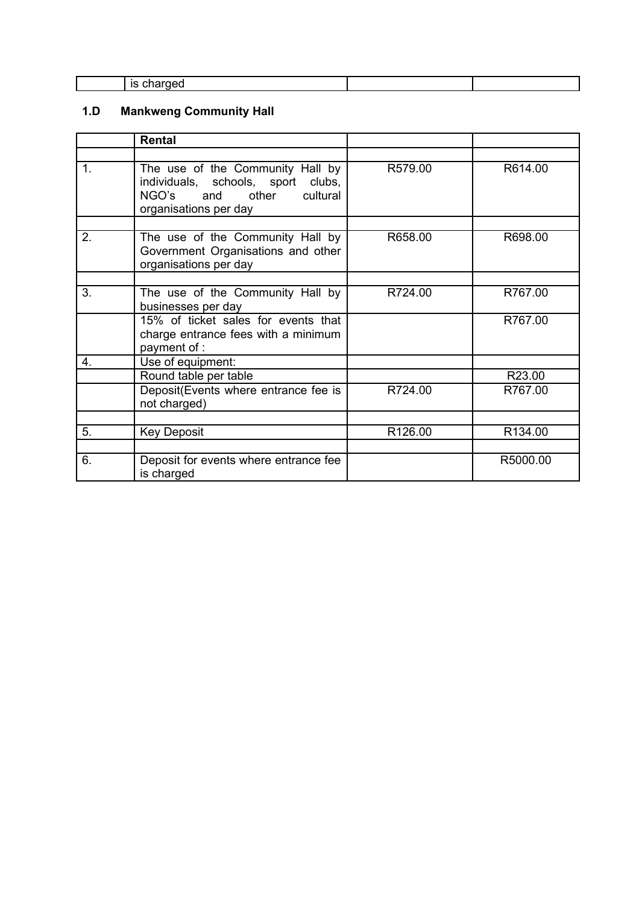| œ<br>ю |  |
|--------|--|
|        |  |

# **1.D Mankweng Community Hall**

|                | Rental                                                                                                                         |         |          |
|----------------|--------------------------------------------------------------------------------------------------------------------------------|---------|----------|
|                |                                                                                                                                |         |          |
| $\mathbf{1}$ . | The use of the Community Hall by<br>individuals, schools, sport clubs,<br>NGO's and other<br>cultural<br>organisations per day | R579.00 | R614.00  |
| 2.             | The use of the Community Hall by<br>Government Organisations and other<br>organisations per day                                | R658.00 | R698.00  |
|                |                                                                                                                                |         |          |
| 3.             | The use of the Community Hall by<br>businesses per day                                                                         | R724.00 | R767.00  |
|                | 15% of ticket sales for events that<br>charge entrance fees with a minimum<br>payment of :                                     |         | R767.00  |
| 4.             | Use of equipment:                                                                                                              |         |          |
|                | Round table per table                                                                                                          |         | R23.00   |
|                | Deposit(Events where entrance fee is<br>not charged)                                                                           | R724.00 | R767.00  |
|                |                                                                                                                                |         |          |
| 5.             | <b>Key Deposit</b>                                                                                                             | R126.00 | R134.00  |
|                |                                                                                                                                |         |          |
| 6.             | Deposit for events where entrance fee<br>is charged                                                                            |         | R5000.00 |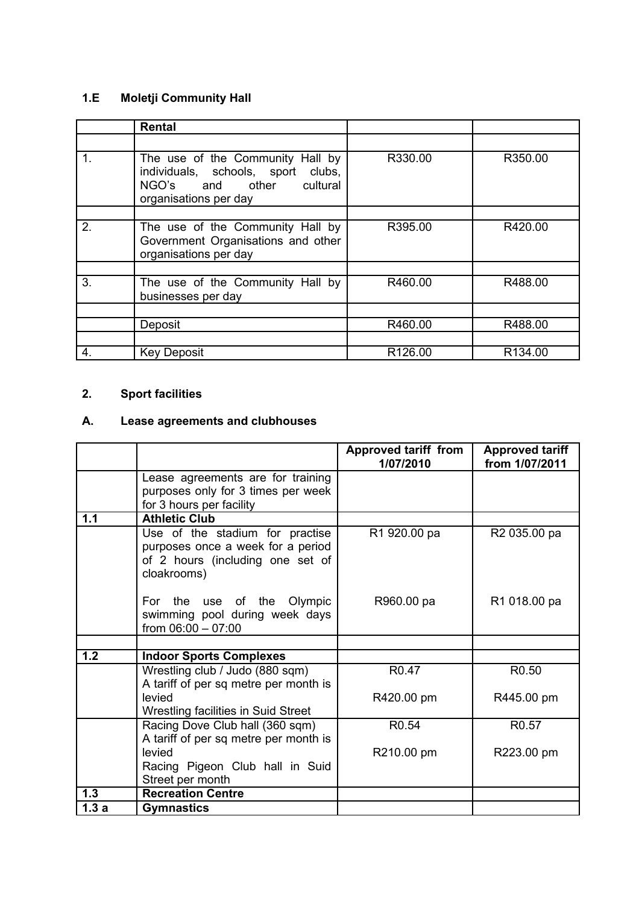# **1.E Moletji Community Hall**

|              | <b>Rental</b>                                                                                                               |                     |         |
|--------------|-----------------------------------------------------------------------------------------------------------------------------|---------------------|---------|
|              |                                                                                                                             |                     |         |
| 1.           | The use of the Community Hall by<br>individuals, schools, sport clubs,<br>NGO's and other cultural<br>organisations per day | R330.00             | R350.00 |
|              |                                                                                                                             |                     |         |
| 2.           | The use of the Community Hall by<br>Government Organisations and other<br>organisations per day                             | R395.00             | R420.00 |
|              |                                                                                                                             |                     |         |
| 3.           | The use of the Community Hall by<br>businesses per day                                                                      | R460.00             | R488.00 |
|              |                                                                                                                             |                     |         |
|              | Deposit                                                                                                                     | R460.00             | R488.00 |
|              |                                                                                                                             |                     |         |
| $\mathbf{4}$ | <b>Key Deposit</b>                                                                                                          | R <sub>126.00</sub> | R134.00 |

# **2. Sport facilities**

# **A. Lease agreements and clubhouses**

|      |                                                                                                                         | <b>Approved tariff from</b><br>1/07/2010 | <b>Approved tariff</b><br>from 1/07/2011 |
|------|-------------------------------------------------------------------------------------------------------------------------|------------------------------------------|------------------------------------------|
|      | Lease agreements are for training<br>purposes only for 3 times per week<br>for 3 hours per facility                     |                                          |                                          |
| 1.1  | <b>Athletic Club</b>                                                                                                    |                                          |                                          |
|      | Use of the stadium for practise<br>purposes once a week for a period<br>of 2 hours (including one set of<br>cloakrooms) | R1 920.00 pa                             | R <sub>2</sub> 035.00 pa                 |
|      | For the use of the Olympic<br>swimming pool during week days<br>from $06:00 - 07:00$                                    | R960.00 pa                               | R1 018.00 pa                             |
|      |                                                                                                                         |                                          |                                          |
| 1.2  | <b>Indoor Sports Complexes</b>                                                                                          |                                          |                                          |
|      | Wrestling club / Judo (880 sqm)<br>A tariff of per sq metre per month is                                                | R <sub>0.47</sub>                        | R <sub>0.50</sub>                        |
|      | levied<br>Wrestling facilities in Suid Street                                                                           | R420.00 pm                               | R445.00 pm                               |
|      | Racing Dove Club hall (360 sqm)<br>A tariff of per sq metre per month is                                                | R <sub>0.54</sub>                        | R <sub>0.57</sub>                        |
|      | levied<br>Racing Pigeon Club hall in Suid                                                                               | R210.00 pm                               | R223.00 pm                               |
|      | Street per month                                                                                                        |                                          |                                          |
| 1.3  | <b>Recreation Centre</b>                                                                                                |                                          |                                          |
| 1.3a | <b>Gymnastics</b>                                                                                                       |                                          |                                          |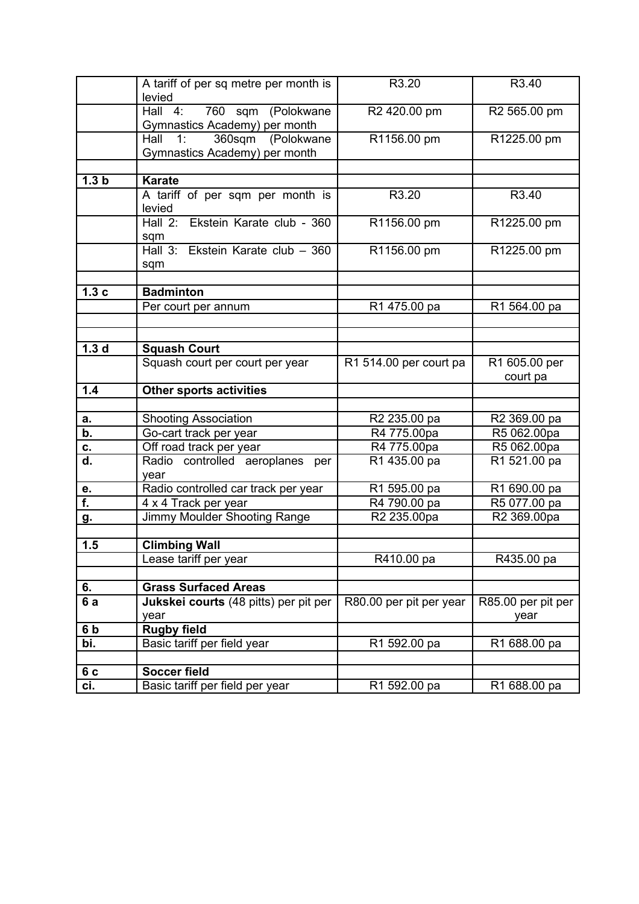|                           | A tariff of per sq metre per month is<br>levied        | R3.20                   | R3.40              |
|---------------------------|--------------------------------------------------------|-------------------------|--------------------|
|                           | 760 sqm (Polokwane<br>Hall $4:$                        | R2 420.00 pm            | R2 565.00 pm       |
|                           | Gymnastics Academy) per month                          |                         |                    |
|                           | 1:<br>360sqm<br>(Polokwane<br>Hall                     | R1156.00 pm             | R1225.00 pm        |
|                           | Gymnastics Academy) per month                          |                         |                    |
|                           |                                                        |                         |                    |
| 1.3 <sub>b</sub>          | <b>Karate</b>                                          |                         |                    |
|                           | A tariff of per sqm per month is                       | R3.20                   | R3.40              |
|                           | levied                                                 |                         |                    |
|                           | Hall 2: Ekstein Karate club - 360                      | R1156.00 pm             | R1225.00 pm        |
|                           | sqm                                                    |                         |                    |
|                           | Hall 3: Ekstein Karate club - 360                      | R1156.00 pm             | R1225.00 pm        |
|                           | sqm                                                    |                         |                    |
|                           |                                                        |                         |                    |
| 1.3c                      | <b>Badminton</b>                                       |                         |                    |
|                           | Per court per annum                                    | R1 475.00 pa            | R1 564.00 pa       |
|                           |                                                        |                         |                    |
|                           |                                                        |                         |                    |
| 1.3 <sub>d</sub>          | <b>Squash Court</b>                                    |                         |                    |
|                           | Squash court per court per year                        | R1 514.00 per court pa  | R1 605.00 per      |
|                           |                                                        |                         | court pa           |
|                           |                                                        |                         |                    |
| $1.4$                     |                                                        |                         |                    |
|                           | <b>Other sports activities</b>                         |                         |                    |
|                           |                                                        |                         |                    |
| а.<br>b.                  | <b>Shooting Association</b>                            | R2 235.00 pa            | R2 369.00 pa       |
|                           | Go-cart track per year                                 | R4 775.00pa             | R5 062.00pa        |
| C.                        | Off road track per year                                | R4 775.00pa             | R5 062.00pa        |
| $\overline{\mathsf{d}}$ . | Radio controlled aeroplanes<br>per                     | R1 435.00 pa            | R1 521.00 pa       |
|                           | year                                                   |                         |                    |
| е.                        | Radio controlled car track per year                    | R1 595.00 pa            | R1 690.00 pa       |
| Ŧ.                        | 4 x 4 Track per year                                   | R4 790.00 pa            | R5 077.00 pa       |
| g.                        | Jimmy Moulder Shooting Range                           | R2 235.00pa             | R2 369.00pa        |
| 1.5                       | <b>Climbing Wall</b>                                   |                         |                    |
|                           |                                                        |                         |                    |
|                           | Lease tariff per year                                  | R410.00 pa              | R435.00 pa         |
|                           |                                                        |                         |                    |
| 6.                        | <b>Grass Surfaced Areas</b>                            |                         |                    |
| 6a                        | Jukskei courts (48 pitts) per pit per                  | R80.00 per pit per year | R85.00 per pit per |
|                           | year                                                   |                         | year               |
| 6 <sub>b</sub>            | <b>Rugby field</b>                                     |                         |                    |
| bi.                       | Basic tariff per field year                            | R1 592.00 pa            | R1 688.00 pa       |
|                           |                                                        |                         |                    |
| 6c<br>ci.                 | <b>Soccer field</b><br>Basic tariff per field per year | R1 592.00 pa            | R1 688.00 pa       |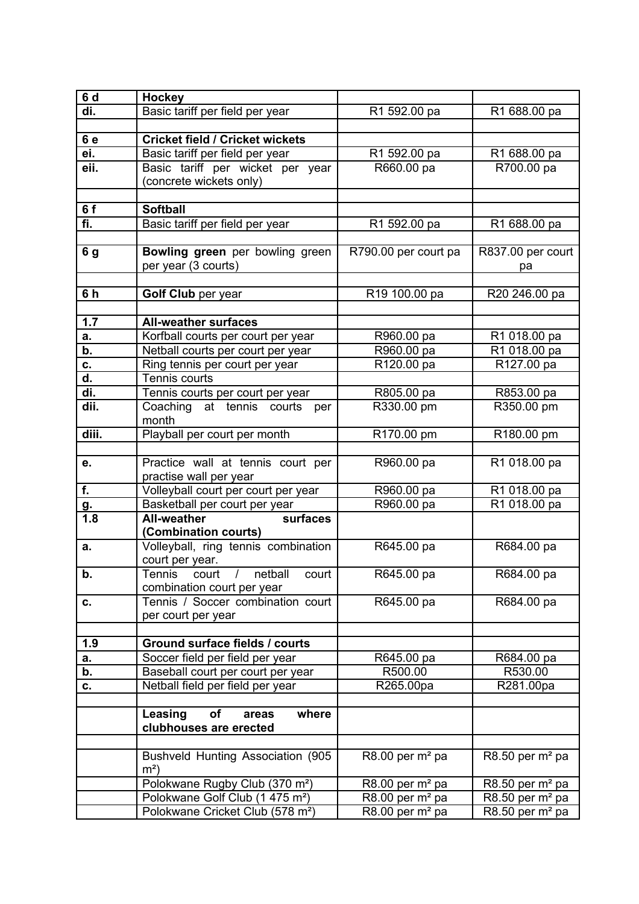| 6 d                       | <b>Hockey</b>                                |                                          |                               |
|---------------------------|----------------------------------------------|------------------------------------------|-------------------------------|
| di.                       | Basic tariff per field per year              | R1 592.00 pa                             | R1 688.00 pa                  |
|                           |                                              |                                          |                               |
| 6e                        | <b>Cricket field / Cricket wickets</b>       |                                          |                               |
| ei.                       | Basic tariff per field per year              | R1 592.00 pa                             | R1 688.00 pa                  |
| eii.                      | Basic tariff per wicket per year             | R660.00 pa                               | R700.00 pa                    |
|                           | (concrete wickets only)                      |                                          |                               |
|                           |                                              |                                          |                               |
| 6f                        | <b>Softball</b>                              |                                          |                               |
| fi.                       | Basic tariff per field per year              | R1 592.00 pa                             | R1 688.00 pa                  |
|                           |                                              |                                          |                               |
| 6 g                       | Bowling green per bowling green              | R790.00 per court pa                     | R837.00 per court             |
|                           | per year (3 courts)                          |                                          | pa                            |
|                           |                                              |                                          |                               |
| 6h                        | Golf Club per year                           | R19 100.00 pa                            | R20 246.00 pa                 |
|                           |                                              |                                          |                               |
| 1.7                       | <b>All-weather surfaces</b>                  |                                          |                               |
| а.                        | Korfball courts per court per year           | R960.00 pa                               | R1 018.00 pa                  |
| b.                        | Netball courts per court per year            | R960.00 pa                               | R1 018.00 pa                  |
| C.                        | Ring tennis per court per year               | R120.00 pa                               | R127.00 pa                    |
| d.                        | Tennis courts                                |                                          |                               |
| di.                       | Tennis courts per court per year             | R805.00 pa                               | R853.00 pa                    |
| dii.                      | Coaching at tennis courts<br>per             | R330.00 pm                               | R350.00 pm                    |
|                           | month                                        |                                          |                               |
| diii.                     | Playball per court per month                 | R170.00 pm                               | R180.00 pm                    |
|                           |                                              |                                          |                               |
| e.                        | Practice wall at tennis court per            | R960.00 pa                               | R1 018.00 pa                  |
|                           | practise wall per year                       |                                          |                               |
| f.                        | Volleyball court per court per year          | R960.00 pa                               | R1 018.00 pa                  |
| <u>g.</u>                 | Basketball per court per year                | R960.00 pa                               | R1 018.00 pa                  |
| 1.8                       | <b>All-weather</b><br>surfaces               |                                          |                               |
|                           | (Combination courts)                         |                                          |                               |
| a.                        | Volleyball, ring tennis combination          | R645.00 pa                               | R684.00 pa                    |
|                           | court per year.                              |                                          |                               |
| $\overline{\mathsf{b}}$ . | court / netball<br>court<br>Tennis           | R645.00 pa                               | R684.00 pa                    |
|                           | combination court per year                   |                                          |                               |
| C.                        | Tennis / Soccer combination court            | R645.00 pa                               | R684.00 pa                    |
|                           | per court per year                           |                                          |                               |
|                           |                                              |                                          |                               |
| 1.9                       | Ground surface fields / courts               |                                          |                               |
| а.                        | Soccer field per field per year              | R645.00 pa                               | R684.00 pa                    |
| b.                        | Baseball court per court per year            | R500.00                                  | R530.00                       |
| С.                        | Netball field per field per year             | R265.00pa                                | R281.00pa                     |
|                           |                                              |                                          |                               |
|                           | Leasing<br>of<br>where<br>areas              |                                          |                               |
|                           | clubhouses are erected                       |                                          |                               |
|                           |                                              |                                          |                               |
|                           | Bushveld Hunting Association (905)           | $R8.00$ per $m2$ pa                      | $R8.50$ per $m2$ pa           |
|                           | $m2$ )                                       |                                          |                               |
|                           | Polokwane Rugby Club (370 m <sup>2</sup> )   | R8.00 per $m2$ pa                        | $R8.50$ per m <sup>2</sup> pa |
|                           | Polokwane Golf Club (1 475 m <sup>2</sup> )  | $R8.00$ per $m2$ pa                      | $R8.50$ per $m2$ pa           |
|                           | Polokwane Cricket Club (578 m <sup>2</sup> ) | $\overline{R8.00}$ per m <sup>2</sup> pa | $R8.50$ per $m2$ pa           |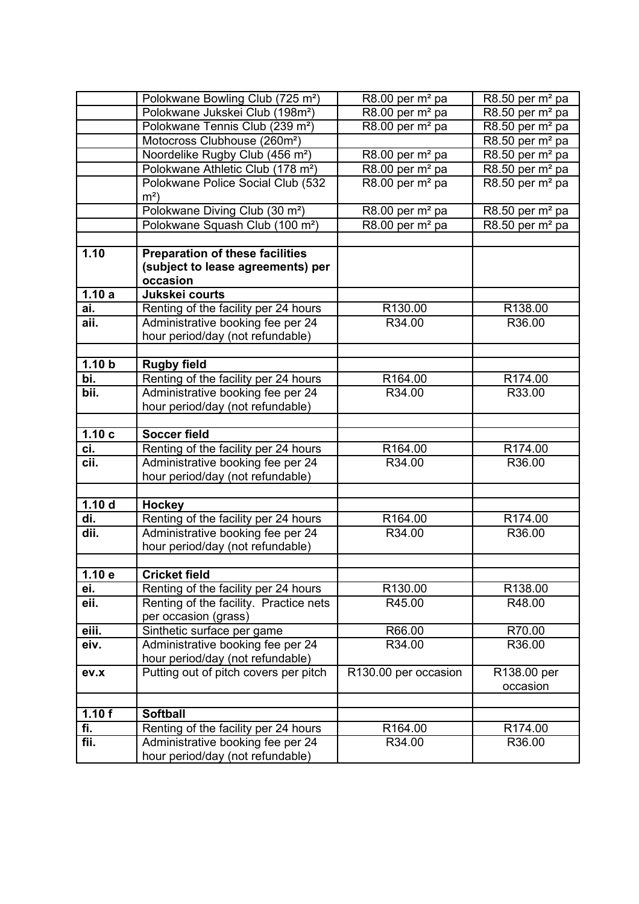|                   | Polokwane Bowling Club (725 m <sup>2</sup> )                          | $R8.00$ per $m2$ pa                      | $R8.50$ per $m2$ pa                      |
|-------------------|-----------------------------------------------------------------------|------------------------------------------|------------------------------------------|
|                   | Polokwane Jukskei Club (198m <sup>2</sup> )                           | $\overline{R8.00}$ per m <sup>2</sup> pa | $\overline{R8.50}$ per m <sup>2</sup> pa |
|                   | Polokwane Tennis Club (239 m <sup>2</sup> )                           | R8.00 per $m2$ pa                        | $\overline{R8.50}$ per m <sup>2</sup> pa |
|                   | Motocross Clubhouse (260m <sup>2</sup> )                              |                                          | $R8.50$ per $m2$ pa                      |
|                   | Noordelike Rugby Club (456 m <sup>2</sup> )                           | $R8.00$ per $m2$ pa                      | R8.50 per $m2$ pa                        |
|                   | Polokwane Athletic Club (178 m <sup>2</sup> )                         | R8.00 per $m2$ pa                        | $R8.50$ per $m2$ pa                      |
|                   | Polokwane Police Social Club (532                                     | $R8.00$ per $m2$ pa                      | $R8.50$ per $m2$ pa                      |
|                   | $m2$ )                                                                |                                          |                                          |
|                   | Polokwane Diving Club (30 m <sup>2</sup> )                            | R8.00 per m <sup>2</sup> pa              | R8.50 per $m2$ pa                        |
|                   | Polokwane Squash Club (100 m <sup>2</sup> )                           | $\overline{R8.00}$ per m <sup>2</sup> pa | $\overline{R8.50}$ per m <sup>2</sup> pa |
|                   |                                                                       |                                          |                                          |
| 1.10              | <b>Preparation of these facilities</b>                                |                                          |                                          |
|                   | (subject to lease agreements) per                                     |                                          |                                          |
|                   | occasion                                                              |                                          |                                          |
| 1.10a             | Jukskei courts                                                        |                                          |                                          |
| ai.               | Renting of the facility per 24 hours                                  | R130.00                                  | R138.00                                  |
| aii.              | Administrative booking fee per 24                                     | R34.00                                   | R36.00                                   |
|                   | hour period/day (not refundable)                                      |                                          |                                          |
|                   |                                                                       |                                          |                                          |
| 1.10 b            | <b>Rugby field</b>                                                    |                                          |                                          |
| $\overline{bi.}$  | Renting of the facility per 24 hours                                  | R164.00                                  | R174.00                                  |
| bii.              | Administrative booking fee per 24                                     | R34.00                                   | R33.00                                   |
|                   | hour period/day (not refundable)                                      |                                          |                                          |
|                   |                                                                       |                                          |                                          |
|                   |                                                                       |                                          |                                          |
| 1.10c             | Soccer field                                                          |                                          |                                          |
| ci.               | Renting of the facility per 24 hours                                  | R164.00                                  | R174.00                                  |
| cii.              | Administrative booking fee per 24                                     | R34.00                                   | R36.00                                   |
|                   | hour period/day (not refundable)                                      |                                          |                                          |
|                   |                                                                       |                                          |                                          |
| 1.10 <sub>d</sub> | <b>Hockey</b>                                                         |                                          |                                          |
| di.               | Renting of the facility per 24 hours                                  | R164.00                                  | R174.00                                  |
| dii.              | Administrative booking fee per 24                                     | R34.00                                   | R36.00                                   |
|                   | hour period/day (not refundable)                                      |                                          |                                          |
|                   |                                                                       |                                          |                                          |
| 1.10e             | <b>Cricket field</b>                                                  |                                          |                                          |
| ei.               | Renting of the facility per 24 hours                                  | R130.00                                  | R138.00                                  |
| eii.              | Renting of the facility. Practice nets                                | R45.00                                   | R48.00                                   |
|                   | per occasion (grass)                                                  |                                          |                                          |
| eiii.             | Sinthetic surface per game                                            | R66.00                                   | R70.00                                   |
| eiv.              | Administrative booking fee per 24                                     | R34.00                                   | R36.00                                   |
|                   | hour period/day (not refundable)                                      |                                          |                                          |
| ev.x              | Putting out of pitch covers per pitch                                 | R130.00 per occasion                     | R138.00 per                              |
|                   |                                                                       |                                          | occasion                                 |
|                   |                                                                       |                                          |                                          |
| 1.10f             | <b>Softball</b>                                                       |                                          |                                          |
| fi.               | Renting of the facility per 24 hours                                  | R <sub>164.00</sub>                      | R <sub>174.00</sub>                      |
| fii.              | Administrative booking fee per 24<br>hour period/day (not refundable) | R34.00                                   | R36.00                                   |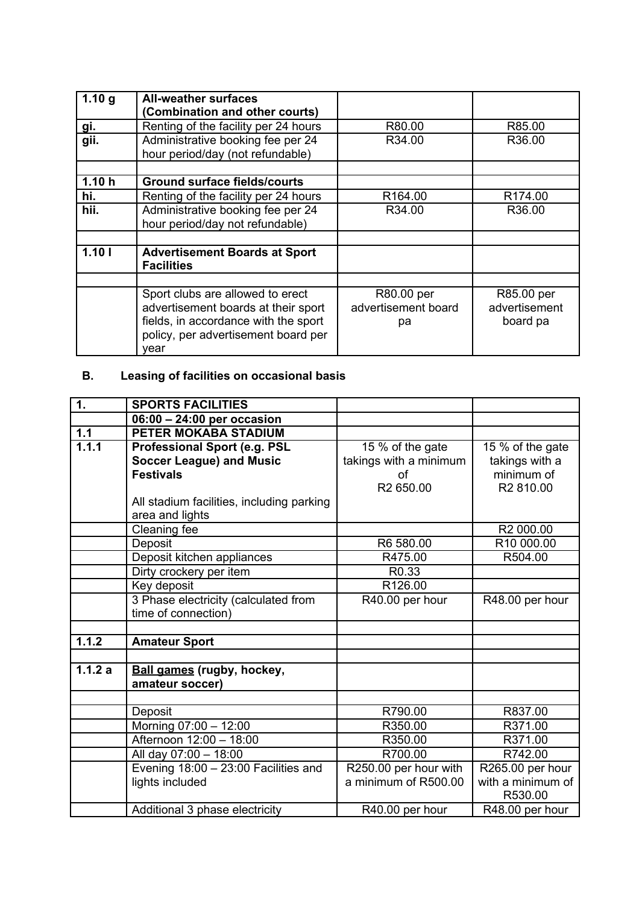| 1.10 <sub>g</sub>  | <b>All-weather surfaces</b><br>(Combination and other courts)         |                     |               |
|--------------------|-----------------------------------------------------------------------|---------------------|---------------|
| <u>gi.</u>         | Renting of the facility per 24 hours                                  | R80.00              | R85.00        |
| $\overline{g}$ ii. | Administrative booking fee per 24<br>hour period/day (not refundable) | R34.00              | R36.00        |
|                    |                                                                       |                     |               |
| 1.10h              | <b>Ground surface fields/courts</b>                                   |                     |               |
| hi.                | Renting of the facility per 24 hours                                  | R164.00             | R174.00       |
| hii.               | Administrative booking fee per 24                                     | R34.00              | R36.00        |
|                    | hour period/day not refundable)                                       |                     |               |
|                    |                                                                       |                     |               |
| 1.101              | <b>Advertisement Boards at Sport</b><br><b>Facilities</b>             |                     |               |
|                    |                                                                       |                     |               |
|                    | Sport clubs are allowed to erect                                      | R80.00 per          | R85.00 per    |
|                    | advertisement boards at their sport                                   | advertisement board | advertisement |
|                    | fields, in accordance with the sport                                  | рa                  | board pa      |
|                    | policy, per advertisement board per                                   |                     |               |
|                    | year                                                                  |                     |               |

# **B. Leasing of facilities on occasional basis**

| $\overline{\mathbf{1}}$ . | <b>SPORTS FACILITIES</b>                  |                        |                        |
|---------------------------|-------------------------------------------|------------------------|------------------------|
|                           | 06:00 - 24:00 per occasion                |                        |                        |
| 1.1                       | PETER MOKABA STADIUM                      |                        |                        |
| 1.1.1                     | <b>Professional Sport (e.g. PSL</b>       | 15 % of the gate       | 15 % of the gate       |
|                           | <b>Soccer League) and Music</b>           | takings with a minimum | takings with a         |
|                           | <b>Festivals</b>                          | οf                     | minimum of             |
|                           |                                           | R2 650.00              | R2 810.00              |
|                           | All stadium facilities, including parking |                        |                        |
|                           | area and lights                           |                        |                        |
|                           | Cleaning fee                              |                        | R2 000.00              |
|                           | Deposit                                   | R6 580.00              | R <sub>10</sub> 000.00 |
|                           | Deposit kitchen appliances                | R475.00                | R504.00                |
|                           | Dirty crockery per item                   | R <sub>0.33</sub>      |                        |
|                           | Key deposit                               | R126.00                |                        |
|                           | 3 Phase electricity (calculated from      | R40.00 per hour        | R48.00 per hour        |
|                           | time of connection)                       |                        |                        |
|                           |                                           |                        |                        |
| 1.1.2                     | <b>Amateur Sport</b>                      |                        |                        |
|                           |                                           |                        |                        |
| 1.1.2a                    | <b>Ball games (rugby, hockey,</b>         |                        |                        |
|                           | amateur soccer)                           |                        |                        |
|                           |                                           |                        |                        |
|                           | Deposit                                   | R790.00                | R837.00                |
|                           | Morning 07:00 - 12:00                     | R350.00                | R371.00                |
|                           | Afternoon 12:00 - 18:00                   | R350.00                | R371.00                |
|                           | All day 07:00 - 18:00                     | R700.00                | R742.00                |
|                           | Evening 18:00 - 23:00 Facilities and      | R250.00 per hour with  | R265.00 per hour       |
|                           | lights included                           | a minimum of R500.00   | with a minimum of      |
|                           |                                           |                        | R530.00                |
|                           | Additional 3 phase electricity            | R40.00 per hour        | R48.00 per hour        |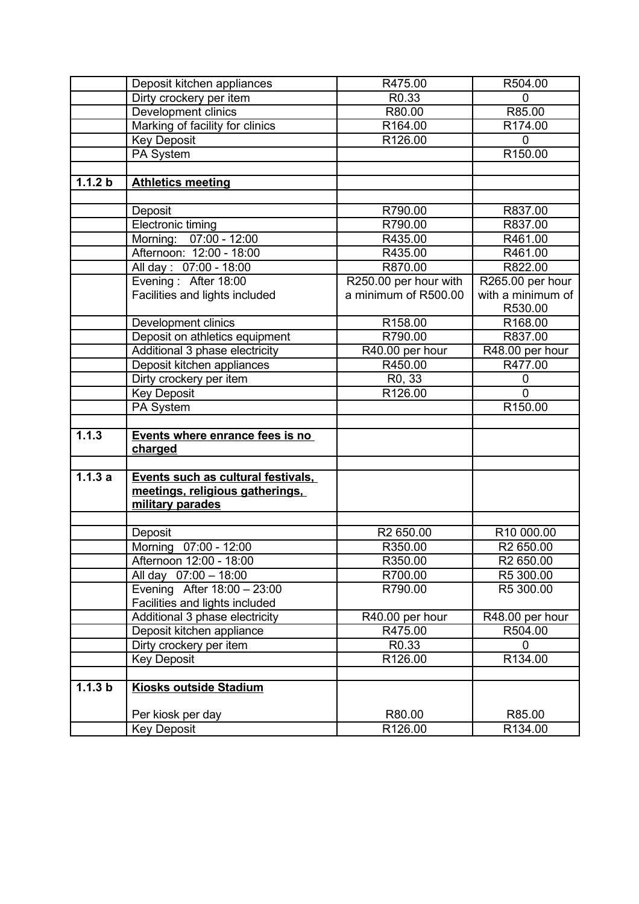|         | Deposit kitchen appliances         | R475.00               | R504.00               |
|---------|------------------------------------|-----------------------|-----------------------|
|         | Dirty crockery per item            | R0.33                 | $\mathbf 0$           |
|         | Development clinics                | R80.00                | R85.00                |
|         | Marking of facility for clinics    | R164.00               | R174.00               |
|         | <b>Key Deposit</b>                 | R126.00               | $\mathbf 0$           |
|         | PA System                          |                       | R150.00               |
|         |                                    |                       |                       |
| 1.1.2 b | <b>Athletics meeting</b>           |                       |                       |
|         |                                    |                       |                       |
|         | Deposit                            | R790.00               | R837.00               |
|         | Electronic timing                  | R790.00               | R837.00               |
|         | Morning: 07:00 - 12:00             | R435.00               | R461.00               |
|         | Afternoon: 12:00 - 18:00           | R435.00               | R461.00               |
|         | All day: 07:00 - 18:00             | R870.00               | R822.00               |
|         | Evening: After 18:00               | R250.00 per hour with | R265.00 per hour      |
|         | Facilities and lights included     | a minimum of R500.00  | with a minimum of     |
|         |                                    |                       | R530.00               |
|         | Development clinics                | R158.00               | R168.00               |
|         | Deposit on athletics equipment     | R790.00               | R837.00               |
|         | Additional 3 phase electricity     | R40.00 per hour       | R48.00 per hour       |
|         | Deposit kitchen appliances         | R450.00               | R477.00               |
|         | Dirty crockery per item            | R <sub>0</sub> , 33   | 0                     |
|         | <b>Key Deposit</b>                 | R126.00               | $\overline{0}$        |
|         | PA System                          |                       | R150.00               |
|         |                                    |                       |                       |
| 1.1.3   | Events where enrance fees is no    |                       |                       |
|         | charged                            |                       |                       |
|         |                                    |                       |                       |
| 1.1.3a  | Events such as cultural festivals. |                       |                       |
|         | meetings, religious gatherings,    |                       |                       |
|         | military parades                   |                       |                       |
|         |                                    |                       |                       |
|         | Deposit                            | R2 650.00             | R10 000.00            |
|         | Morning 07:00 - 12:00              | R350.00               | R2 650.00             |
|         | Afternoon 12:00 - 18:00            | R350.00               | R <sub>2</sub> 650.00 |
|         | All day 07:00 - 18:00              | R700.00               | R5 300.00             |
|         | Evening After 18:00 - 23:00        | R790.00               | R5 300.00             |
|         | Facilities and lights included     |                       |                       |
|         | Additional 3 phase electricity     | R40.00 per hour       | R48.00 per hour       |
|         | Deposit kitchen appliance          | R475.00               | R504.00               |
|         | Dirty crockery per item            | R <sub>0.33</sub>     | 0                     |
|         | <b>Key Deposit</b>                 | R126.00               | R134.00               |
|         |                                    |                       |                       |
| 1.1.3 b | <b>Kiosks outside Stadium</b>      |                       |                       |
|         |                                    |                       |                       |
|         | Per kiosk per day                  | R80.00                | R85.00                |
|         | <b>Key Deposit</b>                 | R126.00               | R134.00               |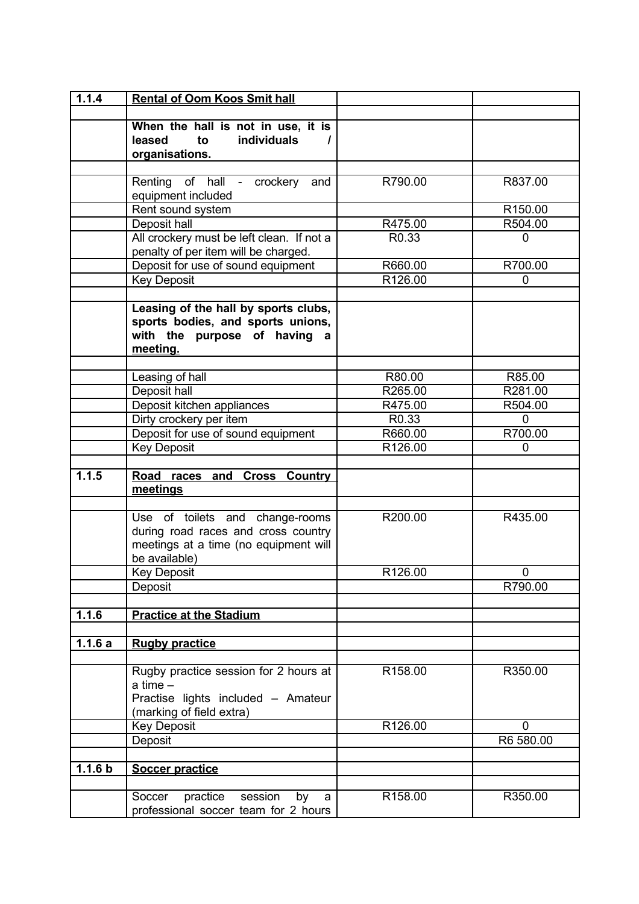| 1.1.4              | <b>Rental of Oom Koos Smit hall</b>       |                    |                        |
|--------------------|-------------------------------------------|--------------------|------------------------|
|                    |                                           |                    |                        |
|                    | When the hall is not in use, it is        |                    |                        |
|                    | <b>individuals</b><br>leased<br>to        |                    |                        |
|                    | organisations.                            |                    |                        |
|                    |                                           |                    |                        |
|                    | Renting of hall -<br>crockery<br>and      | R790.00            | R837.00                |
|                    | equipment included                        |                    |                        |
|                    | Rent sound system                         |                    | R <sub>150.00</sub>    |
|                    | Deposit hall                              | R475.00            | R504.00                |
|                    | All crockery must be left clean. If not a | R0.33              | 0                      |
|                    | penalty of per item will be charged.      |                    |                        |
|                    | Deposit for use of sound equipment        | R660.00<br>R126.00 | R700.00<br>$\mathbf 0$ |
|                    | <b>Key Deposit</b>                        |                    |                        |
|                    | Leasing of the hall by sports clubs,      |                    |                        |
|                    | sports bodies, and sports unions,         |                    |                        |
|                    | with the purpose of having<br>a           |                    |                        |
|                    | meeting.                                  |                    |                        |
|                    |                                           |                    |                        |
|                    | Leasing of hall                           | R80.00             | R85.00                 |
|                    | Deposit hall                              | R265.00            | R281.00                |
|                    | Deposit kitchen appliances                | R475.00            | R504.00                |
|                    | Dirty crockery per item                   | R0.33              | $\Omega$               |
|                    | Deposit for use of sound equipment        | R660.00            | R700.00                |
|                    | <b>Key Deposit</b>                        | R126.00            | 0                      |
|                    |                                           |                    |                        |
| 1.1.5              | Road races and Cross Country              |                    |                        |
|                    | meetings                                  |                    |                        |
|                    | Use of toilets and change-rooms           | R200.00            | R435.00                |
|                    | during road races and cross country       |                    |                        |
|                    | meetings at a time (no equipment will     |                    |                        |
|                    | be available)                             |                    |                        |
|                    | <b>Key Deposit</b>                        | R126.00            | $\mathbf 0$            |
|                    | Deposit                                   |                    | R790.00                |
|                    |                                           |                    |                        |
| 1.1.6              | <b>Practice at the Stadium</b>            |                    |                        |
|                    |                                           |                    |                        |
| 1.1.6a             | <b>Rugby practice</b>                     |                    |                        |
|                    |                                           |                    |                        |
|                    | Rugby practice session for 2 hours at     | R158.00            | R350.00                |
|                    | a time $-$                                |                    |                        |
|                    | Practise lights included - Amateur        |                    |                        |
|                    | (marking of field extra)                  |                    |                        |
|                    | <b>Key Deposit</b>                        | R126.00            | $\Omega$               |
|                    | Deposit                                   |                    | R6 580.00              |
|                    |                                           |                    |                        |
| 1.1.6 <sub>b</sub> | <b>Soccer practice</b>                    |                    |                        |
|                    |                                           |                    |                        |
|                    | Soccer<br>practice<br>session<br>by<br>a  | R158.00            | R350.00                |
|                    | professional soccer team for 2 hours      |                    |                        |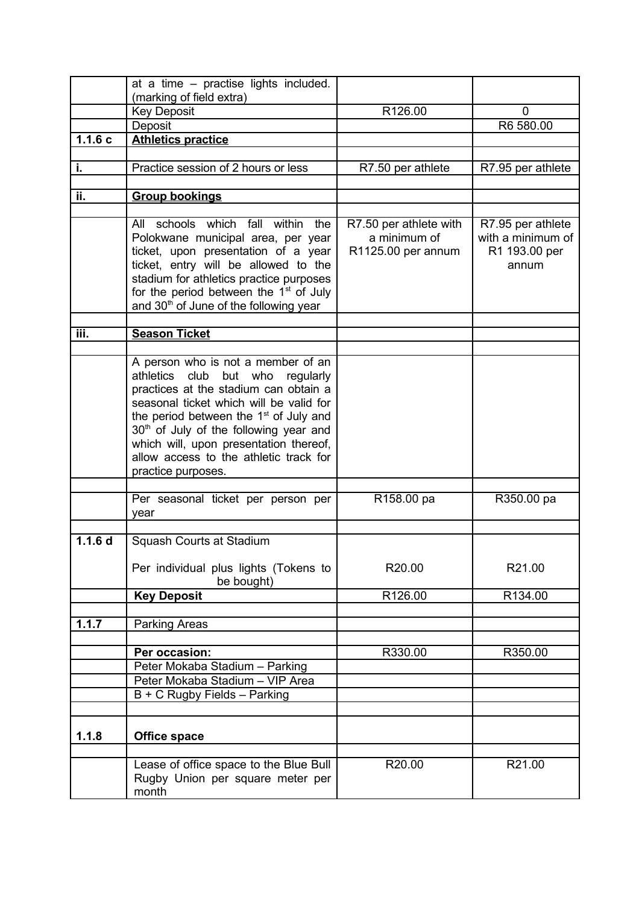|                    | at a time - practise lights included.                                                                                                                                                                                                                                                               |                                                              |                                                                  |
|--------------------|-----------------------------------------------------------------------------------------------------------------------------------------------------------------------------------------------------------------------------------------------------------------------------------------------------|--------------------------------------------------------------|------------------------------------------------------------------|
|                    | (marking of field extra)                                                                                                                                                                                                                                                                            |                                                              |                                                                  |
|                    | <b>Key Deposit</b>                                                                                                                                                                                                                                                                                  | R126.00                                                      | 0                                                                |
|                    | Deposit                                                                                                                                                                                                                                                                                             |                                                              | R6 580.00                                                        |
| 1.1.6c             | <b>Athletics practice</b>                                                                                                                                                                                                                                                                           |                                                              |                                                                  |
|                    |                                                                                                                                                                                                                                                                                                     |                                                              |                                                                  |
| i.                 | Practice session of 2 hours or less                                                                                                                                                                                                                                                                 | R7.50 per athlete                                            | R7.95 per athlete                                                |
|                    |                                                                                                                                                                                                                                                                                                     |                                                              |                                                                  |
| ii.                | <b>Group bookings</b>                                                                                                                                                                                                                                                                               |                                                              |                                                                  |
|                    |                                                                                                                                                                                                                                                                                                     |                                                              |                                                                  |
|                    | All schools which fall within the<br>Polokwane municipal area, per year<br>ticket, upon presentation of a year<br>ticket, entry will be allowed to the<br>stadium for athletics practice purposes<br>for the period between the $1st$ of July<br>and 30 <sup>th</sup> of June of the following year | R7.50 per athlete with<br>a minimum of<br>R1125.00 per annum | R7.95 per athlete<br>with a minimum of<br>R1 193.00 per<br>annum |
|                    |                                                                                                                                                                                                                                                                                                     |                                                              |                                                                  |
| iii.               | <b>Season Ticket</b>                                                                                                                                                                                                                                                                                |                                                              |                                                                  |
|                    | A person who is not a member of an<br>athletics club<br>but who<br>regularly                                                                                                                                                                                                                        |                                                              |                                                                  |
|                    | practices at the stadium can obtain a<br>seasonal ticket which will be valid for<br>the period between the 1 <sup>st</sup> of July and<br>30 <sup>th</sup> of July of the following year and                                                                                                        |                                                              |                                                                  |
|                    | which will, upon presentation thereof,<br>allow access to the athletic track for<br>practice purposes.                                                                                                                                                                                              |                                                              |                                                                  |
|                    |                                                                                                                                                                                                                                                                                                     |                                                              |                                                                  |
|                    | Per seasonal ticket per person per<br>year                                                                                                                                                                                                                                                          | R158.00 pa                                                   | R350.00 pa                                                       |
|                    |                                                                                                                                                                                                                                                                                                     |                                                              |                                                                  |
| 1.1.6 <sub>d</sub> | Squash Courts at Stadium                                                                                                                                                                                                                                                                            |                                                              |                                                                  |
|                    | Per individual plus lights (Tokens to<br>be bought)                                                                                                                                                                                                                                                 | R20.00                                                       | R21.00                                                           |
|                    | <b>Key Deposit</b>                                                                                                                                                                                                                                                                                  | R126.00                                                      | R134.00                                                          |
|                    |                                                                                                                                                                                                                                                                                                     |                                                              |                                                                  |
| 1.1.7              | Parking Areas                                                                                                                                                                                                                                                                                       |                                                              |                                                                  |
|                    |                                                                                                                                                                                                                                                                                                     |                                                              |                                                                  |
|                    | Per occasion:                                                                                                                                                                                                                                                                                       | R330.00                                                      | R350.00                                                          |
|                    | Peter Mokaba Stadium - Parking<br>Peter Mokaba Stadium - VIP Area                                                                                                                                                                                                                                   |                                                              |                                                                  |
|                    | $B + C$ Rugby Fields - Parking                                                                                                                                                                                                                                                                      |                                                              |                                                                  |
|                    |                                                                                                                                                                                                                                                                                                     |                                                              |                                                                  |
| 1.1.8              | <b>Office space</b>                                                                                                                                                                                                                                                                                 |                                                              |                                                                  |
|                    |                                                                                                                                                                                                                                                                                                     |                                                              |                                                                  |
|                    | Lease of office space to the Blue Bull<br>Rugby Union per square meter per<br>month                                                                                                                                                                                                                 | R20.00                                                       | R21.00                                                           |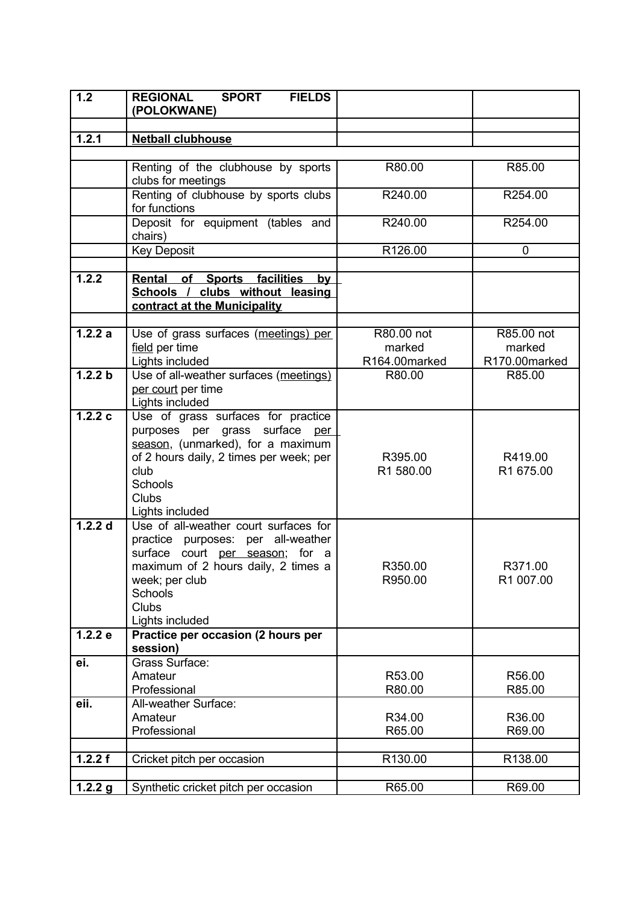| 1.2       | <b>REGIONAL</b><br><b>SPORT</b><br><b>FIELDS</b><br>(POLOKWANE)                                                                                                                                                       |                      |                      |
|-----------|-----------------------------------------------------------------------------------------------------------------------------------------------------------------------------------------------------------------------|----------------------|----------------------|
|           |                                                                                                                                                                                                                       |                      |                      |
| 1.2.1     | <b>Netball clubhouse</b>                                                                                                                                                                                              |                      |                      |
|           |                                                                                                                                                                                                                       |                      |                      |
|           | Renting of the clubhouse by sports<br>clubs for meetings                                                                                                                                                              | R80.00               | R85.00               |
|           | Renting of clubhouse by sports clubs<br>for functions                                                                                                                                                                 | R240.00              | R254.00              |
|           | Deposit for equipment (tables and<br>chairs)                                                                                                                                                                          | R240.00              | R254.00              |
|           | <b>Key Deposit</b>                                                                                                                                                                                                    | R126.00              | $\mathbf 0$          |
|           |                                                                                                                                                                                                                       |                      |                      |
| 1.2.2     | Rental of Sports facilities<br>by                                                                                                                                                                                     |                      |                      |
|           | Schools / clubs without leasing                                                                                                                                                                                       |                      |                      |
|           | contract at the Municipality                                                                                                                                                                                          |                      |                      |
|           |                                                                                                                                                                                                                       |                      |                      |
| 1.2.2a    | Use of grass surfaces (meetings) per<br>field per time                                                                                                                                                                | R80.00 not<br>marked | R85.00 not<br>marked |
|           | Lights included                                                                                                                                                                                                       | R164.00marked        | R170.00marked        |
| 1.2.2 b   | Use of all-weather surfaces (meetings)                                                                                                                                                                                | R80.00               | R85.00               |
|           | per court per time                                                                                                                                                                                                    |                      |                      |
|           | Lights included                                                                                                                                                                                                       |                      |                      |
| 1.2.2c    | Use of grass surfaces for practice<br>purposes per grass surface per<br>season, (unmarked), for a maximum<br>of 2 hours daily, 2 times per week; per<br>club<br>Schools<br><b>Clubs</b><br>Lights included            | R395.00<br>R1 580.00 | R419.00<br>R1 675.00 |
| $1.2.2$ d | Use of all-weather court surfaces for<br>practice purposes: per all-weather<br>surface court per season; for a<br>maximum of 2 hours daily, 2 times a<br>week; per club<br>Schools<br><b>Clubs</b><br>Lights included | R350.00<br>R950.00   | R371.00<br>R1 007.00 |
| 1.2.2 e   | Practice per occasion (2 hours per<br>session)                                                                                                                                                                        |                      |                      |
| ei.       | Grass Surface:<br>Amateur<br>Professional                                                                                                                                                                             | R53.00<br>R80.00     | R56.00<br>R85.00     |
| eii.      | All-weather Surface:<br>Amateur                                                                                                                                                                                       | R34.00               | R36.00               |
|           | Professional                                                                                                                                                                                                          | R65.00               | R69.00               |
|           |                                                                                                                                                                                                                       |                      |                      |
| 1.2.2 f   | Cricket pitch per occasion                                                                                                                                                                                            | R130.00              | R138.00              |
|           |                                                                                                                                                                                                                       |                      |                      |
| 1.2.2 g   | Synthetic cricket pitch per occasion                                                                                                                                                                                  | R65.00               | R69.00               |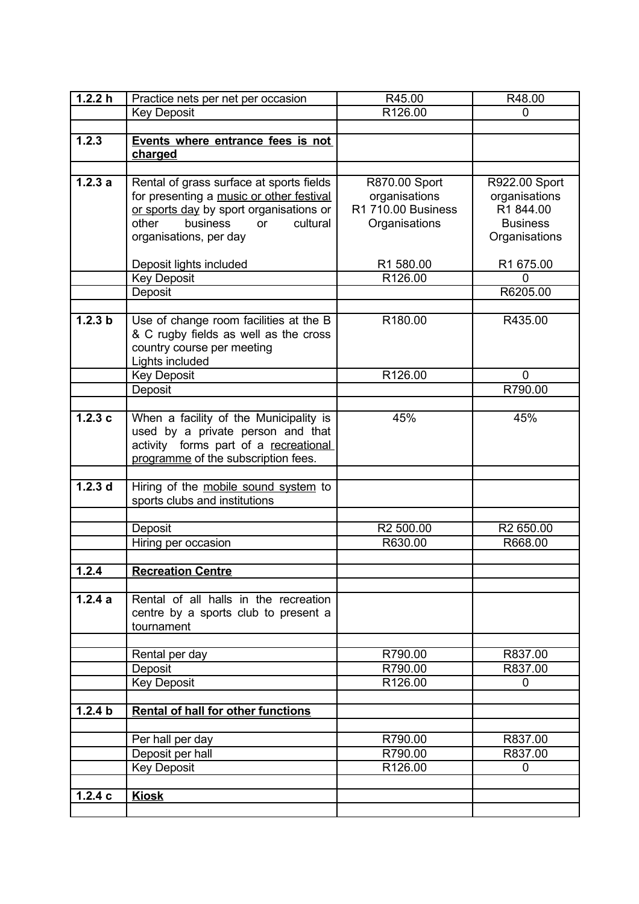| 1.2.2 h            | Practice nets per net per occasion                                                   | R45.00                         | R48.00                         |
|--------------------|--------------------------------------------------------------------------------------|--------------------------------|--------------------------------|
|                    | <b>Key Deposit</b>                                                                   | R126.00                        | 0                              |
|                    |                                                                                      |                                |                                |
| 1.2.3              | Events where entrance fees is not                                                    |                                |                                |
|                    | charged                                                                              |                                |                                |
|                    |                                                                                      |                                |                                |
| 1.2.3a             | Rental of grass surface at sports fields<br>for presenting a music or other festival | R870.00 Sport<br>organisations | R922.00 Sport<br>organisations |
|                    | or sports day by sport organisations or                                              | R1 710.00 Business             | R1 844.00                      |
|                    | other<br>business<br>cultural<br>or                                                  | Organisations                  | <b>Business</b>                |
|                    | organisations, per day                                                               |                                | Organisations                  |
|                    |                                                                                      |                                |                                |
|                    | Deposit lights included                                                              | R1 580.00                      | R1 675.00                      |
|                    | <b>Key Deposit</b>                                                                   | R126.00                        | 0                              |
|                    | Deposit                                                                              |                                | R6205.00                       |
|                    |                                                                                      |                                |                                |
| 1.2.3 b            | Use of change room facilities at the B                                               | R180.00                        | R435.00                        |
|                    | & C rugby fields as well as the cross<br>country course per meeting                  |                                |                                |
|                    | Lights included                                                                      |                                |                                |
|                    | <b>Key Deposit</b>                                                                   | R126.00                        | 0                              |
|                    | Deposit                                                                              |                                | R790.00                        |
|                    |                                                                                      |                                |                                |
| 1.2.3c             | When a facility of the Municipality is                                               | 45%                            | 45%                            |
|                    | used by a private person and that                                                    |                                |                                |
|                    | activity forms part of a recreational                                                |                                |                                |
|                    | programme of the subscription fees.                                                  |                                |                                |
|                    |                                                                                      |                                |                                |
| 1.2.3 <sub>d</sub> | Hiring of the mobile sound system to<br>sports clubs and institutions                |                                |                                |
|                    |                                                                                      |                                |                                |
|                    | Deposit                                                                              | R2 500.00                      | R2 650.00                      |
|                    | Hiring per occasion                                                                  | R630.00                        | R668.00                        |
|                    |                                                                                      |                                |                                |
| 1.2.4              | <b>Recreation Centre</b>                                                             |                                |                                |
|                    |                                                                                      |                                |                                |
| 1.2.4a             | Rental of all halls in the recreation                                                |                                |                                |
|                    | centre by a sports club to present a<br>tournament                                   |                                |                                |
|                    |                                                                                      |                                |                                |
|                    | Rental per day                                                                       | R790.00                        | R837.00                        |
|                    | Deposit                                                                              | R790.00                        | R837.00                        |
|                    | <b>Key Deposit</b>                                                                   | R126.00                        | 0                              |
|                    |                                                                                      |                                |                                |
| 1.2.4 b            | <b>Rental of hall for other functions</b>                                            |                                |                                |
|                    |                                                                                      |                                |                                |
|                    | Per hall per day                                                                     | R790.00                        | R837.00                        |
|                    | Deposit per hall                                                                     | R790.00                        | R837.00                        |
|                    | <b>Key Deposit</b>                                                                   | R126.00                        | 0                              |
| 1.2.4c             | <b>Kiosk</b>                                                                         |                                |                                |
|                    |                                                                                      |                                |                                |
|                    |                                                                                      |                                |                                |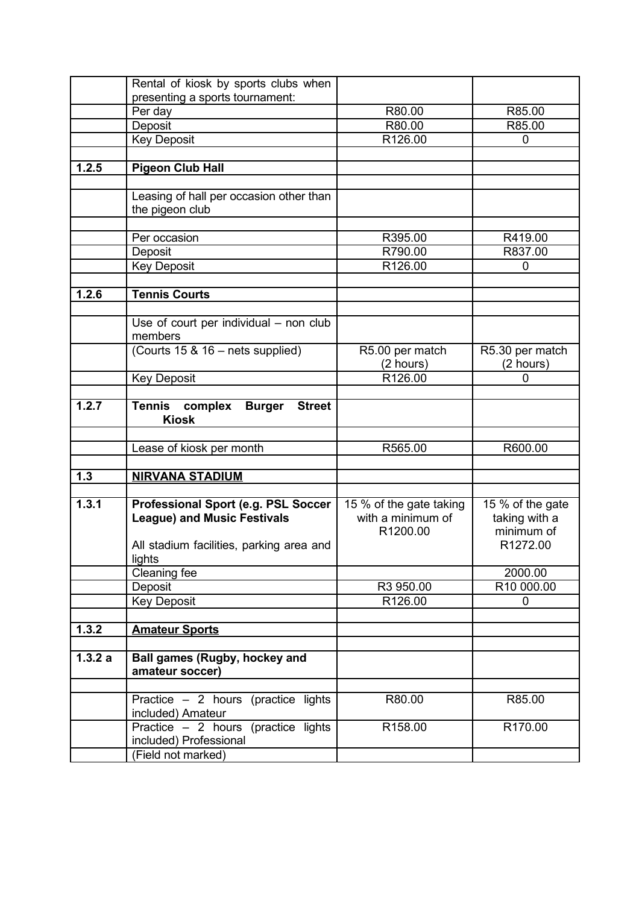|        | Rental of kiosk by sports clubs when                                       |                         |                  |
|--------|----------------------------------------------------------------------------|-------------------------|------------------|
|        | presenting a sports tournament:                                            |                         |                  |
|        | Per day                                                                    | R80.00                  | R85.00           |
|        | Deposit                                                                    | R80.00                  | R85.00           |
|        | <b>Key Deposit</b>                                                         | R126.00                 | 0                |
|        |                                                                            |                         |                  |
| 1.2.5  | <b>Pigeon Club Hall</b>                                                    |                         |                  |
|        |                                                                            |                         |                  |
|        | Leasing of hall per occasion other than                                    |                         |                  |
|        | the pigeon club                                                            |                         |                  |
|        |                                                                            |                         |                  |
|        | Per occasion                                                               | R395.00                 | R419.00          |
|        | Deposit                                                                    | R790.00                 | R837.00          |
|        | <b>Key Deposit</b>                                                         | R126.00                 | $\overline{0}$   |
|        |                                                                            |                         |                  |
| 1.2.6  | <b>Tennis Courts</b>                                                       |                         |                  |
|        |                                                                            |                         |                  |
|        | Use of court per individual $-$ non club                                   |                         |                  |
|        | members                                                                    |                         |                  |
|        | (Courts 15 & 16 - nets supplied)                                           | R5.00 per match         | R5.30 per match  |
|        |                                                                            | (2 hours)               | (2 hours)        |
|        | <b>Key Deposit</b>                                                         | R126.00                 | O                |
|        |                                                                            |                         |                  |
| 1.2.7  | <b>Tennis</b><br>complex<br><b>Street</b><br><b>Burger</b><br><b>Kiosk</b> |                         |                  |
|        |                                                                            |                         |                  |
|        | Lease of kiosk per month                                                   | R565.00                 | R600.00          |
|        |                                                                            |                         |                  |
| $1.3$  | <b>NIRVANA STADIUM</b>                                                     |                         |                  |
|        |                                                                            |                         |                  |
| 1.3.1  | Professional Sport (e.g. PSL Soccer                                        | 15 % of the gate taking | 15 % of the gate |
|        | <b>League) and Music Festivals</b>                                         | with a minimum of       | taking with a    |
|        |                                                                            | R1200.00                | minimum of       |
|        | All stadium facilities, parking area and                                   |                         | R1272.00         |
|        | lights                                                                     |                         |                  |
|        | Cleaning fee                                                               |                         | 2000.00          |
|        | Deposit                                                                    | R3 950.00               | R10 000.00       |
|        | <b>Key Deposit</b>                                                         | R126.00                 | $\mathbf{0}$     |
|        |                                                                            |                         |                  |
| 1.3.2  | <b>Amateur Sports</b>                                                      |                         |                  |
|        |                                                                            |                         |                  |
| 1.3.2a | <b>Ball games (Rugby, hockey and</b>                                       |                         |                  |
|        | amateur soccer)                                                            |                         |                  |
|        |                                                                            |                         |                  |
|        | Practice $-2$ hours (practice lights                                       | R80.00                  | R85.00           |
|        | included) Amateur                                                          |                         |                  |
|        | Practice - 2 hours (practice lights                                        | R <sub>158.00</sub>     | R170.00          |
|        | included) Professional                                                     |                         |                  |
|        | (Field not marked)                                                         |                         |                  |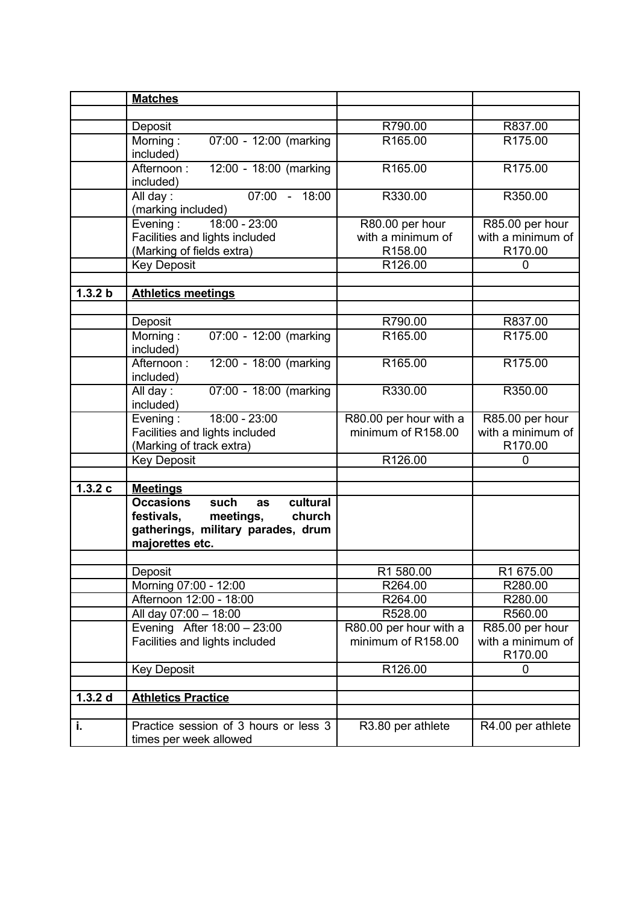|                    | <b>Matches</b>                                  |                        |                     |
|--------------------|-------------------------------------------------|------------------------|---------------------|
|                    |                                                 |                        |                     |
|                    | Deposit                                         | R790.00                | R837.00             |
|                    | Morning:<br>07:00 - 12:00 (marking              | R165.00                | R <sub>175.00</sub> |
|                    | included)                                       |                        |                     |
|                    | 12:00 - 18:00 (marking<br>Afternoon:            | R165.00                | R175.00             |
|                    | included)                                       |                        |                     |
|                    | 07:00 - 18:00<br>All day:                       | R330.00                | R350.00             |
|                    | (marking included)                              |                        |                     |
|                    | 18:00 - 23:00<br>Evening:                       | R80.00 per hour        | R85.00 per hour     |
|                    | Facilities and lights included                  | with a minimum of      | with a minimum of   |
|                    | (Marking of fields extra)                       | R158.00                | R170.00             |
|                    | <b>Key Deposit</b>                              | R126.00                | $\overline{0}$      |
|                    |                                                 |                        |                     |
| 1.3.2 b            | <b>Athletics meetings</b>                       |                        |                     |
|                    |                                                 |                        |                     |
|                    | Deposit                                         | R790.00                | R837.00             |
|                    | Morning:<br>07:00 - 12:00 (marking              | R165.00                | R175.00             |
|                    | included)                                       |                        |                     |
|                    | 12:00 - 18:00 (marking<br>Afternoon:            | R165.00                | R175.00             |
|                    | included)<br>07:00 - 18:00 (marking<br>All day: | R330.00                | R350.00             |
|                    | included)                                       |                        |                     |
|                    | 18:00 - 23:00<br>Evening:                       | R80.00 per hour with a | R85.00 per hour     |
|                    | Facilities and lights included                  | minimum of R158.00     | with a minimum of   |
|                    | (Marking of track extra)                        |                        | R170.00             |
|                    | <b>Key Deposit</b>                              | R126.00                | $\Omega$            |
|                    |                                                 |                        |                     |
| 1.3.2c             | <b>Meetings</b>                                 |                        |                     |
|                    | <b>Occasions</b><br>cultural<br>such<br>as      |                        |                     |
|                    | festivals,<br>meetings,<br>church               |                        |                     |
|                    | gatherings, military parades, drum              |                        |                     |
|                    | majorettes etc.                                 |                        |                     |
|                    |                                                 |                        |                     |
|                    | Deposit                                         | R1 580.00              | R1 675.00           |
|                    | Morning 07:00 - 12:00                           | R264.00                | R280.00             |
|                    | Afternoon 12:00 - 18:00                         | R264.00                | R280.00             |
|                    | All day 07:00 - 18:00                           | R528.00                | R560.00             |
|                    | Evening After 18:00 - 23:00                     | R80.00 per hour with a | R85.00 per hour     |
|                    | Facilities and lights included                  | minimum of R158.00     | with a minimum of   |
|                    |                                                 |                        | R170.00             |
|                    | <b>Key Deposit</b>                              | R126.00                | 0                   |
|                    |                                                 |                        |                     |
| 1.3.2 <sub>d</sub> | <b>Athletics Practice</b>                       |                        |                     |
|                    |                                                 |                        |                     |
| i.                 | Practice session of 3 hours or less 3           | R3.80 per athlete      | R4.00 per athlete   |
|                    | times per week allowed                          |                        |                     |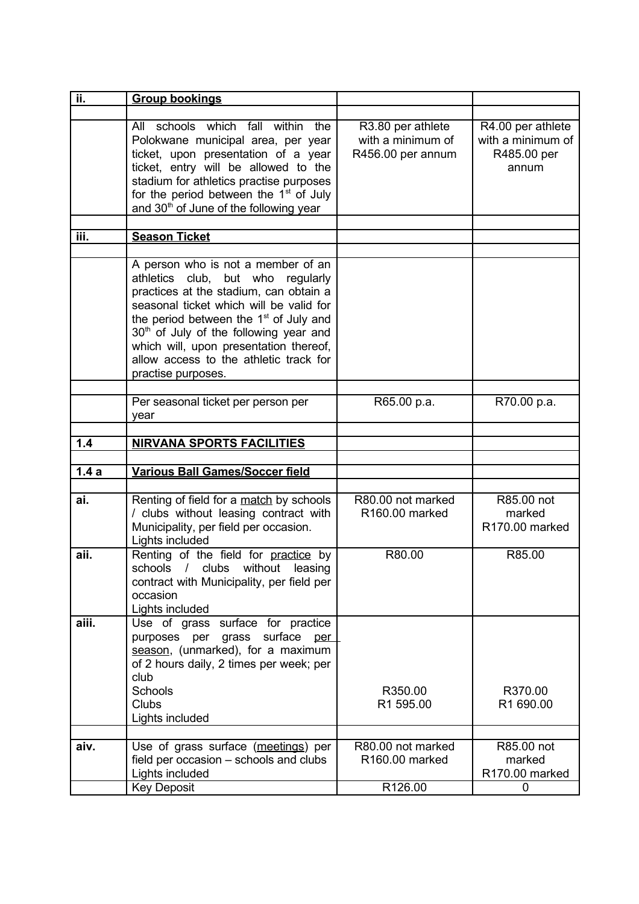| ii.   | <b>Group bookings</b>                                                                                                                                                                                                                                                                                                                                                                 |                                                             |                                                                |
|-------|---------------------------------------------------------------------------------------------------------------------------------------------------------------------------------------------------------------------------------------------------------------------------------------------------------------------------------------------------------------------------------------|-------------------------------------------------------------|----------------------------------------------------------------|
|       |                                                                                                                                                                                                                                                                                                                                                                                       |                                                             |                                                                |
|       | schools which fall within<br>All<br>the<br>Polokwane municipal area, per year<br>ticket, upon presentation of a year<br>ticket, entry will be allowed to the<br>stadium for athletics practise purposes<br>for the period between the $1st$ of July<br>and 30 <sup>th</sup> of June of the following year                                                                             | R3.80 per athlete<br>with a minimum of<br>R456.00 per annum | R4.00 per athlete<br>with a minimum of<br>R485.00 per<br>annum |
| iii.  |                                                                                                                                                                                                                                                                                                                                                                                       |                                                             |                                                                |
|       | <b>Season Ticket</b>                                                                                                                                                                                                                                                                                                                                                                  |                                                             |                                                                |
|       | A person who is not a member of an<br>athletics club, but who<br>regularly<br>practices at the stadium, can obtain a<br>seasonal ticket which will be valid for<br>the period between the 1 <sup>st</sup> of July and<br>30 <sup>th</sup> of July of the following year and<br>which will, upon presentation thereof,<br>allow access to the athletic track for<br>practise purposes. |                                                             |                                                                |
|       | Per seasonal ticket per person per                                                                                                                                                                                                                                                                                                                                                    | R65.00 p.a.                                                 | R70.00 p.a.                                                    |
|       | year                                                                                                                                                                                                                                                                                                                                                                                  |                                                             |                                                                |
|       |                                                                                                                                                                                                                                                                                                                                                                                       |                                                             |                                                                |
| 1.4   | <b>NIRVANA SPORTS FACILITIES</b>                                                                                                                                                                                                                                                                                                                                                      |                                                             |                                                                |
|       |                                                                                                                                                                                                                                                                                                                                                                                       |                                                             |                                                                |
| 1.4a  | <b>Various Ball Games/Soccer field</b>                                                                                                                                                                                                                                                                                                                                                |                                                             |                                                                |
| ai.   | Renting of field for a match by schools<br>/ clubs without leasing contract with<br>Municipality, per field per occasion.<br>Lights included                                                                                                                                                                                                                                          | R80.00 not marked<br>R <sub>160.00</sub> marked             | R85.00 not<br>marked<br>R170.00 marked                         |
| aii.  | Renting of the field for practice by<br>schools / clubs without leasing<br>contract with Municipality, per field per<br>occasion<br>Lights included                                                                                                                                                                                                                                   | R80.00                                                      | R85.00                                                         |
| aiii. | Use of grass surface for practice<br>purposes per grass surface<br>per<br>season, (unmarked), for a maximum<br>of 2 hours daily, 2 times per week; per<br>club                                                                                                                                                                                                                        |                                                             |                                                                |
|       | Schools<br><b>Clubs</b><br>Lights included                                                                                                                                                                                                                                                                                                                                            | R350.00<br>R1 595.00                                        | R370.00<br>R1 690.00                                           |
|       |                                                                                                                                                                                                                                                                                                                                                                                       |                                                             |                                                                |
| aiv.  | Use of grass surface (meetings) per<br>field per occasion – schools and clubs<br>Lights included                                                                                                                                                                                                                                                                                      | R80.00 not marked<br>R160.00 marked                         | R85.00 not<br>marked<br>R170.00 marked                         |
|       | <b>Key Deposit</b>                                                                                                                                                                                                                                                                                                                                                                    | R126.00                                                     | $\Omega$                                                       |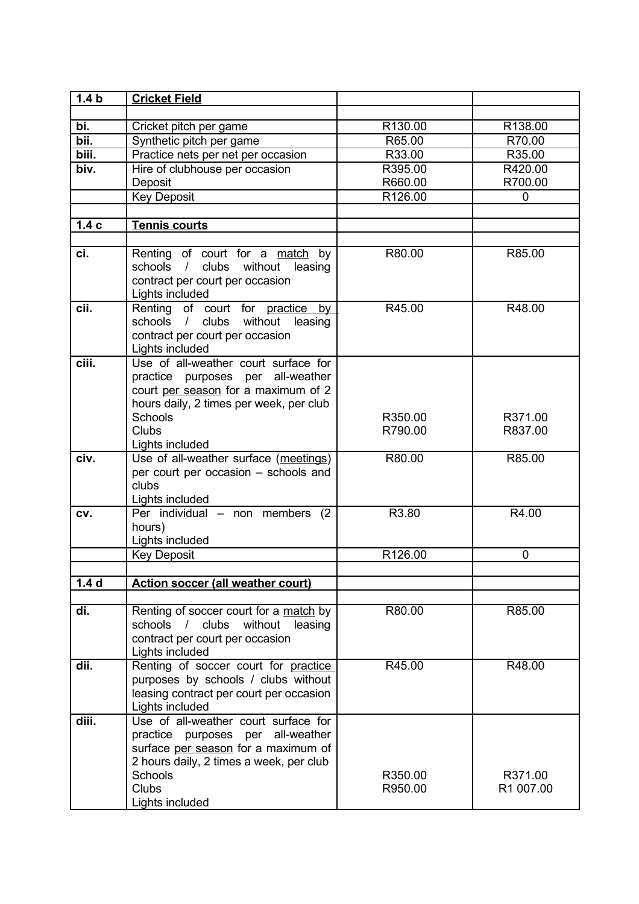| 1.4 <sub>b</sub> | <b>Cricket Field</b>                                                                                                                                                                      |                    |                      |
|------------------|-------------------------------------------------------------------------------------------------------------------------------------------------------------------------------------------|--------------------|----------------------|
|                  |                                                                                                                                                                                           |                    |                      |
| bi.              | Cricket pitch per game                                                                                                                                                                    | R130.00            | R138.00              |
| bii.             | Synthetic pitch per game                                                                                                                                                                  | R65.00             | R70.00               |
| biii.            | Practice nets per net per occasion                                                                                                                                                        | R33.00             | R35.00               |
| biv.             | Hire of clubhouse per occasion                                                                                                                                                            | R395.00            | R420.00              |
|                  | Deposit                                                                                                                                                                                   | R660.00            | R700.00              |
|                  | <b>Key Deposit</b>                                                                                                                                                                        | R126.00            | 0                    |
|                  |                                                                                                                                                                                           |                    |                      |
| 1.4c             | <b>Tennis courts</b>                                                                                                                                                                      |                    |                      |
|                  |                                                                                                                                                                                           |                    |                      |
| ci.              | Renting of court for a match by<br>schools / clubs without leasing<br>contract per court per occasion<br>Lights included                                                                  | R80.00             | R85.00               |
| cii.             | Renting of court for practice by                                                                                                                                                          | R45.00             | R48.00               |
|                  | clubs<br>schools<br>$\frac{1}{2}$<br>without<br>leasing<br>contract per court per occasion<br>Lights included                                                                             |                    |                      |
| ciii.            | Use of all-weather court surface for<br>practice purposes per all-weather<br>court per season for a maximum of 2<br>hours daily, 2 times per week, per club                               |                    |                      |
|                  | Schools                                                                                                                                                                                   | R350.00            | R371.00              |
|                  | <b>Clubs</b>                                                                                                                                                                              | R790.00            | R837.00              |
|                  | Lights included                                                                                                                                                                           |                    |                      |
| civ.             | Use of all-weather surface (meetings)<br>per court per occasion - schools and<br>clubs<br>Lights included                                                                                 | R80.00             | R85.00               |
| CV.              | Per individual - non members<br>(2)<br>hours)<br>Lights included                                                                                                                          | R3.80              | R4.00                |
|                  | <b>Key Deposit</b>                                                                                                                                                                        | R126.00            | 0                    |
|                  |                                                                                                                                                                                           |                    |                      |
| 1.4 <sub>d</sub> | <b>Action soccer (all weather court)</b>                                                                                                                                                  |                    |                      |
|                  |                                                                                                                                                                                           |                    |                      |
| di.              | Renting of soccer court for a match by<br>clubs<br>without<br>schools<br>$\sqrt{2}$<br>leasing<br>contract per court per occasion<br>Lights included                                      | R80.00             | R85.00               |
| dii.             | Renting of soccer court for practice<br>purposes by schools / clubs without<br>leasing contract per court per occasion<br>Lights included                                                 | R45.00             | R48.00               |
| diii.            | Use of all-weather court surface for<br>practice purposes per<br>all-weather<br>surface per season for a maximum of<br>2 hours daily, 2 times a week, per club<br>Schools<br><b>Clubs</b> | R350.00<br>R950.00 | R371.00<br>R1 007.00 |
|                  | Lights included                                                                                                                                                                           |                    |                      |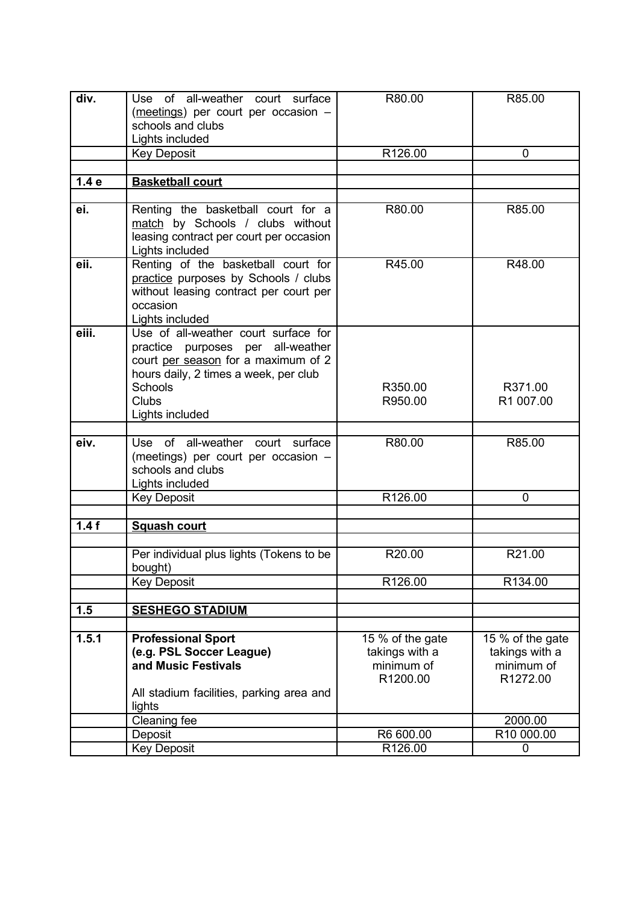| R85.00           |
|------------------|
|                  |
|                  |
|                  |
| R48.00           |
|                  |
|                  |
|                  |
|                  |
|                  |
|                  |
|                  |
| R371.00          |
| R1 007.00        |
|                  |
| R85.00           |
|                  |
|                  |
|                  |
|                  |
|                  |
|                  |
| R21.00           |
|                  |
| R134.00          |
|                  |
|                  |
| 15 % of the gate |
| takings with a   |
| minimum of       |
| R1272.00         |
|                  |
|                  |
| 2000.00          |
| R10 000.00       |
|                  |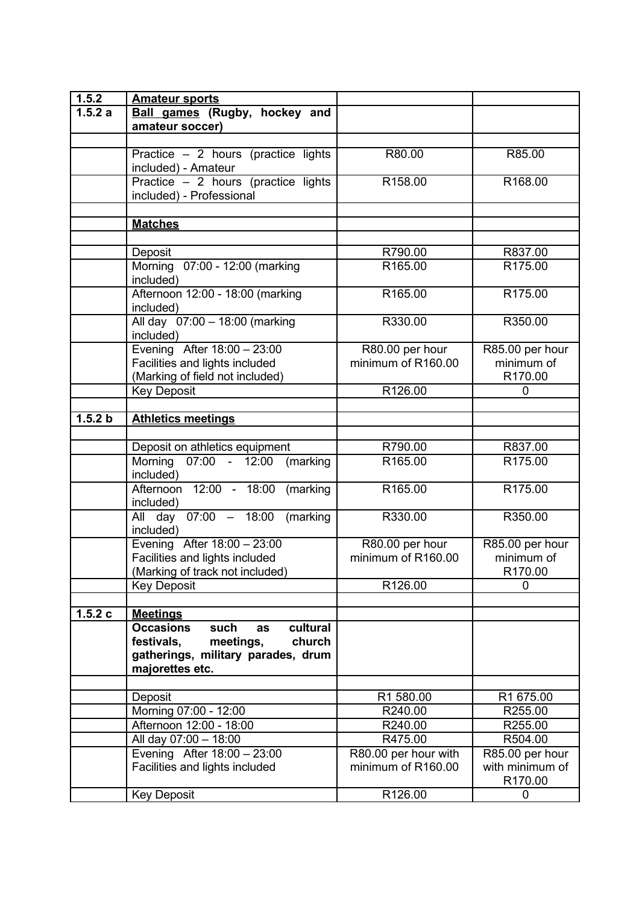| 1.5.2   | <b>Amateur sports</b>                      |                      |                 |
|---------|--------------------------------------------|----------------------|-----------------|
| 1.5.2a  | <b>Ball games (Rugby, hockey and</b>       |                      |                 |
|         | amateur soccer)                            |                      |                 |
|         |                                            |                      |                 |
|         | Practice $-2$ hours (practice lights       | R80.00               | R85.00          |
|         | included) - Amateur                        |                      |                 |
|         | Practice - 2 hours (practice lights        | R <sub>158.00</sub>  | R168.00         |
|         | included) - Professional                   |                      |                 |
|         |                                            |                      |                 |
|         | <b>Matches</b>                             |                      |                 |
|         |                                            |                      |                 |
|         | Deposit                                    | R790.00              | R837.00         |
|         | Morning 07:00 - 12:00 (marking             | R165.00              | R175.00         |
|         | included)                                  |                      |                 |
|         | Afternoon 12:00 - 18:00 (marking           | R165.00              | R175.00         |
|         | included)                                  |                      |                 |
|         | All day 07:00 - 18:00 (marking             | R330.00              | R350.00         |
|         | included)                                  |                      |                 |
|         | Evening After 18:00 - 23:00                | R80.00 per hour      | R85.00 per hour |
|         | Facilities and lights included             | minimum of R160.00   | minimum of      |
|         | (Marking of field not included)            |                      | R170.00         |
|         | <b>Key Deposit</b>                         | R126.00              | 0               |
|         |                                            |                      |                 |
| 1.5.2 b | <b>Athletics meetings</b>                  |                      |                 |
|         |                                            |                      |                 |
|         | Deposit on athletics equipment             | R790.00              | R837.00         |
|         | Morning 07:00 - 12:00<br>(marking          | R165.00              | R175.00         |
|         | included)                                  |                      |                 |
|         | Afternoon 12:00 - 18:00 (marking           | R165.00              | R175.00         |
|         | included)                                  |                      |                 |
|         | All day 07:00 - 18:00<br>(marking          | R330.00              | R350.00         |
|         | included)                                  |                      |                 |
|         | Evening After 18:00 - 23:00                | R80.00 per hour      | R85.00 per hour |
|         | Facilities and lights included             | minimum of R160.00   | minimum of      |
|         | (Marking of track not included)            |                      | R170.00         |
|         | <b>Key Deposit</b>                         | R126.00              | $\Omega$        |
|         |                                            |                      |                 |
| 1.5.2c  | <b>Meetings</b>                            |                      |                 |
|         | <b>Occasions</b><br>cultural<br>such<br>as |                      |                 |
|         | festivals,<br>meetings,<br>church          |                      |                 |
|         | gatherings, military parades, drum         |                      |                 |
|         | majorettes etc.                            |                      |                 |
|         |                                            |                      |                 |
|         | Deposit                                    | R1 580.00            | R1 675.00       |
|         | Morning 07:00 - 12:00                      | R240.00              | R255.00         |
|         | Afternoon 12:00 - 18:00                    | R240.00              | R255.00         |
|         | All day 07:00 - 18:00                      | R475.00              | R504.00         |
|         | Evening After 18:00 - 23:00                | R80.00 per hour with | R85.00 per hour |
|         | Facilities and lights included             | minimum of R160.00   | with minimum of |
|         |                                            |                      | R170.00         |
|         | <b>Key Deposit</b>                         | R126.00              | $\overline{0}$  |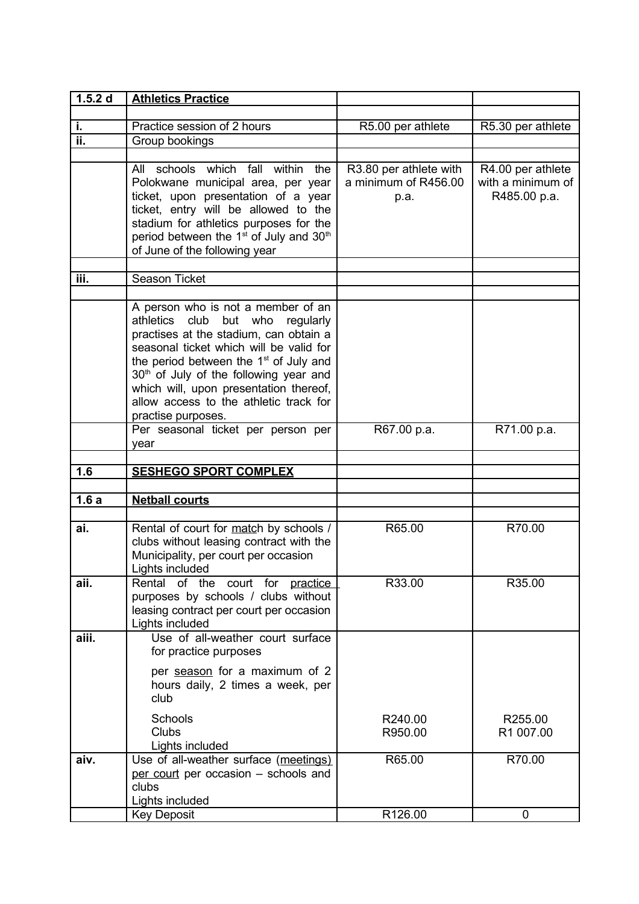| 1.5.2 d | <b>Athletics Practice</b>                                                                                                                                                                                                                                                                                                                                                  |                                                        |                                                        |
|---------|----------------------------------------------------------------------------------------------------------------------------------------------------------------------------------------------------------------------------------------------------------------------------------------------------------------------------------------------------------------------------|--------------------------------------------------------|--------------------------------------------------------|
|         |                                                                                                                                                                                                                                                                                                                                                                            |                                                        |                                                        |
| j,      | Practice session of 2 hours                                                                                                                                                                                                                                                                                                                                                | R5.00 per athlete                                      | R5.30 per athlete                                      |
| ii.     | Group bookings                                                                                                                                                                                                                                                                                                                                                             |                                                        |                                                        |
|         |                                                                                                                                                                                                                                                                                                                                                                            |                                                        |                                                        |
|         | schools which fall within<br>All<br>the<br>Polokwane municipal area, per year<br>ticket, upon presentation of a year<br>ticket, entry will be allowed to the<br>stadium for athletics purposes for the<br>period between the 1 <sup>st</sup> of July and 30 <sup>th</sup><br>of June of the following year                                                                 | R3.80 per athlete with<br>a minimum of R456.00<br>p.a. | R4.00 per athlete<br>with a minimum of<br>R485.00 p.a. |
|         |                                                                                                                                                                                                                                                                                                                                                                            |                                                        |                                                        |
| iii.    | Season Ticket                                                                                                                                                                                                                                                                                                                                                              |                                                        |                                                        |
|         | A person who is not a member of an<br>athletics club but who<br>regularly<br>practises at the stadium, can obtain a<br>seasonal ticket which will be valid for<br>the period between the $1st$ of July and<br>30 <sup>th</sup> of July of the following year and<br>which will, upon presentation thereof,<br>allow access to the athletic track for<br>practise purposes. |                                                        |                                                        |
|         | Per seasonal ticket per person per<br>year                                                                                                                                                                                                                                                                                                                                 | R67.00 p.a.                                            | R71.00 p.a.                                            |
|         |                                                                                                                                                                                                                                                                                                                                                                            |                                                        |                                                        |
| 1.6     | <b>SESHEGO SPORT COMPLEX</b>                                                                                                                                                                                                                                                                                                                                               |                                                        |                                                        |
| 1.6a    | <b>Netball courts</b>                                                                                                                                                                                                                                                                                                                                                      |                                                        |                                                        |
|         |                                                                                                                                                                                                                                                                                                                                                                            |                                                        |                                                        |
| ai.     | Rental of court for match by schools /<br>clubs without leasing contract with the<br>Municipality, per court per occasion<br>Lights included                                                                                                                                                                                                                               | R65.00                                                 | R70.00                                                 |
| aii.    | Rental of the court for practice<br>purposes by schools / clubs without<br>leasing contract per court per occasion<br>Lights included                                                                                                                                                                                                                                      | R33.00                                                 | R35.00                                                 |
| aiii.   | Use of all-weather court surface<br>for practice purposes<br>per season for a maximum of 2                                                                                                                                                                                                                                                                                 |                                                        |                                                        |
|         | hours daily, 2 times a week, per<br>club                                                                                                                                                                                                                                                                                                                                   |                                                        |                                                        |
|         | Schools<br>Clubs<br>Lights included                                                                                                                                                                                                                                                                                                                                        | R240.00<br>R950.00                                     | R255.00<br>R1 007.00                                   |
| aiv.    | Use of all-weather surface (meetings)<br>per court per occasion - schools and<br>clubs<br>Lights included                                                                                                                                                                                                                                                                  | R65.00                                                 | R70.00                                                 |
|         | <b>Key Deposit</b>                                                                                                                                                                                                                                                                                                                                                         | R126.00                                                | $\mathbf 0$                                            |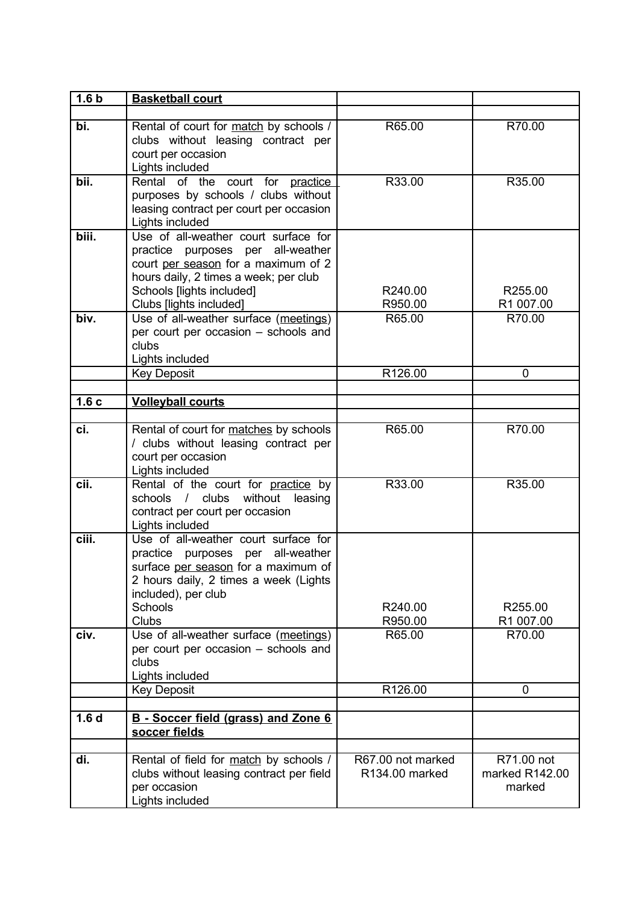| 1.6 <sub>b</sub> | <b>Basketball court</b>                                                                                                                                                                                           |                    |                          |
|------------------|-------------------------------------------------------------------------------------------------------------------------------------------------------------------------------------------------------------------|--------------------|--------------------------|
|                  |                                                                                                                                                                                                                   |                    |                          |
| bi.              | Rental of court for match by schools /<br>clubs without leasing contract per<br>court per occasion<br>Lights included                                                                                             | R65.00             | R70.00                   |
| bii.             | Rental of the court for practice<br>purposes by schools / clubs without<br>leasing contract per court per occasion<br>Lights included                                                                             | R33.00             | R35.00                   |
| biii.            | Use of all-weather court surface for<br>practice purposes per all-weather<br>court per season for a maximum of 2<br>hours daily, 2 times a week; per club<br>Schools [lights included]<br>Clubs [lights included] | R240.00<br>R950.00 | R255.00<br>R1 007.00     |
| biv.             | Use of all-weather surface (meetings)<br>per court per occasion - schools and<br>clubs<br>Lights included                                                                                                         | R65.00             | R70.00                   |
|                  | <b>Key Deposit</b>                                                                                                                                                                                                | R126.00            | 0                        |
|                  |                                                                                                                                                                                                                   |                    |                          |
| 1.6c             | <b>Volleyball courts</b>                                                                                                                                                                                          |                    |                          |
|                  |                                                                                                                                                                                                                   |                    |                          |
| ci.              | Rental of court for matches by schools<br>/ clubs without leasing contract per<br>court per occasion<br>Lights included                                                                                           | R65.00             | R70.00                   |
| cii.             | Rental of the court for practice by<br>schools / clubs without leasing<br>contract per court per occasion<br>Lights included                                                                                      | R33.00             | R35.00                   |
| ciii.            | Use of all-weather court surface for<br>practice purposes per<br>all-weather<br>surface per season for a maximum of<br>2 hours daily, 2 times a week (Lights<br>included), per club<br>Schools<br><b>Clubs</b>    | R240.00<br>R950.00 | R255.00<br>R1 007.00     |
| civ.             | Use of all-weather surface (meetings)<br>per court per occasion - schools and<br>clubs<br>Lights included                                                                                                         | R65.00             | R70.00                   |
|                  | <b>Key Deposit</b>                                                                                                                                                                                                | R126.00            | 0                        |
|                  |                                                                                                                                                                                                                   |                    |                          |
| 1.6 <sub>d</sub> | B - Soccer field (grass) and Zone 6<br>soccer fields                                                                                                                                                              |                    |                          |
| di.              |                                                                                                                                                                                                                   | R67.00 not marked  | R71.00 not               |
|                  | Rental of field for match by schools /<br>clubs without leasing contract per field<br>per occasion<br>Lights included                                                                                             | R134.00 marked     | marked R142.00<br>marked |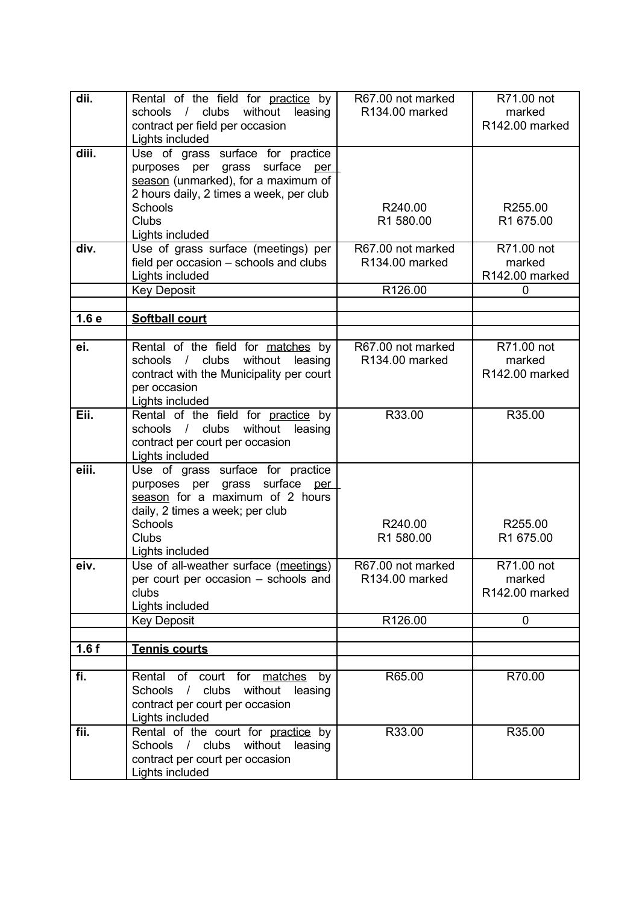| dii.             | Rental of the field for practice by<br>schools / clubs without leasing<br>contract per field per occasion                                                                               | R67.00 not marked<br>R134.00 marked            | R71.00 not<br>marked<br>R142.00 marked      |
|------------------|-----------------------------------------------------------------------------------------------------------------------------------------------------------------------------------------|------------------------------------------------|---------------------------------------------|
| diii.            | Lights included<br>Use of grass surface for practice<br>purposes per grass surface<br>per<br>season (unmarked), for a maximum of<br>2 hours daily, 2 times a week, per club             |                                                |                                             |
|                  | <b>Schools</b><br><b>Clubs</b><br>Lights included                                                                                                                                       | R240.00<br>R1 580.00                           | R255.00<br>R1 675.00                        |
| div.             | Use of grass surface (meetings) per<br>field per occasion - schools and clubs<br>Lights included                                                                                        | R67.00 not marked<br>R134.00 marked<br>R126.00 | R71.00 not<br>marked<br>R142.00 marked<br>0 |
|                  | <b>Key Deposit</b>                                                                                                                                                                      |                                                |                                             |
| 1.6 <sub>e</sub> | <b>Softball court</b>                                                                                                                                                                   |                                                |                                             |
|                  |                                                                                                                                                                                         |                                                |                                             |
| ei.              | Rental of the field for matches by<br>/ clubs<br>without<br>schools<br>leasing<br>contract with the Municipality per court<br>per occasion<br>Lights included                           | R67.00 not marked<br>R134.00 marked            | R71.00 not<br>marked<br>R142.00 marked      |
| Eii.             | Rental of the field for practice by<br>schools / clubs without leasing<br>contract per court per occasion<br>Lights included                                                            | R33.00                                         | R35.00                                      |
| eiii.            | Use of grass surface for practice<br>purposes per grass surface per<br>season for a maximum of 2 hours<br>daily, 2 times a week; per club<br>Schools<br><b>Clubs</b><br>Lights included | R240.00<br>R1 580.00                           | R255.00<br>R1 675.00                        |
| eiv.             | Use of all-weather surface (meetings)<br>per court per occasion - schools and<br>clubs<br>Lights included                                                                               | R67.00 not marked<br>R134.00 marked            | R71.00 not<br>marked<br>R142.00 marked      |
|                  | <b>Key Deposit</b>                                                                                                                                                                      | R126.00                                        | $\mathbf 0$                                 |
|                  |                                                                                                                                                                                         |                                                |                                             |
| 1.6f             | Tennis courts                                                                                                                                                                           |                                                |                                             |
|                  |                                                                                                                                                                                         |                                                |                                             |
| fi.              | Rental of court for matches by<br>Schools / clubs without<br>leasing<br>contract per court per occasion<br>Lights included                                                              | R65.00                                         | R70.00                                      |
| fii.             | Rental of the court for practice by<br>Schools / clubs without leasing<br>contract per court per occasion<br>Lights included                                                            | R33.00                                         | R35.00                                      |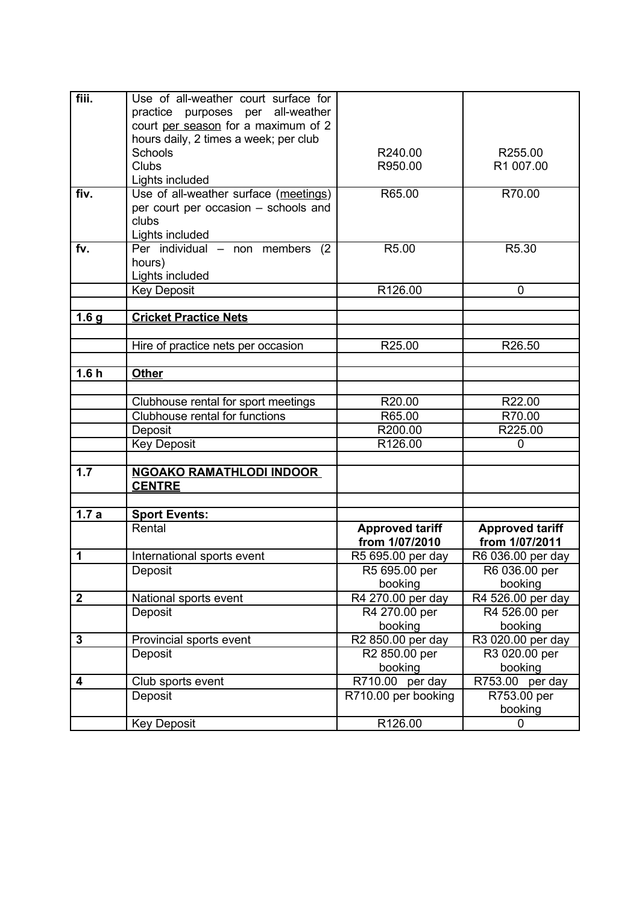| fiii.            | Use of all-weather court surface for  |                        |                        |
|------------------|---------------------------------------|------------------------|------------------------|
|                  | practice purposes per all-weather     |                        |                        |
|                  | court per season for a maximum of 2   |                        |                        |
|                  | hours daily, 2 times a week; per club |                        |                        |
|                  | Schools                               | R240.00                | R255.00                |
|                  | <b>Clubs</b>                          | R950.00                | R1 007.00              |
|                  | Lights included                       |                        |                        |
| fiv.             | Use of all-weather surface (meetings) | R65.00                 | R70.00                 |
|                  | per court per occasion - schools and  |                        |                        |
|                  | clubs                                 |                        |                        |
|                  |                                       |                        |                        |
|                  | Lights included                       |                        |                        |
| fv.              | Per individual - non members (2)      | R5.00                  | R5.30                  |
|                  | hours)                                |                        |                        |
|                  | Lights included                       |                        |                        |
|                  | <b>Key Deposit</b>                    | R126.00                | 0                      |
| 1.6 <sub>g</sub> | <b>Cricket Practice Nets</b>          |                        |                        |
|                  |                                       |                        |                        |
|                  | Hire of practice nets per occasion    | R25.00                 | R26.50                 |
|                  |                                       |                        |                        |
| 1.6h             | <b>Other</b>                          |                        |                        |
|                  |                                       |                        |                        |
|                  | Clubhouse rental for sport meetings   | R20.00                 | R22.00                 |
|                  | Clubhouse rental for functions        | R65.00                 | R70.00                 |
|                  | Deposit                               | R200.00                | R225.00                |
|                  | <b>Key Deposit</b>                    | R126.00                | 0                      |
|                  |                                       |                        |                        |
| 1.7              | <b>NGOAKO RAMATHLODI INDOOR</b>       |                        |                        |
|                  | <b>CENTRE</b>                         |                        |                        |
|                  |                                       |                        |                        |
| 1.7a             | <b>Sport Events:</b>                  |                        |                        |
|                  | Rental                                | <b>Approved tariff</b> | <b>Approved tariff</b> |
|                  |                                       | from 1/07/2010         | from 1/07/2011         |
| 1                | International sports event            | R5 695.00 per day      | R6 036.00 per day      |
|                  | Deposit                               | R5 695.00 per          | R6 036.00 per          |
|                  |                                       | booking                | booking                |
| $\boldsymbol{2}$ | National sports event                 | R4 270.00 per day      | R4 526.00 per day      |
|                  |                                       |                        |                        |
|                  |                                       |                        |                        |
|                  | Deposit                               | R4 270.00 per          | R4 526.00 per          |
|                  |                                       | booking                | booking                |
| 3                | Provincial sports event               | R2 850.00 per day      | R3 020.00 per day      |
|                  | Deposit                               | R2 850.00 per          | R3 020.00 per          |
|                  |                                       | booking                | booking                |
| 4                | Club sports event                     | R710.00 per day        | R753.00 per day        |
|                  | Deposit                               | R710.00 per booking    | R753.00 per            |
|                  | <b>Key Deposit</b>                    | R126.00                | booking<br>0           |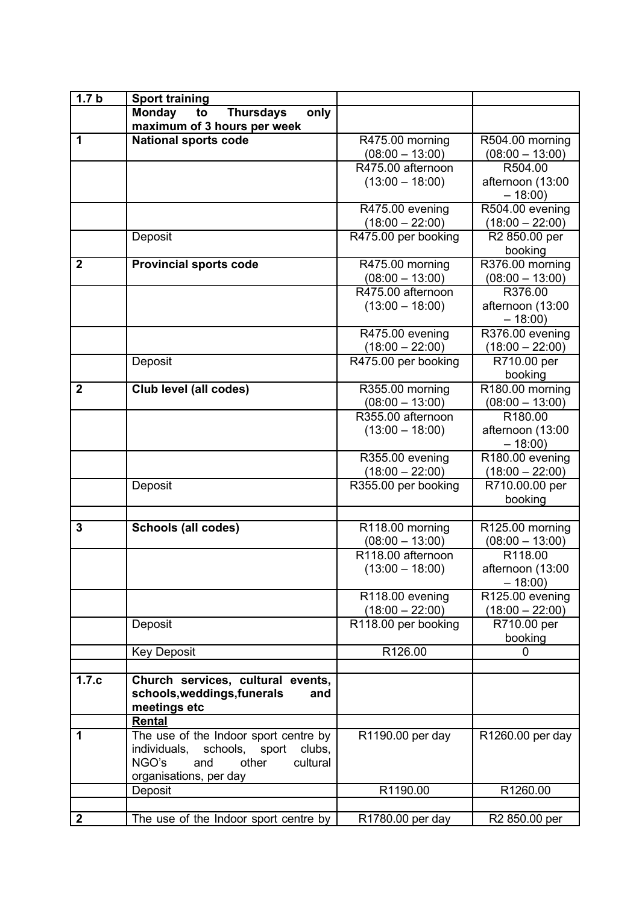| 1.7 <sub>b</sub> | <b>Sport training</b>                           |                                        |                              |
|------------------|-------------------------------------------------|----------------------------------------|------------------------------|
|                  | <b>Monday</b><br><b>Thursdays</b><br>only<br>to |                                        |                              |
|                  | maximum of 3 hours per week                     |                                        |                              |
| 1                | <b>National sports code</b>                     | R475.00 morning                        | R504.00 morning              |
|                  |                                                 | $(08:00 - 13:00)$                      | $(08:00 - 13:00)$            |
|                  |                                                 | R475.00 afternoon                      | R504.00                      |
|                  |                                                 | $(13:00 - 18:00)$                      | afternoon (13:00             |
|                  |                                                 |                                        | $-18:00$                     |
|                  |                                                 | R475.00 evening                        | R504.00 evening              |
|                  |                                                 | $(18:00 - 22:00)$                      | $(18:00 - 22:00)$            |
|                  | Deposit                                         | R475.00 per booking                    | R2 850.00 per                |
|                  |                                                 |                                        | booking                      |
| $\mathbf{2}$     |                                                 |                                        | R376.00 morning              |
|                  | <b>Provincial sports code</b>                   | R475.00 morning                        |                              |
|                  |                                                 | $(08:00 - 13:00)$<br>R475.00 afternoon | $(08:00 - 13:00)$<br>R376.00 |
|                  |                                                 |                                        |                              |
|                  |                                                 | $(13:00 - 18:00)$                      | afternoon (13:00             |
|                  |                                                 |                                        | $-18:00$                     |
|                  |                                                 | R475.00 evening                        | R376.00 evening              |
|                  |                                                 | $(18:00 - 22:00)$                      | $(18:00 - 22:00)$            |
|                  | Deposit                                         | R475.00 per booking                    | R710.00 per                  |
|                  |                                                 |                                        | booking                      |
| $\overline{2}$   | Club level (all codes)                          | R355.00 morning                        | R180.00 morning              |
|                  |                                                 | $(08:00 - 13:00)$                      | $(08:00 - 13:00)$            |
|                  |                                                 | R355.00 afternoon                      | R <sub>180.00</sub>          |
|                  |                                                 | $(13:00 - 18:00)$                      | afternoon (13:00             |
|                  |                                                 |                                        | $-18:00$                     |
|                  |                                                 | R355.00 evening                        | R180.00 evening              |
|                  |                                                 | $(18:00 - 22:00)$                      | $(18:00 - 22:00)$            |
|                  | Deposit                                         | R355.00 per booking                    | R710.00.00 per               |
|                  |                                                 |                                        | booking                      |
| 3                |                                                 |                                        |                              |
|                  | <b>Schools (all codes)</b>                      | R118.00 morning<br>$(08:00 - 13:00)$   | R125.00 morning              |
|                  |                                                 | R118.00 afternoon                      | $(08:00 - 13:00)$<br>R118.00 |
|                  |                                                 | $(13:00 - 18:00)$                      | afternoon (13:00             |
|                  |                                                 |                                        | $-18:00$                     |
|                  |                                                 | R118.00 evening                        | R125.00 evening              |
|                  |                                                 | $(18:00 - 22:00)$                      | $(18:00 - 22:00)$            |
|                  | Deposit                                         | R118.00 per booking                    | R710.00 per                  |
|                  |                                                 |                                        | booking                      |
|                  | <b>Key Deposit</b>                              | R126.00                                | 0                            |
|                  |                                                 |                                        |                              |
| 1.7.c            | Church services, cultural events,               |                                        |                              |
|                  | schools, weddings, funerals<br>and              |                                        |                              |
|                  | meetings etc                                    |                                        |                              |
|                  | Rental                                          |                                        |                              |
| 1                | The use of the Indoor sport centre by           | R1190.00 per day                       | R1260.00 per day             |
|                  | individuals,<br>schools, sport<br>clubs,        |                                        |                              |
|                  | NGO's<br>other<br>and<br>cultural               |                                        |                              |
|                  | organisations, per day                          |                                        |                              |
|                  | Deposit                                         | R1190.00                               | R1260.00                     |
|                  |                                                 |                                        |                              |
| $\mathbf{2}$     | The use of the Indoor sport centre by           | R1780.00 per day                       | R <sub>2</sub> 850.00 per    |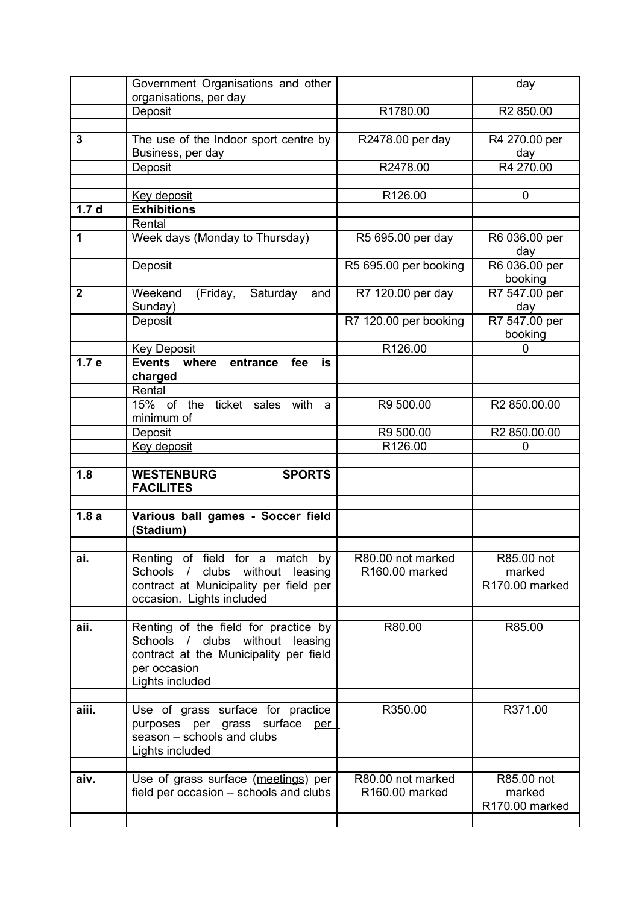|                  | Government Organisations and other                                                                                                                      |                                                 | day                                    |
|------------------|---------------------------------------------------------------------------------------------------------------------------------------------------------|-------------------------------------------------|----------------------------------------|
|                  | organisations, per day                                                                                                                                  |                                                 |                                        |
|                  | Deposit                                                                                                                                                 | R1780.00                                        | R2 850.00                              |
|                  |                                                                                                                                                         |                                                 |                                        |
| 3                | The use of the Indoor sport centre by<br>Business, per day                                                                                              | R2478.00 per day                                | R4 270.00 per<br>day                   |
|                  | Deposit                                                                                                                                                 | R2478.00                                        | R4 270.00                              |
|                  |                                                                                                                                                         |                                                 |                                        |
|                  | Key deposit                                                                                                                                             | R126.00                                         | 0                                      |
| 1.7 <sub>d</sub> | <b>Exhibitions</b>                                                                                                                                      |                                                 |                                        |
|                  | Rental                                                                                                                                                  |                                                 |                                        |
| 1                | Week days (Monday to Thursday)                                                                                                                          | R5 695.00 per day                               | R6 036.00 per<br>day                   |
|                  | Deposit                                                                                                                                                 | R5 695.00 per booking                           | R6 036.00 per<br>booking               |
| $\mathbf{2}$     | Weekend<br>(Friday, Saturday<br>and<br>Sunday)                                                                                                          | R7 120.00 per day                               | R7 547.00 per<br>day                   |
|                  | Deposit                                                                                                                                                 | R7 120.00 per booking                           | R7 547.00 per<br>booking               |
|                  | <b>Key Deposit</b>                                                                                                                                      | R126.00                                         | 0                                      |
| 1.7 <sub>e</sub> | <b>Events</b><br>where<br>entrance<br>fee<br>is<br>charged                                                                                              |                                                 |                                        |
|                  | Rental                                                                                                                                                  |                                                 |                                        |
|                  | 15% of the ticket sales<br>with<br>a<br>minimum of                                                                                                      | R9 500.00                                       | R2 850.00.00                           |
|                  | Deposit                                                                                                                                                 | R9 500.00                                       | R2 850.00.00                           |
|                  | Key deposit                                                                                                                                             | R126.00                                         | 0                                      |
|                  |                                                                                                                                                         |                                                 |                                        |
| 1.8              | <b>WESTENBURG</b><br><b>SPORTS</b><br><b>FACILITES</b>                                                                                                  |                                                 |                                        |
|                  |                                                                                                                                                         |                                                 |                                        |
| 1.8a             | Various ball games - Soccer field<br>(Stadium)                                                                                                          |                                                 |                                        |
|                  |                                                                                                                                                         |                                                 |                                        |
| ai.              | Renting of field for a match by<br>Schools / clubs without leasing<br>contract at Municipality per field per<br>occasion. Lights included               | R80.00 not marked<br>R <sub>160.00</sub> marked | R85.00 not<br>marked<br>R170.00 marked |
| aii.             | Renting of the field for practice by<br>Schools / clubs without<br>leasing<br>contract at the Municipality per field<br>per occasion<br>Lights included | R80.00                                          | R85.00                                 |
| aiii.            | Use of grass surface for practice<br>purposes per grass surface per<br>season - schools and clubs<br>Lights included                                    | R350.00                                         | R371.00                                |
|                  |                                                                                                                                                         |                                                 |                                        |
| aiv.             | Use of grass surface (meetings) per<br>field per occasion – schools and clubs                                                                           | R80.00 not marked<br>R160.00 marked             | R85.00 not<br>marked<br>R170.00 marked |
|                  |                                                                                                                                                         |                                                 |                                        |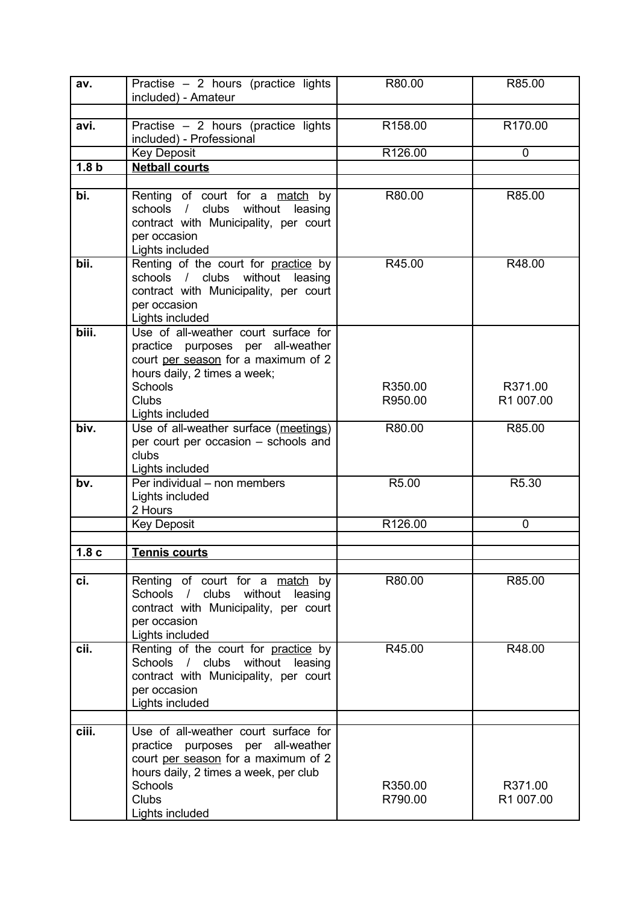| av.              | Practise $-2$ hours (practice lights                                        | R80.00              | R85.00      |
|------------------|-----------------------------------------------------------------------------|---------------------|-------------|
|                  | included) - Amateur                                                         |                     |             |
| avi.             | Practise - 2 hours (practice lights                                         | R <sub>158.00</sub> | R170.00     |
|                  | included) - Professional                                                    |                     |             |
|                  | <b>Key Deposit</b>                                                          | R126.00             | 0           |
| 1.8 <sub>b</sub> | <b>Netball courts</b>                                                       |                     |             |
| bi.              | Renting of court for a match by                                             | R80.00              | R85.00      |
|                  | schools / clubs without<br>leasing<br>contract with Municipality, per court |                     |             |
|                  | per occasion<br>Lights included                                             |                     |             |
| bii.             | Renting of the court for practice by                                        | R45.00              | R48.00      |
|                  | schools / clubs without<br>leasing                                          |                     |             |
|                  | contract with Municipality, per court                                       |                     |             |
|                  | per occasion<br>Lights included                                             |                     |             |
| biii.            | Use of all-weather court surface for                                        |                     |             |
|                  | practice purposes per all-weather                                           |                     |             |
|                  | court per season for a maximum of 2                                         |                     |             |
|                  | hours daily, 2 times a week;                                                |                     |             |
|                  | Schools                                                                     | R350.00             | R371.00     |
|                  | <b>Clubs</b>                                                                | R950.00             | R1 007.00   |
| biv.             | Lights included<br>Use of all-weather surface (meetings)                    | R80.00              | R85.00      |
|                  | per court per occasion - schools and                                        |                     |             |
|                  | clubs                                                                       |                     |             |
|                  | Lights included                                                             |                     |             |
| bv.              | Per individual - non members                                                | R5.00               | R5.30       |
|                  | Lights included<br>2 Hours                                                  |                     |             |
|                  | <b>Key Deposit</b>                                                          | R126.00             | $\mathbf 0$ |
|                  |                                                                             |                     |             |
| 1.8 <sub>c</sub> | <b>Tennis courts</b>                                                        |                     |             |
|                  |                                                                             |                     |             |
| ci.              | Renting of court for a match by<br>Schools / clubs without leasing          | R80.00              | R85.00      |
|                  | contract with Municipality, per court                                       |                     |             |
|                  | per occasion                                                                |                     |             |
|                  | Lights included                                                             |                     |             |
| cii.             | Renting of the court for practice by                                        | R45.00              | R48.00      |
|                  | without<br>Schools / clubs<br>leasing                                       |                     |             |
|                  | contract with Municipality, per court<br>per occasion                       |                     |             |
|                  | Lights included                                                             |                     |             |
|                  |                                                                             |                     |             |
| ciii.            | Use of all-weather court surface for                                        |                     |             |
|                  | practice purposes per all-weather                                           |                     |             |
|                  | court per season for a maximum of 2                                         |                     |             |
|                  | hours daily, 2 times a week, per club<br>Schools                            | R350.00             | R371.00     |
|                  | <b>Clubs</b>                                                                | R790.00             | R1 007.00   |
|                  | Lights included                                                             |                     |             |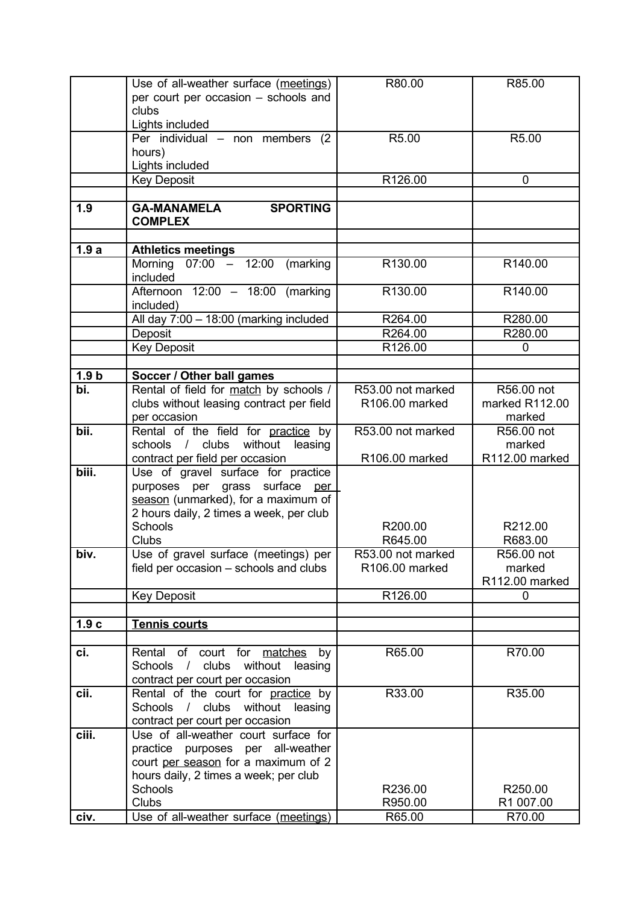|                  | Use of all-weather surface (meetings)    | R80.00            | R85.00         |
|------------------|------------------------------------------|-------------------|----------------|
|                  | per court per occasion - schools and     |                   |                |
|                  | clubs                                    |                   |                |
|                  | Lights included                          |                   |                |
|                  | Per individual $-$ non members<br>(2)    | R5.00             | R5.00          |
|                  | hours)                                   |                   |                |
|                  | Lights included                          |                   |                |
|                  | <b>Key Deposit</b>                       | R126.00           | 0              |
|                  |                                          |                   |                |
| 1.9              | <b>GA-MANAMELA</b><br><b>SPORTING</b>    |                   |                |
|                  | <b>COMPLEX</b>                           |                   |                |
|                  |                                          |                   |                |
| 1.9a             | <b>Athletics meetings</b>                |                   |                |
|                  | $07:00 - 12:00$<br>Morning<br>(marking   | R130.00           | R140.00        |
|                  | included                                 |                   |                |
|                  | Afternoon $12:00 - 18:00$ (marking       | R130.00           | R140.00        |
|                  | included)                                |                   |                |
|                  | All day 7:00 - 18:00 (marking included   | R264.00           | R280.00        |
|                  | Deposit                                  | R264.00           | R280.00        |
|                  | <b>Key Deposit</b>                       | R126.00           | 0              |
|                  |                                          |                   |                |
| 1.9 <sub>b</sub> | Soccer / Other ball games                |                   |                |
| bi.              | Rental of field for match by schools /   | R53.00 not marked | R56.00 not     |
|                  | clubs without leasing contract per field | R106.00 marked    | marked R112.00 |
|                  | per occasion                             |                   | marked         |
| bii.             | Rental of the field for practice by      | R53.00 not marked | R56.00 not     |
|                  | schools / clubs without<br>leasing       |                   | marked         |
|                  | contract per field per occasion          | R106.00 marked    | R112.00 marked |
| biii.            | Use of gravel surface for practice       |                   |                |
|                  | purposes per grass surface per           |                   |                |
|                  | season (unmarked), for a maximum of      |                   |                |
|                  | 2 hours daily, 2 times a week, per club  |                   |                |
|                  | Schools                                  | R200.00           | R212.00        |
|                  | <b>Clubs</b>                             | R645.00           | R683.00        |
| biv.             | Use of gravel surface (meetings) per     | R53.00 not marked | R56.00 not     |
|                  | field per occasion – schools and clubs   | R106.00 marked    | marked         |
|                  |                                          |                   | R112.00 marked |
|                  | <b>Key Deposit</b>                       | R126.00           | 0              |
|                  |                                          |                   |                |
| 1.9c             | <b>Tennis courts</b>                     |                   |                |
|                  |                                          |                   |                |
| ci.              | Rental of court for matches by           | R65.00            | R70.00         |
|                  | Schools / clubs without leasing          |                   |                |
|                  | contract per court per occasion          |                   |                |
| cii.             | Rental of the court for practice by      | R33.00            | R35.00         |
|                  | Schools / clubs without leasing          |                   |                |
|                  | contract per court per occasion          |                   |                |
| ciii.            | Use of all-weather court surface for     |                   |                |
|                  | practice purposes per all-weather        |                   |                |
|                  | court per season for a maximum of 2      |                   |                |
|                  | hours daily, 2 times a week; per club    |                   |                |
|                  | Schools                                  | R236.00           | R250.00        |
|                  | Clubs                                    | R950.00           | R1 007.00      |
| civ.             | Use of all-weather surface (meetings)    | R65.00            | R70.00         |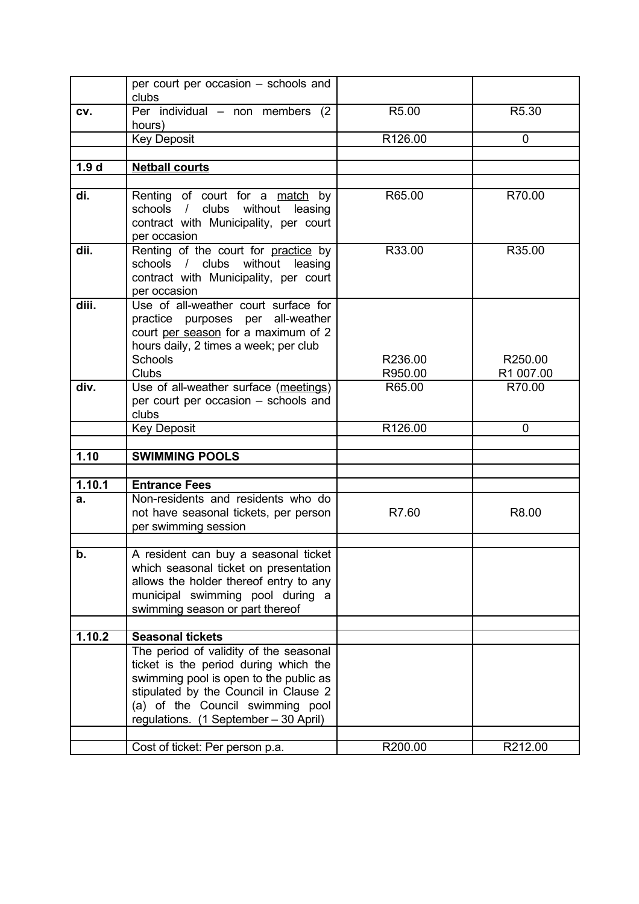|                  | per court per occasion - schools and<br>clubs                                                                                                                                                                                                   |                    |                      |
|------------------|-------------------------------------------------------------------------------------------------------------------------------------------------------------------------------------------------------------------------------------------------|--------------------|----------------------|
| CV.              | Per individual - non members (2<br>hours)                                                                                                                                                                                                       | R5.00              | R5.30                |
|                  | <b>Key Deposit</b>                                                                                                                                                                                                                              | R126.00            | 0                    |
|                  |                                                                                                                                                                                                                                                 |                    |                      |
| 1.9 <sub>d</sub> | <b>Netball courts</b>                                                                                                                                                                                                                           |                    |                      |
|                  |                                                                                                                                                                                                                                                 |                    |                      |
| di.              | Renting of court for a match by<br>schools / clubs without leasing<br>contract with Municipality, per court<br>per occasion                                                                                                                     | R65.00             | R70.00               |
| dii.             | Renting of the court for practice by<br>schools / clubs without leasing<br>contract with Municipality, per court<br>per occasion                                                                                                                | R33.00             | R35.00               |
| diii.            | Use of all-weather court surface for<br>practice purposes per all-weather<br>court per season for a maximum of 2<br>hours daily, 2 times a week; per club<br>Schools<br>Clubs                                                                   | R236.00<br>R950.00 | R250.00<br>R1 007.00 |
| div.             | Use of all-weather surface (meetings)                                                                                                                                                                                                           | R65.00             | R70.00               |
|                  | per court per occasion - schools and                                                                                                                                                                                                            |                    |                      |
|                  | clubs                                                                                                                                                                                                                                           |                    |                      |
|                  |                                                                                                                                                                                                                                                 |                    |                      |
|                  | <b>Key Deposit</b>                                                                                                                                                                                                                              | R126.00            | $\Omega$             |
|                  |                                                                                                                                                                                                                                                 |                    |                      |
| 1.10             | <b>SWIMMING POOLS</b>                                                                                                                                                                                                                           |                    |                      |
|                  |                                                                                                                                                                                                                                                 |                    |                      |
| 1.10.1           | <b>Entrance Fees</b>                                                                                                                                                                                                                            |                    |                      |
| a.               | Non-residents and residents who do<br>not have seasonal tickets, per person<br>per swimming session                                                                                                                                             | R7.60              | R8.00                |
|                  |                                                                                                                                                                                                                                                 |                    |                      |
| b.               | A resident can buy a seasonal ticket<br>which seasonal ticket on presentation<br>allows the holder thereof entry to any<br>municipal swimming pool during a<br>swimming season or part thereof                                                  |                    |                      |
| 1.10.2           | <b>Seasonal tickets</b>                                                                                                                                                                                                                         |                    |                      |
|                  | The period of validity of the seasonal<br>ticket is the period during which the<br>swimming pool is open to the public as<br>stipulated by the Council in Clause 2<br>(a) of the Council swimming pool<br>regulations. (1 September - 30 April) |                    | R212.00              |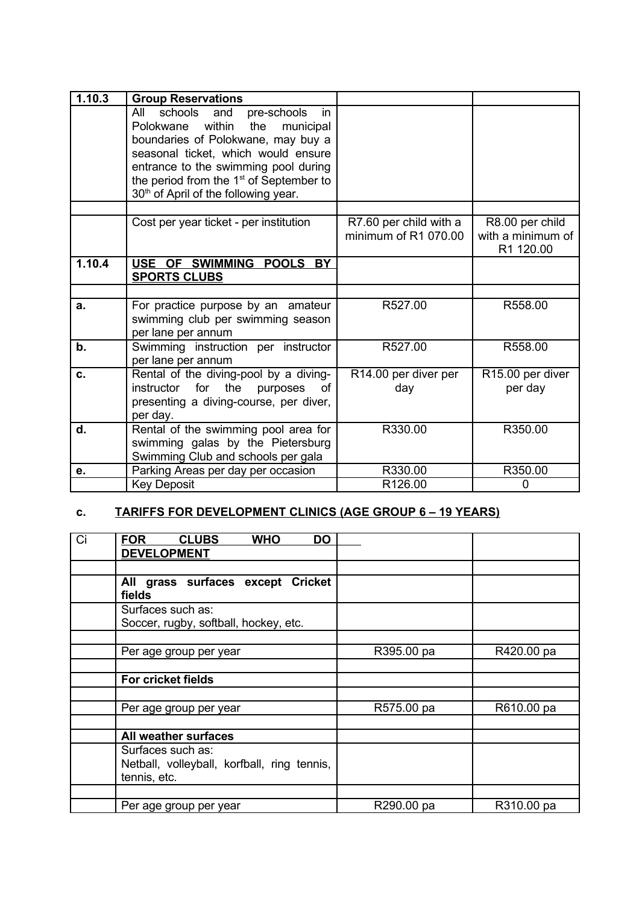| 1.10.3 | <b>Group Reservations</b>                                                                                                                                                                                                                                                                                           |                                                |                                                   |
|--------|---------------------------------------------------------------------------------------------------------------------------------------------------------------------------------------------------------------------------------------------------------------------------------------------------------------------|------------------------------------------------|---------------------------------------------------|
|        | schools and<br>All<br>pre-schools<br>in.<br>within<br>the<br>municipal<br>Polokwane<br>boundaries of Polokwane, may buy a<br>seasonal ticket, which would ensure<br>entrance to the swimming pool during<br>the period from the 1 <sup>st</sup> of September to<br>30 <sup>th</sup> of April of the following year. |                                                |                                                   |
|        | Cost per year ticket - per institution                                                                                                                                                                                                                                                                              | R7.60 per child with a<br>minimum of R1 070.00 | R8.00 per child<br>with a minimum of<br>R1 120.00 |
| 1.10.4 | USE OF SWIMMING POOLS BY<br><b>SPORTS CLUBS</b>                                                                                                                                                                                                                                                                     |                                                |                                                   |
|        |                                                                                                                                                                                                                                                                                                                     |                                                |                                                   |
| a.     | For practice purpose by an amateur<br>swimming club per swimming season<br>per lane per annum                                                                                                                                                                                                                       | R527.00                                        | R558.00                                           |
| b.     | Swimming instruction per instructor<br>per lane per annum                                                                                                                                                                                                                                                           | R527.00                                        | R558.00                                           |
| C.     | Rental of the diving-pool by a diving-<br>instructor for<br>the<br>purposes<br>of<br>presenting a diving-course, per diver,<br>per day.                                                                                                                                                                             | R14.00 per diver per<br>day                    | R15.00 per diver<br>per day                       |
| d.     | Rental of the swimming pool area for<br>swimming galas by the Pietersburg<br>Swimming Club and schools per gala                                                                                                                                                                                                     | R330.00                                        | R350.00                                           |
| е.     | Parking Areas per day per occasion                                                                                                                                                                                                                                                                                  | R330.00                                        | R350.00                                           |
|        | <b>Key Deposit</b>                                                                                                                                                                                                                                                                                                  | R126.00                                        | 0                                                 |

## **c. TARIFFS FOR DEVELOPMENT CLINICS (AGE GROUP 6 – 19 YEARS)**

| Ci | <b>FOR</b><br><b>CLUBS</b><br><b>WHO</b><br>DO<br><b>DEVELOPMENT</b>             |            |            |
|----|----------------------------------------------------------------------------------|------------|------------|
|    |                                                                                  |            |            |
|    | All grass surfaces except Cricket<br>fields                                      |            |            |
|    | Surfaces such as:<br>Soccer, rugby, softball, hockey, etc.                       |            |            |
|    |                                                                                  |            |            |
|    | Per age group per year                                                           | R395.00 pa | R420.00 pa |
|    |                                                                                  |            |            |
|    | <b>For cricket fields</b>                                                        |            |            |
|    |                                                                                  |            |            |
|    | Per age group per year                                                           | R575.00 pa | R610.00 pa |
|    |                                                                                  |            |            |
|    | All weather surfaces                                                             |            |            |
|    | Surfaces such as:<br>Netball, volleyball, korfball, ring tennis,<br>tennis, etc. |            |            |
|    |                                                                                  |            |            |
|    | Per age group per year                                                           | R290.00 pa | R310.00 pa |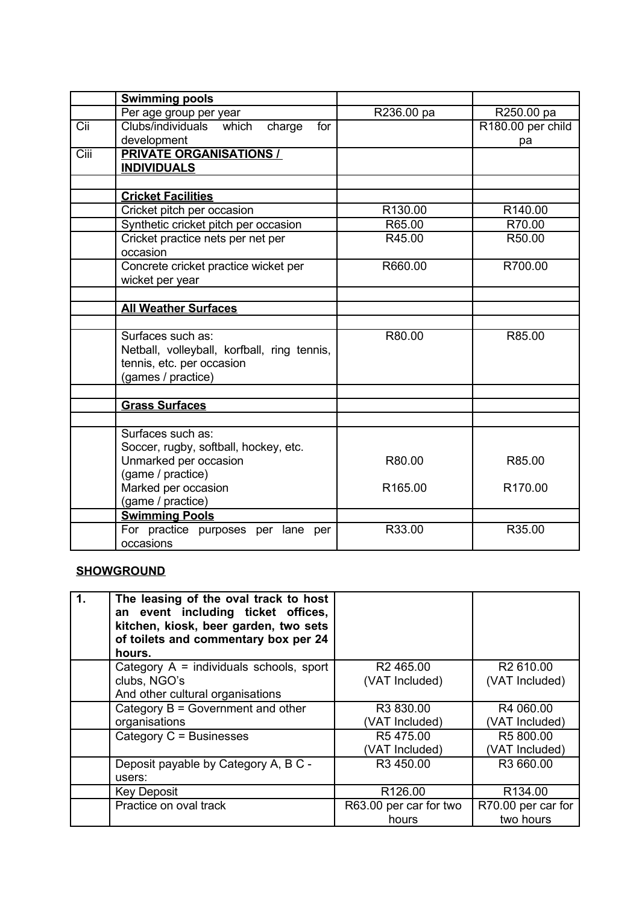|      | <b>Swimming pools</b>                       |            |                   |
|------|---------------------------------------------|------------|-------------------|
|      | Per age group per year                      | R236.00 pa | R250.00 pa        |
| Cii  | Clubs/individuals<br>which<br>charge<br>for |            | R180.00 per child |
|      | development                                 |            | pa                |
| Ciii | <b>PRIVATE ORGANISATIONS /</b>              |            |                   |
|      | <b>INDIVIDUALS</b>                          |            |                   |
|      |                                             |            |                   |
|      | <b>Cricket Facilities</b>                   |            |                   |
|      | Cricket pitch per occasion                  | R130.00    | R140.00           |
|      | Synthetic cricket pitch per occasion        | R65.00     | R70.00            |
|      | Cricket practice nets per net per           | R45.00     | R50.00            |
|      | occasion                                    |            |                   |
|      | Concrete cricket practice wicket per        | R660.00    | R700.00           |
|      | wicket per year                             |            |                   |
|      |                                             |            |                   |
|      | <b>All Weather Surfaces</b>                 |            |                   |
|      |                                             |            |                   |
|      | Surfaces such as:                           | R80.00     | R85.00            |
|      | Netball, volleyball, korfball, ring tennis, |            |                   |
|      | tennis, etc. per occasion                   |            |                   |
|      | (games / practice)                          |            |                   |
|      |                                             |            |                   |
|      | <b>Grass Surfaces</b>                       |            |                   |
|      |                                             |            |                   |
|      | Surfaces such as:                           |            |                   |
|      | Soccer, rugby, softball, hockey, etc.       |            |                   |
|      | Unmarked per occasion                       | R80.00     | R85.00            |
|      | (game / practice)                           |            |                   |
|      | Marked per occasion                         | R165.00    | R170.00           |
|      | (game / practice)                           |            |                   |
|      | <b>Swimming Pools</b>                       |            |                   |
|      | For practice purposes per lane per          | R33.00     | R35.00            |
|      | occasions                                   |            |                   |

### **SHOWGROUND**

| 1. | The leasing of the oval track to host<br>an event including ticket offices,<br>kitchen, kiosk, beer garden, two sets<br>of toilets and commentary box per 24<br>hours. |                        |                       |
|----|------------------------------------------------------------------------------------------------------------------------------------------------------------------------|------------------------|-----------------------|
|    | Category $A =$ individuals schools, sport                                                                                                                              | R <sub>2</sub> 465.00  | R <sub>2</sub> 610.00 |
|    | clubs, NGO's                                                                                                                                                           | (VAT Included)         | (VAT Included)        |
|    | And other cultural organisations                                                                                                                                       |                        |                       |
|    | Category $B = Gover$ nment and other                                                                                                                                   | R3 830.00              | R4 060.00             |
|    | organisations                                                                                                                                                          | (VAT Included)         | (VAT Included)        |
|    | Category C = Businesses                                                                                                                                                | R5475.00               | R5 800.00             |
|    |                                                                                                                                                                        | (VAT Included)         | (VAT Included)        |
|    | Deposit payable by Category A, B C -<br>users:                                                                                                                         | R3 450.00              | R3 660.00             |
|    | <b>Key Deposit</b>                                                                                                                                                     | R126.00                | R134.00               |
|    | Practice on oval track                                                                                                                                                 | R63.00 per car for two | R70.00 per car for    |
|    |                                                                                                                                                                        | hours                  | two hours             |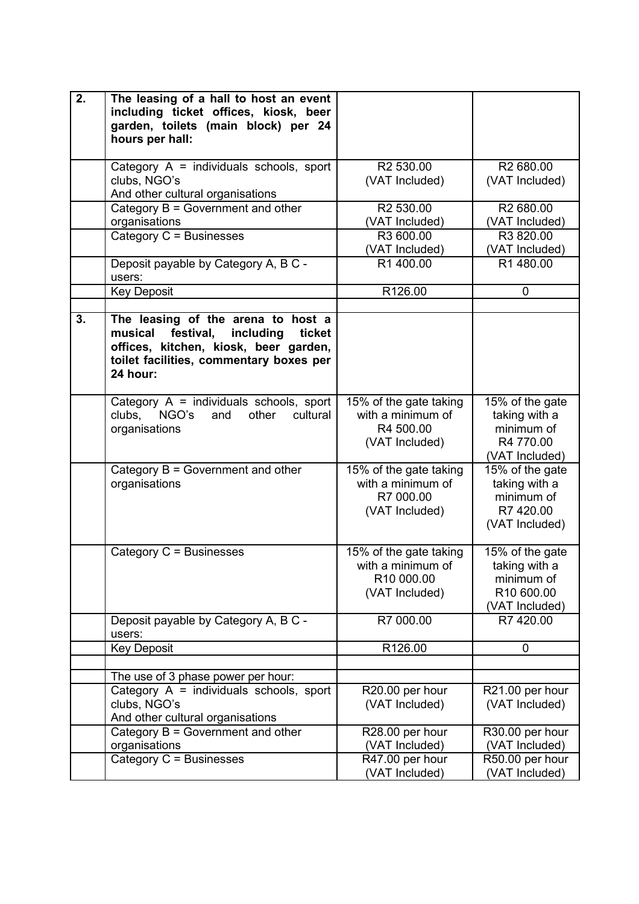| 2. | The leasing of a hall to host an event<br>including ticket offices, kiosk, beer<br>garden, toilets (main block) per 24<br>hours per hall:                                         |                                                                             |                                                                                |
|----|-----------------------------------------------------------------------------------------------------------------------------------------------------------------------------------|-----------------------------------------------------------------------------|--------------------------------------------------------------------------------|
|    | Category $A =$ individuals schools, sport<br>clubs, NGO's<br>And other cultural organisations                                                                                     | R2 530.00<br>(VAT Included)                                                 | R <sub>2</sub> 680.00<br>(VAT Included)                                        |
|    | Category $B = Gover$ nment and other<br>organisations                                                                                                                             | R2 530.00<br>(VAT Included)                                                 | R2 680.00<br>(VAT Included)                                                    |
|    | Category C = Businesses                                                                                                                                                           | R3 600.00<br>(VAT Included)                                                 | R3 820.00<br>(VAT Included)                                                    |
|    | Deposit payable by Category A, B C -<br>users:                                                                                                                                    | R1 400.00                                                                   | R1 480.00                                                                      |
|    | <b>Key Deposit</b>                                                                                                                                                                | R126.00                                                                     | 0                                                                              |
| 3. | The leasing of the arena to host a<br>musical<br>festival,<br>including<br>ticket<br>offices, kitchen, kiosk, beer garden,<br>toilet facilities, commentary boxes per<br>24 hour: |                                                                             |                                                                                |
|    | Category $A =$ individuals schools, sport<br>NGO's<br>and<br>cultural<br>clubs,<br>other<br>organisations                                                                         | 15% of the gate taking<br>with a minimum of<br>R4 500.00<br>(VAT Included)  | 15% of the gate<br>taking with a<br>minimum of<br>R4 770.00<br>(VAT Included)  |
|    | Category $B = Gover$ nment and other<br>organisations                                                                                                                             | 15% of the gate taking<br>with a minimum of<br>R7 000.00<br>(VAT Included)  | 15% of the gate<br>taking with a<br>minimum of<br>R7 420.00<br>(VAT Included)  |
|    | Category C = Businesses                                                                                                                                                           | 15% of the gate taking<br>with a minimum of<br>R10 000.00<br>(VAT Included) | 15% of the gate<br>taking with a<br>minimum of<br>R10 600.00<br>(VAT Included) |
|    | Deposit payable by Category A, B C -<br>users:                                                                                                                                    | R7 000.00                                                                   | R7 420.00                                                                      |
|    | <b>Key Deposit</b>                                                                                                                                                                | R126.00                                                                     | 0                                                                              |
|    | The use of 3 phase power per hour:                                                                                                                                                |                                                                             |                                                                                |
|    | Category $A =$ individuals schools, sport<br>clubs, NGO's<br>And other cultural organisations                                                                                     | R20.00 per hour<br>(VAT Included)                                           | R21.00 per hour<br>(VAT Included)                                              |
|    | Category $B = Gover$ nment and other<br>organisations                                                                                                                             | R28.00 per hour<br>(VAT Included)                                           | R30.00 per hour<br>(VAT Included)                                              |
|    | Category C = Businesses                                                                                                                                                           | R47.00 per hour<br>(VAT Included)                                           | R50.00 per hour<br>(VAT Included)                                              |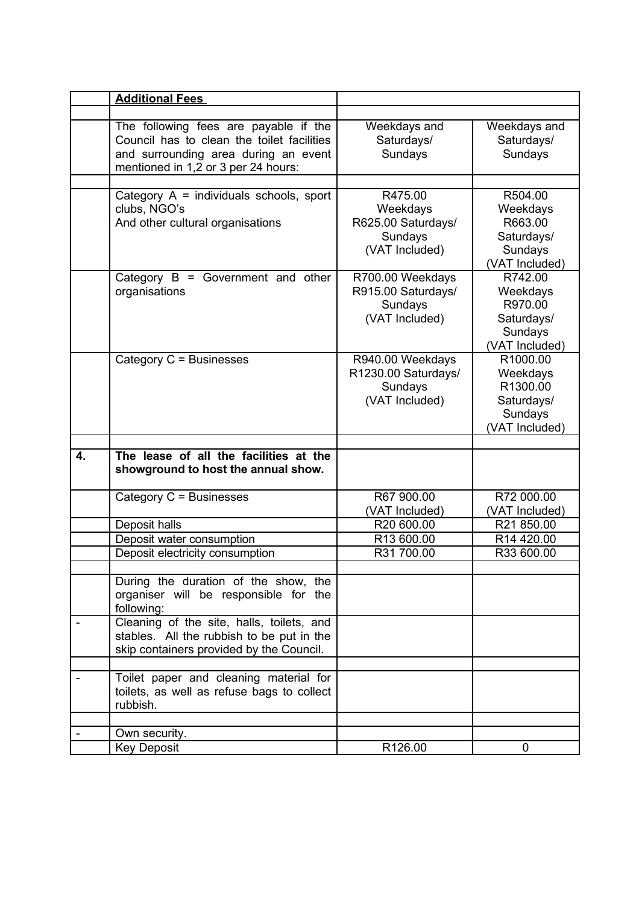|                           | <b>Additional Fees</b>                                                                                                                                             |                                                                        |                                                                             |
|---------------------------|--------------------------------------------------------------------------------------------------------------------------------------------------------------------|------------------------------------------------------------------------|-----------------------------------------------------------------------------|
|                           |                                                                                                                                                                    |                                                                        |                                                                             |
|                           | The following fees are payable if the<br>Council has to clean the toilet facilities<br>and surrounding area during an event<br>mentioned in 1,2 or 3 per 24 hours: | Weekdays and<br>Saturdays/<br>Sundays                                  | Weekdays and<br>Saturdays/<br>Sundays                                       |
|                           |                                                                                                                                                                    |                                                                        |                                                                             |
|                           | Category $A =$ individuals schools, sport<br>clubs, NGO's<br>And other cultural organisations                                                                      | R475.00<br>Weekdays<br>R625.00 Saturdays/<br>Sundays<br>(VAT Included) | R504.00<br>Weekdays<br>R663.00<br>Saturdays/<br>Sundays<br>(VAT Included)   |
|                           | Category $B = Gover$ nment and other<br>organisations                                                                                                              | R700.00 Weekdays<br>R915.00 Saturdays/<br>Sundays<br>(VAT Included)    | R742.00<br>Weekdays<br>R970.00<br>Saturdays/<br>Sundays<br>(VAT Included)   |
|                           | Category C = Businesses                                                                                                                                            | R940.00 Weekdays<br>R1230.00 Saturdays/<br>Sundays<br>(VAT Included)   | R1000.00<br>Weekdays<br>R1300.00<br>Saturdays/<br>Sundays<br>(VAT Included) |
|                           |                                                                                                                                                                    |                                                                        |                                                                             |
| $\overline{\mathbf{4}}$ . | The lease of all the facilities at the<br>showground to host the annual show.                                                                                      |                                                                        |                                                                             |
|                           | Category C = Businesses                                                                                                                                            | R67 900.00<br>(VAT Included)                                           | R72 000.00<br>(VAT Included)                                                |
|                           | Deposit halls                                                                                                                                                      | R20 600.00                                                             | R21 850.00                                                                  |
|                           | Deposit water consumption<br>Deposit electricity consumption                                                                                                       | R13 600.00<br>R31 700.00                                               | R14 420.00<br>R33 600.00                                                    |
|                           | During the duration of the show, the<br>organiser will be responsible for the<br>following:                                                                        |                                                                        |                                                                             |
|                           | Cleaning of the site, halls, toilets, and<br>stables. All the rubbish to be put in the<br>skip containers provided by the Council.                                 |                                                                        |                                                                             |
|                           | Toilet paper and cleaning material for<br>toilets, as well as refuse bags to collect<br>rubbish.                                                                   |                                                                        |                                                                             |
|                           |                                                                                                                                                                    |                                                                        |                                                                             |
|                           | Own security.<br><b>Key Deposit</b>                                                                                                                                | R126.00                                                                | 0                                                                           |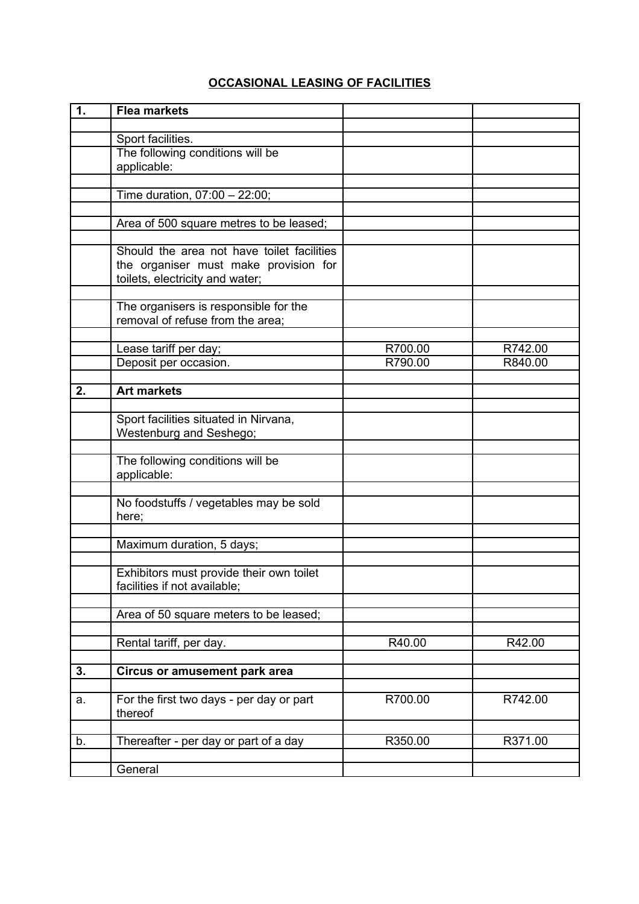# **OCCASIONAL LEASING OF FACILITIES**

| 1. | <b>Flea markets</b>                                                                                                    |         |         |
|----|------------------------------------------------------------------------------------------------------------------------|---------|---------|
|    |                                                                                                                        |         |         |
|    | Sport facilities.<br>The following conditions will be                                                                  |         |         |
|    | applicable:                                                                                                            |         |         |
|    |                                                                                                                        |         |         |
|    | Time duration, 07:00 - 22:00;                                                                                          |         |         |
|    | Area of 500 square metres to be leased;                                                                                |         |         |
|    |                                                                                                                        |         |         |
|    | Should the area not have toilet facilities<br>the organiser must make provision for<br>toilets, electricity and water; |         |         |
|    | The organisers is responsible for the<br>removal of refuse from the area;                                              |         |         |
|    | Lease tariff per day;                                                                                                  | R700.00 | R742.00 |
|    | Deposit per occasion.                                                                                                  | R790.00 | R840.00 |
|    |                                                                                                                        |         |         |
| 2. | <b>Art markets</b>                                                                                                     |         |         |
|    | Sport facilities situated in Nirvana,<br>Westenburg and Seshego;                                                       |         |         |
|    | The following conditions will be<br>applicable:                                                                        |         |         |
|    | No foodstuffs / vegetables may be sold<br>here;                                                                        |         |         |
|    | Maximum duration, 5 days;                                                                                              |         |         |
|    | Exhibitors must provide their own toilet<br>facilities if not available;                                               |         |         |
|    | Area of 50 square meters to be leased;                                                                                 |         |         |
|    | Rental tariff, per day.                                                                                                | R40.00  | R42.00  |
| 3. | <b>Circus or amusement park area</b>                                                                                   |         |         |
|    |                                                                                                                        |         |         |
| a. | For the first two days - per day or part<br>thereof                                                                    | R700.00 | R742.00 |
| b. | Thereafter - per day or part of a day                                                                                  | R350.00 | R371.00 |
|    | General                                                                                                                |         |         |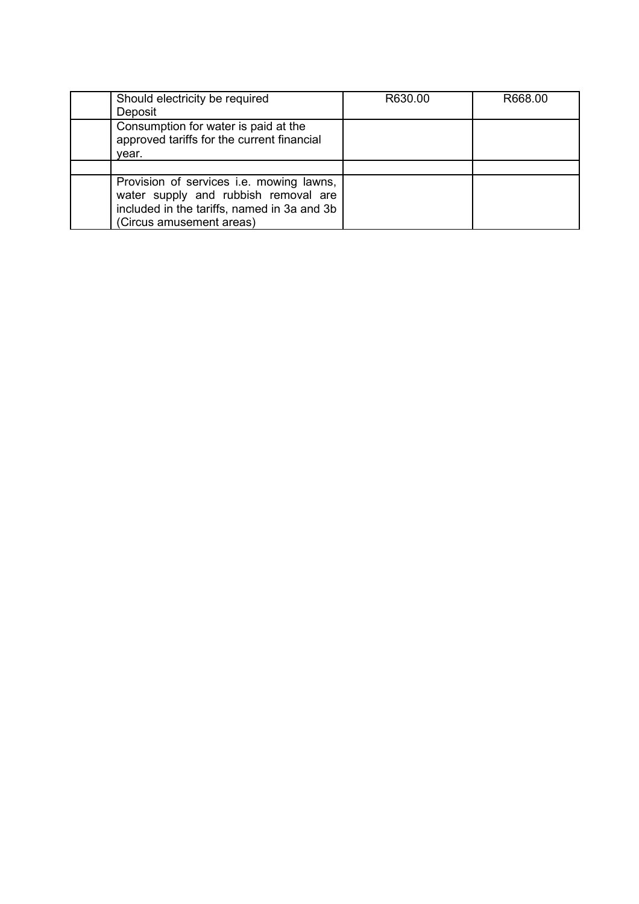| Should electricity be required<br>Deposit                                                                                                                   | R630.00 | R668.00 |
|-------------------------------------------------------------------------------------------------------------------------------------------------------------|---------|---------|
| Consumption for water is paid at the<br>approved tariffs for the current financial<br>vear.                                                                 |         |         |
|                                                                                                                                                             |         |         |
| Provision of services i.e. mowing lawns,<br>water supply and rubbish removal are<br>included in the tariffs, named in 3a and 3b<br>(Circus amusement areas) |         |         |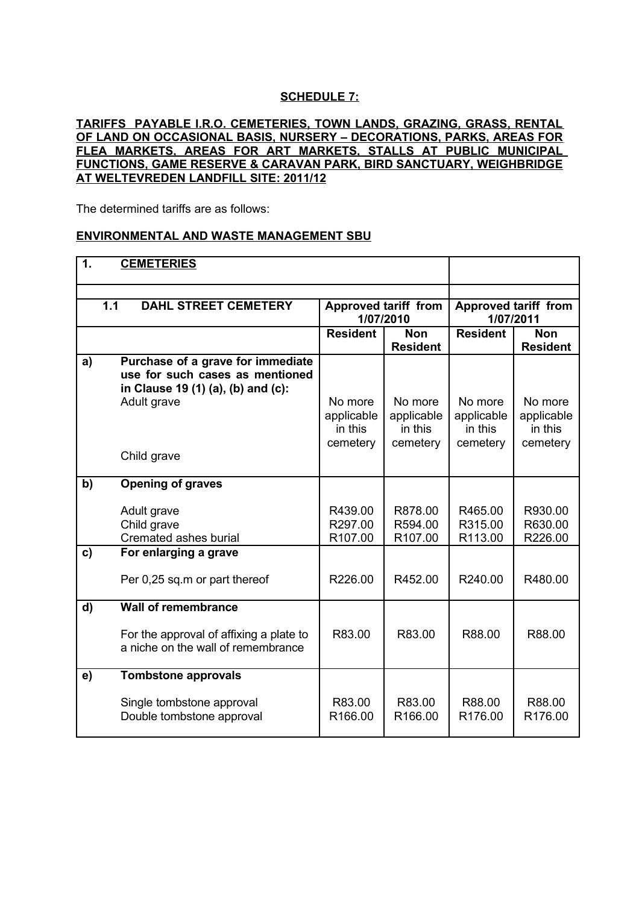### **SCHEDULE 7:**

#### **TARIFFS PAYABLE I.R.O. CEMETERIES, TOWN LANDS, GRAZING, GRASS, RENTAL OF LAND ON OCCASIONAL BASIS, NURSERY – DECORATIONS, PARKS, AREAS FOR FLEA MARKETS, AREAS FOR ART MARKETS, STALLS AT PUBLIC MUNICIPAL FUNCTIONS, GAME RESERVE & CARAVAN PARK, BIRD SANCTUARY, WEIGHBRIDGE AT WELTEVREDEN LANDFILL SITE: 2011/12**

The determined tariffs are as follows:

#### **ENVIRONMENTAL AND WASTE MANAGEMENT SBU**

| $\mathbf 1$  | <b>CEMETERIES</b>                                                                                                                        |                                              |                                              |                                              |                                              |
|--------------|------------------------------------------------------------------------------------------------------------------------------------------|----------------------------------------------|----------------------------------------------|----------------------------------------------|----------------------------------------------|
|              | 1.1<br><b>DAHL STREET CEMETERY</b>                                                                                                       | <b>Approved tariff from</b><br>1/07/2010     |                                              | <b>Approved tariff from</b><br>1/07/2011     |                                              |
|              |                                                                                                                                          | <b>Resident</b>                              | <b>Non</b><br><b>Resident</b>                | <b>Resident</b>                              | <b>Non</b><br><b>Resident</b>                |
| a)           | Purchase of a grave for immediate<br>use for such cases as mentioned<br>in Clause 19 (1) (a), (b) and (c):<br>Adult grave<br>Child grave | No more<br>applicable<br>in this<br>cemetery | No more<br>applicable<br>in this<br>cemetery | No more<br>applicable<br>in this<br>cemetery | No more<br>applicable<br>in this<br>cemetery |
| b)           | <b>Opening of graves</b>                                                                                                                 |                                              |                                              |                                              |                                              |
|              | Adult grave<br>Child grave<br>Cremated ashes burial                                                                                      | R439.00<br>R297.00<br>R107.00                | R878.00<br>R594.00<br>R107.00                | R465.00<br>R315.00<br>R113.00                | R930.00<br>R630.00<br>R226.00                |
| $\mathbf{c}$ | For enlarging a grave                                                                                                                    |                                              |                                              |                                              |                                              |
|              | Per 0,25 sq.m or part thereof                                                                                                            | R226.00                                      | R452.00                                      | R240.00                                      | R480.00                                      |
| d)           | <b>Wall of remembrance</b>                                                                                                               |                                              |                                              |                                              |                                              |
|              | For the approval of affixing a plate to<br>a niche on the wall of remembrance                                                            | R83.00                                       | R83.00                                       | R88.00                                       | R88.00                                       |
| e)           | <b>Tombstone approvals</b>                                                                                                               |                                              |                                              |                                              |                                              |
|              | Single tombstone approval<br>Double tombstone approval                                                                                   | R83.00<br>R166.00                            | R83.00<br>R166.00                            | R88.00<br>R176.00                            | R88.00<br>R176.00                            |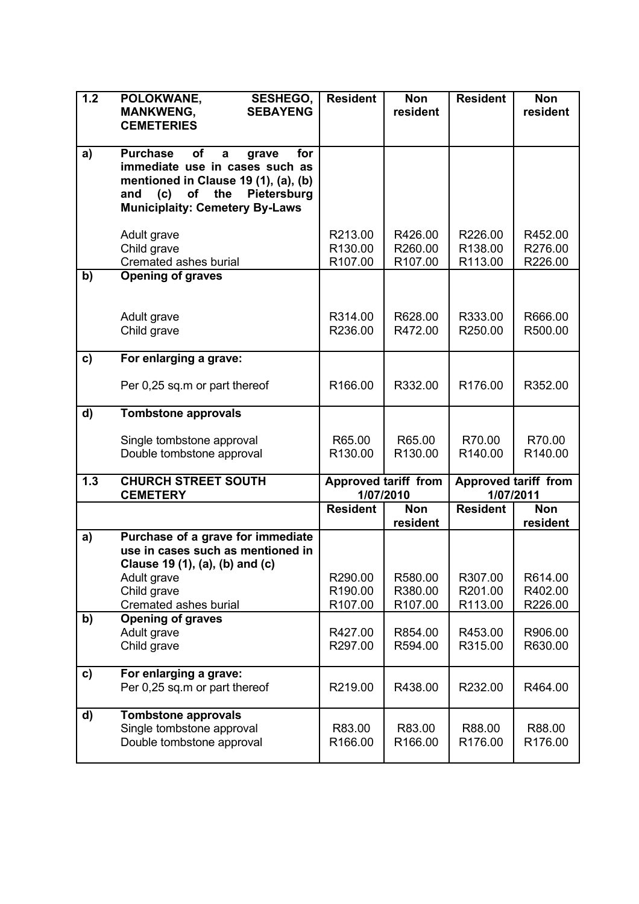| 1.2          | POLOKWANE,<br><b>SESHEGO,</b>                                          | <b>Resident</b>    | <b>Non</b>                  | <b>Resident</b>    | <b>Non</b>                  |
|--------------|------------------------------------------------------------------------|--------------------|-----------------------------|--------------------|-----------------------------|
|              | <b>SEBAYENG</b><br><b>MANKWENG,</b><br><b>CEMETERIES</b>               |                    | resident                    |                    | resident                    |
|              |                                                                        |                    |                             |                    |                             |
| a)           | <b>Purchase</b><br>of<br>for<br>$\mathbf a$<br>grave                   |                    |                             |                    |                             |
|              | immediate use in cases such as<br>mentioned in Clause 19 (1), (a), (b) |                    |                             |                    |                             |
|              | (c)<br>of<br>the<br>Pietersburg<br>and                                 |                    |                             |                    |                             |
|              | <b>Municiplaity: Cemetery By-Laws</b>                                  |                    |                             |                    |                             |
|              | Adult grave                                                            | R213.00            | R426.00                     | R226.00            | R452.00                     |
|              | Child grave                                                            | R130.00            | R260.00                     | R138.00            | R276.00                     |
|              | Cremated ashes burial                                                  | R107.00            | R <sub>107.00</sub>         | R113.00            | R226.00                     |
| b)           | <b>Opening of graves</b>                                               |                    |                             |                    |                             |
|              |                                                                        |                    |                             |                    |                             |
|              | Adult grave                                                            | R314.00<br>R236.00 | R628.00                     | R333.00<br>R250.00 | R666.00                     |
|              | Child grave                                                            |                    | R472.00                     |                    | R500.00                     |
| $\mathbf{c}$ | For enlarging a grave:                                                 |                    |                             |                    |                             |
|              | Per 0,25 sq.m or part thereof                                          | R166.00            | R332.00                     | R176.00            | R352.00                     |
|              |                                                                        |                    |                             |                    |                             |
| d)           | <b>Tombstone approvals</b>                                             |                    |                             |                    |                             |
|              | Single tombstone approval                                              | R65.00             | R65.00                      | R70.00             | R70.00                      |
|              | Double tombstone approval                                              | R130.00            | R130.00                     | R140.00            | R140.00                     |
| 1.3          | <b>CHURCH STREET SOUTH</b>                                             |                    | <b>Approved tariff from</b> |                    | <b>Approved tariff from</b> |
|              | <b>CEMETERY</b>                                                        |                    | 1/07/2010                   | 1/07/2011          |                             |
|              |                                                                        | <b>Resident</b>    | <b>Non</b><br>resident      | <b>Resident</b>    | <b>Non</b><br>resident      |
| a)           | Purchase of a grave for immediate                                      |                    |                             |                    |                             |
|              | use in cases such as mentioned in                                      |                    |                             |                    |                             |
|              | Clause 19 (1), (a), (b) and (c)<br>Adult grave                         | R290.00            | R580.00                     | R307.00            | R614.00                     |
|              | Child grave                                                            | R190.00            | R380.00                     | R201.00            | R402.00                     |
|              | Cremated ashes burial                                                  | R107.00            | R107.00                     | R113.00            | R226.00                     |
| b)           | <b>Opening of graves</b>                                               |                    |                             |                    |                             |
|              | Adult grave<br>Child grave                                             | R427.00<br>R297.00 | R854.00<br>R594.00          | R453.00<br>R315.00 | R906.00<br>R630.00          |
|              |                                                                        |                    |                             |                    |                             |
| $\mathbf{c}$ | For enlarging a grave:                                                 |                    |                             |                    |                             |
|              | Per 0,25 sq.m or part thereof                                          | R219.00            | R438.00                     | R232.00            | R464.00                     |
| d)           | <b>Tombstone approvals</b>                                             |                    |                             |                    |                             |
|              | Single tombstone approval                                              | R83.00             | R83.00                      | R88.00             | R88.00                      |
|              | Double tombstone approval                                              | R166.00            | R166.00                     | R176.00            | R176.00                     |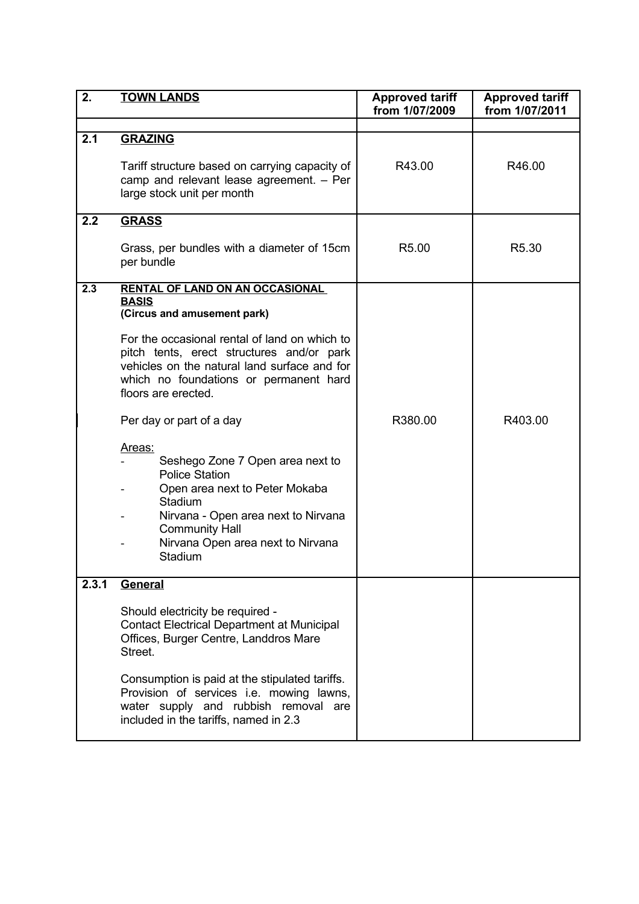| 2.    | <b>TOWN LANDS</b>                                                                                                                                                                                                                                                                                                                                                                                                                                                                                                                                                    | <b>Approved tariff</b><br>from 1/07/2009 | <b>Approved tariff</b><br>from 1/07/2011 |
|-------|----------------------------------------------------------------------------------------------------------------------------------------------------------------------------------------------------------------------------------------------------------------------------------------------------------------------------------------------------------------------------------------------------------------------------------------------------------------------------------------------------------------------------------------------------------------------|------------------------------------------|------------------------------------------|
|       |                                                                                                                                                                                                                                                                                                                                                                                                                                                                                                                                                                      |                                          |                                          |
| 2.1   | <b>GRAZING</b><br>Tariff structure based on carrying capacity of<br>camp and relevant lease agreement. - Per<br>large stock unit per month                                                                                                                                                                                                                                                                                                                                                                                                                           | R43.00                                   | R46.00                                   |
| 2.2   | <b>GRASS</b>                                                                                                                                                                                                                                                                                                                                                                                                                                                                                                                                                         |                                          |                                          |
|       | Grass, per bundles with a diameter of 15cm<br>per bundle                                                                                                                                                                                                                                                                                                                                                                                                                                                                                                             | R5.00                                    | R <sub>5.30</sub>                        |
| 2.3   | <b>RENTAL OF LAND ON AN OCCASIONAL</b><br><b>BASIS</b><br>(Circus and amusement park)<br>For the occasional rental of land on which to<br>pitch tents, erect structures and/or park<br>vehicles on the natural land surface and for<br>which no foundations or permanent hard<br>floors are erected.<br>Per day or part of a day<br>Areas:<br>Seshego Zone 7 Open area next to<br><b>Police Station</b><br>Open area next to Peter Mokaba<br>Stadium<br>Nirvana - Open area next to Nirvana<br><b>Community Hall</b><br>Nirvana Open area next to Nirvana<br>Stadium | R380.00                                  | R403.00                                  |
| 2.3.1 | <b>General</b><br>Should electricity be required -<br><b>Contact Electrical Department at Municipal</b><br>Offices, Burger Centre, Landdros Mare<br>Street.<br>Consumption is paid at the stipulated tariffs.<br>Provision of services i.e. mowing lawns,<br>water supply and rubbish removal are<br>included in the tariffs, named in 2.3                                                                                                                                                                                                                           |                                          |                                          |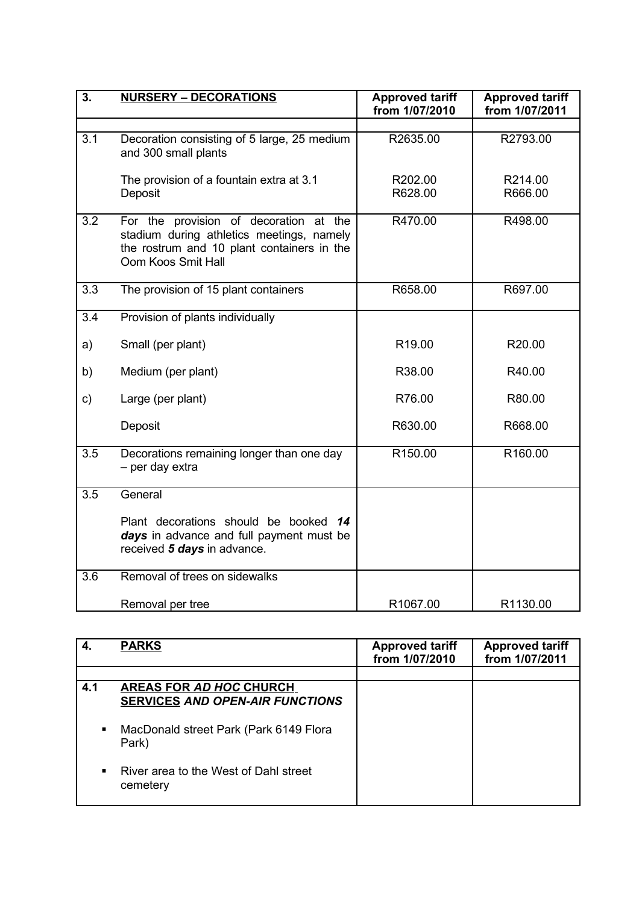| 3.  | <b>NURSERY - DECORATIONS</b>                                                                                                                            | <b>Approved tariff</b><br>from 1/07/2010 | <b>Approved tariff</b><br>from 1/07/2011 |
|-----|---------------------------------------------------------------------------------------------------------------------------------------------------------|------------------------------------------|------------------------------------------|
|     |                                                                                                                                                         |                                          |                                          |
| 3.1 | Decoration consisting of 5 large, 25 medium<br>and 300 small plants                                                                                     | R2635.00                                 | R2793.00                                 |
|     | The provision of a fountain extra at 3.1<br>Deposit                                                                                                     | R202.00<br>R628.00                       | R214.00<br>R666.00                       |
| 3.2 | For the provision of decoration at the<br>stadium during athletics meetings, namely<br>the rostrum and 10 plant containers in the<br>Oom Koos Smit Hall | R470.00                                  | R498.00                                  |
| 3.3 | The provision of 15 plant containers                                                                                                                    | R658.00                                  | R697.00                                  |
| 3.4 | Provision of plants individually                                                                                                                        |                                          |                                          |
| a)  | Small (per plant)                                                                                                                                       | R <sub>19.00</sub>                       | R20.00                                   |
| b)  | Medium (per plant)                                                                                                                                      | R38.00                                   | R40.00                                   |
| c)  | Large (per plant)                                                                                                                                       | R76.00                                   | R80.00                                   |
|     | Deposit                                                                                                                                                 | R630.00                                  | R668.00                                  |
| 3.5 | Decorations remaining longer than one day<br>- per day extra                                                                                            | R150.00                                  | R160.00                                  |
| 3.5 | General                                                                                                                                                 |                                          |                                          |
|     | Plant decorations should be booked 14<br>days in advance and full payment must be<br>received 5 days in advance.                                        |                                          |                                          |
| 3.6 | Removal of trees on sidewalks                                                                                                                           |                                          |                                          |
|     | Removal per tree                                                                                                                                        | R1067.00                                 | R1130.00                                 |

| 4.  | <b>PARKS</b>                                                             | <b>Approved tariff</b><br>from 1/07/2010 | <b>Approved tariff</b><br>from 1/07/2011 |
|-----|--------------------------------------------------------------------------|------------------------------------------|------------------------------------------|
|     |                                                                          |                                          |                                          |
| 4.1 | <b>AREAS FOR AD HOC CHURCH</b><br><b>SERVICES AND OPEN-AIR FUNCTIONS</b> |                                          |                                          |
| ٠   | MacDonald street Park (Park 6149 Flora<br>Park)                          |                                          |                                          |
|     | River area to the West of Dahl street<br>cemetery                        |                                          |                                          |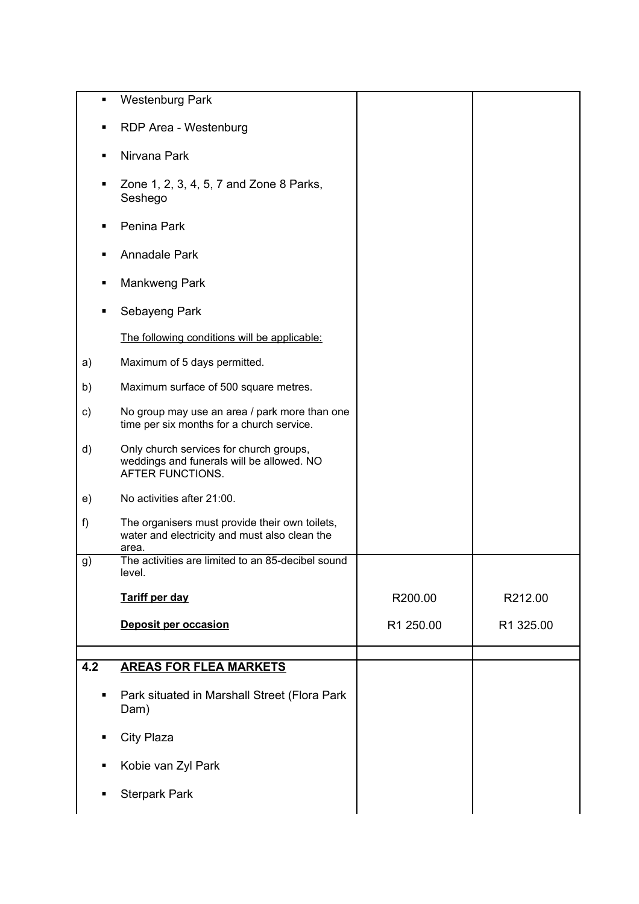| ٠              | <b>Westenburg Park</b>                                                                                   |           |           |
|----------------|----------------------------------------------------------------------------------------------------------|-----------|-----------|
| ٠              | RDP Area - Westenburg                                                                                    |           |           |
| ٠              | Nirvana Park                                                                                             |           |           |
| ٠              | Zone 1, 2, 3, 4, 5, 7 and Zone 8 Parks,<br>Seshego                                                       |           |           |
| ٠              | Penina Park                                                                                              |           |           |
| п              | Annadale Park                                                                                            |           |           |
| п              | Mankweng Park                                                                                            |           |           |
| $\blacksquare$ | Sebayeng Park                                                                                            |           |           |
|                | The following conditions will be applicable:                                                             |           |           |
| a)             | Maximum of 5 days permitted.                                                                             |           |           |
| b)             | Maximum surface of 500 square metres.                                                                    |           |           |
| $\mathsf{c})$  | No group may use an area / park more than one<br>time per six months for a church service.               |           |           |
| d)             | Only church services for church groups,<br>weddings and funerals will be allowed. NO<br>AFTER FUNCTIONS. |           |           |
| e)             | No activities after 21:00.                                                                               |           |           |
| f)             | The organisers must provide their own toilets,<br>water and electricity and must also clean the<br>area. |           |           |
| g)             | The activities are limited to an 85-decibel sound<br>level.                                              |           |           |
|                | <b>Tariff per day</b>                                                                                    | R200.00   | R212.00   |
|                | <b>Deposit per occasion</b>                                                                              | R1 250.00 | R1 325.00 |
| 4.2            | <b>AREAS FOR FLEA MARKETS</b>                                                                            |           |           |
| ٠              | Park situated in Marshall Street (Flora Park<br>Dam)                                                     |           |           |
| $\blacksquare$ | City Plaza                                                                                               |           |           |
|                |                                                                                                          |           |           |
| ٠              | Kobie van Zyl Park                                                                                       |           |           |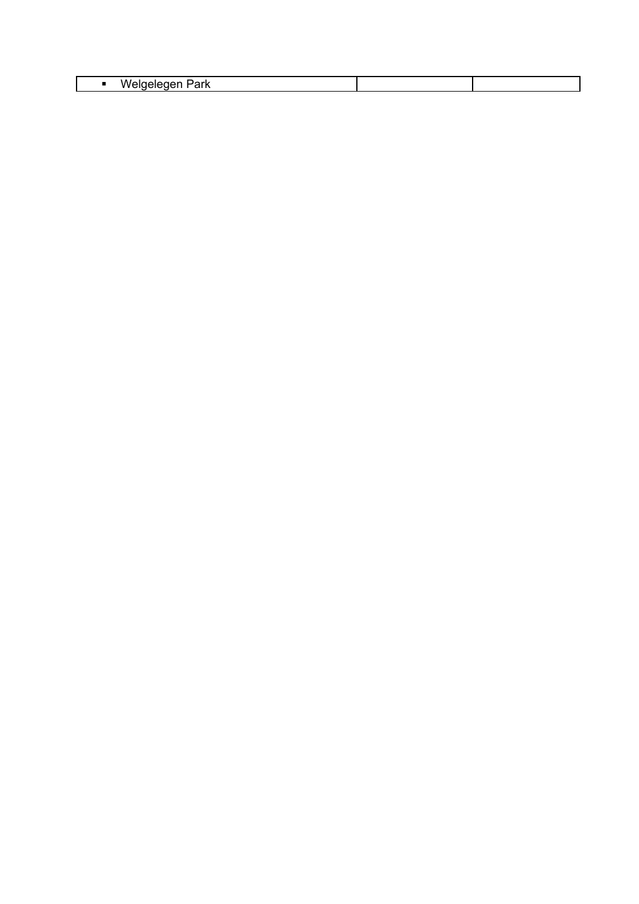| п |  |
|---|--|
|   |  |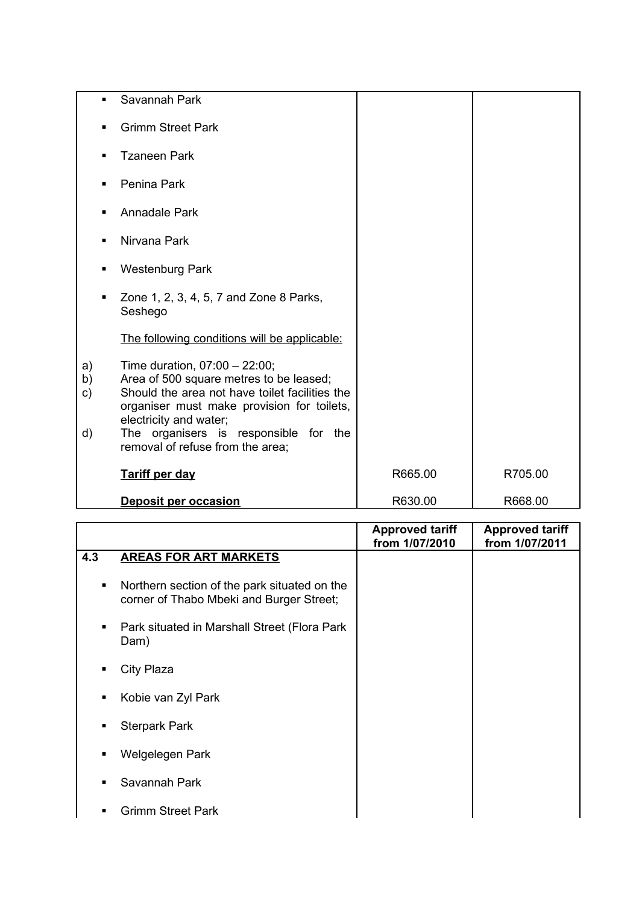| $\blacksquare$                  | Savannah Park                                                                                                                                                                                                                                                                      |         |         |
|---------------------------------|------------------------------------------------------------------------------------------------------------------------------------------------------------------------------------------------------------------------------------------------------------------------------------|---------|---------|
| п                               | <b>Grimm Street Park</b>                                                                                                                                                                                                                                                           |         |         |
|                                 | <b>Tzaneen Park</b>                                                                                                                                                                                                                                                                |         |         |
| $\blacksquare$                  | Penina Park                                                                                                                                                                                                                                                                        |         |         |
|                                 | <b>Annadale Park</b>                                                                                                                                                                                                                                                               |         |         |
|                                 | Nirvana Park                                                                                                                                                                                                                                                                       |         |         |
| п                               | <b>Westenburg Park</b>                                                                                                                                                                                                                                                             |         |         |
| $\blacksquare$                  | Zone 1, 2, 3, 4, 5, 7 and Zone 8 Parks,<br>Seshego                                                                                                                                                                                                                                 |         |         |
|                                 | The following conditions will be applicable:                                                                                                                                                                                                                                       |         |         |
| a)<br>b)<br>$\mathsf{c})$<br>d) | Time duration, $07:00 - 22:00$ ;<br>Area of 500 square metres to be leased;<br>Should the area not have toilet facilities the<br>organiser must make provision for toilets,<br>electricity and water;<br>The organisers is responsible for the<br>removal of refuse from the area; |         |         |
|                                 | <b>Tariff per day</b>                                                                                                                                                                                                                                                              | R665.00 | R705.00 |
|                                 | <b>Deposit per occasion</b>                                                                                                                                                                                                                                                        | R630.00 | R668.00 |

|                |                                                                                          | <b>Approved tariff</b><br>from 1/07/2010 | <b>Approved tariff</b><br>from 1/07/2011 |
|----------------|------------------------------------------------------------------------------------------|------------------------------------------|------------------------------------------|
| 4.3            | <b>AREAS FOR ART MARKETS</b>                                                             |                                          |                                          |
| ٠              | Northern section of the park situated on the<br>corner of Thabo Mbeki and Burger Street; |                                          |                                          |
| ٠              | Park situated in Marshall Street (Flora Park<br>Dam)                                     |                                          |                                          |
| ٠              | City Plaza                                                                               |                                          |                                          |
| $\blacksquare$ | Kobie van Zyl Park                                                                       |                                          |                                          |
| ٠              | <b>Sterpark Park</b>                                                                     |                                          |                                          |
| ٠              | Welgelegen Park                                                                          |                                          |                                          |
| ٠              | Savannah Park                                                                            |                                          |                                          |
| ٠              | <b>Grimm Street Park</b>                                                                 |                                          |                                          |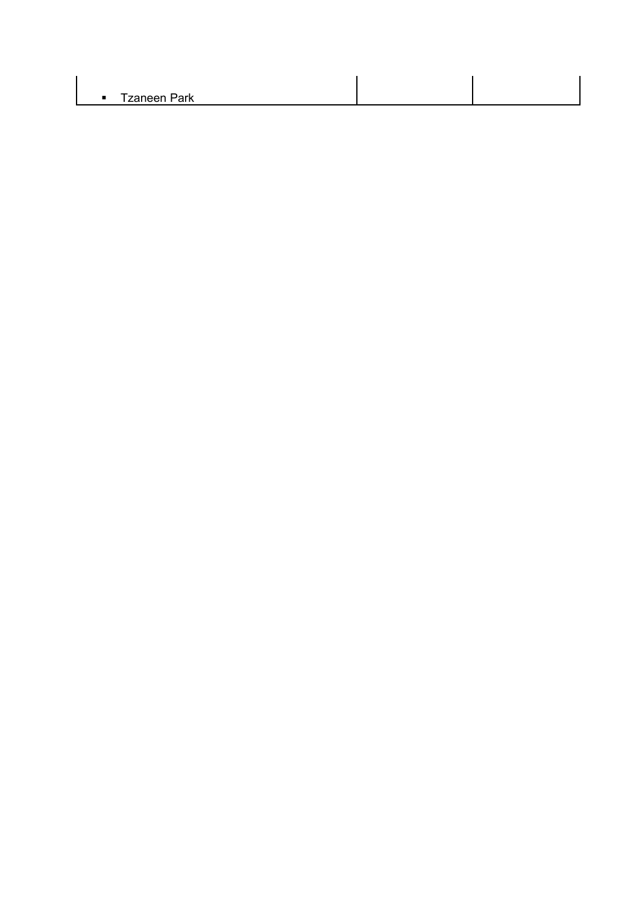| $-$ T-anos $-$<br>.וـ. – ר<br><b>яі в</b><br>∠aı<br>- |  |
|-------------------------------------------------------|--|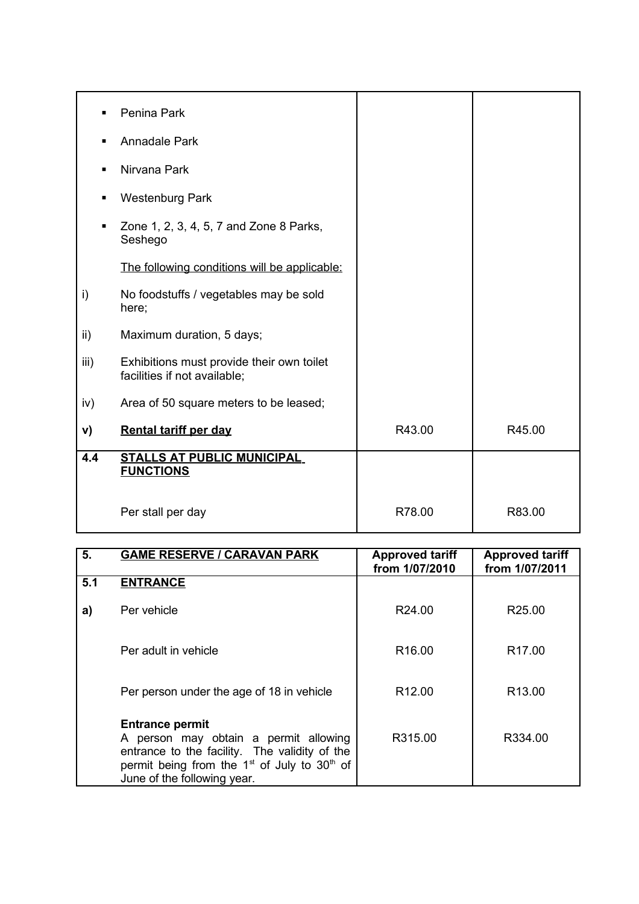| $\blacksquare$ | Penina Park                                                               |        |        |
|----------------|---------------------------------------------------------------------------|--------|--------|
| $\blacksquare$ | Annadale Park                                                             |        |        |
| ٠              | Nirvana Park                                                              |        |        |
| $\blacksquare$ | <b>Westenburg Park</b>                                                    |        |        |
| ٠              | Zone 1, 2, 3, 4, 5, 7 and Zone 8 Parks,<br>Seshego                        |        |        |
|                | The following conditions will be applicable:                              |        |        |
| i)             | No foodstuffs / vegetables may be sold<br>here;                           |        |        |
| ii)            | Maximum duration, 5 days;                                                 |        |        |
| iii)           | Exhibitions must provide their own toilet<br>facilities if not available; |        |        |
| iv)            | Area of 50 square meters to be leased;                                    |        |        |
| V)             | <b>Rental tariff per day</b>                                              | R43.00 | R45.00 |
| 4.4            | <b>STALLS AT PUBLIC MUNICIPAL</b><br><b>FUNCTIONS</b>                     |        |        |
|                | Per stall per day                                                         | R78.00 | R83.00 |

| 5.  | <b>GAME RESERVE / CARAVAN PARK</b>                                                                                                                                                                  | <b>Approved tariff</b><br>from 1/07/2010 | <b>Approved tariff</b><br>from 1/07/2011 |
|-----|-----------------------------------------------------------------------------------------------------------------------------------------------------------------------------------------------------|------------------------------------------|------------------------------------------|
| 5.1 | <b>ENTRANCE</b>                                                                                                                                                                                     |                                          |                                          |
| a)  | Per vehicle                                                                                                                                                                                         | R24.00                                   | R <sub>25.00</sub>                       |
|     | Per adult in vehicle                                                                                                                                                                                | R <sub>16.00</sub>                       | R <sub>17.00</sub>                       |
|     | Per person under the age of 18 in vehicle                                                                                                                                                           | R <sub>12.00</sub>                       | R <sub>13.00</sub>                       |
|     | <b>Entrance permit</b><br>A person may obtain a permit allowing<br>entrance to the facility. The validity of the<br>permit being from the $1st$ of July to $30th$ of<br>June of the following year. | R315.00                                  | R334.00                                  |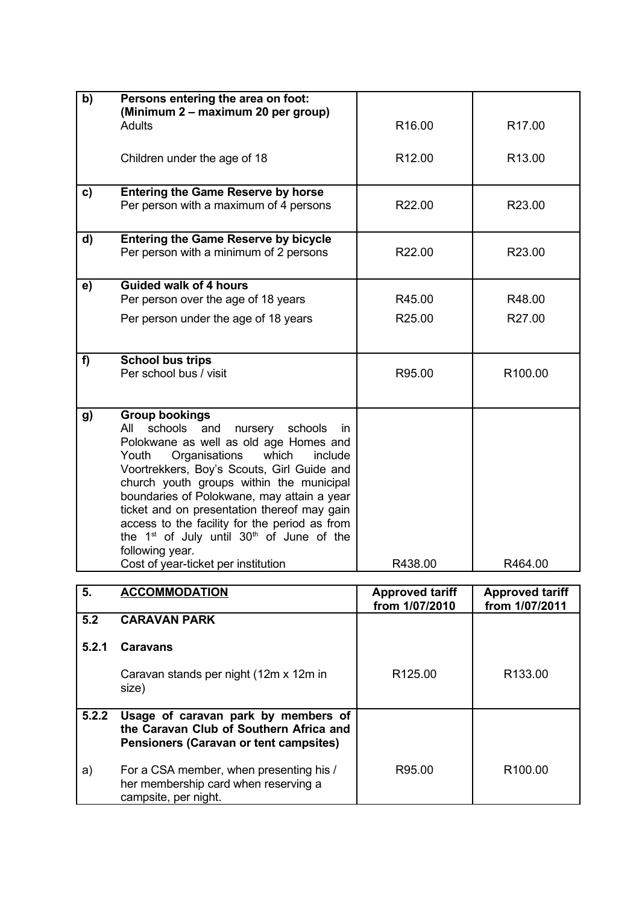| b)    | Persons entering the area on foot:<br>(Minimum 2 – maximum 20 per group)<br><b>Adults</b> | R16.00                                   | R <sub>17.00</sub>                       |
|-------|-------------------------------------------------------------------------------------------|------------------------------------------|------------------------------------------|
|       |                                                                                           |                                          |                                          |
|       | Children under the age of 18                                                              | R <sub>12.00</sub>                       | R <sub>13.00</sub>                       |
| C)    | <b>Entering the Game Reserve by horse</b><br>Per person with a maximum of 4 persons       | R22.00                                   | R23.00                                   |
|       |                                                                                           |                                          |                                          |
| d)    | <b>Entering the Game Reserve by bicycle</b><br>Per person with a minimum of 2 persons     | R22.00                                   | R23.00                                   |
|       |                                                                                           |                                          |                                          |
| e)    | <b>Guided walk of 4 hours</b><br>Per person over the age of 18 years                      | R45.00                                   | R48.00                                   |
|       | Per person under the age of 18 years                                                      | R <sub>25.00</sub>                       | R27.00                                   |
|       |                                                                                           |                                          |                                          |
| f)    | <b>School bus trips</b>                                                                   |                                          |                                          |
|       | Per school bus / visit                                                                    | R95.00                                   | R100.00                                  |
|       |                                                                                           |                                          |                                          |
| g)    | <b>Group bookings</b><br>schools and<br>All<br>nursery schools<br>in                      |                                          |                                          |
|       | Polokwane as well as old age Homes and                                                    |                                          |                                          |
|       | Organisations<br>which<br>include<br>Youth<br>Voortrekkers, Boy's Scouts, Girl Guide and  |                                          |                                          |
|       | church youth groups within the municipal                                                  |                                          |                                          |
|       | boundaries of Polokwane, may attain a year<br>ticket and on presentation thereof may gain |                                          |                                          |
|       | access to the facility for the period as from                                             |                                          |                                          |
|       | the $1st$ of July until $30th$ of June of the                                             |                                          |                                          |
|       | following year.<br>Cost of year-ticket per institution                                    | R438.00                                  | R464.00                                  |
|       |                                                                                           |                                          |                                          |
| 5.    | <b>ACCOMMODATION</b>                                                                      | <b>Approved tariff</b><br>from 1/07/2010 | <b>Approved tariff</b><br>from 1/07/2011 |
| 5.2   | <b>CARAVAN PARK</b>                                                                       |                                          |                                          |
| 5.2.1 | <b>Caravans</b>                                                                           |                                          |                                          |
|       | Caravan stands per night (12m x 12m in<br>size)                                           | R125.00                                  | R133.00                                  |

R95.00 R100.00

**5.2.2 Usage of caravan park by members of**

a) For a CSA member, when presenting his / her membership card when reserving a

campsite, per night.

**the Caravan Club of Southern Africa and Pensioners (Caravan or tent campsites)**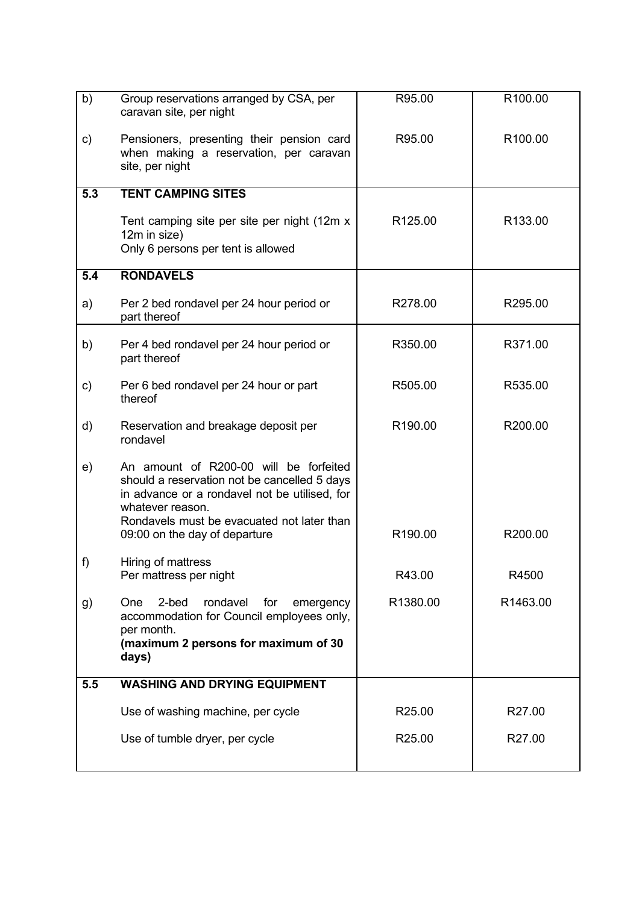| b)  | Group reservations arranged by CSA, per<br>caravan site, per night                                                                                                                                                                         | R95.00   | R100.00  |
|-----|--------------------------------------------------------------------------------------------------------------------------------------------------------------------------------------------------------------------------------------------|----------|----------|
| C)  | Pensioners, presenting their pension card<br>when making a reservation, per caravan<br>site, per night                                                                                                                                     | R95.00   | R100.00  |
| 5.3 | <b>TENT CAMPING SITES</b>                                                                                                                                                                                                                  |          |          |
|     | Tent camping site per site per night (12m x<br>12m in size)<br>Only 6 persons per tent is allowed                                                                                                                                          | R125.00  | R133.00  |
| 5.4 | <b>RONDAVELS</b>                                                                                                                                                                                                                           |          |          |
| a)  | Per 2 bed rondavel per 24 hour period or<br>part thereof                                                                                                                                                                                   | R278.00  | R295.00  |
| b)  | Per 4 bed rondavel per 24 hour period or<br>part thereof                                                                                                                                                                                   | R350.00  | R371.00  |
| C)  | Per 6 bed rondavel per 24 hour or part<br>thereof                                                                                                                                                                                          | R505.00  | R535.00  |
| d)  | Reservation and breakage deposit per<br>rondavel                                                                                                                                                                                           | R190.00  | R200.00  |
| e)  | An amount of R200-00 will be forfeited<br>should a reservation not be cancelled 5 days<br>in advance or a rondavel not be utilised, for<br>whatever reason.<br>Rondavels must be evacuated not later than<br>09:00 on the day of departure | R190.00  | R200.00  |
| f)  | Hiring of mattress<br>Per mattress per night                                                                                                                                                                                               | R43.00   | R4500    |
| g)  | 2-bed<br>rondavel<br><b>One</b><br>for<br>emergency<br>accommodation for Council employees only,<br>per month.<br>(maximum 2 persons for maximum of 30<br>days)                                                                            | R1380.00 | R1463.00 |
| 5.5 | <b>WASHING AND DRYING EQUIPMENT</b>                                                                                                                                                                                                        |          |          |
|     | Use of washing machine, per cycle                                                                                                                                                                                                          | R25.00   | R27.00   |
|     | Use of tumble dryer, per cycle                                                                                                                                                                                                             | R25.00   | R27.00   |
|     |                                                                                                                                                                                                                                            |          |          |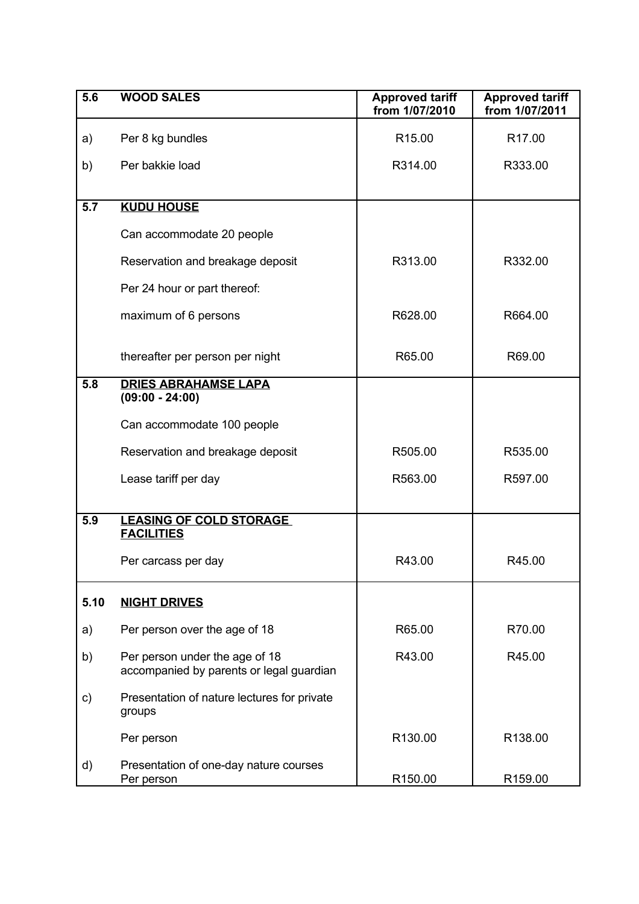| 5.6  | <b>WOOD SALES</b>                                                          | <b>Approved tariff</b><br>from 1/07/2010 | <b>Approved tariff</b><br>from 1/07/2011 |
|------|----------------------------------------------------------------------------|------------------------------------------|------------------------------------------|
| a)   | Per 8 kg bundles                                                           | R <sub>15.00</sub>                       | R <sub>17.00</sub>                       |
| b)   | Per bakkie load                                                            | R314.00                                  | R333.00                                  |
|      |                                                                            |                                          |                                          |
| 5.7  | <b>KUDU HOUSE</b>                                                          |                                          |                                          |
|      | Can accommodate 20 people                                                  |                                          |                                          |
|      | Reservation and breakage deposit                                           | R313.00                                  | R332.00                                  |
|      | Per 24 hour or part thereof:                                               |                                          |                                          |
|      | maximum of 6 persons                                                       | R628.00                                  | R664.00                                  |
|      | thereafter per person per night                                            | R65.00                                   | R69.00                                   |
| 5.8  | <b>DRIES ABRAHAMSE LAPA</b><br>$(09:00 - 24:00)$                           |                                          |                                          |
|      | Can accommodate 100 people                                                 |                                          |                                          |
|      | Reservation and breakage deposit                                           | R505.00                                  | R535.00                                  |
|      | Lease tariff per day                                                       | R563.00                                  | R597.00                                  |
| 5.9  | <b>LEASING OF COLD STORAGE</b>                                             |                                          |                                          |
|      | <b>FACILITIES</b>                                                          |                                          |                                          |
|      | Per carcass per day                                                        | R43.00                                   | R45.00                                   |
| 5.10 | <b>NIGHT DRIVES</b>                                                        |                                          |                                          |
| a)   | Per person over the age of 18                                              | R65.00                                   | R70.00                                   |
| b)   | Per person under the age of 18<br>accompanied by parents or legal guardian | R43.00                                   | R45.00                                   |
| c)   | Presentation of nature lectures for private<br>groups                      |                                          |                                          |
|      | Per person                                                                 | R130.00                                  | R138.00                                  |
| d)   | Presentation of one-day nature courses<br>Per person                       | R <sub>150.00</sub>                      | R <sub>159.00</sub>                      |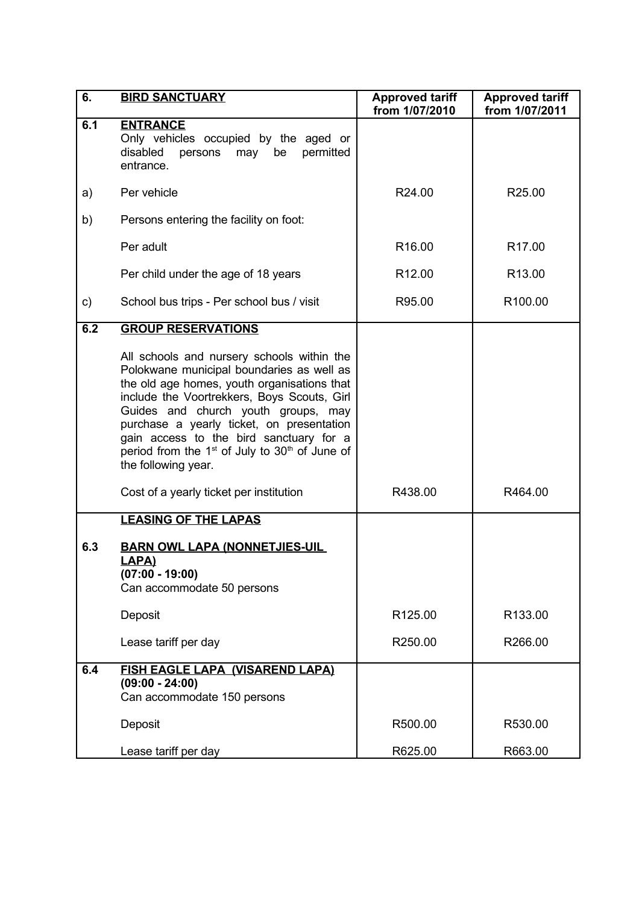| 6.  | <b>BIRD SANCTUARY</b>                                                                                                                                                                                                                                                                                                                                                                             | <b>Approved tariff</b><br>from 1/07/2010 | <b>Approved tariff</b><br>from 1/07/2011 |
|-----|---------------------------------------------------------------------------------------------------------------------------------------------------------------------------------------------------------------------------------------------------------------------------------------------------------------------------------------------------------------------------------------------------|------------------------------------------|------------------------------------------|
| 6.1 | <b>ENTRANCE</b><br>Only vehicles occupied by the aged or<br>permitted<br>disabled<br>persons<br>be<br>may<br>entrance.                                                                                                                                                                                                                                                                            |                                          |                                          |
| a)  | Per vehicle                                                                                                                                                                                                                                                                                                                                                                                       | R24.00                                   | R <sub>25.00</sub>                       |
| b)  | Persons entering the facility on foot:                                                                                                                                                                                                                                                                                                                                                            |                                          |                                          |
|     | Per adult                                                                                                                                                                                                                                                                                                                                                                                         | R <sub>16.00</sub>                       | R <sub>17.00</sub>                       |
|     | Per child under the age of 18 years                                                                                                                                                                                                                                                                                                                                                               | R <sub>12.00</sub>                       | R <sub>13.00</sub>                       |
| C)  | School bus trips - Per school bus / visit                                                                                                                                                                                                                                                                                                                                                         | R95.00                                   | R <sub>100.00</sub>                      |
| 6.2 | <b>GROUP RESERVATIONS</b>                                                                                                                                                                                                                                                                                                                                                                         |                                          |                                          |
|     | All schools and nursery schools within the<br>Polokwane municipal boundaries as well as<br>the old age homes, youth organisations that<br>include the Voortrekkers, Boys Scouts, Girl<br>Guides and church youth groups, may<br>purchase a yearly ticket, on presentation<br>gain access to the bird sanctuary for a<br>period from the $1st$ of July to $30th$ of June of<br>the following year. |                                          |                                          |
|     | Cost of a yearly ticket per institution                                                                                                                                                                                                                                                                                                                                                           | R438.00                                  | R464.00                                  |
|     | <b>LEASING OF THE LAPAS</b>                                                                                                                                                                                                                                                                                                                                                                       |                                          |                                          |
| 6.3 | <b>BARN OWL LAPA (NONNETJIES-UIL</b><br><b>LAPA)</b><br>$(07:00 - 19:00)$<br>Can accommodate 50 persons                                                                                                                                                                                                                                                                                           |                                          |                                          |
|     | Deposit                                                                                                                                                                                                                                                                                                                                                                                           | R125.00                                  | R <sub>133.00</sub>                      |
|     | Lease tariff per day                                                                                                                                                                                                                                                                                                                                                                              | R250.00                                  | R266.00                                  |
| 6.4 | <b>FISH EAGLE LAPA (VISAREND LAPA)</b><br>$(09:00 - 24:00)$<br>Can accommodate 150 persons                                                                                                                                                                                                                                                                                                        |                                          |                                          |
|     | Deposit                                                                                                                                                                                                                                                                                                                                                                                           | R500.00                                  | R530.00                                  |
|     | Lease tariff per day                                                                                                                                                                                                                                                                                                                                                                              | R625.00                                  | R663.00                                  |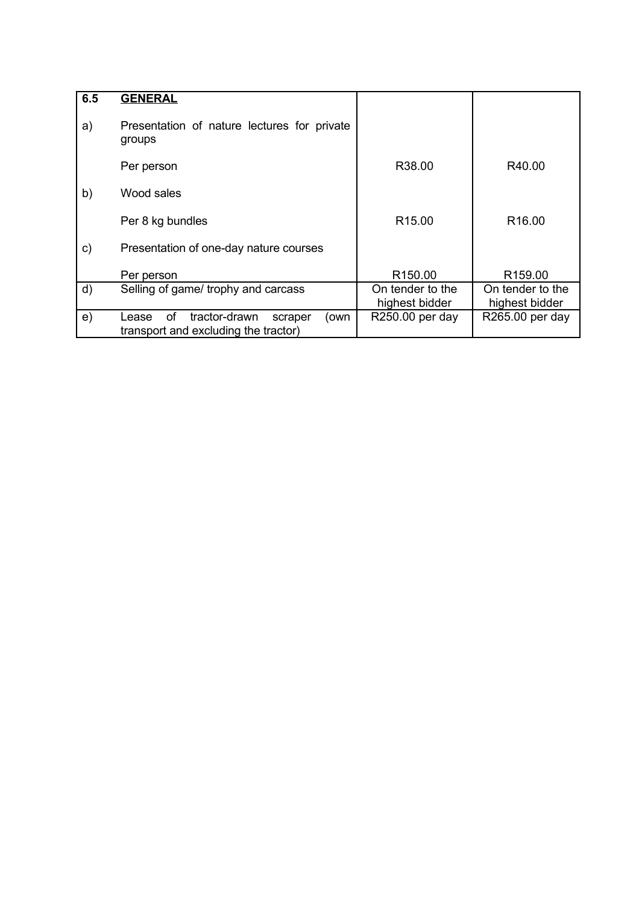| 6.5           | <b>GENERAL</b>                                                                          |                                    |                                    |
|---------------|-----------------------------------------------------------------------------------------|------------------------------------|------------------------------------|
| a)            | Presentation of nature lectures for private<br>groups                                   |                                    |                                    |
|               | Per person                                                                              | R38.00                             | R40.00                             |
| b)            | Wood sales                                                                              |                                    |                                    |
|               | Per 8 kg bundles                                                                        | R <sub>15.00</sub>                 | R <sub>16.00</sub>                 |
| $\mathsf{c})$ | Presentation of one-day nature courses                                                  |                                    |                                    |
|               | Per person                                                                              | R <sub>150.00</sub>                | R <sub>159.00</sub>                |
| $\mathsf{d}$  | Selling of game/ trophy and carcass                                                     | On tender to the<br>highest bidder | On tender to the<br>highest bidder |
| e)            | οf<br>tractor-drawn<br>(own<br>Lease<br>scraper<br>transport and excluding the tractor) | R250.00 per day                    | R265.00 per day                    |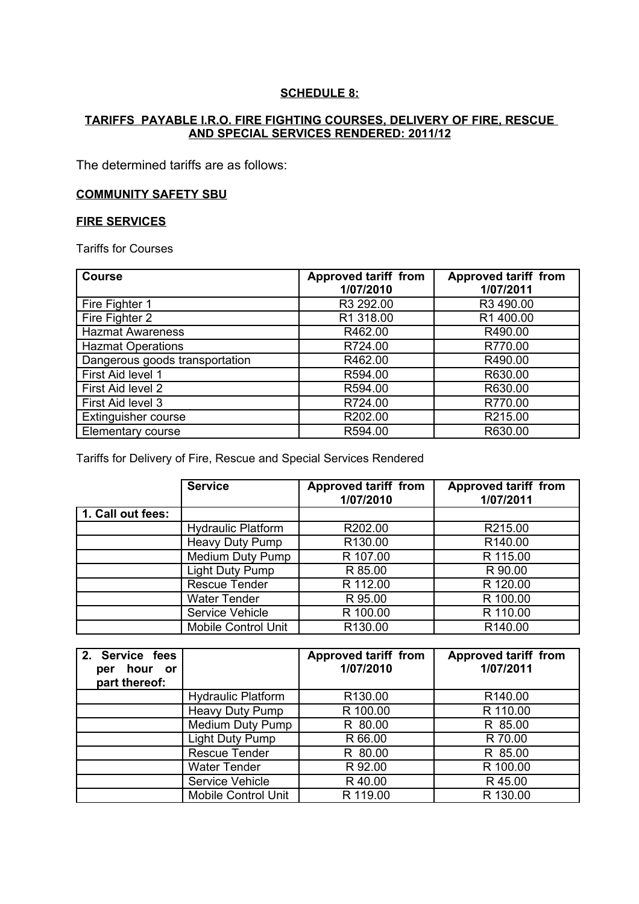### **SCHEDULE 8:**

#### **TARIFFS PAYABLE I.R.O. FIRE FIGHTING COURSES, DELIVERY OF FIRE, RESCUE AND SPECIAL SERVICES RENDERED: 2011/12**

The determined tariffs are as follows:

#### **COMMUNITY SAFETY SBU**

#### **FIRE SERVICES**

Tariffs for Courses

| <b>Course</b>                  | <b>Approved tariff from</b> | <b>Approved tariff from</b> |
|--------------------------------|-----------------------------|-----------------------------|
|                                | 1/07/2010                   | 1/07/2011                   |
| Fire Fighter 1                 | R3 292.00                   | R3 490.00                   |
| Fire Fighter 2                 | R1 318.00                   | R1400.00                    |
| <b>Hazmat Awareness</b>        | R462.00                     | R490.00                     |
| <b>Hazmat Operations</b>       | R724.00                     | R770.00                     |
| Dangerous goods transportation | R462.00                     | R490.00                     |
| First Aid level 1              | R594.00                     | R630.00                     |
| First Aid level 2              | R594.00                     | R630.00                     |
| First Aid level 3              | R724.00                     | R770.00                     |
| <b>Extinguisher course</b>     | R202.00                     | R215.00                     |
| Elementary course              | R594.00                     | R630.00                     |

Tariffs for Delivery of Fire, Rescue and Special Services Rendered

|                   | <b>Service</b>             | <b>Approved tariff from</b><br>1/07/2010 | <b>Approved tariff from</b><br>1/07/2011 |
|-------------------|----------------------------|------------------------------------------|------------------------------------------|
| 1. Call out fees: |                            |                                          |                                          |
|                   | <b>Hydraulic Platform</b>  | R202.00                                  | R215.00                                  |
|                   | Heavy Duty Pump            | R130.00                                  | R140.00                                  |
|                   | Medium Duty Pump           | R 107.00                                 | R 115.00                                 |
|                   | Light Duty Pump            | R 85.00                                  | R 90.00                                  |
|                   | <b>Rescue Tender</b>       | R 112.00                                 | R 120.00                                 |
|                   | <b>Water Tender</b>        | R 95.00                                  | R 100.00                                 |
|                   | Service Vehicle            | R 100.00                                 | R 110.00                                 |
|                   | <b>Mobile Control Unit</b> | R130.00                                  | R140.00                                  |

| 2. Service fees<br>hour or<br>per<br>part thereof: |                           | <b>Approved tariff from</b><br>1/07/2010 | <b>Approved tariff from</b><br>1/07/2011 |
|----------------------------------------------------|---------------------------|------------------------------------------|------------------------------------------|
|                                                    | <b>Hydraulic Platform</b> | R <sub>130.00</sub>                      | R140.00                                  |
|                                                    | Heavy Duty Pump           | R 100.00                                 | R 110.00                                 |
|                                                    | <b>Medium Duty Pump</b>   | R 80.00                                  | R 85.00                                  |
|                                                    | Light Duty Pump           | R 66.00                                  | R 70.00                                  |
|                                                    | Rescue Tender             | R 80.00                                  | R 85.00                                  |
|                                                    | <b>Water Tender</b>       | R 92.00                                  | R 100.00                                 |
|                                                    | Service Vehicle           | R40.00                                   | R 45.00                                  |
|                                                    | Mobile Control Unit       | R 119.00                                 | R 130.00                                 |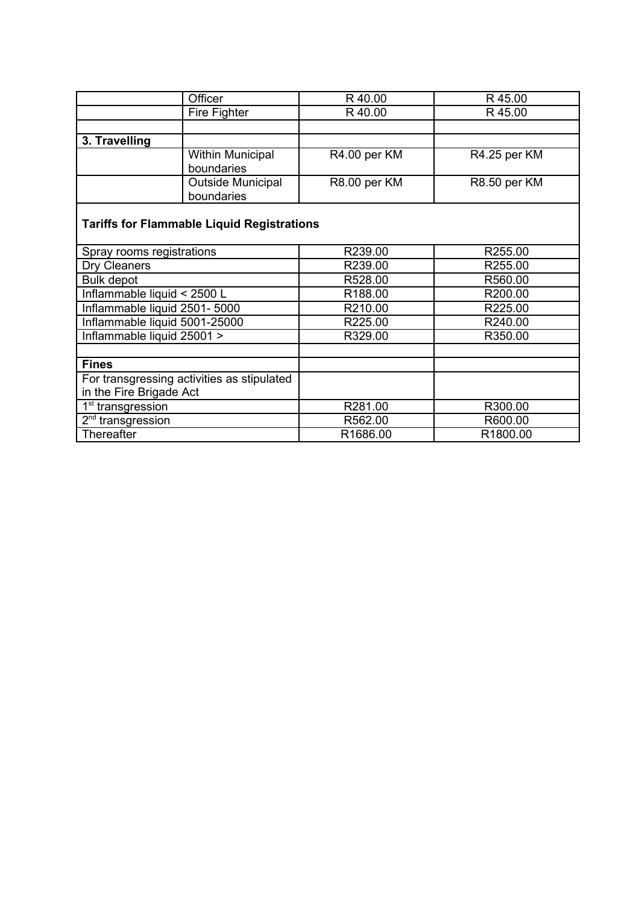|               | Officer                  | R40.00       | R 45.00      |
|---------------|--------------------------|--------------|--------------|
|               | Fire Fighter             | R 40.00      | R 45.00      |
|               |                          |              |              |
| 3. Travelling |                          |              |              |
|               | <b>Within Municipal</b>  | R4.00 per KM | R4.25 per KM |
|               | boundaries               |              |              |
|               | <b>Outside Municipal</b> | R8.00 per KM | R8.50 per KM |
|               | boundaries               |              |              |

# **Tariffs for Flammable Liquid Registrations**

| Spray rooms registrations                  | R239.00  | R255.00             |
|--------------------------------------------|----------|---------------------|
| Dry Cleaners                               | R239.00  | R <sub>255.00</sub> |
| <b>Bulk depot</b>                          | R528.00  | R560.00             |
| Inflammable liquid < 2500 L                | R188.00  | R200.00             |
| Inflammable liquid 2501-5000               | R210.00  | R225.00             |
| Inflammable liquid 5001-25000              | R225.00  | R240.00             |
| Inflammable liquid 25001 >                 | R329.00  | R350.00             |
|                                            |          |                     |
| <b>Fines</b>                               |          |                     |
| For transgressing activities as stipulated |          |                     |
| in the Fire Brigade Act                    |          |                     |
| 1 <sup>st</sup> transgression              | R281.00  | R300.00             |
| $2nd$ transgression                        | R562.00  | R600.00             |
| Thereafter                                 | R1686.00 | R1800.00            |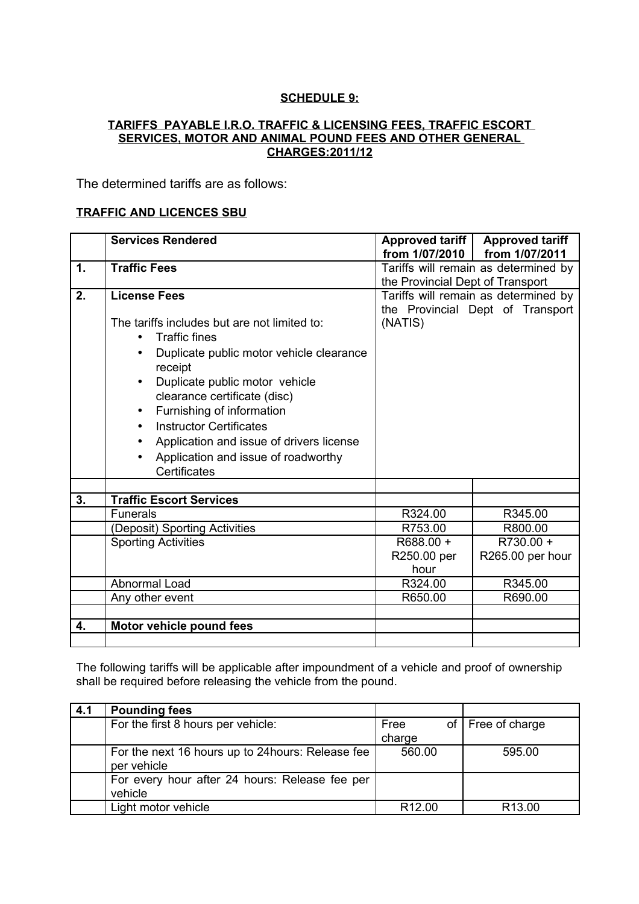## **SCHEDULE 9:**

## **TARIFFS PAYABLE I.R.O. TRAFFIC & LICENSING FEES, TRAFFIC ESCORT SERVICES, MOTOR AND ANIMAL POUND FEES AND OTHER GENERAL CHARGES: 2011/12**

The determined tariffs are as follows:

## **TRAFFIC AND LICENCES SBU**

|               | <b>Services Rendered</b>                      | Approved tariff                  | <b>Approved tariff</b>               |
|---------------|-----------------------------------------------|----------------------------------|--------------------------------------|
|               |                                               | from 1/07/2010                   | from 1/07/2011                       |
| $\mathbf 1$ . | <b>Traffic Fees</b>                           |                                  | Tariffs will remain as determined by |
|               |                                               | the Provincial Dept of Transport |                                      |
| 2.            | <b>License Fees</b>                           |                                  | Tariffs will remain as determined by |
|               |                                               |                                  | the Provincial Dept of Transport     |
|               | The tariffs includes but are not limited to:  | (NATIS)                          |                                      |
|               | <b>Traffic fines</b>                          |                                  |                                      |
|               | Duplicate public motor vehicle clearance      |                                  |                                      |
|               | receipt                                       |                                  |                                      |
|               | Duplicate public motor vehicle                |                                  |                                      |
|               | clearance certificate (disc)                  |                                  |                                      |
|               | Furnishing of information<br>٠                |                                  |                                      |
|               | <b>Instructor Certificates</b>                |                                  |                                      |
|               |                                               |                                  |                                      |
|               | Application and issue of drivers license<br>٠ |                                  |                                      |
|               | Application and issue of roadworthy           |                                  |                                      |
|               | Certificates                                  |                                  |                                      |
|               |                                               |                                  |                                      |
| 3.            | <b>Traffic Escort Services</b>                |                                  |                                      |
|               | <b>Funerals</b>                               | R324.00                          | R345.00                              |
|               | (Deposit) Sporting Activities                 | R753.00                          | R800.00                              |
|               | <b>Sporting Activities</b>                    | R688.00 +                        | R730.00 +                            |
|               |                                               | R250.00 per                      | R265.00 per hour                     |
|               |                                               | hour                             |                                      |
|               | Abnormal Load                                 | R324.00                          | R345.00                              |
|               | Any other event                               | R650.00                          | R690.00                              |
|               |                                               |                                  |                                      |
| 4.            | Motor vehicle pound fees                      |                                  |                                      |
|               |                                               |                                  |                                      |

The following tariffs will be applicable after impoundment of a vehicle and proof of ownership shall be required before releasing the vehicle from the pound.

| 4.1 | <b>Pounding fees</b>                              |                    |                     |
|-----|---------------------------------------------------|--------------------|---------------------|
|     | For the first 8 hours per vehicle:                | Free               | of   Free of charge |
|     |                                                   | charge             |                     |
|     | For the next 16 hours up to 24 hours: Release fee | 560.00             | 595.00              |
|     | per vehicle                                       |                    |                     |
|     | For every hour after 24 hours: Release fee per    |                    |                     |
|     | vehicle                                           |                    |                     |
|     | Light motor vehicle                               | R <sub>12.00</sub> | R <sub>13.00</sub>  |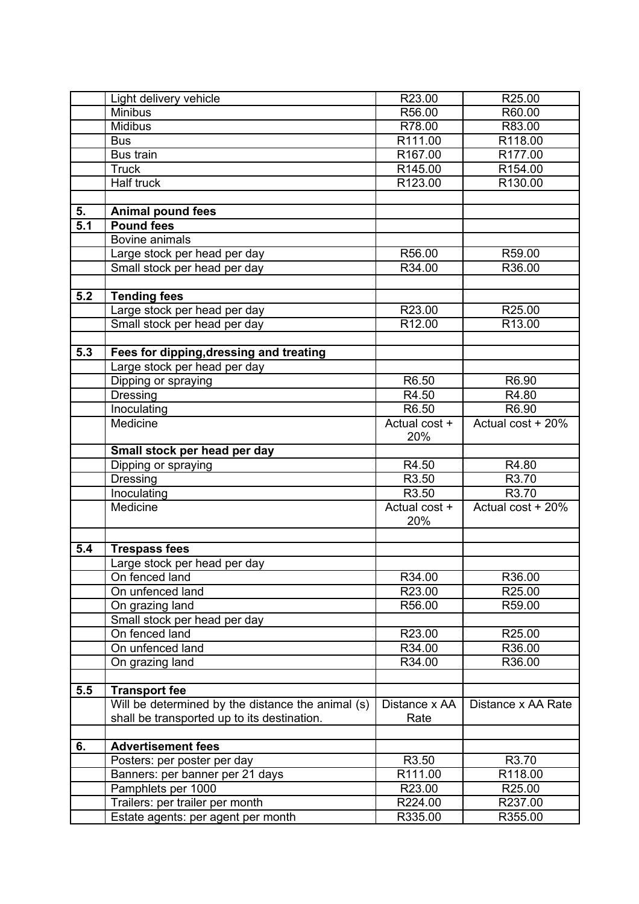|     | Light delivery vehicle                                                | R23.00             | R25.00              |
|-----|-----------------------------------------------------------------------|--------------------|---------------------|
|     | <b>Minibus</b>                                                        | R56.00             | R60.00              |
|     | <b>Midibus</b>                                                        | R78.00             | R83.00              |
|     | <b>Bus</b>                                                            | R111.00            | R118.00             |
|     | <b>Bus train</b>                                                      | R167.00            | R <sub>177.00</sub> |
|     | <b>Truck</b>                                                          | R145.00            | R154.00             |
|     | Half truck                                                            | R123.00            | R130.00             |
|     |                                                                       |                    |                     |
| 5.  | <b>Animal pound fees</b>                                              |                    |                     |
| 5.1 | <b>Pound fees</b>                                                     |                    |                     |
|     | Bovine animals                                                        |                    |                     |
|     | Large stock per head per day                                          | R56.00             | R59.00              |
|     | Small stock per head per day                                          | R34.00             | R36.00              |
|     |                                                                       |                    |                     |
| 5.2 | <b>Tending fees</b>                                                   |                    |                     |
|     | Large stock per head per day                                          | R23.00             | R25.00              |
|     | Small stock per head per day                                          | R <sub>12.00</sub> | R13.00              |
|     |                                                                       |                    |                     |
| 5.3 | Fees for dipping, dressing and treating                               |                    |                     |
|     | Large stock per head per day                                          |                    |                     |
|     | Dipping or spraying                                                   | R6.50              | R6.90               |
|     | <b>Dressing</b>                                                       | R4.50              | R4.80               |
|     | Inoculating                                                           | R6.50              | R6.90               |
|     | Medicine                                                              | Actual cost +      | Actual cost + 20%   |
|     |                                                                       | 20%                |                     |
|     | Small stock per head per day                                          |                    |                     |
|     | Dipping or spraying                                                   | R4.50              | R4.80               |
|     | <b>Dressing</b>                                                       | R <sub>3.50</sub>  | R3.70               |
|     | Inoculating                                                           | R3.50              | R3.70               |
|     | Medicine                                                              | Actual cost +      | Actual cost + 20%   |
|     |                                                                       | 20%                |                     |
|     |                                                                       |                    |                     |
|     |                                                                       |                    |                     |
|     |                                                                       |                    |                     |
| 5.4 | <b>Trespass fees</b>                                                  |                    |                     |
|     | Large stock per head per day                                          |                    |                     |
|     | On fenced land                                                        | R34.00             | R36.00              |
|     | On unfenced land                                                      | R23.00             | R25.00              |
|     | On grazing land                                                       | R56.00             | R59.00              |
|     | Small stock per head per day                                          |                    |                     |
|     | On fenced land                                                        | R23.00             | R25.00              |
|     | On unfenced land                                                      | R34.00             | R36.00              |
|     | On grazing land                                                       | R34.00             | R36.00              |
|     |                                                                       |                    |                     |
| 5.5 | <b>Transport fee</b>                                                  |                    |                     |
|     | Will be determined by the distance the animal (s)                     | Distance x AA      | Distance x AA Rate  |
|     | shall be transported up to its destination.                           | Rate               |                     |
|     |                                                                       |                    |                     |
| 6.  | <b>Advertisement fees</b>                                             |                    |                     |
|     | Posters: per poster per day                                           | R3.50              | R3.70               |
|     | Banners: per banner per 21 days                                       | R111.00            | R118.00             |
|     | Pamphlets per 1000                                                    | R23.00             | R25.00              |
|     | Trailers: per trailer per month<br>Estate agents: per agent per month | R224.00<br>R335.00 | R237.00<br>R355.00  |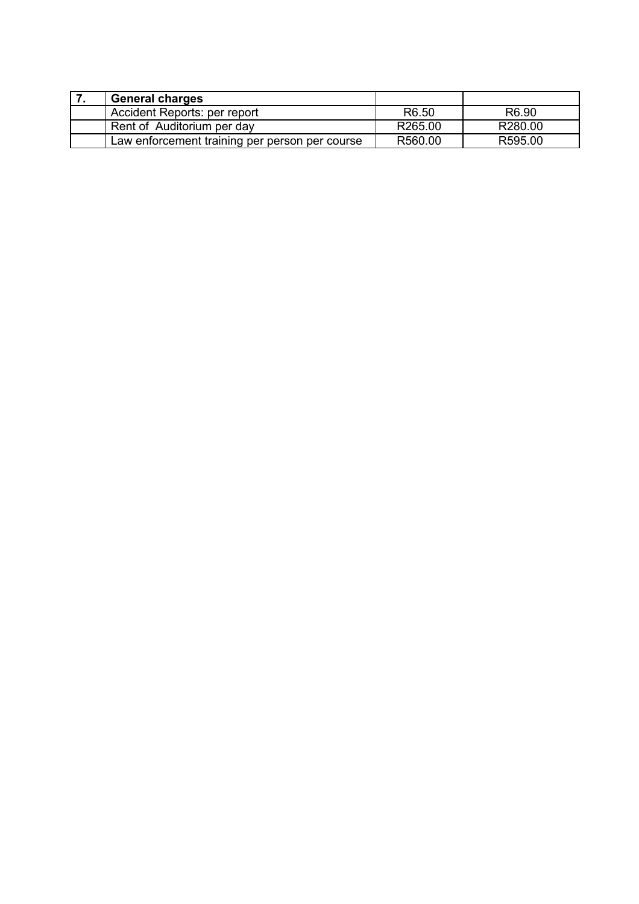| <b>General charges</b>                         |                   |                   |
|------------------------------------------------|-------------------|-------------------|
| Accident Reports: per report                   | R <sub>6.50</sub> | R <sub>6.90</sub> |
| Rent of Auditorium per day                     | R265.00           | R280.00           |
| Law enforcement training per person per course | R560.00           | R595.00           |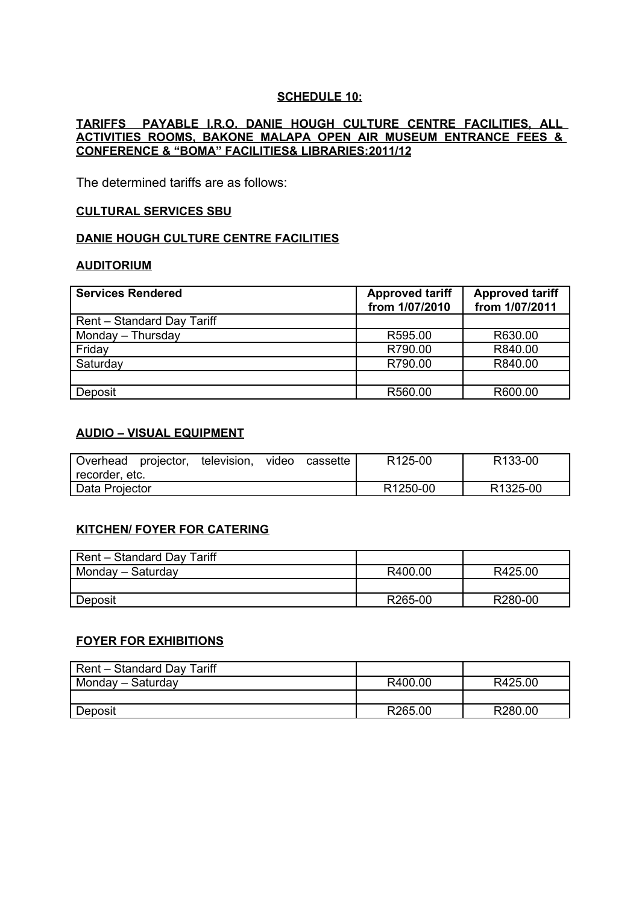## **SCHEDULE 10:**

#### **TARIFFS PAYABLE I.R.O. DANIE HOUGH CULTURE CENTRE FACILITIES, ALL ACTIVITIES ROOMS, BAKONE MALAPA OPEN AIR MUSEUM ENTRANCE FEES & CONFERENCE & "BOMA" FACILITIES& LIBRARIES: 2011/12**

The determined tariffs are as follows:

#### **CULTURAL SERVICES SBU**

#### **DANIE HOUGH CULTURE CENTRE FACILITIES**

#### **AUDITORIUM**

| <b>Services Rendered</b>   | <b>Approved tariff</b><br>from 1/07/2010 | <b>Approved tariff</b><br>from 1/07/2011 |
|----------------------------|------------------------------------------|------------------------------------------|
| Rent - Standard Day Tariff |                                          |                                          |
| Monday - Thursday          | R595.00                                  | R630.00                                  |
| Friday                     | R790.00                                  | R840.00                                  |
| Saturday                   | R790.00                                  | R840.00                                  |
|                            |                                          |                                          |
| Deposit                    | R560.00                                  | R600.00                                  |

## **AUDIO – VISUAL EQUIPMENT**

| Overhead       | projector, | television, | video                 | cassette              | R <sub>125</sub> -00 | R <sub>133</sub> -00 |
|----------------|------------|-------------|-----------------------|-----------------------|----------------------|----------------------|
| recorder, etc. |            |             |                       |                       |                      |                      |
| Data Projector |            |             | R <sub>1250</sub> -00 | R <sub>1325</sub> -00 |                      |                      |

#### **KITCHEN/ FOYER FOR CATERING**

| Rent - Standard Day Tariff |         |         |
|----------------------------|---------|---------|
| Monday - Saturday          | R400.00 | R425.00 |
|                            |         |         |
| Deposit                    | R265-00 | R280-00 |

## **FOYER FOR EXHIBITIONS**

| Rent - Standard Day Tariff |         |                     |
|----------------------------|---------|---------------------|
| Monday - Saturday          | R400.00 | R425.00             |
|                            |         |                     |
| Deposit                    | R265.00 | R <sub>280.00</sub> |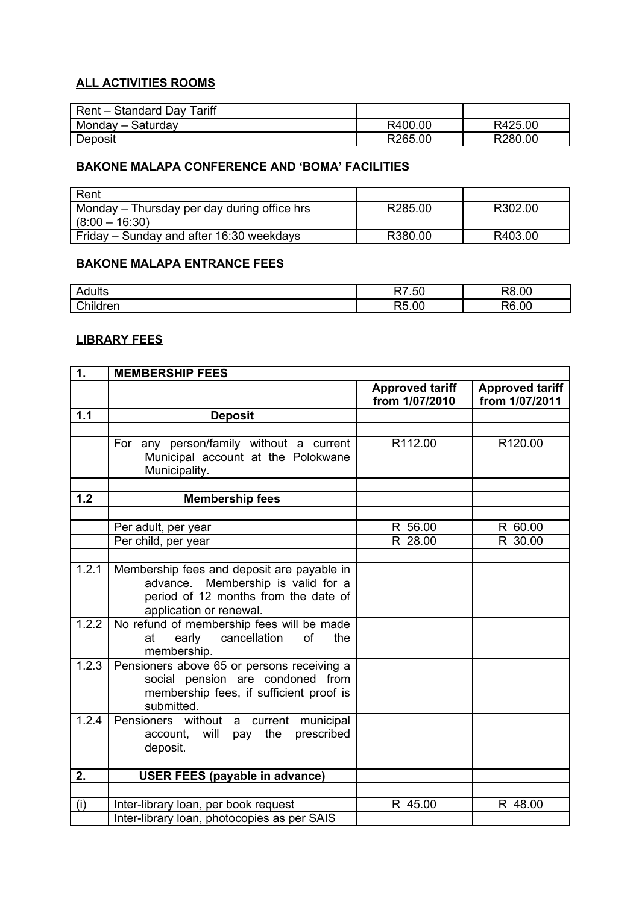# **ALL ACTIVITIES ROOMS**

| Rent - Standard Day Tariff |         |         |
|----------------------------|---------|---------|
| Monday – Saturday          | R400.00 | R425.00 |
| Deposit                    | R265.00 | R280.00 |

## **BAKONE MALAPA CONFERENCE AND 'BOMA' FACILITIES**

| ' Rent                                      |         |         |
|---------------------------------------------|---------|---------|
| Monday – Thursday per day during office hrs | R285.00 | R302.00 |
| $(8:00 - 16:30)$                            |         |         |
| Friday – Sunday and after 16:30 weekdays    | R380.00 | R403.00 |

## **BAKONE MALAPA ENTRANCE FEES**

| lulls  | $\overline{a}$ | 0C   |
|--------|----------------|------|
| ∼~     | --             | ∩ר   |
| ∩hila… | $\sim$         | nn   |
| r≏r    | --             | ָ הר |

## **LIBRARY FEES**

| 1.    | <b>MEMBERSHIP FEES</b>                                                                                                                              |                                          |                                          |
|-------|-----------------------------------------------------------------------------------------------------------------------------------------------------|------------------------------------------|------------------------------------------|
|       |                                                                                                                                                     | <b>Approved tariff</b><br>from 1/07/2010 | <b>Approved tariff</b><br>from 1/07/2011 |
| 1.1   | <b>Deposit</b>                                                                                                                                      |                                          |                                          |
|       |                                                                                                                                                     |                                          |                                          |
|       | For any person/family without a current<br>Municipal account at the Polokwane<br>Municipality.                                                      | R112.00                                  | R120.00                                  |
|       |                                                                                                                                                     |                                          |                                          |
| 1.2   | <b>Membership fees</b>                                                                                                                              |                                          |                                          |
|       |                                                                                                                                                     |                                          |                                          |
|       | Per adult, per year                                                                                                                                 | R 56.00                                  | R 60.00                                  |
|       | Per child, per year                                                                                                                                 | R 28.00                                  | R 30.00                                  |
|       |                                                                                                                                                     |                                          |                                          |
| 1.2.1 | Membership fees and deposit are payable in<br>advance. Membership is valid for a<br>period of 12 months from the date of<br>application or renewal. |                                          |                                          |
| 1.2.2 | No refund of membership fees will be made<br>early<br>cancellation<br>of<br>the<br>at<br>membership.                                                |                                          |                                          |
| 1.2.3 | Pensioners above 65 or persons receiving a<br>social pension are condoned from<br>membership fees, if sufficient proof is<br>submitted.             |                                          |                                          |
| 1.2.4 | Pensioners without a current municipal<br>account, will pay the<br>prescribed<br>deposit.                                                           |                                          |                                          |
|       |                                                                                                                                                     |                                          |                                          |
| 2.    | <b>USER FEES (payable in advance)</b>                                                                                                               |                                          |                                          |
|       |                                                                                                                                                     |                                          |                                          |
| (i)   | Inter-library loan, per book request                                                                                                                | R 45.00                                  | R 48.00                                  |
|       | Inter-library loan, photocopies as per SAIS                                                                                                         |                                          |                                          |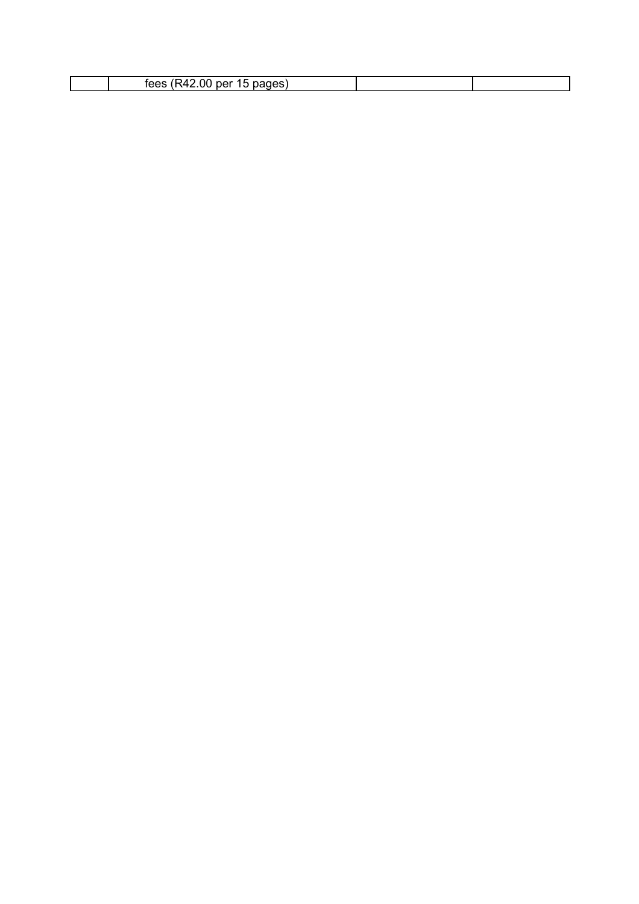| . .<br>_______ |  |  |
|----------------|--|--|
|----------------|--|--|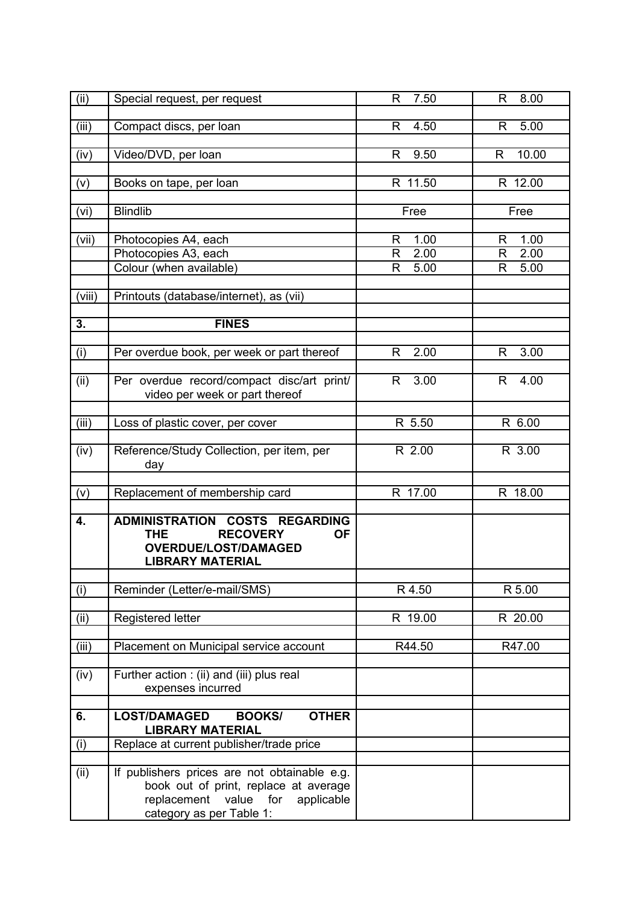| (ii)   | Special request, per request                                                                                                                             | R.<br>7.50             | R<br>8.00              |
|--------|----------------------------------------------------------------------------------------------------------------------------------------------------------|------------------------|------------------------|
| (iii)  | Compact discs, per loan                                                                                                                                  | 4.50<br>R              | 5.00<br>R              |
| (iv)   | Video/DVD, per loan                                                                                                                                      | 9.50<br>R              | 10.00<br>R             |
| (v)    | Books on tape, per loan                                                                                                                                  | R 11.50                | R 12.00                |
| (vi)   | <b>Blindlib</b>                                                                                                                                          | Free                   | Free                   |
| (vii)  | Photocopies A4, each<br>Photocopies A3, each                                                                                                             | 1.00<br>R<br>2.00<br>R | 1.00<br>R<br>2.00<br>R |
|        | Colour (when available)                                                                                                                                  | 5.00<br>R              | 5.00<br>R              |
| (viii) | Printouts (database/internet), as (vii)                                                                                                                  |                        |                        |
| 3.     | <b>FINES</b>                                                                                                                                             |                        |                        |
| (i)    | Per overdue book, per week or part thereof                                                                                                               | 2.00<br>R              | R<br>3.00              |
| (ii)   | Per overdue record/compact disc/art print/<br>video per week or part thereof                                                                             | 3.00<br>R.             | 4.00<br>R.             |
| (iii)  | Loss of plastic cover, per cover                                                                                                                         | R 5.50                 | R 6.00                 |
| (iv)   | Reference/Study Collection, per item, per<br>day                                                                                                         | R 2.00                 | R 3.00                 |
| (v)    | Replacement of membership card                                                                                                                           | R 17.00                | R 18.00                |
| 4.     | ADMINISTRATION COSTS REGARDING<br><b>RECOVERY</b><br><b>THE</b><br><b>OF</b><br><b>OVERDUE/LOST/DAMAGED</b><br><b>LIBRARY MATERIAL</b>                   |                        |                        |
| (i)    | Reminder (Letter/e-mail/SMS)                                                                                                                             | R 4.50                 | R 5.00                 |
| (ii)   | Registered letter                                                                                                                                        | R 19.00                | R 20.00                |
| (iii)  | Placement on Municipal service account                                                                                                                   | R44.50                 | R47.00                 |
| (iv)   | Further action : (ii) and (iii) plus real<br>expenses incurred                                                                                           |                        |                        |
| 6.     | <b>LOST/DAMAGED</b><br><b>BOOKS/</b><br><b>OTHER</b><br><b>LIBRARY MATERIAL</b>                                                                          |                        |                        |
| (i)    | Replace at current publisher/trade price                                                                                                                 |                        |                        |
| (ii)   | If publishers prices are not obtainable e.g.<br>book out of print, replace at average<br>replacement value for<br>applicable<br>category as per Table 1: |                        |                        |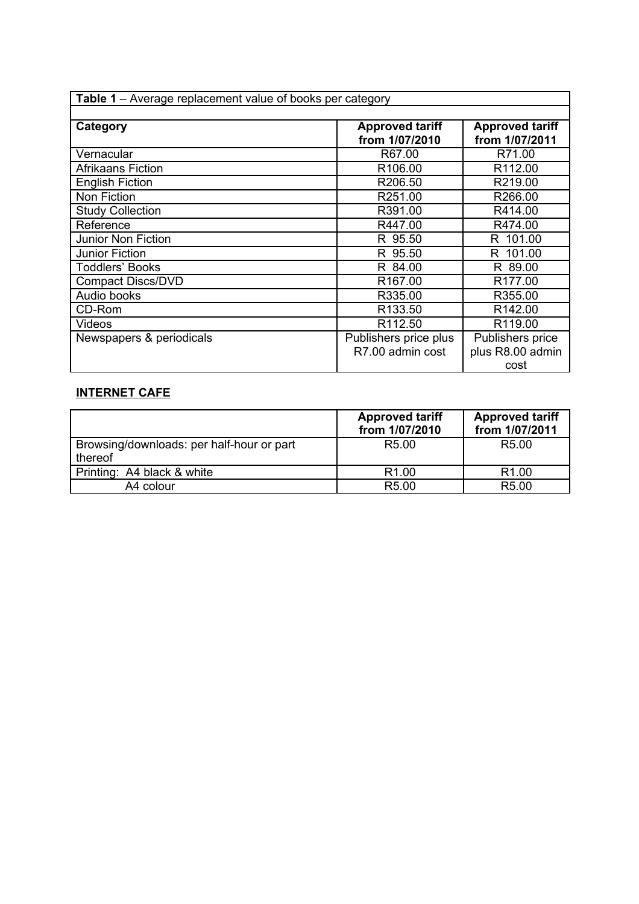| Table 1 - Average replacement value of books per category |                        |                        |  |
|-----------------------------------------------------------|------------------------|------------------------|--|
|                                                           |                        |                        |  |
| Category                                                  | <b>Approved tariff</b> | <b>Approved tariff</b> |  |
|                                                           | from 1/07/2010         | from 1/07/2011         |  |
| Vernacular                                                | R67.00                 | R71.00                 |  |
| <b>Afrikaans Fiction</b>                                  | R <sub>106.00</sub>    | R <sub>112.00</sub>    |  |
| <b>English Fiction</b>                                    | R <sub>206.50</sub>    | R219.00                |  |
| Non Fiction                                               | R251.00                | R266.00                |  |
| <b>Study Collection</b>                                   | R391.00                | R414.00                |  |
| Reference                                                 | R447.00                | R474.00                |  |
| <b>Junior Non Fiction</b>                                 | R 95.50                | R 101.00               |  |
| <b>Junior Fiction</b>                                     | R 95.50                | R 101.00               |  |
| <b>Toddlers' Books</b>                                    | R 84.00                | R 89.00                |  |
| <b>Compact Discs/DVD</b>                                  | R <sub>167.00</sub>    | R <sub>177.00</sub>    |  |
| Audio books                                               | R335.00                | R355.00                |  |
| CD-Rom                                                    | R <sub>133.50</sub>    | R <sub>142.00</sub>    |  |
| Videos                                                    | R <sub>112.50</sub>    | R119.00                |  |
| Newspapers & periodicals                                  | Publishers price plus  | Publishers price       |  |
|                                                           | R7.00 admin cost       | plus R8.00 admin       |  |
|                                                           |                        | cost                   |  |

# **INTERNET CAFE**

|                                                      | <b>Approved tariff</b><br>from 1/07/2010 | <b>Approved tariff</b><br>from 1/07/2011 |
|------------------------------------------------------|------------------------------------------|------------------------------------------|
| Browsing/downloads: per half-hour or part<br>thereof | R <sub>5.00</sub>                        | R <sub>5.00</sub>                        |
| Printing: A4 black & white                           | R <sub>1.00</sub>                        | R <sub>1.00</sub>                        |
| A4 colour                                            | R <sub>5.00</sub>                        | R5.00                                    |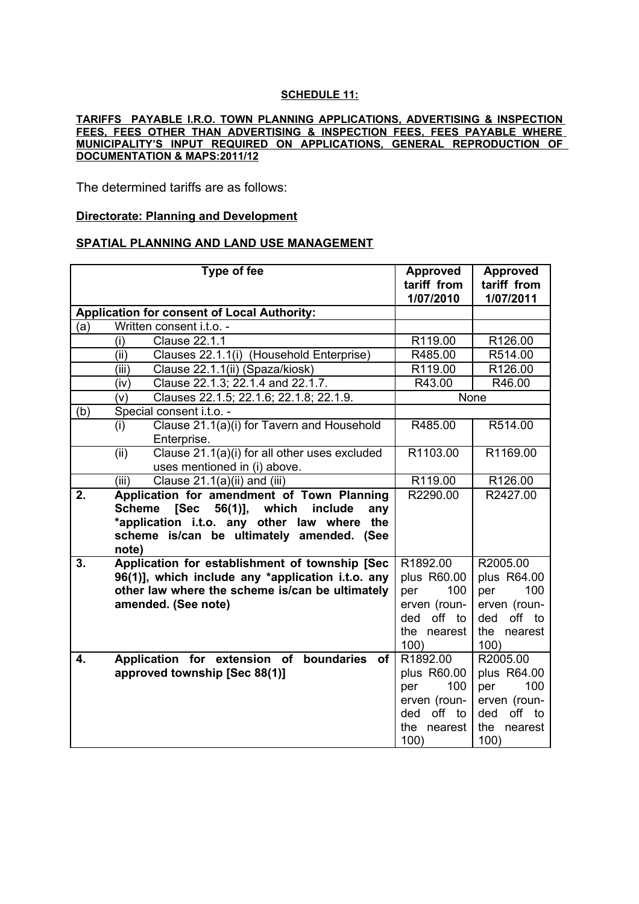#### **SCHEDULE 11:**

#### **TARIFFS PAYABLE I.R.O. TOWN PLANNING APPLICATIONS, ADVERTISING & INSPECTION FEES, FEES OTHER THAN ADVERTISING & INSPECTION FEES, FEES PAYABLE WHERE MUNICIPALITY'S INPUT REQUIRED ON APPLICATIONS, GENERAL REPRODUCTION OF DOCUMENTATION & MAPS:2011/12**

The determined tariffs are as follows:

#### **Directorate: Planning and Development**

#### **SPATIAL PLANNING AND LAND USE MANAGEMENT**

|     | Type of fee                                                                                                                                                                                                       | <b>Approved</b><br>tariff from<br>1/07/2010 | <b>Approved</b><br>tariff from<br>1/07/2011 |
|-----|-------------------------------------------------------------------------------------------------------------------------------------------------------------------------------------------------------------------|---------------------------------------------|---------------------------------------------|
|     | <b>Application for consent of Local Authority:</b>                                                                                                                                                                |                                             |                                             |
| (a) | Written consent i.t.o. -                                                                                                                                                                                          |                                             |                                             |
|     | (i)<br><b>Clause 22.1.1</b>                                                                                                                                                                                       | R119.00                                     | R126.00                                     |
|     | (ii)<br>Clauses 22.1.1(i) (Household Enterprise)                                                                                                                                                                  | R485.00                                     | R514.00                                     |
|     | (iii)<br>Clause 22.1.1(ii) (Spaza/kiosk)                                                                                                                                                                          | R119.00                                     | R126.00                                     |
|     | Clause 22.1.3; 22.1.4 and 22.1.7.<br>(iv)                                                                                                                                                                         | R43.00                                      | R46.00                                      |
|     | Clauses 22.1.5; 22.1.6; 22.1.8; 22.1.9.<br>(v)                                                                                                                                                                    | None                                        |                                             |
| (b) | Special consent i.t.o. -                                                                                                                                                                                          |                                             |                                             |
|     | (i)<br>Clause 21.1(a)(i) for Tavern and Household<br>Enterprise.                                                                                                                                                  | R485.00                                     | R514.00                                     |
|     | Clause 21.1(a)(i) for all other uses excluded<br>(ii)<br>uses mentioned in (i) above.                                                                                                                             | R1103.00                                    | R1169.00                                    |
|     | Clause 21.1(a)(ii) and (iii)<br>(iii)                                                                                                                                                                             | R119.00                                     | R126.00                                     |
| 2.  | Application for amendment of Town Planning<br><b>Sec</b><br>56(1)], which<br>include<br><b>Scheme</b><br>any<br>*application i.t.o. any other law where the<br>scheme is/can be ultimately amended. (See<br>note) | R2290.00                                    | R2427.00                                    |
| 3.  | Application for establishment of township [Sec                                                                                                                                                                    | R1892.00                                    | R2005.00                                    |
|     | 96(1)], which include any *application i.t.o. any                                                                                                                                                                 | plus R60.00                                 | plus R64.00                                 |
|     | other law where the scheme is/can be ultimately                                                                                                                                                                   | 100<br>per                                  | 100<br>per                                  |
|     | amended. (See note)                                                                                                                                                                                               | erven (roun-                                | erven (roun-                                |
|     |                                                                                                                                                                                                                   | ded off to                                  | off to<br>ded                               |
|     |                                                                                                                                                                                                                   | the nearest<br>100)                         | the<br>nearest<br>100)                      |
| 4.  | Application for extension of boundaries<br><b>of</b>                                                                                                                                                              | R1892.00                                    | R2005.00                                    |
|     | approved township [Sec 88(1)]                                                                                                                                                                                     | plus R60.00                                 | plus R64.00                                 |
|     |                                                                                                                                                                                                                   | 100<br>per                                  | 100<br>per                                  |
|     |                                                                                                                                                                                                                   | erven (roun-                                | erven (roun-                                |
|     |                                                                                                                                                                                                                   | off to<br>ded                               | off to<br>ded                               |
|     |                                                                                                                                                                                                                   | the<br>nearest<br>100)                      | the<br>nearest<br>100)                      |
|     |                                                                                                                                                                                                                   |                                             |                                             |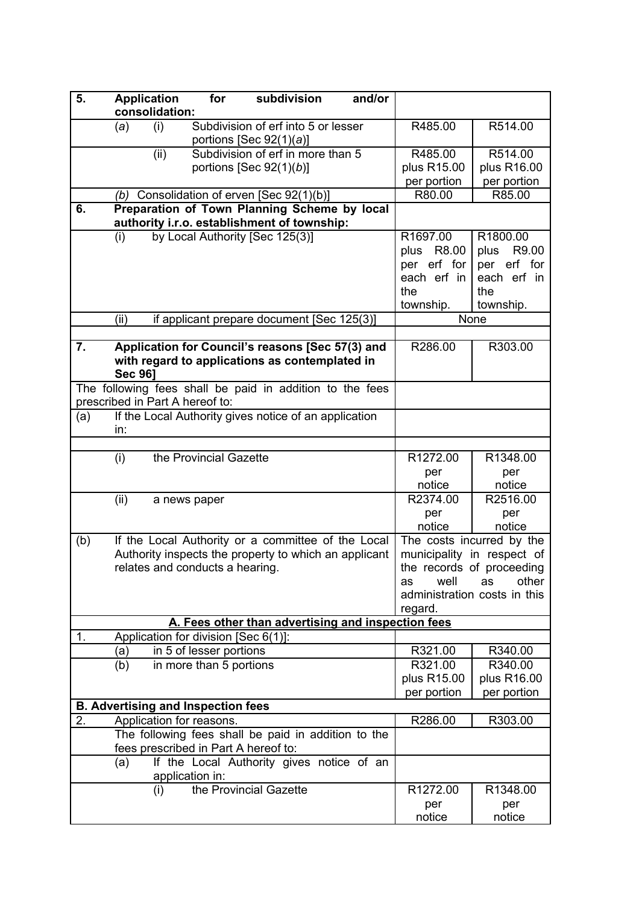| 5.  | <b>Application</b><br>consolidation: |              | for                                       | subdivision                                                                                                 | and/or |                                                                             |                                                                                                                                     |
|-----|--------------------------------------|--------------|-------------------------------------------|-------------------------------------------------------------------------------------------------------------|--------|-----------------------------------------------------------------------------|-------------------------------------------------------------------------------------------------------------------------------------|
|     | (a)                                  | (i)          |                                           | Subdivision of erf into 5 or lesser<br>portions [Sec $92(1)(a)$ ]                                           |        | R485.00                                                                     | R514.00                                                                                                                             |
|     |                                      | (ii)         |                                           | Subdivision of erf in more than 5                                                                           |        | R485.00                                                                     | R514.00                                                                                                                             |
|     |                                      |              |                                           | portions [Sec $92(1)(b)$ ]                                                                                  |        | plus R15.00                                                                 | plus R16.00                                                                                                                         |
|     |                                      |              |                                           |                                                                                                             |        | per portion                                                                 | per portion                                                                                                                         |
|     | (b)                                  |              |                                           | Consolidation of erven [Sec 92(1)(b)]                                                                       |        | R80.00                                                                      | R85.00                                                                                                                              |
| 6.  |                                      |              |                                           | Preparation of Town Planning Scheme by local<br>authority i.r.o. establishment of township:                 |        |                                                                             |                                                                                                                                     |
|     | (i)                                  |              |                                           | by Local Authority [Sec 125(3)]                                                                             |        | R1697.00<br>R8.00<br>plus<br>per erf for<br>each erf in<br>the<br>township. | R1800.00<br>R9.00<br>plus<br>per erf for<br>each erf in<br>the<br>township.                                                         |
|     | (ii)                                 |              |                                           | if applicant prepare document [Sec 125(3)]                                                                  |        |                                                                             | None                                                                                                                                |
|     |                                      |              |                                           |                                                                                                             |        |                                                                             |                                                                                                                                     |
| 7.  | <b>Sec 961</b>                       |              |                                           | Application for Council's reasons [Sec 57(3) and<br>with regard to applications as contemplated in          |        | R286.00                                                                     | R303.00                                                                                                                             |
|     | prescribed in Part A hereof to:      |              |                                           | The following fees shall be paid in addition to the fees                                                    |        |                                                                             |                                                                                                                                     |
| (a) | in:                                  |              |                                           | If the Local Authority gives notice of an application                                                       |        |                                                                             |                                                                                                                                     |
|     |                                      |              |                                           |                                                                                                             |        |                                                                             |                                                                                                                                     |
|     | (i)                                  |              | the Provincial Gazette                    |                                                                                                             |        | R1272.00<br>per<br>notice                                                   | R1348.00<br>per<br>notice                                                                                                           |
|     | (ii)                                 | a news paper |                                           |                                                                                                             |        | R2374.00<br>per<br>notice                                                   | R2516.00<br>per<br>notice                                                                                                           |
| (b) |                                      |              | relates and conducts a hearing.           | If the Local Authority or a committee of the Local<br>Authority inspects the property to which an applicant |        | well<br>as<br>regard.                                                       | The costs incurred by the<br>municipality in respect of<br>the records of proceeding<br>other<br>as<br>administration costs in this |
|     |                                      |              |                                           | A. Fees other than advertising and inspection fees                                                          |        |                                                                             |                                                                                                                                     |
| 1.  |                                      |              | Application for division [Sec 6(1)]:      |                                                                                                             |        |                                                                             |                                                                                                                                     |
|     | (a)                                  |              | in 5 of lesser portions                   |                                                                                                             |        | R321.00                                                                     | R340.00                                                                                                                             |
|     | (b)                                  |              | in more than 5 portions                   |                                                                                                             |        | R321.00<br>plus R15.00<br>per portion                                       | R340.00<br>plus R16.00<br>per portion                                                                                               |
|     |                                      |              | <b>B. Advertising and Inspection fees</b> |                                                                                                             |        |                                                                             |                                                                                                                                     |
| 2.  |                                      |              | Application for reasons.                  |                                                                                                             |        | R286.00                                                                     | R303.00                                                                                                                             |
|     |                                      |              |                                           | The following fees shall be paid in addition to the<br>fees prescribed in Part A hereof to:                 |        |                                                                             |                                                                                                                                     |
|     | (a)                                  |              | application in:                           | If the Local Authority gives notice of an                                                                   |        |                                                                             |                                                                                                                                     |
|     |                                      | (i)          |                                           | the Provincial Gazette                                                                                      |        | R1272.00<br>per<br>notice                                                   | R1348.00<br>per<br>notice                                                                                                           |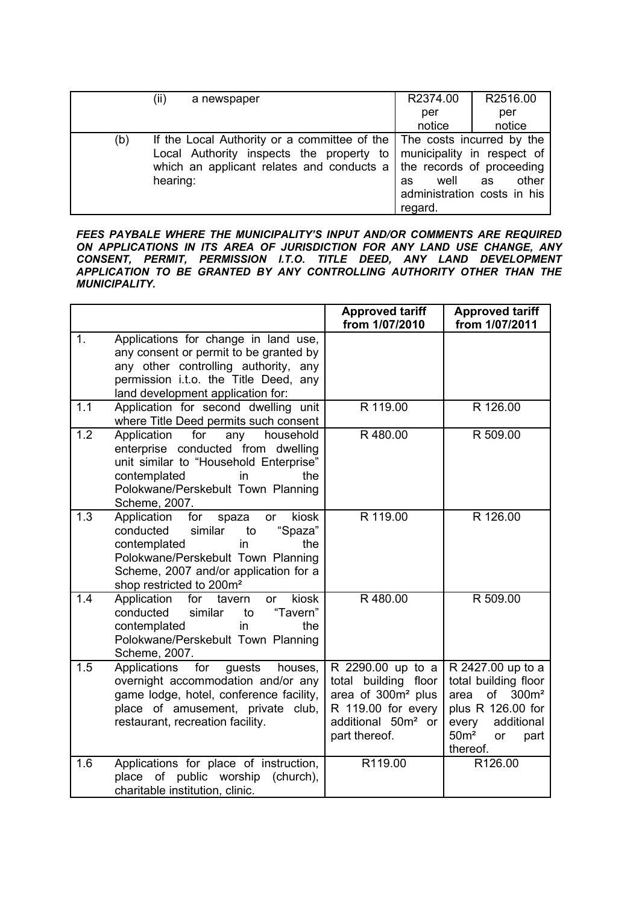|     | (ii)<br>a newspaper                                                                                                                                                                                                                | R2374.00              | R2516.00                                   |
|-----|------------------------------------------------------------------------------------------------------------------------------------------------------------------------------------------------------------------------------------|-----------------------|--------------------------------------------|
|     |                                                                                                                                                                                                                                    | per                   | per                                        |
|     |                                                                                                                                                                                                                                    | notice                | notice                                     |
| (b) | If the Local Authority or a committee of the The costs incurred by the<br>Local Authority inspects the property to municipality in respect of<br>which an applicant relates and conducts a   the records of proceeding<br>hearing: | well<br>as<br>regard. | other<br>as<br>administration costs in his |

*FEES PAYBALE WHERE THE MUNICIPALITY'S INPUT AND/OR COMMENTS ARE REQUIRED ON APPLICATIONS IN ITS AREA OF JURISDICTION FOR ANY LAND USE CHANGE, ANY CONSENT, PERMIT, PERMISSION I.T.O. TITLE DEED, ANY LAND DEVELOPMENT APPLICATION TO BE GRANTED BY ANY CONTROLLING AUTHORITY OTHER THAN THE MUNICIPALITY.* 

|                |                                                                                                                                                                                                                                         | <b>Approved tariff</b><br>from 1/07/2010                                                                                                                   | <b>Approved tariff</b><br>from 1/07/2011                                                                                                                               |
|----------------|-----------------------------------------------------------------------------------------------------------------------------------------------------------------------------------------------------------------------------------------|------------------------------------------------------------------------------------------------------------------------------------------------------------|------------------------------------------------------------------------------------------------------------------------------------------------------------------------|
| 1 <sub>1</sub> | Applications for change in land use,<br>any consent or permit to be granted by<br>any other controlling authority, any<br>permission i.t.o. the Title Deed, any<br>land development application for:                                    |                                                                                                                                                            |                                                                                                                                                                        |
| 1.1            | Application for second dwelling unit<br>where Title Deed permits such consent                                                                                                                                                           | R 119.00                                                                                                                                                   | R 126.00                                                                                                                                                               |
| 1.2            | Application<br>for<br>any<br>household<br>enterprise conducted from dwelling<br>unit similar to "Household Enterprise"<br>contemplated<br>in<br>the<br>Polokwane/Perskebult Town Planning<br>Scheme, 2007.                              | R480.00                                                                                                                                                    | R 509.00                                                                                                                                                               |
| 1.3            | Application<br>kiosk<br>for<br>spaza<br>or<br>"Spaza"<br>conducted<br>similar<br>to<br>contemplated<br>in<br>the<br>Polokwane/Perskebult Town Planning<br>Scheme, 2007 and/or application for a<br>shop restricted to 200m <sup>2</sup> | R 119.00                                                                                                                                                   | R 126.00                                                                                                                                                               |
| 1.4            | kiosk<br>Application<br>for<br>tavern<br><b>or</b><br>"Tavern"<br>conducted<br>similar<br>to<br>contemplated<br>in<br>the<br>Polokwane/Perskebult Town Planning<br>Scheme, 2007.                                                        | R480.00                                                                                                                                                    | R 509.00                                                                                                                                                               |
| 1.5            | for<br>Applications<br>guests<br>houses,<br>overnight accommodation and/or any<br>game lodge, hotel, conference facility,<br>place of amusement, private club,<br>restaurant, recreation facility.                                      | R 2290.00 up to a<br>building<br>total<br>floor<br>area of 300m <sup>2</sup> plus<br>R 119.00 for every<br>additional 50m <sup>2</sup> or<br>part thereof. | R 2427.00 up to a<br>total building floor<br>of<br>300m <sup>2</sup><br>area<br>plus R 126.00 for<br>every<br>additional<br>50 <sup>m²</sup><br>or<br>part<br>thereof. |
| 1.6            | Applications for place of instruction,<br>of<br>public worship<br>(church),<br>place<br>charitable institution, clinic.                                                                                                                 | R119.00                                                                                                                                                    | R126.00                                                                                                                                                                |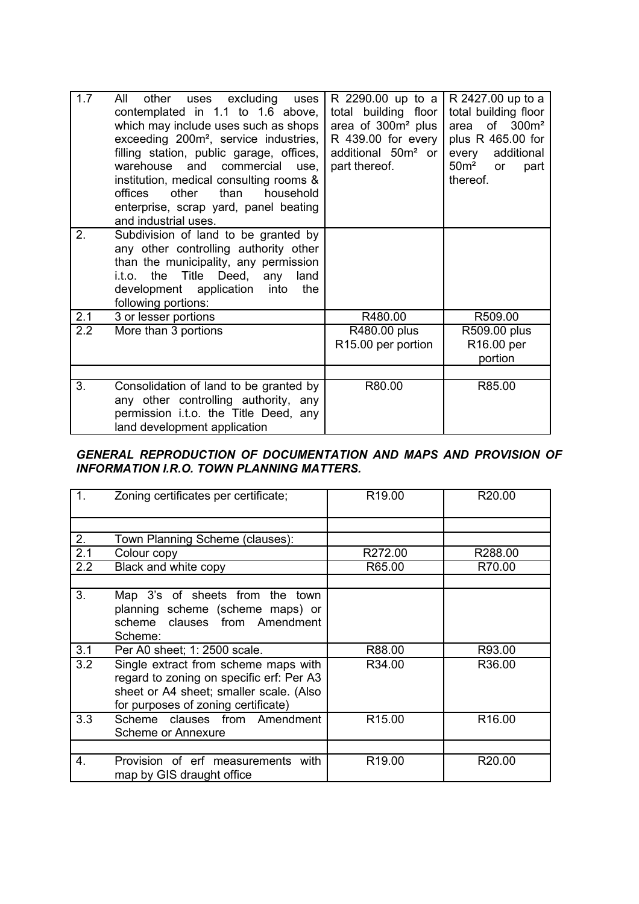| 1.7 | All<br>other<br>uses excluding<br>uses<br>contemplated in 1.1 to 1.6 above,<br>which may include uses such as shops<br>exceeding 200m <sup>2</sup> , service industries,<br>filling station, public garage, offices,<br>warehouse and commercial<br>use.<br>institution, medical consulting rooms &<br>offices<br>other<br>than<br>household<br>enterprise, scrap yard, panel beating<br>and industrial uses. | R 2290.00 up to a<br>total building floor<br>area of $300m^2$ plus<br>R 439.00 for every<br>additional $50m^2$ or<br>part thereof. | R 2427.00 up to a<br>total building floor<br>of $300m^2$<br>area<br>plus R 465.00 for<br>additional<br>every<br>50 <sup>m²</sup><br>or<br>part<br>thereof. |
|-----|---------------------------------------------------------------------------------------------------------------------------------------------------------------------------------------------------------------------------------------------------------------------------------------------------------------------------------------------------------------------------------------------------------------|------------------------------------------------------------------------------------------------------------------------------------|------------------------------------------------------------------------------------------------------------------------------------------------------------|
| 2.  | Subdivision of land to be granted by<br>any other controlling authority other<br>than the municipality, any permission<br>the Title Deed,<br>i.t.o.<br>any<br>land<br>development application<br>into<br>the<br>following portions:                                                                                                                                                                           |                                                                                                                                    |                                                                                                                                                            |
| 2.1 | 3 or lesser portions                                                                                                                                                                                                                                                                                                                                                                                          | R480.00                                                                                                                            | R509.00                                                                                                                                                    |
| 2.2 | More than 3 portions                                                                                                                                                                                                                                                                                                                                                                                          | R480.00 plus<br>R <sub>15.00</sub> per portion                                                                                     | R509.00 plus<br>R16.00 per<br>portion                                                                                                                      |
|     |                                                                                                                                                                                                                                                                                                                                                                                                               |                                                                                                                                    |                                                                                                                                                            |
| 3.  | Consolidation of land to be granted by<br>any other controlling authority, any<br>permission i.t.o. the Title Deed, any<br>land development application                                                                                                                                                                                                                                                       | R80.00                                                                                                                             | R85.00                                                                                                                                                     |

## *GENERAL REPRODUCTION OF DOCUMENTATION AND MAPS AND PROVISION OF INFORMATION I.R.O. TOWN PLANNING MATTERS.*

| 1.  | Zoning certificates per certificate;                                                                                                                               | R <sub>19.00</sub> | R <sub>20.00</sub> |
|-----|--------------------------------------------------------------------------------------------------------------------------------------------------------------------|--------------------|--------------------|
|     |                                                                                                                                                                    |                    |                    |
| 2.  | Town Planning Scheme (clauses):                                                                                                                                    |                    |                    |
| 2.1 | Colour copy                                                                                                                                                        | R272.00            | R288.00            |
| 2.2 | Black and white copy                                                                                                                                               | R65.00             | R70.00             |
|     |                                                                                                                                                                    |                    |                    |
| 3.  | Map 3's of sheets from the town<br>planning scheme (scheme maps) or<br>scheme clauses from Amendment<br>Scheme:                                                    |                    |                    |
| 3.1 | Per A0 sheet; 1: 2500 scale.                                                                                                                                       | R88.00             | R93.00             |
| 3.2 | Single extract from scheme maps with<br>regard to zoning on specific erf: Per A3<br>sheet or A4 sheet; smaller scale. (Also<br>for purposes of zoning certificate) | R34.00             | R36.00             |
| 3.3 | Scheme clauses from Amendment<br>Scheme or Annexure                                                                                                                | R <sub>15.00</sub> | R <sub>16.00</sub> |
|     |                                                                                                                                                                    |                    |                    |
| 4.  | Provision of erf measurements with<br>map by GIS draught office                                                                                                    | R <sub>19.00</sub> | R20.00             |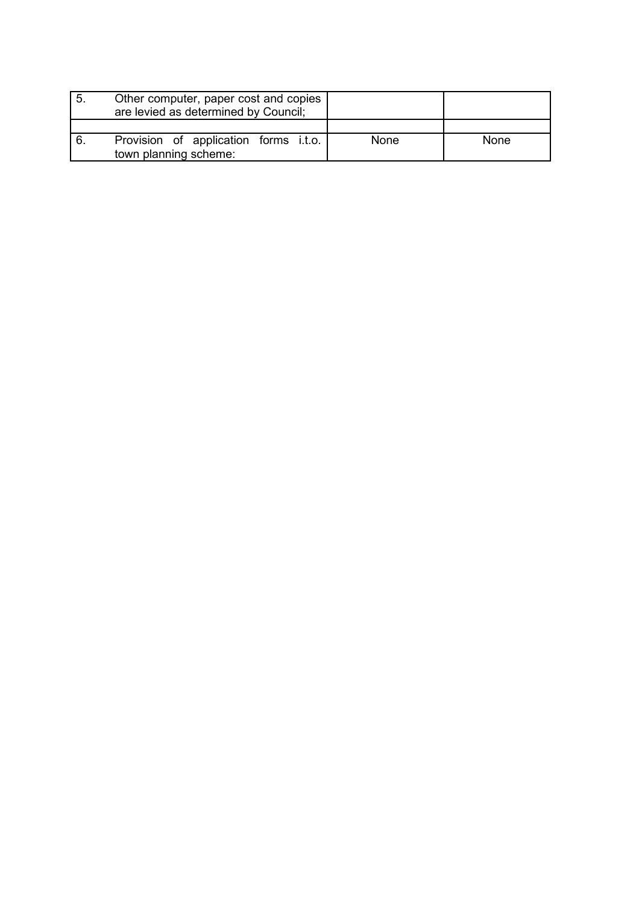| ' 5. | Other computer, paper cost and copies<br>are levied as determined by Council; |      |      |
|------|-------------------------------------------------------------------------------|------|------|
|      |                                                                               |      |      |
|      | Provision of application forms i.t.o.<br>town planning scheme:                | None | None |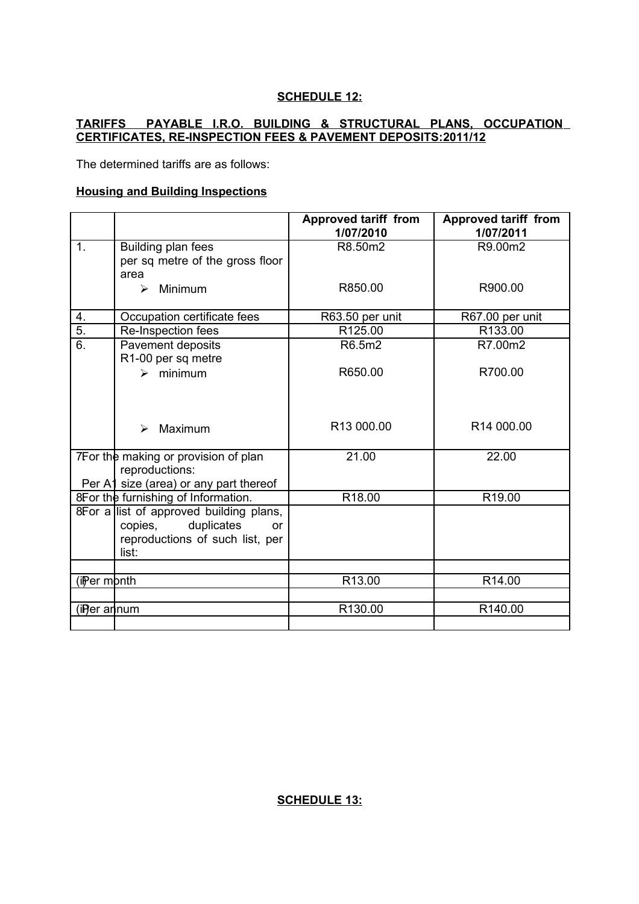## **SCHEDULE 12:**

## **TARIFFS PAYABLE I.R.O. BUILDING & STRUCTURAL PLANS, OCCUPATION CERTIFICATES, RE-INSPECTION FEES & PAVEMENT DEPOSITS: 2011/12**

The determined tariffs are as follows:

#### **Housing and Building Inspections**

|                       |                                         | <b>Approved tariff from</b> | <b>Approved tariff from</b> |
|-----------------------|-----------------------------------------|-----------------------------|-----------------------------|
|                       |                                         | 1/07/2010                   | 1/07/2011                   |
| $\mathbf{1}$ .        | Building plan fees                      | R8.50m2                     | R9.00m2                     |
|                       | per sq metre of the gross floor         |                             |                             |
|                       | area                                    |                             |                             |
|                       | Minimum<br>$\blacktriangleright$        | R850.00                     | R900.00                     |
|                       |                                         |                             |                             |
| 4.                    | Occupation certificate fees             | R63.50 per unit             | R67.00 per unit             |
| $\overline{5}$ .      | Re-Inspection fees                      | R125.00                     | R133.00                     |
| $\overline{6}$ .      | Pavement deposits                       | R6.5m2                      | R7.00m2                     |
|                       | R1-00 per sq metre                      |                             |                             |
|                       | $\triangleright$ minimum                | R650.00                     | R700.00                     |
|                       |                                         |                             |                             |
|                       |                                         |                             |                             |
|                       |                                         |                             |                             |
|                       | Maximum<br>$\blacktriangleright$        | R13 000.00                  | R <sub>14</sub> 000.00      |
|                       |                                         |                             |                             |
|                       | 7For the making or provision of plan    | 21.00                       | 22.00                       |
|                       | reproductions:                          |                             |                             |
|                       | Per A1 size (area) or any part thereof  |                             |                             |
|                       | 8For the furnishing of Information.     | R <sub>18.00</sub>          | R <sub>19.00</sub>          |
|                       | 8For a list of approved building plans, |                             |                             |
|                       | duplicates<br>copies,<br>or             |                             |                             |
|                       | reproductions of such list, per         |                             |                             |
|                       | list:                                   |                             |                             |
|                       |                                         |                             |                             |
| (ii)er mþnth          |                                         | R13.00                      | R14.00                      |
|                       |                                         |                             |                             |
| (i <b>P</b> er an num |                                         | R130.00                     | R140.00                     |
|                       |                                         |                             |                             |

**SCHEDULE 13:**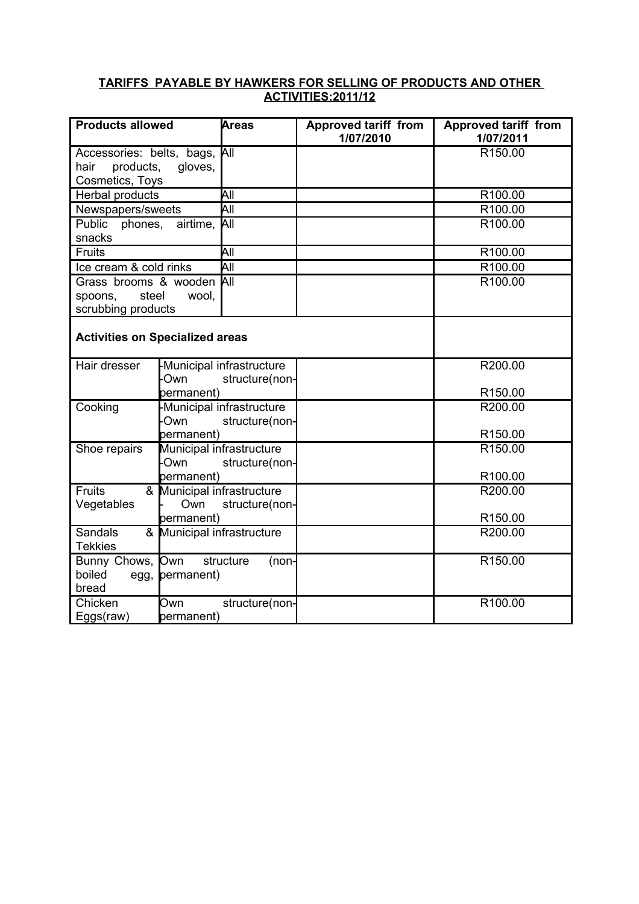## **TARIFFS PAYABLE BY HAWKERS FOR SELLING OF PRODUCTS AND OTHER ACTIVITIES:2011/12**

| <b>Products allowed</b>                                           | Areas                                                            | <b>Approved tariff from</b><br>1/07/2010 | <b>Approved tariff from</b><br>1/07/2011 |
|-------------------------------------------------------------------|------------------------------------------------------------------|------------------------------------------|------------------------------------------|
| Accessories: belts, bags,<br>products,<br>hair<br>Cosmetics, Toys | <b>A</b> ll<br>gloves,                                           |                                          | R150.00                                  |
| Herbal products                                                   | All                                                              |                                          | R100.00                                  |
| Newspapers/sweets                                                 | $\overline{All}$                                                 |                                          | R100.00                                  |
| Public<br>phones,<br>snacks                                       | airtime,<br>ÌАll                                                 |                                          | R100.00                                  |
| Fruits                                                            | All                                                              |                                          | R100.00                                  |
| Ice cream & cold rinks                                            | All                                                              |                                          | R100.00                                  |
| Grass brooms & wooden<br>steel<br>spoons,<br>scrubbing products   | <b>A</b> ll<br>wool,                                             |                                          | R100.00                                  |
| <b>Activities on Specialized areas</b>                            |                                                                  |                                          |                                          |
| Hair dresser                                                      | -Municipal infrastructure<br>Own<br>structure(non-<br>permanent) |                                          | R200.00<br>R150.00                       |
| Cooking                                                           | Municipal infrastructure<br>Own<br>structure(non-<br>permanent)  |                                          | R200.00<br>R150.00                       |
| Shoe repairs                                                      | Municipal infrastructure<br>Own<br>structure(non-<br>permanent)  |                                          | R150.00<br>R100.00                       |
| Fruits<br>Vegetables                                              | & Municipal infrastructure<br>Own<br>structure(non-              |                                          | R200.00                                  |
| Sandals<br><b>Tekkies</b>                                         | permanent)<br>& Municipal infrastructure                         |                                          | R150.00<br>R200.00                       |
| Bunny Chows, Own<br>boiled<br>bread                               | structure<br>egg, permanent)                                     | (non-                                    | R150.00                                  |
| Chicken<br>Own<br>Eggs(raw)                                       | structure(non-<br>permanent)                                     |                                          | R100.00                                  |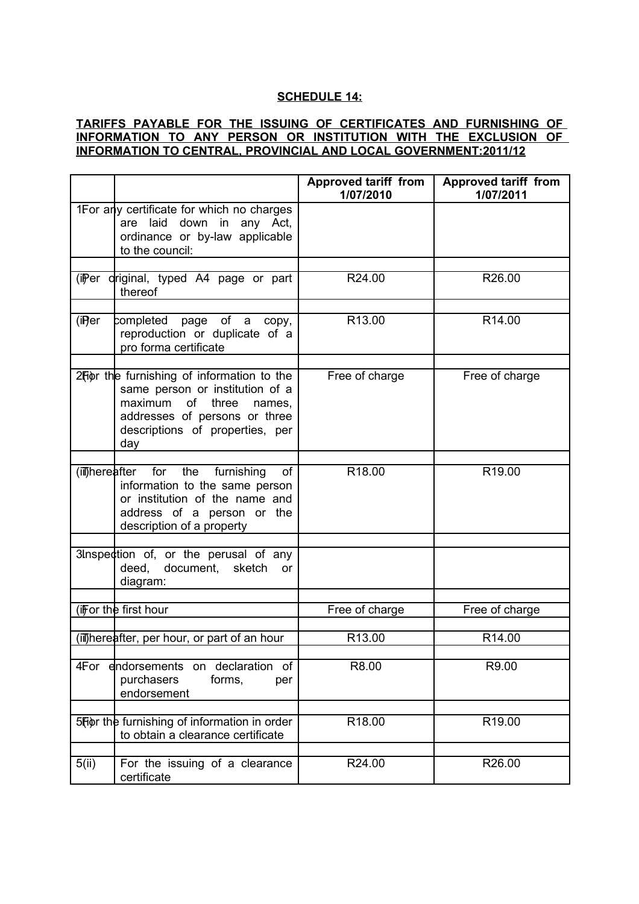#### **SCHEDULE 14:**

## **TARIFFS PAYABLE FOR THE ISSUING OF CERTIFICATES AND FURNISHING OF INFORMATION TO ANY PERSON OR INSTITUTION WITH THE EXCLUSION OF INFORMATION TO CENTRAL, PROVINCIAL AND LOCAL GOVERNMENT:2011/12**

|        |                                                                                                                                                                                           | Approved tariff from<br>1/07/2010 | <b>Approved tariff from</b><br>1/07/2011 |
|--------|-------------------------------------------------------------------------------------------------------------------------------------------------------------------------------------------|-----------------------------------|------------------------------------------|
|        | 1For any certificate for which no charges<br>are laid down in any Act,<br>ordinance or by-law applicable<br>to the council:                                                               |                                   |                                          |
|        |                                                                                                                                                                                           |                                   |                                          |
|        | (iiPer driginal, typed A4 page or part<br>thereof                                                                                                                                         | R24.00                            | R26.00                                   |
|        |                                                                                                                                                                                           |                                   |                                          |
| (iP)er | completed page of a copy,<br>reproduction or duplicate of a<br>pro forma certificate                                                                                                      | R13.00                            | R <sub>14.00</sub>                       |
|        | 2Fior the furnishing of information to the<br>same person or institution of a<br>maximum<br>of three<br>names,<br>addresses of persons or three<br>descriptions of properties, per<br>day | Free of charge                    | Free of charge                           |
|        |                                                                                                                                                                                           |                                   |                                          |
|        | (iii)hereafter for the furnishing<br>of<br>information to the same person<br>or institution of the name and<br>address of a person or the<br>description of a property                    | R <sub>18.00</sub>                | R <sub>19.00</sub>                       |
|        |                                                                                                                                                                                           |                                   |                                          |
|        | 3Inspection of, or the perusal of any<br>deed, document, sketch<br>or<br>diagram:                                                                                                         |                                   |                                          |
|        |                                                                                                                                                                                           |                                   |                                          |
|        | (if for the first hour                                                                                                                                                                    | Free of charge                    | Free of charge                           |
|        |                                                                                                                                                                                           |                                   |                                          |
|        | (ill)hereafter, per hour, or part of an hour                                                                                                                                              | R13.00                            | R14.00                                   |
|        | 4For endorsements on declaration of<br>forms,<br>purchasers<br>per<br>endorsement                                                                                                         | R8.00                             | R9.00                                    |
|        |                                                                                                                                                                                           |                                   |                                          |
|        | 5Fior the furnishing of information in order<br>to obtain a clearance certificate                                                                                                         | R18.00                            | R19.00                                   |
|        |                                                                                                                                                                                           |                                   |                                          |
| 5(ii)  | For the issuing of a clearance<br>certificate                                                                                                                                             | R24.00                            | R26.00                                   |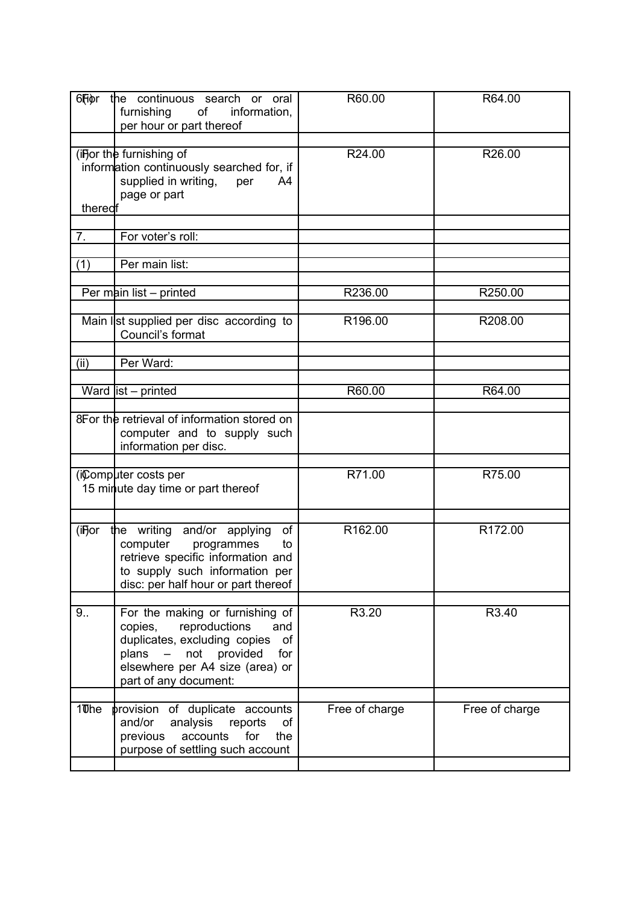| 6Fiør             | the continuous search or oral<br>furnishing of<br>information,<br>per hour or part thereof                                                                                                                            | R60.00         | R64.00         |
|-------------------|-----------------------------------------------------------------------------------------------------------------------------------------------------------------------------------------------------------------------|----------------|----------------|
| thered            | (iFor the furnishing of<br>information continuously searched for, if<br>supplied in writing,<br>per<br>A4<br>page or part                                                                                             | R24.00         | R26.00         |
| 7.                | For voter's roll:                                                                                                                                                                                                     |                |                |
| (1)               | Per main list:                                                                                                                                                                                                        |                |                |
|                   | Per main list $-$ printed                                                                                                                                                                                             | R236.00        | R250.00        |
|                   | Main list supplied per disc according to<br>Council's format                                                                                                                                                          | R196.00        | R208.00        |
| (ii)              | Per Ward:                                                                                                                                                                                                             |                |                |
|                   | Ward $list - printed$                                                                                                                                                                                                 | R60.00         | R64.00         |
|                   | 8For the retrieval of information stored on<br>computer and to supply such<br>information per disc.                                                                                                                   |                |                |
|                   | (iComputer costs per<br>15 minute day time or part thereof                                                                                                                                                            | R71.00         | R75.00         |
| (i <b>F</b> jor   | of<br>the writing and/or applying<br>computer programmes<br>to<br>retrieve specific information and<br>to supply such information per<br>disc: per half hour or part thereof                                          | R162.00        | R172.00        |
| 9.5               | For the making or furnishing of<br>reproductions<br>copies,<br>and<br>duplicates, excluding copies<br>of<br>not provided<br>for<br>plans<br>$\frac{1}{2}$<br>elsewhere per A4 size (area) or<br>part of any document: | R3.20          | R3.40          |
| 10 <sub>Dhe</sub> | provision of duplicate accounts<br>and/or<br>analysis<br>reports<br>οf<br>for<br>previous<br>accounts<br>the<br>purpose of settling such account                                                                      | Free of charge | Free of charge |